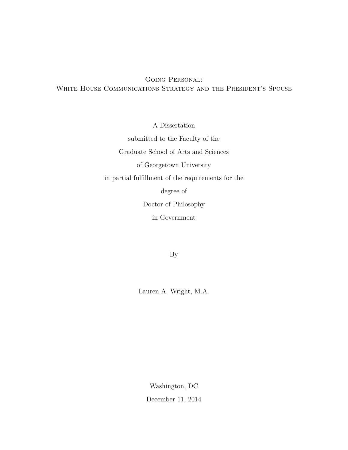Going Personal: White House Communications Strategy and the President's Spouse

A Dissertation

submitted to the Faculty of the Graduate School of Arts and Sciences of Georgetown University in partial fulfillment of the requirements for the degree of Doctor of Philosophy in Government

By

Lauren A. Wright, M.A.

Washington, DC December 11, 2014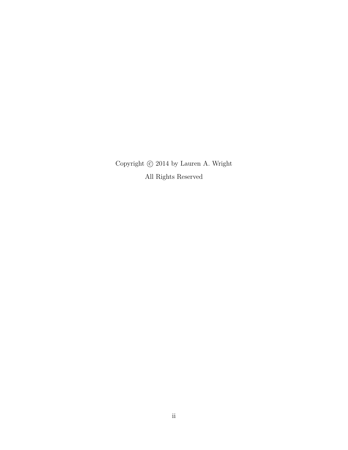Copyright  $\copyright$  2014 by Lauren A. Wright All Rights Reserved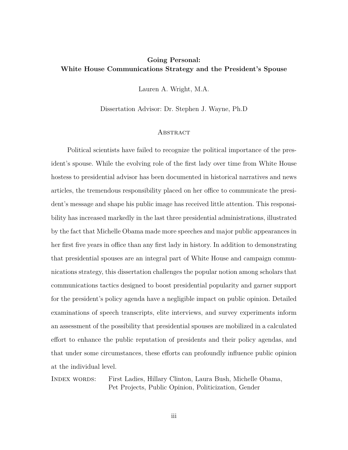# **Going Personal: White House Communications Strategy and the President's Spouse**

Lauren A. Wright, M.A.

Dissertation Advisor: Dr. Stephen J. Wayne, Ph.D

#### **ABSTRACT**

Political scientists have failed to recognize the political importance of the president's spouse. While the evolving role of the first lady over time from White House hostess to presidential advisor has been documented in historical narratives and news articles, the tremendous responsibility placed on her office to communicate the president's message and shape his public image has received little attention. This responsibility has increased markedly in the last three presidential administrations, illustrated by the fact that Michelle Obama made more speeches and major public appearances in her first five years in office than any first lady in history. In addition to demonstrating that presidential spouses are an integral part of White House and campaign communications strategy, this dissertation challenges the popular notion among scholars that communications tactics designed to boost presidential popularity and garner support for the president's policy agenda have a negligible impact on public opinion. Detailed examinations of speech transcripts, elite interviews, and survey experiments inform an assessment of the possibility that presidential spouses are mobilized in a calculated effort to enhance the public reputation of presidents and their policy agendas, and that under some circumstances, these efforts can profoundly influence public opinion at the individual level.

Index words: First Ladies, Hillary Clinton, Laura Bush, Michelle Obama, Pet Projects, Public Opinion, Politicization, Gender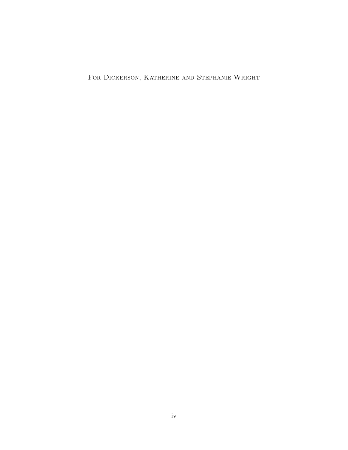FOR DICKERSON, KATHERINE AND STEPHANIE WRIGHT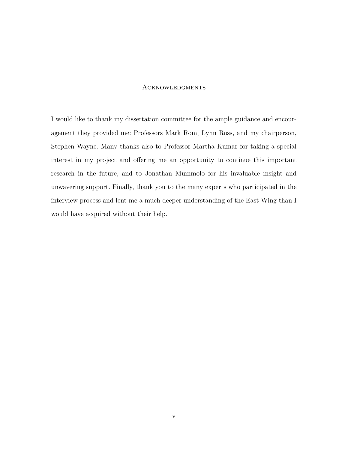### **ACKNOWLEDGMENTS**

I would like to thank my dissertation committee for the ample guidance and encouragement they provided me: Professors Mark Rom, Lynn Ross, and my chairperson, Stephen Wayne. Many thanks also to Professor Martha Kumar for taking a special interest in my project and offering me an opportunity to continue this important research in the future, and to Jonathan Mummolo for his invaluable insight and unwavering support. Finally, thank you to the many experts who participated in the interview process and lent me a much deeper understanding of the East Wing than I would have acquired without their help.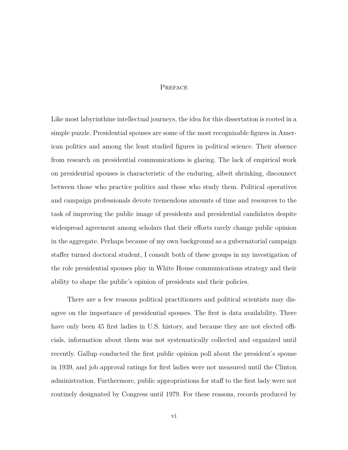# **PREFACE**

Like most labyrinthine intellectual journeys, the idea for this dissertation is rooted in a simple puzzle. Presidential spouses are some of the most recognizable figures in American politics and among the least studied figures in political science. Their absence from research on presidential communications is glaring. The lack of empirical work on presidential spouses is characteristic of the enduring, albeit shrinking, disconnect between those who practice politics and those who study them. Political operatives and campaign professionals devote tremendous amounts of time and resources to the task of improving the public image of presidents and presidential candidates despite widespread agreement among scholars that their efforts rarely change public opinion in the aggregate. Perhaps because of my own background as a gubernatorial campaign staffer turned doctoral student, I consult both of these groups in my investigation of the role presidential spouses play in White House communications strategy and their ability to shape the public's opinion of presidents and their policies.

There are a few reasons political practitioners and political scientists may disagree on the importance of presidential spouses. The first is data availability. There have only been 45 first ladies in U.S. history, and because they are not elected officials, information about them was not systematically collected and organized until recently. Gallup conducted the first public opinion poll about the president's spouse in 1939, and job approval ratings for first ladies were not measured until the Clinton administration. Furthermore, public appropriations for staff to the first lady were not routinely designated by Congress until 1979. For these reasons, records produced by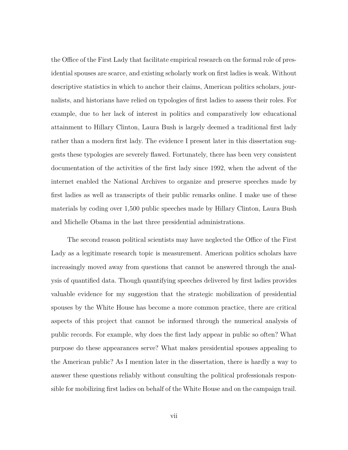the Office of the First Lady that facilitate empirical research on the formal role of presidential spouses are scarce, and existing scholarly work on first ladies is weak. Without descriptive statistics in which to anchor their claims, American politics scholars, journalists, and historians have relied on typologies of first ladies to assess their roles. For example, due to her lack of interest in politics and comparatively low educational attainment to Hillary Clinton, Laura Bush is largely deemed a traditional first lady rather than a modern first lady. The evidence I present later in this dissertation suggests these typologies are severely flawed. Fortunately, there has been very consistent documentation of the activities of the first lady since 1992, when the advent of the internet enabled the National Archives to organize and preserve speeches made by first ladies as well as transcripts of their public remarks online. I make use of these materials by coding over 1,500 public speeches made by Hillary Clinton, Laura Bush and Michelle Obama in the last three presidential administrations.

The second reason political scientists may have neglected the Office of the First Lady as a legitimate research topic is measurement. American politics scholars have increasingly moved away from questions that cannot be answered through the analysis of quantified data. Though quantifying speeches delivered by first ladies provides valuable evidence for my suggestion that the strategic mobilization of presidential spouses by the White House has become a more common practice, there are critical aspects of this project that cannot be informed through the numerical analysis of public records. For example, why does the first lady appear in public so often? What purpose do these appearances serve? What makes presidential spouses appealing to the American public? As I mention later in the dissertation, there is hardly a way to answer these questions reliably without consulting the political professionals responsible for mobilizing first ladies on behalf of the White House and on the campaign trail.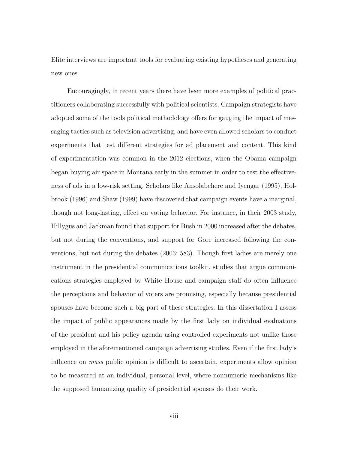Elite interviews are important tools for evaluating existing hypotheses and generating new ones.

Encouragingly, in recent years there have been more examples of political practitioners collaborating successfully with political scientists. Campaign strategists have adopted some of the tools political methodology offers for gauging the impact of messaging tactics such as television advertising, and have even allowed scholars to conduct experiments that test different strategies for ad placement and content. This kind of experimentation was common in the 2012 elections, when the Obama campaign began buying air space in Montana early in the summer in order to test the effectiveness of ads in a low-risk setting. Scholars like Ansolabehere and Iyengar (1995), Holbrook (1996) and Shaw (1999) have discovered that campaign events have a marginal, though not long-lasting, effect on voting behavior. For instance, in their 2003 study, Hillygus and Jackman found that support for Bush in 2000 increased after the debates, but not during the conventions, and support for Gore increased following the conventions, but not during the debates (2003: 583). Though first ladies are merely one instrument in the presidential communications toolkit, studies that argue communications strategies employed by White House and campaign staff do often influence the perceptions and behavior of voters are promising, especially because presidential spouses have become such a big part of these strategies. In this dissertation I assess the impact of public appearances made by the first lady on individual evaluations of the president and his policy agenda using controlled experiments not unlike those employed in the aforementioned campaign advertising studies. Even if the first lady's influence on *mass* public opinion is difficult to ascertain, experiments allow opinion to be measured at an individual, personal level, where nonnumeric mechanisms like the supposed humanizing quality of presidential spouses do their work.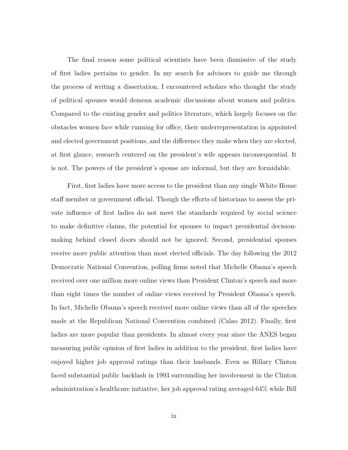The final reason some political scientists have been dismissive of the study of first ladies pertains to gender. In my search for advisors to guide me through the process of writing a dissertation, I encountered scholars who thought the study of political spouses would demean academic discussions about women and politics. Compared to the existing gender and politics literature, which largely focuses on the obstacles women face while running for office, their underrepresentation in appointed and elected government positions, and the difference they make when they are elected, at first glance, research centered on the president's wife appears inconsequential. It is not. The powers of the president's spouse are informal, but they are formidable.

First, first ladies have more access to the president than any single White House staff member or government official. Though the efforts of historians to assess the private influence of first ladies do not meet the standards required by social science to make definitive claims, the potential for spouses to impact presidential decisionmaking behind closed doors should not be ignored. Second, presidential spouses receive more public attention than most elected officials. The day following the 2012 Democratic National Convention, polling firms noted that Michelle Obama's speech received over one million more online views than President Clinton's speech and more than eight times the number of online views received by President Obama's speech. In fact, Michelle Obama's speech received more online views than all of the speeches made at the Republican National Convention combined (Calao 2012). Finally, first ladies are more popular than presidents. In almost every year since the ANES began measuring public opinion of first ladies in addition to the president, first ladies have enjoyed higher job approval ratings than their husbands. Even as Hillary Clinton faced substantial public backlash in 1993 surrounding her involvement in the Clinton administration's healthcare initiative, her job approval rating averaged 64% while Bill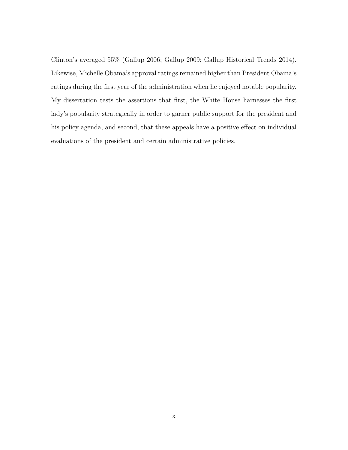Clinton's averaged 55% (Gallup 2006; Gallup 2009; Gallup Historical Trends 2014). Likewise, Michelle Obama's approval ratings remained higher than President Obama's ratings during the first year of the administration when he enjoyed notable popularity. My dissertation tests the assertions that first, the White House harnesses the first lady's popularity strategically in order to garner public support for the president and his policy agenda, and second, that these appeals have a positive effect on individual evaluations of the president and certain administrative policies.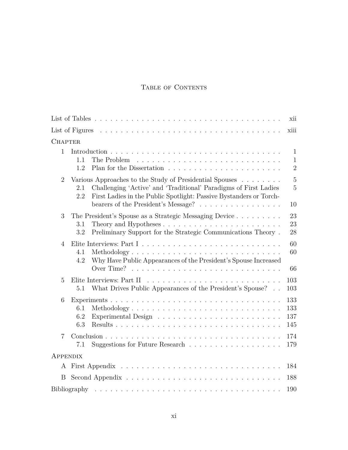# TABLE OF CONTENTS

|                 |                                                                                                                                                                                                                                                        | xii                                            |
|-----------------|--------------------------------------------------------------------------------------------------------------------------------------------------------------------------------------------------------------------------------------------------------|------------------------------------------------|
|                 |                                                                                                                                                                                                                                                        | xiii                                           |
| <b>CHAPTER</b>  |                                                                                                                                                                                                                                                        |                                                |
| 1               | 1.1<br>The Problem<br>1.2                                                                                                                                                                                                                              | $\mathbf{1}$<br>$\mathbf{1}$<br>$\overline{2}$ |
| $\overline{2}$  | Various Approaches to the Study of Presidential Spouses<br>Challenging 'Active' and 'Traditional' Paradigms of First Ladies<br>2.1<br>First Ladies in the Public Spotlight: Passive Bystanders or Torch-<br>2.2<br>bearers of the President's Message? | $\overline{5}$<br>$\overline{5}$<br>10         |
| 3               | The President's Spouse as a Strategic Messaging Device<br>Theory and Hypotheses $\dots \dots \dots \dots \dots \dots \dots \dots \dots$<br>3.1<br>Preliminary Support for the Strategic Communications Theory.<br>3.2                                  | 23<br>23<br>28                                 |
| 4               | 4.1<br>Methodology<br>Why Have Public Appearances of the President's Spouse Increased<br>4.2                                                                                                                                                           | 60<br>60<br>66                                 |
| $\overline{5}$  | Elite Interviews: Part II<br>What Drives Public Appearances of the President's Spouse?<br>5.1                                                                                                                                                          | 103<br>103                                     |
| 6               | 6.1<br>Methodology<br>6.2<br>6.3                                                                                                                                                                                                                       | 133<br>133<br>137<br>145                       |
| $\overline{7}$  | 7.1                                                                                                                                                                                                                                                    | 174<br>179                                     |
| <b>APPENDIX</b> |                                                                                                                                                                                                                                                        |                                                |
|                 |                                                                                                                                                                                                                                                        | 184                                            |
| B               |                                                                                                                                                                                                                                                        | 188                                            |
|                 |                                                                                                                                                                                                                                                        | 190                                            |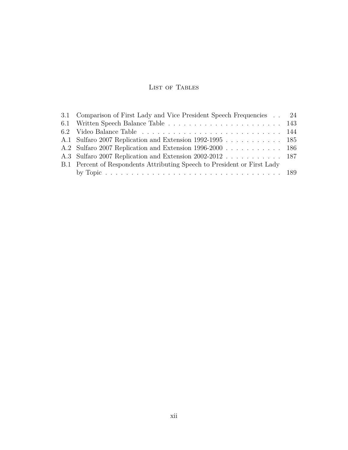# List of Tables

| 3.1 Comparison of First Lady and Vice President Speech Frequencies . 24  |  |
|--------------------------------------------------------------------------|--|
|                                                                          |  |
|                                                                          |  |
| A.1 Sulfaro 2007 Replication and Extension 1992-1995 185                 |  |
| A.2 Sulfaro 2007 Replication and Extension 1996-2000 186                 |  |
| A.3 Sulfaro 2007 Replication and Extension 2002-2012 187                 |  |
| B.1 Percent of Respondents Attributing Speech to President or First Lady |  |
|                                                                          |  |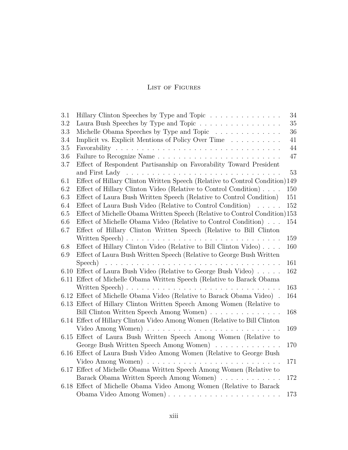# LIST OF FIGURES

| 3.1     | Hillary Clinton Speeches by Type and Topic<br>34                                                  |  |
|---------|---------------------------------------------------------------------------------------------------|--|
| 3.2     | Laura Bush Speeches by Type and Topic<br>35                                                       |  |
| 3.3     | Michelle Obama Speeches by Type and Topic<br>36                                                   |  |
| 3.4     | Implicit vs. Explicit Mentions of Policy Over Time<br>41                                          |  |
| 3.5     | 44                                                                                                |  |
| 3.6     | 47                                                                                                |  |
| 3.7     | Effect of Respondent Partisanship on Favorability Toward President                                |  |
|         | 53<br>and First Lady<br><u>. A series and a series and a series and a series and a series and</u> |  |
| 6.1     | Effect of Hillary Clinton Written Speech (Relative to Control Condition)149                       |  |
| 6.2     | Effect of Hillary Clinton Video (Relative to Control Condition)<br>150                            |  |
| 6.3     | Effect of Laura Bush Written Speech (Relative to Control Condition)<br>151                        |  |
| 6.4     | Effect of Laura Bush Video (Relative to Control Condition)<br>152                                 |  |
| 6.5     | Effect of Michelle Obama Written Speech (Relative to Control Condition)153                        |  |
| $6.6\,$ | Effect of Michelle Obama Video (Relative to Control Condition)<br>154                             |  |
| 6.7     | Effect of Hillary Clinton Written Speech (Relative to Bill Clinton                                |  |
|         | 159                                                                                               |  |
| 6.8     | Effect of Hillary Clinton Video (Relative to Bill Clinton Video).<br>160                          |  |
| 6.9     | Effect of Laura Bush Written Speech (Relative to George Bush Written                              |  |
|         | 161                                                                                               |  |
|         | 6.10 Effect of Laura Bush Video (Relative to George Bush Video)<br>162                            |  |
|         | 6.11 Effect of Michelle Obama Written Speech (Relative to Barack Obama                            |  |
|         | 163                                                                                               |  |
|         | 6.12 Effect of Michelle Obama Video (Relative to Barack Obama Video).<br>164                      |  |
|         | 6.13 Effect of Hillary Clinton Written Speech Among Women (Relative to                            |  |
|         | Bill Clinton Written Speech Among Women)<br>168                                                   |  |
|         | 6.14 Effect of Hillary Clinton Video Among Women (Relative to Bill Clinton                        |  |
|         | 169                                                                                               |  |
|         | 6.15 Effect of Laura Bush Written Speech Among Women (Relative to                                 |  |
|         | George Bush Written Speech Among Women)<br>170                                                    |  |
|         | 6.16 Effect of Laura Bush Video Among Women (Relative to George Bush                              |  |
|         | 171                                                                                               |  |
|         | 6.17 Effect of Michelle Obama Written Speech Among Women (Relative to                             |  |
|         | Barack Obama Written Speech Among Women)<br>172                                                   |  |
|         | 6.18 Effect of Michelle Obama Video Among Women (Relative to Barack                               |  |
|         | 173                                                                                               |  |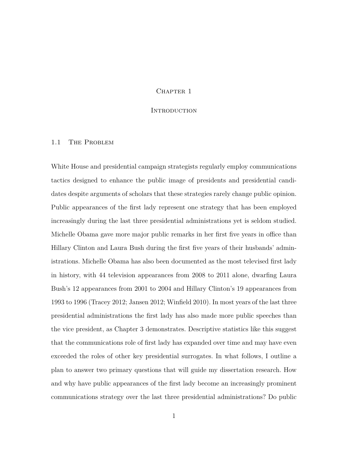#### CHAPTER 1

### **INTRODUCTION**

#### 1.1 THE PROBLEM

White House and presidential campaign strategists regularly employ communications tactics designed to enhance the public image of presidents and presidential candidates despite arguments of scholars that these strategies rarely change public opinion. Public appearances of the first lady represent one strategy that has been employed increasingly during the last three presidential administrations yet is seldom studied. Michelle Obama gave more major public remarks in her first five years in office than Hillary Clinton and Laura Bush during the first five years of their husbands' administrations. Michelle Obama has also been documented as the most televised first lady in history, with 44 television appearances from 2008 to 2011 alone, dwarfing Laura Bush's 12 appearances from 2001 to 2004 and Hillary Clinton's 19 appearances from 1993 to 1996 (Tracey 2012; Jansen 2012; Winfield 2010). In most years of the last three presidential administrations the first lady has also made more public speeches than the vice president, as Chapter 3 demonstrates. Descriptive statistics like this suggest that the communications role of first lady has expanded over time and may have even exceeded the roles of other key presidential surrogates. In what follows, I outline a plan to answer two primary questions that will guide my dissertation research. How and why have public appearances of the first lady become an increasingly prominent communications strategy over the last three presidential administrations? Do public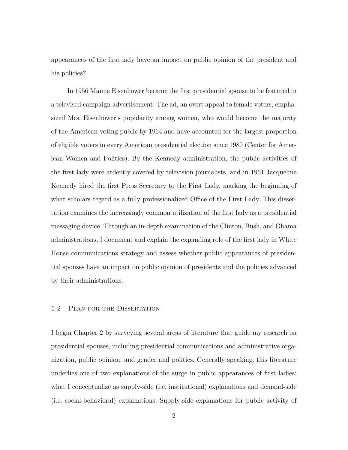appearances of the first lady have an impact on public opinion of the president and his policies?

In 1956 Mamie Eisenhower became the first presidential spouse to be featured in a televised campaign advertisement. The ad, an overt appeal to female voters, emphasized Mrs. Eisenhower's popularity among women, who would become the majority of the American voting public by 1964 and have accounted for the largest proportion of eligible voters in every American presidential election since 1980 (Center for American Women and Politics). By the Kennedy administration, the public activities of the first lady were ardently covered by television journalists, and in 1961 Jacqueline Kennedy hired the first Press Secretary to the First Lady, marking the beginning of what scholars regard as a fully professionalized Office of the First Lady. This dissertation examines the increasingly common utilization of the first lady as a presidential messaging device. Through an in-depth examination of the Clinton, Bush, and Obama administrations, I document and explain the expanding role of the first lady in White House communications strategy and assess whether public appearances of presidential spouses have an impact on public opinion of presidents and the policies advanced by their administrations.

#### 1.2 Plan for the Dissertation

I begin Chapter 2 by surveying several areas of literature that guide my research on presidential spouses, including presidential communications and administrative organization, public opinion, and gender and politics. Generally speaking, this literature underlies one of two explanations of the surge in public appearances of first ladies: what I conceptualize as supply-side (i.e. institutional) explanations and demand-side (i.e. social-behavioral) explanations. Supply-side explanations for public activity of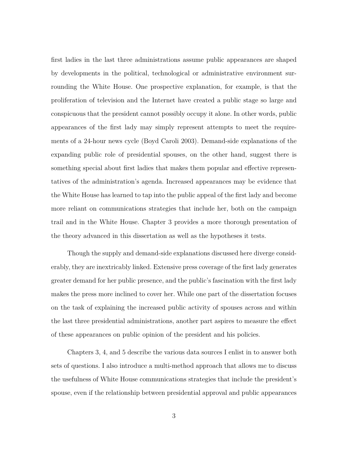first ladies in the last three administrations assume public appearances are shaped by developments in the political, technological or administrative environment surrounding the White House. One prospective explanation, for example, is that the proliferation of television and the Internet have created a public stage so large and conspicuous that the president cannot possibly occupy it alone. In other words, public appearances of the first lady may simply represent attempts to meet the requirements of a 24-hour news cycle (Boyd Caroli 2003). Demand-side explanations of the expanding public role of presidential spouses, on the other hand, suggest there is something special about first ladies that makes them popular and effective representatives of the administration's agenda. Increased appearances may be evidence that the White House has learned to tap into the public appeal of the first lady and become more reliant on communications strategies that include her, both on the campaign trail and in the White House. Chapter 3 provides a more thorough presentation of the theory advanced in this dissertation as well as the hypotheses it tests.

Though the supply and demand-side explanations discussed here diverge considerably, they are inextricably linked. Extensive press coverage of the first lady generates greater demand for her public presence, and the public's fascination with the first lady makes the press more inclined to cover her. While one part of the dissertation focuses on the task of explaining the increased public activity of spouses across and within the last three presidential administrations, another part aspires to measure the effect of these appearances on public opinion of the president and his policies.

Chapters 3, 4, and 5 describe the various data sources I enlist in to answer both sets of questions. I also introduce a multi-method approach that allows me to discuss the usefulness of White House communications strategies that include the president's spouse, even if the relationship between presidential approval and public appearances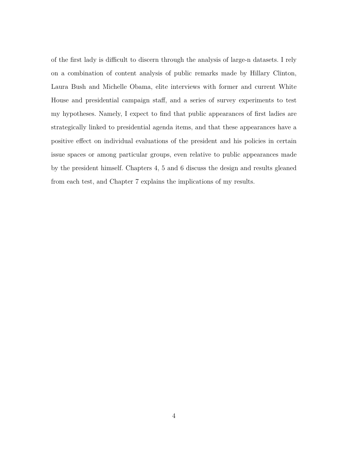of the first lady is difficult to discern through the analysis of large-n datasets. I rely on a combination of content analysis of public remarks made by Hillary Clinton, Laura Bush and Michelle Obama, elite interviews with former and current White House and presidential campaign staff, and a series of survey experiments to test my hypotheses. Namely, I expect to find that public appearances of first ladies are strategically linked to presidential agenda items, and that these appearances have a positive effect on individual evaluations of the president and his policies in certain issue spaces or among particular groups, even relative to public appearances made by the president himself. Chapters 4, 5 and 6 discuss the design and results gleaned from each test, and Chapter 7 explains the implications of my results.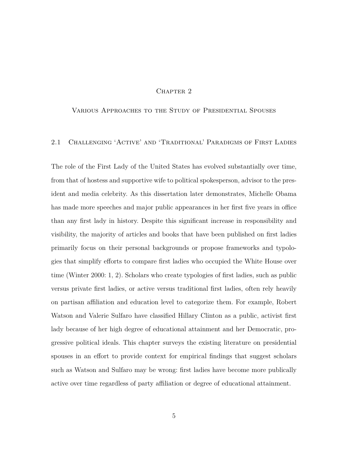## CHAPTER<sub>2</sub>

# Various Approaches to the Study of Presidential Spouses

# 2.1 Challenging 'Active' and 'Traditional' Paradigms of First Ladies

The role of the First Lady of the United States has evolved substantially over time, from that of hostess and supportive wife to political spokesperson, advisor to the president and media celebrity. As this dissertation later demonstrates, Michelle Obama has made more speeches and major public appearances in her first five years in office than any first lady in history. Despite this significant increase in responsibility and visibility, the majority of articles and books that have been published on first ladies primarily focus on their personal backgrounds or propose frameworks and typologies that simplify efforts to compare first ladies who occupied the White House over time (Winter 2000: 1, 2). Scholars who create typologies of first ladies, such as public versus private first ladies, or active versus traditional first ladies, often rely heavily on partisan affiliation and education level to categorize them. For example, Robert Watson and Valerie Sulfaro have classified Hillary Clinton as a public, activist first lady because of her high degree of educational attainment and her Democratic, progressive political ideals. This chapter surveys the existing literature on presidential spouses in an effort to provide context for empirical findings that suggest scholars such as Watson and Sulfaro may be wrong: first ladies have become more publically active over time regardless of party affiliation or degree of educational attainment.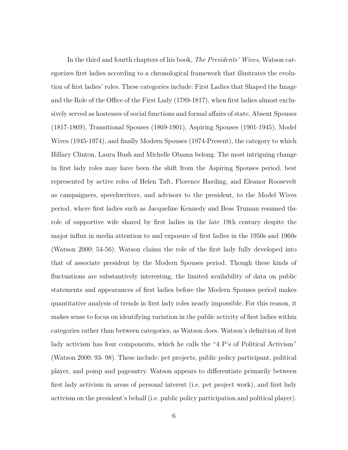In the third and fourth chapters of his book, *The Presidents' Wives*, Watson categorizes first ladies according to a chronological framework that illustrates the evolution of first ladies' roles. These categories include: First Ladies that Shaped the Image and the Role of the Office of the First Lady (1789-1817), when first ladies almost exclusively served as hostesses of social functions and formal affairs of state, Absent Spouses (1817-1869), Transitional Spouses (1869-1901), Aspiring Spouses (1901-1945), Model Wives (1945-1974), and finally Modern Spouses (1974-Present), the category to which Hillary Clinton, Laura Bush and Michelle Obama belong. The most intriguing change in first lady roles may have been the shift from the Aspiring Spouses period, best represented by active roles of Helen Taft, Florence Harding, and Eleanor Roosevelt as campaigners, speechwriters, and advisors to the president, to the Model Wives period, where first ladies such as Jacqueline Kennedy and Bess Truman resumed the role of supportive wife shared by first ladies in the late 19th century despite the major influx in media attention to and exposure of first ladies in the 1950s and 1960s (Watson 2000: 54-56). Watson claims the role of the first lady fully developed into that of associate president by the Modern Spouses period. Though these kinds of fluctuations are substantively interesting, the limited availability of data on public statements and appearances of first ladies before the Modern Spouses period makes quantitative analysis of trends in first lady roles nearly impossible. For this reason, it makes sense to focus on identifying variation in the public activity of first ladies within categories rather than between categories, as Watson does. Watson's definition of first lady activism has four components, which he calls the "4 P's of Political Activism" (Watson 2000: 93- 98). These include: pet projects, public policy participant, political player, and pomp and pageantry. Watson appears to differentiate primarily between first lady activism in areas of personal interest (i.e. pet project work), and first lady activism on the president's behalf (i.e. public policy participation and political player).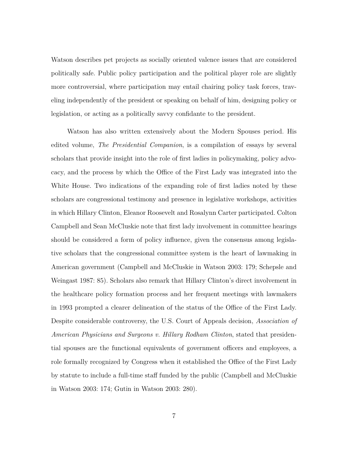Watson describes pet projects as socially oriented valence issues that are considered politically safe. Public policy participation and the political player role are slightly more controversial, where participation may entail chairing policy task forces, traveling independently of the president or speaking on behalf of him, designing policy or legislation, or acting as a politically savvy confidante to the president.

Watson has also written extensively about the Modern Spouses period. His edited volume, *The Presidential Companion*, is a compilation of essays by several scholars that provide insight into the role of first ladies in policymaking, policy advocacy, and the process by which the Office of the First Lady was integrated into the White House. Two indications of the expanding role of first ladies noted by these scholars are congressional testimony and presence in legislative workshops, activities in which Hillary Clinton, Eleanor Roosevelt and Rosalynn Carter participated. Colton Campbell and Sean McCluskie note that first lady involvement in committee hearings should be considered a form of policy influence, given the consensus among legislative scholars that the congressional committee system is the heart of lawmaking in American government (Campbell and McCluskie in Watson 2003: 179; Schepsle and Weingast 1987: 85). Scholars also remark that Hillary Clinton's direct involvement in the healthcare policy formation process and her frequent meetings with lawmakers in 1993 prompted a clearer delineation of the status of the Office of the First Lady. Despite considerable controversy, the U.S. Court of Appeals decision, *Association of American Physicians and Surgeons v. Hillary Rodham Clinton*, stated that presidential spouses are the functional equivalents of government officers and employees, a role formally recognized by Congress when it established the Office of the First Lady by statute to include a full-time staff funded by the public (Campbell and McCluskie in Watson 2003: 174; Gutin in Watson 2003: 280).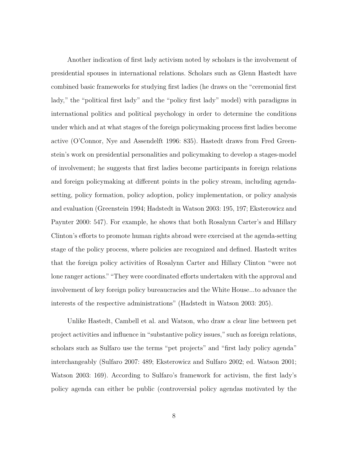Another indication of first lady activism noted by scholars is the involvement of presidential spouses in international relations. Scholars such as Glenn Hastedt have combined basic frameworks for studying first ladies (he draws on the "ceremonial first lady," the "political first lady" and the "policy first lady" model) with paradigms in international politics and political psychology in order to determine the conditions under which and at what stages of the foreign policymaking process first ladies become active (O'Connor, Nye and Assendelft 1996: 835). Hastedt draws from Fred Greenstein's work on presidential personalities and policymaking to develop a stages-model of involvement; he suggests that first ladies become participants in foreign relations and foreign policymaking at different points in the policy stream, including agendasetting, policy formation, policy adoption, policy implementation, or policy analysis and evaluation (Greenstein 1994; Hadstedt in Watson 2003: 195, 197; Eksterowicz and Paynter 2000: 547). For example, he shows that both Rosalynn Carter's and Hillary Clinton's efforts to promote human rights abroad were exercised at the agenda-setting stage of the policy process, where policies are recognized and defined. Hastedt writes that the foreign policy activities of Rosalynn Carter and Hillary Clinton "were not lone ranger actions." "They were coordinated efforts undertaken with the approval and involvement of key foreign policy bureaucracies and the White House...to advance the interests of the respective administrations" (Hadstedt in Watson 2003: 205).

Unlike Hastedt, Cambell et al. and Watson, who draw a clear line between pet project activities and influence in "substantive policy issues," such as foreign relations, scholars such as Sulfaro use the terms "pet projects" and "first lady policy agenda" interchangeably (Sulfaro 2007: 489; Eksterowicz and Sulfaro 2002; ed. Watson 2001; Watson 2003: 169). According to Sulfaro's framework for activism, the first lady's policy agenda can either be public (controversial policy agendas motivated by the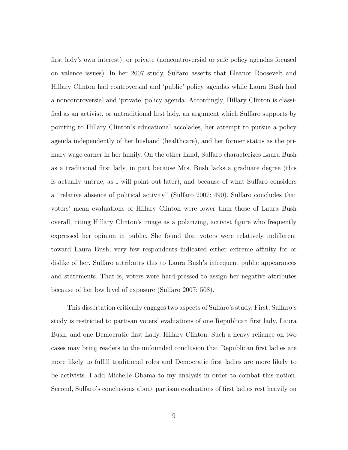first lady's own interest), or private (noncontroversial or safe policy agendas focused on valence issues). In her 2007 study, Sulfaro asserts that Eleanor Roosevelt and Hillary Clinton had controversial and 'public' policy agendas while Laura Bush had a noncontroversial and 'private' policy agenda. Accordingly, Hillary Clinton is classified as an activist, or untraditional first lady, an argument which Sulfaro supports by pointing to Hillary Clinton's educational accolades, her attempt to pursue a policy agenda independently of her husband (healthcare), and her former status as the primary wage earner in her family. On the other hand, Sulfaro characterizes Laura Bush as a traditional first lady, in part because Mrs. Bush lacks a graduate degree (this is actually untrue, as I will point out later), and because of what Sulfaro considers a "relative absence of political activity" (Sulfaro 2007: 490). Sulfaro concludes that voters' mean evaluations of Hillary Clinton were lower than those of Laura Bush overall, citing Hillary Clinton's image as a polarizing, activist figure who frequently expressed her opinion in public. She found that voters were relatively indifferent toward Laura Bush; very few respondents indicated either extreme affinity for or dislike of her. Sulfaro attributes this to Laura Bush's infrequent public appearances and statements. That is, voters were hard-pressed to assign her negative attributes because of her low level of exposure (Sulfaro 2007: 508).

This dissertation critically engages two aspects of Sulfaro's study. First, Sulfaro's study is restricted to partisan voters' evaluations of one Republican first lady, Laura Bush, and one Democratic first Lady, Hillary Clinton. Such a heavy reliance on two cases may bring readers to the unfounded conclusion that Republican first ladies are more likely to fulfill traditional roles and Democratic first ladies are more likely to be activists. I add Michelle Obama to my analysis in order to combat this notion. Second, Sulfaro's conclusions about partisan evaluations of first ladies rest heavily on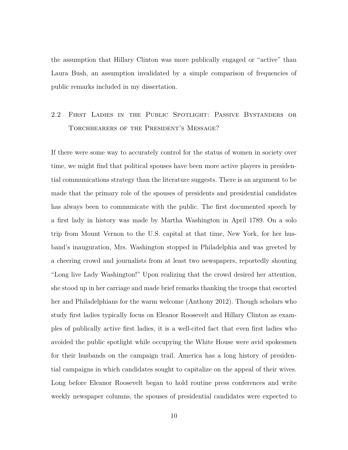the assumption that Hillary Clinton was more publically engaged or "active" than Laura Bush, an assumption invalidated by a simple comparison of frequencies of public remarks included in my dissertation.

# 2.2 First Ladies in the Public Spotlight: Passive Bystanders or Torchbearers of the President's Message?

If there were some way to accurately control for the status of women in society over time, we might find that political spouses have been more active players in presidential communications strategy than the literature suggests. There is an argument to be made that the primary role of the spouses of presidents and presidential candidates has always been to communicate with the public. The first documented speech by a first lady in history was made by Martha Washington in April 1789. On a solo trip from Mount Vernon to the U.S. capital at that time, New York, for her husband's inauguration, Mrs. Washington stopped in Philadelphia and was greeted by a cheering crowd and journalists from at least two newspapers, reportedly shouting "Long live Lady Washington!" Upon realizing that the crowd desired her attention, she stood up in her carriage and made brief remarks thanking the troops that escorted her and Philadelphians for the warm welcome (Anthony 2012). Though scholars who study first ladies typically focus on Eleanor Roosevelt and Hillary Clinton as examples of publically active first ladies, it is a well-cited fact that even first ladies who avoided the public spotlight while occupying the White House were avid spokesmen for their husbands on the campaign trail. America has a long history of presidential campaigns in which candidates sought to capitalize on the appeal of their wives. Long before Eleanor Roosevelt began to hold routine press conferences and write weekly newspaper columns, the spouses of presidential candidates were expected to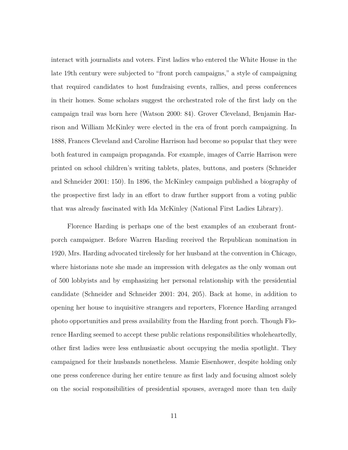interact with journalists and voters. First ladies who entered the White House in the late 19th century were subjected to "front porch campaigns," a style of campaigning that required candidates to host fundraising events, rallies, and press conferences in their homes. Some scholars suggest the orchestrated role of the first lady on the campaign trail was born here (Watson 2000: 84). Grover Cleveland, Benjamin Harrison and William McKinley were elected in the era of front porch campaigning. In 1888, Frances Cleveland and Caroline Harrison had become so popular that they were both featured in campaign propaganda. For example, images of Carrie Harrison were printed on school children's writing tablets, plates, buttons, and posters (Schneider and Schneider 2001: 150). In 1896, the McKinley campaign published a biography of the prospective first lady in an effort to draw further support from a voting public that was already fascinated with Ida McKinley (National First Ladies Library).

Florence Harding is perhaps one of the best examples of an exuberant frontporch campaigner. Before Warren Harding received the Republican nomination in 1920, Mrs. Harding advocated tirelessly for her husband at the convention in Chicago, where historians note she made an impression with delegates as the only woman out of 500 lobbyists and by emphasizing her personal relationship with the presidential candidate (Schneider and Schneider 2001: 204, 205). Back at home, in addition to opening her house to inquisitive strangers and reporters, Florence Harding arranged photo opportunities and press availability from the Harding front porch. Though Florence Harding seemed to accept these public relations responsibilities wholeheartedly, other first ladies were less enthusiastic about occupying the media spotlight. They campaigned for their husbands nonetheless. Mamie Eisenhower, despite holding only one press conference during her entire tenure as first lady and focusing almost solely on the social responsibilities of presidential spouses, averaged more than ten daily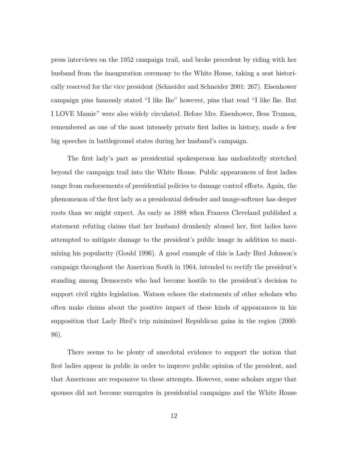press interviews on the 1952 campaign trail, and broke precedent by riding with her husband from the inauguration ceremony to the White House, taking a seat historically reserved for the vice president (Schneider and Schneider 2001: 267). Eisenhower campaign pins famously stated "I like Ike" however, pins that read "I like Ike. But I LOVE Mamie" were also widely circulated. Before Mrs. Eisenhower, Bess Truman, remembered as one of the most intensely private first ladies in history, made a few big speeches in battleground states during her husband's campaign.

The first lady's part as presidential spokesperson has undoubtedly stretched beyond the campaign trail into the White House. Public appearances of first ladies range from endorsements of presidential policies to damage control efforts. Again, the phenomenon of the first lady as a presidential defender and image-softener has deeper roots than we might expect. As early as 1888 when Frances Cleveland published a statement refuting claims that her husband drunkenly abused her, first ladies have attempted to mitigate damage to the president's public image in addition to maximizing his popularity (Gould 1996). A good example of this is Lady Bird Johnson's campaign throughout the American South in 1964, intended to rectify the president's standing among Democrats who had become hostile to the president's decision to support civil rights legislation. Watson echoes the statements of other scholars who often make claims about the positive impact of these kinds of appearances in his supposition that Lady Bird's trip minimized Republican gains in the region (2000: 86).

There seems to be plenty of anecdotal evidence to support the notion that first ladies appear in public in order to improve public opinion of the president, and that Americans are responsive to these attempts. However, some scholars argue that spouses did not become surrogates in presidential campaigns and the White House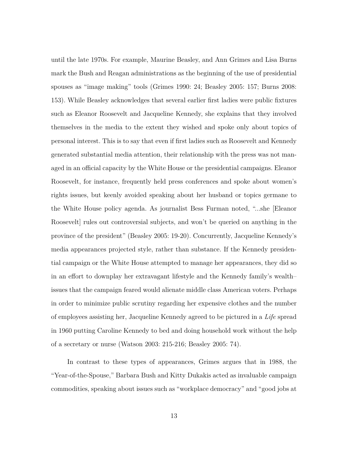until the late 1970s. For example, Maurine Beasley, and Ann Grimes and Lisa Burns mark the Bush and Reagan administrations as the beginning of the use of presidential spouses as "image making" tools (Grimes 1990: 24; Beasley 2005: 157; Burns 2008: 153). While Beasley acknowledges that several earlier first ladies were public fixtures such as Eleanor Roosevelt and Jacqueline Kennedy, she explains that they involved themselves in the media to the extent they wished and spoke only about topics of personal interest. This is to say that even if first ladies such as Roosevelt and Kennedy generated substantial media attention, their relationship with the press was not managed in an official capacity by the White House or the presidential campaigns. Eleanor Roosevelt, for instance, frequently held press conferences and spoke about women's rights issues, but keenly avoided speaking about her husband or topics germane to the White House policy agenda. As journalist Bess Furman noted, "...she [Eleanor Roosevelt] rules out controversial subjects, and won't be queried on anything in the province of the president" (Beasley 2005: 19-20). Concurrently, Jacqueline Kennedy's media appearances projected style, rather than substance. If the Kennedy presidential campaign or the White House attempted to manage her appearances, they did so in an effort to downplay her extravagant lifestyle and the Kennedy family's wealth– issues that the campaign feared would alienate middle class American voters. Perhaps in order to minimize public scrutiny regarding her expensive clothes and the number of employees assisting her, Jacqueline Kennedy agreed to be pictured in a *Life* spread in 1960 putting Caroline Kennedy to bed and doing household work without the help of a secretary or nurse (Watson 2003: 215-216; Beasley 2005: 74).

In contrast to these types of appearances, Grimes argues that in 1988, the "Year-of-the-Spouse," Barbara Bush and Kitty Dukakis acted as invaluable campaign commodities, speaking about issues such as "workplace democracy" and "good jobs at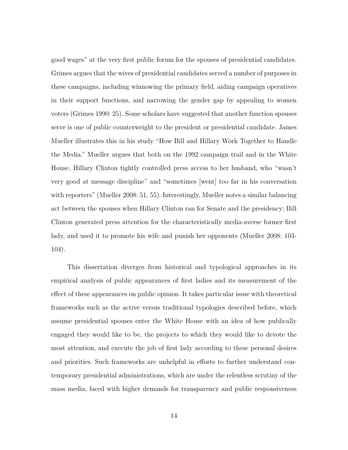good wages" at the very first public forum for the spouses of presidential candidates. Grimes argues that the wives of presidential candidates served a number of purposes in these campaigns, including winnowing the primary field, aiding campaign operatives in their support functions, and narrowing the gender gap by appealing to women voters (Grimes 1990: 25). Some scholars have suggested that another function spouses serve is one of public counterweight to the president or presidential candidate. James Mueller illustrates this in his study "How Bill and Hillary Work Together to Handle the Media." Mueller argues that both on the 1992 campaign trail and in the White House, Hillary Clinton tightly controlled press access to her husband, who "wasn't very good at message discipline" and "sometimes [went] too far in his conversation with reporters" (Mueller 2008: 51, 55). Interestingly, Mueller notes a similar balancing act between the spouses when Hillary Clinton ran for Senate and the presidency; Bill Clinton generated press attention for the characteristically media-averse former first lady, and used it to promote his wife and punish her opponents (Mueller 2008: 103- 104).

This dissertation diverges from historical and typological approaches in its empirical analysis of public appearances of first ladies and its measurement of the effect of these appearances on public opinion. It takes particular issue with theoretical frameworks such as the active versus traditional typologies described before, which assume presidential spouses enter the White House with an idea of how publically engaged they would like to be, the projects to which they would like to devote the most attention, and execute the job of first lady according to these personal desires and priorities. Such frameworks are unhelpful in efforts to further understand contemporary presidential administrations, which are under the relentless scrutiny of the mass media, faced with higher demands for transparency and public responsiveness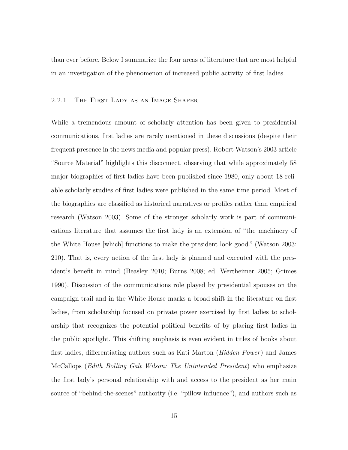than ever before. Below I summarize the four areas of literature that are most helpful in an investigation of the phenomenon of increased public activity of first ladies.

## 2.2.1 The First Lady as an Image Shaper

While a tremendous amount of scholarly attention has been given to presidential communications, first ladies are rarely mentioned in these discussions (despite their frequent presence in the news media and popular press). Robert Watson's 2003 article "Source Material" highlights this disconnect, observing that while approximately 58 major biographies of first ladies have been published since 1980, only about 18 reliable scholarly studies of first ladies were published in the same time period. Most of the biographies are classified as historical narratives or profiles rather than empirical research (Watson 2003). Some of the stronger scholarly work is part of communications literature that assumes the first lady is an extension of "the machinery of the White House [which] functions to make the president look good." (Watson 2003: 210). That is, every action of the first lady is planned and executed with the president's benefit in mind (Beasley 2010; Burns 2008; ed. Wertheimer 2005; Grimes 1990). Discussion of the communications role played by presidential spouses on the campaign trail and in the White House marks a broad shift in the literature on first ladies, from scholarship focused on private power exercised by first ladies to scholarship that recognizes the potential political benefits of by placing first ladies in the public spotlight. This shifting emphasis is even evident in titles of books about first ladies, differentiating authors such as Kati Marton (*Hidden Power*) and James McCallops (*Edith Bolling Galt Wilson: The Unintended President*) who emphasize the first lady's personal relationship with and access to the president as her main source of "behind-the-scenes" authority (i.e. "pillow influence"), and authors such as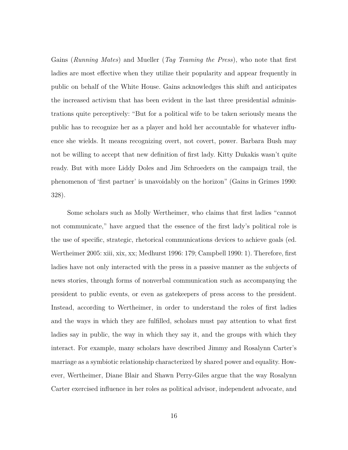Gains (*Running Mates*) and Mueller (*Tag Teaming the Press*), who note that first ladies are most effective when they utilize their popularity and appear frequently in public on behalf of the White House. Gains acknowledges this shift and anticipates the increased activism that has been evident in the last three presidential administrations quite perceptively: "But for a political wife to be taken seriously means the public has to recognize her as a player and hold her accountable for whatever influence she wields. It means recognizing overt, not covert, power. Barbara Bush may not be willing to accept that new definition of first lady. Kitty Dukakis wasn't quite ready. But with more Liddy Doles and Jim Schroeders on the campaign trail, the phenomenon of 'first partner' is unavoidably on the horizon" (Gains in Grimes 1990: 328).

Some scholars such as Molly Wertheimer, who claims that first ladies "cannot not communicate," have argued that the essence of the first lady's political role is the use of specific, strategic, rhetorical communications devices to achieve goals (ed. Wertheimer 2005: xiii, xix, xx; Medhurst 1996: 179; Campbell 1990: 1). Therefore, first ladies have not only interacted with the press in a passive manner as the subjects of news stories, through forms of nonverbal communication such as accompanying the president to public events, or even as gatekeepers of press access to the president. Instead, according to Wertheimer, in order to understand the roles of first ladies and the ways in which they are fulfilled, scholars must pay attention to what first ladies say in public, the way in which they say it, and the groups with which they interact. For example, many scholars have described Jimmy and Rosalynn Carter's marriage as a symbiotic relationship characterized by shared power and equality. However, Wertheimer, Diane Blair and Shawn Perry-Giles argue that the way Rosalynn Carter exercised influence in her roles as political advisor, independent advocate, and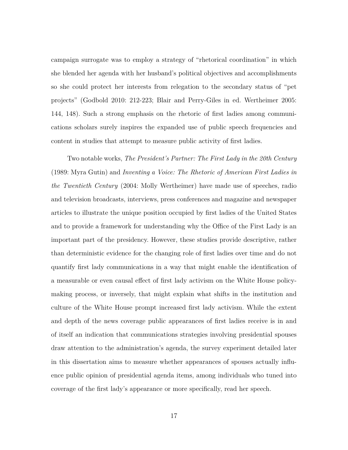campaign surrogate was to employ a strategy of "rhetorical coordination" in which she blended her agenda with her husband's political objectives and accomplishments so she could protect her interests from relegation to the secondary status of "pet projects" (Godbold 2010: 212-223; Blair and Perry-Giles in ed. Wertheimer 2005: 144, 148). Such a strong emphasis on the rhetoric of first ladies among communications scholars surely inspires the expanded use of public speech frequencies and content in studies that attempt to measure public activity of first ladies.

Two notable works, *The President's Partner: The First Lady in the 20th Century* (1989: Myra Gutin) and *Inventing a Voice: The Rhetoric of American First Ladies in the Twentieth Century* (2004: Molly Wertheimer) have made use of speeches, radio and television broadcasts, interviews, press conferences and magazine and newspaper articles to illustrate the unique position occupied by first ladies of the United States and to provide a framework for understanding why the Office of the First Lady is an important part of the presidency. However, these studies provide descriptive, rather than deterministic evidence for the changing role of first ladies over time and do not quantify first lady communications in a way that might enable the identification of a measurable or even causal effect of first lady activism on the White House policymaking process, or inversely, that might explain what shifts in the institution and culture of the White House prompt increased first lady activism. While the extent and depth of the news coverage public appearances of first ladies receive is in and of itself an indication that communications strategies involving presidential spouses draw attention to the administration's agenda, the survey experiment detailed later in this dissertation aims to measure whether appearances of spouses actually influence public opinion of presidential agenda items, among individuals who tuned into coverage of the first lady's appearance or more specifically, read her speech.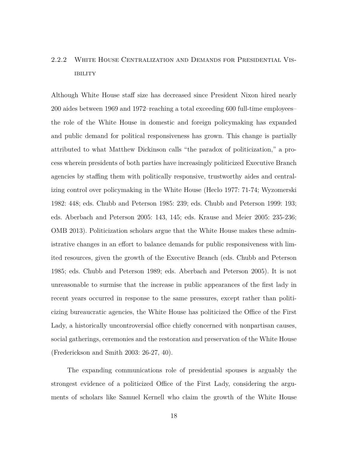# 2.2.2 White House Centralization and Demands for Presidential Vis-**IBILITY**

Although White House staff size has decreased since President Nixon hired nearly 200 aides between 1969 and 1972–reaching a total exceeding 600 full-time employees– the role of the White House in domestic and foreign policymaking has expanded and public demand for political responsiveness has grown. This change is partially attributed to what Matthew Dickinson calls "the paradox of politicization," a process wherein presidents of both parties have increasingly politicized Executive Branch agencies by staffing them with politically responsive, trustworthy aides and centralizing control over policymaking in the White House (Heclo 1977: 71-74; Wyzomerski 1982: 448; eds. Chubb and Peterson 1985: 239; eds. Chubb and Peterson 1999: 193; eds. Aberbach and Peterson 2005: 143, 145; eds. Krause and Meier 2005: 235-236; OMB 2013). Politicization scholars argue that the White House makes these administrative changes in an effort to balance demands for public responsiveness with limited resources, given the growth of the Executive Branch (eds. Chubb and Peterson 1985; eds. Chubb and Peterson 1989; eds. Aberbach and Peterson 2005). It is not unreasonable to surmise that the increase in public appearances of the first lady in recent years occurred in response to the same pressures, except rather than politicizing bureaucratic agencies, the White House has politicized the Office of the First Lady, a historically uncontroversial office chiefly concerned with nonpartisan causes, social gatherings, ceremonies and the restoration and preservation of the White House (Frederickson and Smith 2003: 26-27, 40).

The expanding communications role of presidential spouses is arguably the strongest evidence of a politicized Office of the First Lady, considering the arguments of scholars like Samuel Kernell who claim the growth of the White House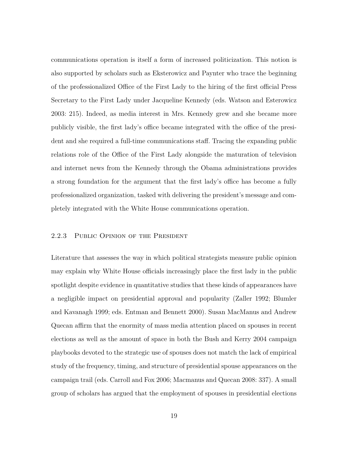communications operation is itself a form of increased politicization. This notion is also supported by scholars such as Eksterowicz and Paynter who trace the beginning of the professionalized Office of the First Lady to the hiring of the first official Press Secretary to the First Lady under Jacqueline Kennedy (eds. Watson and Esterowicz 2003: 215). Indeed, as media interest in Mrs. Kennedy grew and she became more publicly visible, the first lady's office became integrated with the office of the president and she required a full-time communications staff. Tracing the expanding public relations role of the Office of the First Lady alongside the maturation of television and internet news from the Kennedy through the Obama administrations provides a strong foundation for the argument that the first lady's office has become a fully professionalized organization, tasked with delivering the president's message and completely integrated with the White House communications operation.

#### 2.2.3 PUBLIC OPINION OF THE PRESIDENT

Literature that assesses the way in which political strategists measure public opinion may explain why White House officials increasingly place the first lady in the public spotlight despite evidence in quantitative studies that these kinds of appearances have a negligible impact on presidential approval and popularity (Zaller 1992; Blumler and Kavanagh 1999; eds. Entman and Bennett 2000). Susan MacManus and Andrew Quecan affirm that the enormity of mass media attention placed on spouses in recent elections as well as the amount of space in both the Bush and Kerry 2004 campaign playbooks devoted to the strategic use of spouses does not match the lack of empirical study of the frequency, timing, and structure of presidential spouse appearances on the campaign trail (eds. Carroll and Fox 2006; Macmanus and Quecan 2008: 337). A small group of scholars has argued that the employment of spouses in presidential elections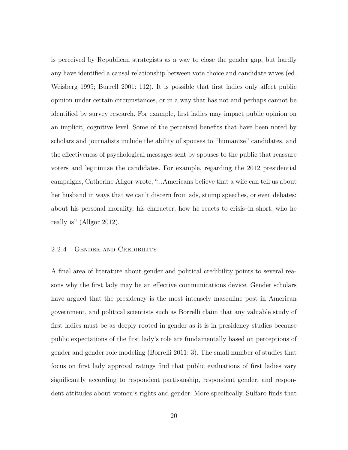is perceived by Republican strategists as a way to close the gender gap, but hardly any have identified a causal relationship between vote choice and candidate wives (ed. Weisberg 1995; Burrell 2001: 112). It is possible that first ladies only affect public opinion under certain circumstances, or in a way that has not and perhaps cannot be identified by survey research. For example, first ladies may impact public opinion on an implicit, cognitive level. Some of the perceived benefits that have been noted by scholars and journalists include the ability of spouses to "humanize" candidates, and the effectiveness of psychological messages sent by spouses to the public that reassure voters and legitimize the candidates. For example, regarding the 2012 presidential campaigns, Catherine Allgor wrote, "...Americans believe that a wife can tell us about her husband in ways that we can't discern from ads, stump speeches, or even debates: about his personal morality, his character, how he reacts to crisis–in short, who he really is" (Allgor 2012).

#### 2.2.4 Gender and Credibility

A final area of literature about gender and political credibility points to several reasons why the first lady may be an effective communications device. Gender scholars have argued that the presidency is the most intensely masculine post in American government, and political scientists such as Borrelli claim that any valuable study of first ladies must be as deeply rooted in gender as it is in presidency studies because public expectations of the first lady's role are fundamentally based on perceptions of gender and gender role modeling (Borrelli 2011: 3). The small number of studies that focus on first lady approval ratings find that public evaluations of first ladies vary significantly according to respondent partisanship, respondent gender, and respondent attitudes about women's rights and gender. More specifically, Sulfaro finds that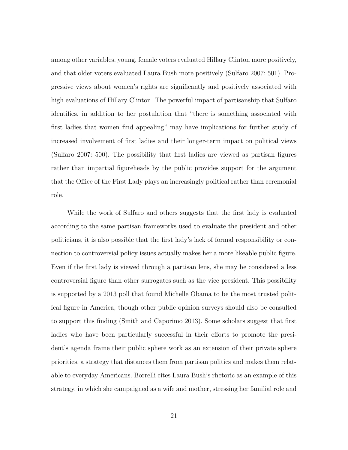among other variables, young, female voters evaluated Hillary Clinton more positively, and that older voters evaluated Laura Bush more positively (Sulfaro 2007: 501). Progressive views about women's rights are significantly and positively associated with high evaluations of Hillary Clinton. The powerful impact of partisanship that Sulfaro identifies, in addition to her postulation that "there is something associated with first ladies that women find appealing" may have implications for further study of increased involvement of first ladies and their longer-term impact on political views (Sulfaro 2007: 500). The possibility that first ladies are viewed as partisan figures rather than impartial figureheads by the public provides support for the argument that the Office of the First Lady plays an increasingly political rather than ceremonial role.

While the work of Sulfaro and others suggests that the first lady is evaluated according to the same partisan frameworks used to evaluate the president and other politicians, it is also possible that the first lady's lack of formal responsibility or connection to controversial policy issues actually makes her a more likeable public figure. Even if the first lady is viewed through a partisan lens, she may be considered a less controversial figure than other surrogates such as the vice president. This possibility is supported by a 2013 poll that found Michelle Obama to be the most trusted political figure in America, though other public opinion surveys should also be consulted to support this finding (Smith and Caporimo 2013). Some scholars suggest that first ladies who have been particularly successful in their efforts to promote the president's agenda frame their public sphere work as an extension of their private sphere priorities, a strategy that distances them from partisan politics and makes them relatable to everyday Americans. Borrelli cites Laura Bush's rhetoric as an example of this strategy, in which she campaigned as a wife and mother, stressing her familial role and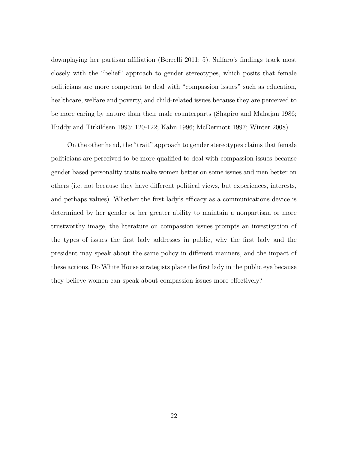downplaying her partisan affiliation (Borrelli 2011: 5). Sulfaro's findings track most closely with the "belief" approach to gender stereotypes, which posits that female politicians are more competent to deal with "compassion issues" such as education, healthcare, welfare and poverty, and child-related issues because they are perceived to be more caring by nature than their male counterparts (Shapiro and Mahajan 1986; Huddy and Tirkildsen 1993: 120-122; Kahn 1996; McDermott 1997; Winter 2008).

On the other hand, the "trait" approach to gender stereotypes claims that female politicians are perceived to be more qualified to deal with compassion issues because gender based personality traits make women better on some issues and men better on others (i.e. not because they have different political views, but experiences, interests, and perhaps values). Whether the first lady's efficacy as a communications device is determined by her gender or her greater ability to maintain a nonpartisan or more trustworthy image, the literature on compassion issues prompts an investigation of the types of issues the first lady addresses in public, why the first lady and the president may speak about the same policy in different manners, and the impact of these actions. Do White House strategists place the first lady in the public eye because they believe women can speak about compassion issues more effectively?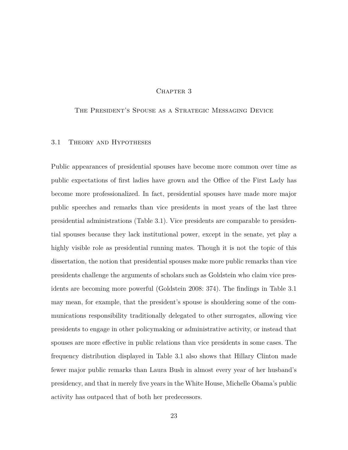## CHAPTER 3

## The President's Spouse as a Strategic Messaging Device

#### 3.1 Theory and Hypotheses

Public appearances of presidential spouses have become more common over time as public expectations of first ladies have grown and the Office of the First Lady has become more professionalized. In fact, presidential spouses have made more major public speeches and remarks than vice presidents in most years of the last three presidential administrations (Table 3.1). Vice presidents are comparable to presidential spouses because they lack institutional power, except in the senate, yet play a highly visible role as presidential running mates. Though it is not the topic of this dissertation, the notion that presidential spouses make more public remarks than vice presidents challenge the arguments of scholars such as Goldstein who claim vice presidents are becoming more powerful (Goldstein 2008: 374). The findings in Table 3.1 may mean, for example, that the president's spouse is shouldering some of the communications responsibility traditionally delegated to other surrogates, allowing vice presidents to engage in other policymaking or administrative activity, or instead that spouses are more effective in public relations than vice presidents in some cases. The frequency distribution displayed in Table 3.1 also shows that Hillary Clinton made fewer major public remarks than Laura Bush in almost every year of her husband's presidency, and that in merely five years in the White House, Michelle Obama's public activity has outpaced that of both her predecessors.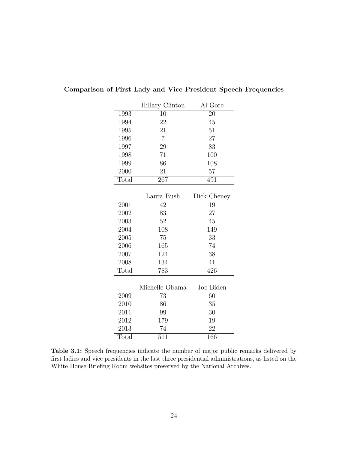|       | Hillary Clinton | Al Gore     |
|-------|-----------------|-------------|
| 1993  | 10              | 20          |
| 1994  | 22              | 45          |
| 1995  | 21              | 51          |
| 1996  | $\overline{7}$  | 27          |
| 1997  | 29              | 83          |
| 1998  | 71              | 100         |
| 1999  | 86              | 108         |
| 2000  | 21              | 57          |
| Total | 267             | 491         |
|       |                 |             |
|       | Laura Bush      | Dick Cheney |
| 2001  | 42              | 19          |
| 2002  | 83              | 27          |
| 2003  | 52              | 45          |
| 2004  | 108             | 149         |
| 2005  | 75              | 33          |
| 2006  | 165             | 74          |
| 2007  | 124             | 38          |
| 2008  | 134             | 41          |
| Total | 783             | 426         |
|       |                 |             |
|       | Michelle Obama  | Joe Biden   |
| 2009  | 73              | 60          |
| 2010  | 86              | 35          |
| 2011  | 99              | 30          |
| 2012  | 179             | 19          |
| 2013  | 74              | 22          |
| Total | 511             | 166         |

# **Comparison of First Lady and Vice President Speech Frequencies**

Table 3.1: Speech frequencies indicate the number of major public remarks delivered by first ladies and vice presidents in the last three presidential administrations, as listed on the White House Briefing Room websites preserved by the National Archives.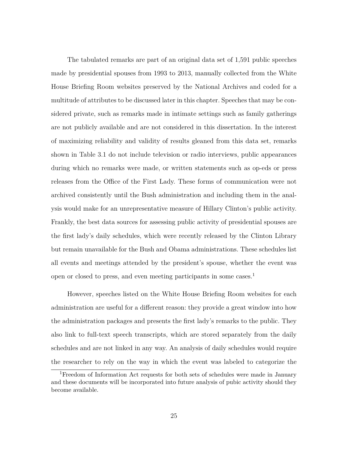The tabulated remarks are part of an original data set of 1,591 public speeches made by presidential spouses from 1993 to 2013, manually collected from the White House Briefing Room websites preserved by the National Archives and coded for a multitude of attributes to be discussed later in this chapter. Speeches that may be considered private, such as remarks made in intimate settings such as family gatherings are not publicly available and are not considered in this dissertation. In the interest of maximizing reliability and validity of results gleaned from this data set, remarks shown in Table 3.1 do not include television or radio interviews, public appearances during which no remarks were made, or written statements such as op-eds or press releases from the Office of the First Lady. These forms of communication were not archived consistently until the Bush administration and including them in the analysis would make for an unrepresentative measure of Hillary Clinton's public activity. Frankly, the best data sources for assessing public activity of presidential spouses are the first lady's daily schedules, which were recently released by the Clinton Library but remain unavailable for the Bush and Obama administrations. These schedules list all events and meetings attended by the president's spouse, whether the event was open or closed to press, and even meeting participants in some cases.<sup>1</sup>

However, speeches listed on the White House Briefing Room websites for each administration are useful for a different reason: they provide a great window into how the administration packages and presents the first lady's remarks to the public. They also link to full-text speech transcripts, which are stored separately from the daily schedules and are not linked in any way. An analysis of daily schedules would require the researcher to rely on the way in which the event was labeled to categorize the

<sup>1</sup>Freedom of Information Act requests for both sets of schedules were made in January and these documents will be incorporated into future analysis of pubic activity should they become available.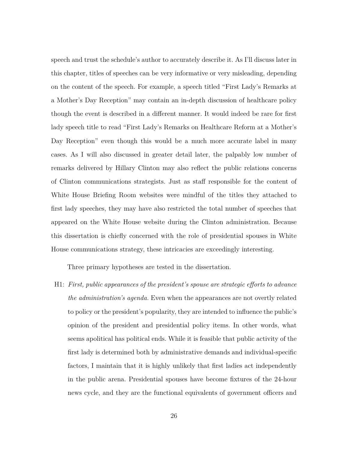speech and trust the schedule's author to accurately describe it. As I'll discuss later in this chapter, titles of speeches can be very informative or very misleading, depending on the content of the speech. For example, a speech titled "First Lady's Remarks at a Mother's Day Reception" may contain an in-depth discussion of healthcare policy though the event is described in a different manner. It would indeed be rare for first lady speech title to read "First Lady's Remarks on Healthcare Reform at a Mother's Day Reception" even though this would be a much more accurate label in many cases. As I will also discussed in greater detail later, the palpably low number of remarks delivered by Hillary Clinton may also reflect the public relations concerns of Clinton communications strategists. Just as staff responsible for the content of White House Briefing Room websites were mindful of the titles they attached to first lady speeches, they may have also restricted the total number of speeches that appeared on the White House website during the Clinton administration. Because this dissertation is chiefly concerned with the role of presidential spouses in White House communications strategy, these intricacies are exceedingly interesting.

Three primary hypotheses are tested in the dissertation.

H1: *First, public appearances of the president's spouse are strategic efforts to advance the administration's agenda.* Even when the appearances are not overtly related to policy or the president's popularity, they are intended to influence the public's opinion of the president and presidential policy items. In other words, what seems apolitical has political ends. While it is feasible that public activity of the first lady is determined both by administrative demands and individual-specific factors, I maintain that it is highly unlikely that first ladies act independently in the public arena. Presidential spouses have become fixtures of the 24-hour news cycle, and they are the functional equivalents of government officers and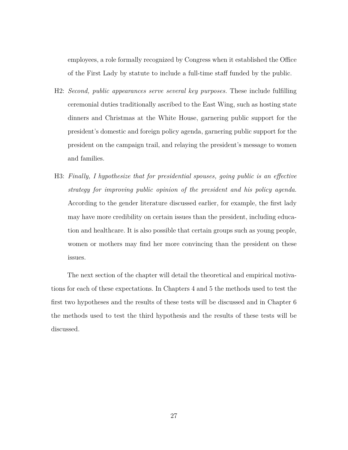employees, a role formally recognized by Congress when it established the Office of the First Lady by statute to include a full-time staff funded by the public.

- H2: *Second, public appearances serve several key purposes.* These include fulfilling ceremonial duties traditionally ascribed to the East Wing, such as hosting state dinners and Christmas at the White House, garnering public support for the president's domestic and foreign policy agenda, garnering public support for the president on the campaign trail, and relaying the president's message to women and families.
- H3: *Finally, I hypothesize that for presidential spouses, going public is an effective strategy for improving public opinion of the president and his policy agenda*. According to the gender literature discussed earlier, for example, the first lady may have more credibility on certain issues than the president, including education and healthcare. It is also possible that certain groups such as young people, women or mothers may find her more convincing than the president on these issues.

The next section of the chapter will detail the theoretical and empirical motivations for each of these expectations. In Chapters 4 and 5 the methods used to test the first two hypotheses and the results of these tests will be discussed and in Chapter 6 the methods used to test the third hypothesis and the results of these tests will be discussed.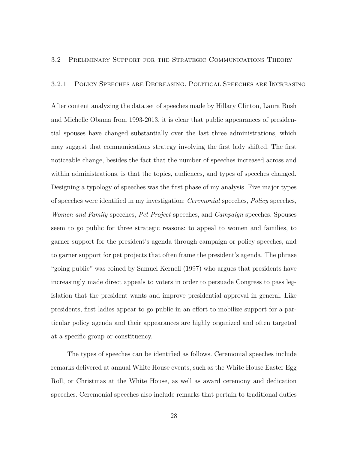## 3.2 Preliminary Support for the Strategic Communications Theory

# 3.2.1 Policy Speeches are Decreasing, Political Speeches are Increasing

After content analyzing the data set of speeches made by Hillary Clinton, Laura Bush and Michelle Obama from 1993-2013, it is clear that public appearances of presidential spouses have changed substantially over the last three administrations, which may suggest that communications strategy involving the first lady shifted. The first noticeable change, besides the fact that the number of speeches increased across and within administrations, is that the topics, audiences, and types of speeches changed. Designing a typology of speeches was the first phase of my analysis. Five major types of speeches were identified in my investigation: *Ceremonial* speeches, *Policy* speeches, *Women and Family* speeches, *Pet Project* speeches, and *Campaign* speeches. Spouses seem to go public for three strategic reasons: to appeal to women and families, to garner support for the president's agenda through campaign or policy speeches, and to garner support for pet projects that often frame the president's agenda. The phrase "going public" was coined by Samuel Kernell (1997) who argues that presidents have increasingly made direct appeals to voters in order to persuade Congress to pass legislation that the president wants and improve presidential approval in general. Like presidents, first ladies appear to go public in an effort to mobilize support for a particular policy agenda and their appearances are highly organized and often targeted at a specific group or constituency.

The types of speeches can be identified as follows. Ceremonial speeches include remarks delivered at annual White House events, such as the White House Easter Egg Roll, or Christmas at the White House, as well as award ceremony and dedication speeches. Ceremonial speeches also include remarks that pertain to traditional duties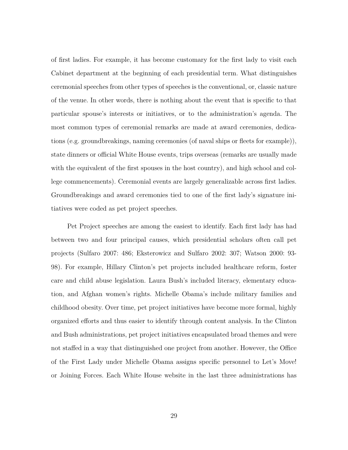of first ladies. For example, it has become customary for the first lady to visit each Cabinet department at the beginning of each presidential term. What distinguishes ceremonial speeches from other types of speeches is the conventional, or, classic nature of the venue. In other words, there is nothing about the event that is specific to that particular spouse's interests or initiatives, or to the administration's agenda. The most common types of ceremonial remarks are made at award ceremonies, dedications (e.g. groundbreakings, naming ceremonies (of naval ships or fleets for example)), state dinners or official White House events, trips overseas (remarks are usually made with the equivalent of the first spouses in the host country), and high school and college commencements). Ceremonial events are largely generalizable across first ladies. Groundbreakings and award ceremonies tied to one of the first lady's signature initiatives were coded as pet project speeches.

Pet Project speeches are among the easiest to identify. Each first lady has had between two and four principal causes, which presidential scholars often call pet projects (Sulfaro 2007: 486; Eksterowicz and Sulfaro 2002: 307; Watson 2000: 93- 98). For example, Hillary Clinton's pet projects included healthcare reform, foster care and child abuse legislation. Laura Bush's included literacy, elementary education, and Afghan women's rights. Michelle Obama's include military families and childhood obesity. Over time, pet project initiatives have become more formal, highly organized efforts and thus easier to identify through content analysis. In the Clinton and Bush administrations, pet project initiatives encapsulated broad themes and were not staffed in a way that distinguished one project from another. However, the Office of the First Lady under Michelle Obama assigns specific personnel to Let's Move! or Joining Forces. Each White House website in the last three administrations has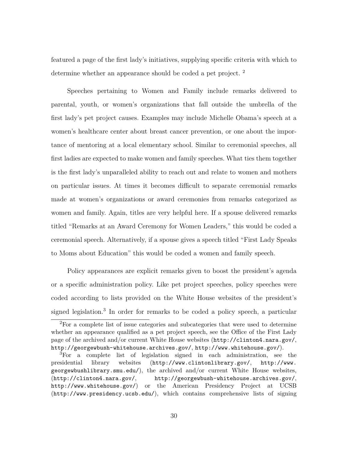featured a page of the first lady's initiatives, supplying specific criteria with which to determine whether an appearance should be coded a pet project. <sup>2</sup>

Speeches pertaining to Women and Family include remarks delivered to parental, youth, or women's organizations that fall outside the umbrella of the first lady's pet project causes. Examples may include Michelle Obama's speech at a women's healthcare center about breast cancer prevention, or one about the importance of mentoring at a local elementary school. Similar to ceremonial speeches, all first ladies are expected to make women and family speeches. What ties them together is the first lady's unparalleled ability to reach out and relate to women and mothers on particular issues. At times it becomes difficult to separate ceremonial remarks made at women's organizations or award ceremonies from remarks categorized as women and family. Again, titles are very helpful here. If a spouse delivered remarks titled "Remarks at an Award Ceremony for Women Leaders," this would be coded a ceremonial speech. Alternatively, if a spouse gives a speech titled "First Lady Speaks to Moms about Education" this would be coded a women and family speech.

Policy appearances are explicit remarks given to boost the president's agenda or a specific administration policy. Like pet project speeches, policy speeches were coded according to lists provided on the White House websites of the president's signed legislation.<sup>3</sup> In order for remarks to be coded a policy speech, a particular

<sup>2</sup>For a complete list of issue categories and subcategories that were used to determine whether an appearance qualified as a pet project speech, see the Office of the First Lady page of the archived and/or current White House websites (http://clinton4.nara.gov/, http://georgewbush-whitehouse.archives.gov/, http://www.whitehouse.gov/).

<sup>3</sup>For a complete list of legislation signed in each administration, see the presidential library websites (http://www.clintonlibrary.gov/, http://www. georgewbushlibrary.smu.edu/), the archived and/or current White House websites, (http://clinton4.nara.gov/, http://georgewbush-whitehouse.archives.gov/, http://www.whitehouse.gov/) or the American Presidency Project at UCSB (http://www.presidency.ucsb.edu/), which contains comprehensive lists of signing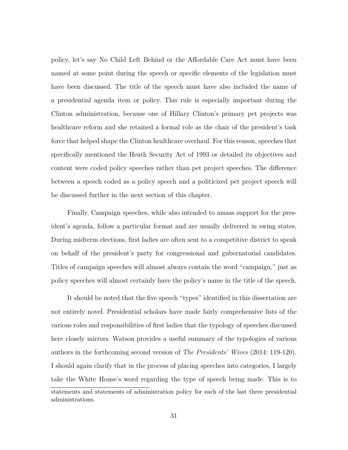policy, let's say No Child Left Behind or the Affordable Care Act must have been named at some point during the speech or specific elements of the legislation must have been discussed. The title of the speech must have also included the name of a presidential agenda item or policy. This rule is especially important during the Clinton administration, because one of Hillary Clinton's primary pet projects was healthcare reform and she retained a formal role as the chair of the president's task force that helped shape the Clinton healthcare overhaul. For this reason, speeches that specifically mentioned the Heath Security Act of 1993 or detailed its objectives and content were coded policy speeches rather than pet project speeches. The difference between a speech coded as a policy speech and a politicized pet project speech will be discussed further in the next section of this chapter.

Finally, Campaign speeches, while also intended to amass support for the president's agenda, follow a particular format and are usually delivered in swing states. During midterm elections, first ladies are often sent to a competitive district to speak on behalf of the president's party for congressional and gubernatorial candidates. Titles of campaign speeches will almost always contain the word "campaign," just as policy speeches will almost certainly have the policy's name in the title of the speech.

It should be noted that the five speech "types" identified in this dissertation are not entirely novel. Presidential scholars have made fairly comprehensive lists of the various roles and responsibilities of first ladies that the typology of speeches discussed here closely mirrors. Watson provides a useful summary of the typologies of various authors in the forthcoming second version of *The Presidents' Wives* (2014: 119-120). I should again clarify that in the process of placing speeches into categories, I largely take the White House's word regarding the type of speech being made. This is to

statements and statements of administration policy for each of the last three presidential administrations.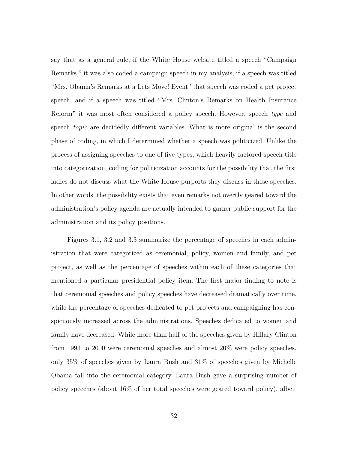say that as a general rule, if the White House website titled a speech "Campaign Remarks," it was also coded a campaign speech in my analysis, if a speech was titled "Mrs. Obama's Remarks at a Lets Move! Event" that speech was coded a pet project speech, and if a speech was titled "Mrs. Clinton's Remarks on Health Insurance Reform" it was most often considered a policy speech. However, speech *type* and speech *topic* are decidedly different variables. What is more original is the second phase of coding, in which I determined whether a speech was politicized. Unlike the process of assigning speeches to one of five types, which heavily factored speech title into categorization, coding for politicization accounts for the possibility that the first ladies do not discuss what the White House purports they discuss in these speeches. In other words, the possibility exists that even remarks not overtly geared toward the administration's policy agenda are actually intended to garner public support for the administration and its policy positions.

Figures 3.1, 3.2 and 3.3 summarize the percentage of speeches in each administration that were categorized as ceremonial, policy, women and family, and pet project, as well as the percentage of speeches within each of these categories that mentioned a particular presidential policy item. The first major finding to note is that ceremonial speeches and policy speeches have decreased dramatically over time, while the percentage of speeches dedicated to pet projects and campaigning has conspicuously increased across the administrations. Speeches dedicated to women and family have decreased. While more than half of the speeches given by Hillary Clinton from 1993 to 2000 were ceremonial speeches and almost 20% were policy speeches, only 35% of speeches given by Laura Bush and 31% of speeches given by Michelle Obama fall into the ceremonial category. Laura Bush gave a surprising number of policy speeches (about 16% of her total speeches were geared toward policy), albeit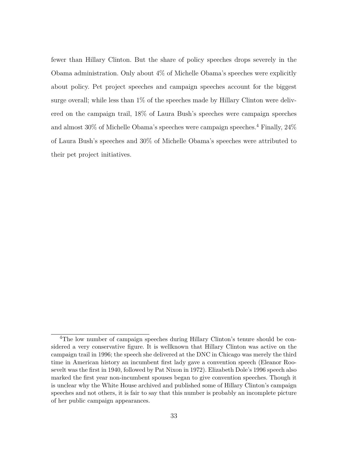fewer than Hillary Clinton. But the share of policy speeches drops severely in the Obama administration. Only about 4% of Michelle Obama's speeches were explicitly about policy. Pet project speeches and campaign speeches account for the biggest surge overall; while less than 1% of the speeches made by Hillary Clinton were delivered on the campaign trail, 18% of Laura Bush's speeches were campaign speeches and almost  $30\%$  of Michelle Obama's speeches were campaign speeches.<sup>4</sup> Finally,  $24\%$ of Laura Bush's speeches and 30% of Michelle Obama's speeches were attributed to their pet project initiatives.

<sup>4</sup>The low number of campaign speeches during Hillary Clinton's tenure should be considered a very conservative figure. It is wellknown that Hillary Clinton was active on the campaign trail in 1996; the speech she delivered at the DNC in Chicago was merely the third time in American history an incumbent first lady gave a convention speech (Eleanor Roosevelt was the first in 1940, followed by Pat Nixon in 1972). Elizabeth Dole's 1996 speech also marked the first year non-incumbent spouses began to give convention speeches. Though it is unclear why the White House archived and published some of Hillary Clinton's campaign speeches and not others, it is fair to say that this number is probably an incomplete picture of her public campaign appearances.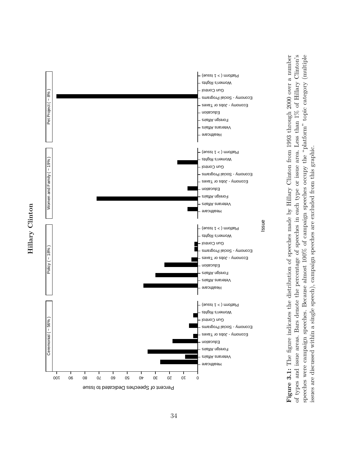



ssue<br>mad<br>mpai<br>are **Figure 3.1:** The figure indicates the distribution of speeches made by Hillary Clinton from 1993 through 2000 over a number of types and issue areas. Bars denote the percentage of speeches in each type or issue area. Less than 1% of Hillary Clinton's speeches were campaign speeches. Because almost 100% of campaign speeches occupy the "platform" topic category (multiple issues are discussed within a single speech), campaign speeches are excluded from this graphic.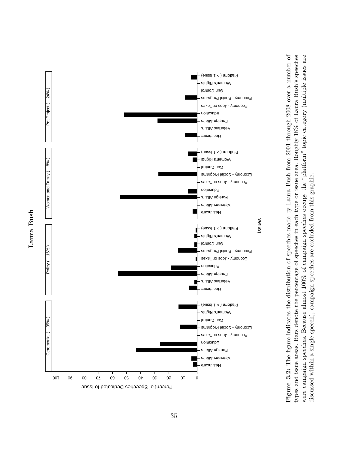



 $\begin{array}{r} \text{issues} \\ \text{mad} \\ \text{n} \end{array}$ <br> $\begin{array}{r} \text{med} \\ \text{n} \end{array}$ **Figure 3.2:** The figure indicates the distribution of speeches made by Laura Bush from 2001 through 2008 over a number of types and issue areas. Bars denote the percentage of speeches in each type or issue area. Roughly 18% of Laura Bush's speeches were campaign speeches. Because almost 100% of campaign speeches occupy the "platform" topic category (multiple issues are discussed within a single speech), campaign speeches are excluded from this graphic.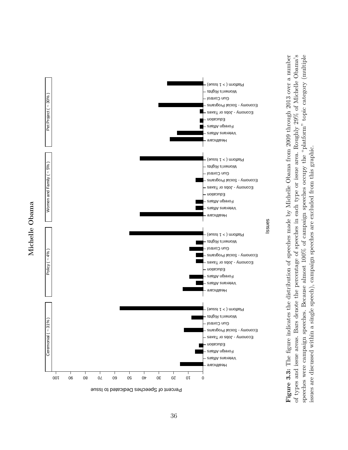

Michelle Obama **Michelle Obama** ssues<br>made<br>made<br>main<br>main<br>sare of **Figure 3.3:** The figure indicates the distribution of speeches made by Michelle Obama from 2009 through 2013 over a number of types and issue areas. Bars denote the percentage of speeches in each type or issue area. Roughly 29% of Michelle Obama's speeches were campaign speeches. Because almost 100% of campaign speeches occupy the "platform" topic category (multiple issues are discussed within a single speech), campaign speeches are excluded from this graphic.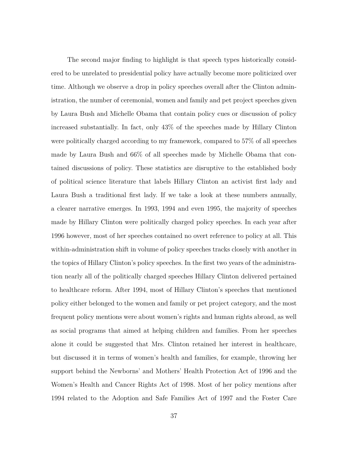The second major finding to highlight is that speech types historically considered to be unrelated to presidential policy have actually become more politicized over time. Although we observe a drop in policy speeches overall after the Clinton administration, the number of ceremonial, women and family and pet project speeches given by Laura Bush and Michelle Obama that contain policy cues or discussion of policy increased substantially. In fact, only 43% of the speeches made by Hillary Clinton were politically charged according to my framework, compared to 57% of all speeches made by Laura Bush and 66% of all speeches made by Michelle Obama that contained discussions of policy. These statistics are disruptive to the established body of political science literature that labels Hillary Clinton an activist first lady and Laura Bush a traditional first lady. If we take a look at these numbers annually, a clearer narrative emerges. In 1993, 1994 and even 1995, the majority of speeches made by Hillary Clinton were politically charged policy speeches. In each year after 1996 however, most of her speeches contained no overt reference to policy at all. This within-administration shift in volume of policy speeches tracks closely with another in the topics of Hillary Clinton's policy speeches. In the first two years of the administration nearly all of the politically charged speeches Hillary Clinton delivered pertained to healthcare reform. After 1994, most of Hillary Clinton's speeches that mentioned policy either belonged to the women and family or pet project category, and the most frequent policy mentions were about women's rights and human rights abroad, as well as social programs that aimed at helping children and families. From her speeches alone it could be suggested that Mrs. Clinton retained her interest in healthcare, but discussed it in terms of women's health and families, for example, throwing her support behind the Newborns' and Mothers' Health Protection Act of 1996 and the Women's Health and Cancer Rights Act of 1998. Most of her policy mentions after 1994 related to the Adoption and Safe Families Act of 1997 and the Foster Care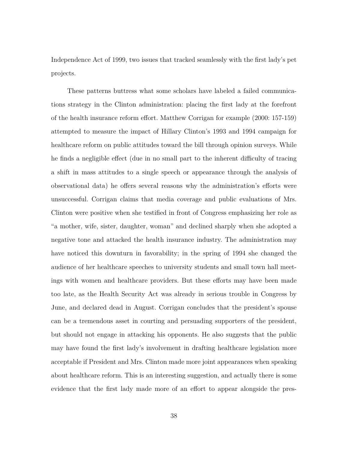Independence Act of 1999, two issues that tracked seamlessly with the first lady's pet projects.

These patterns buttress what some scholars have labeled a failed communications strategy in the Clinton administration: placing the first lady at the forefront of the health insurance reform effort. Matthew Corrigan for example (2000: 157-159) attempted to measure the impact of Hillary Clinton's 1993 and 1994 campaign for healthcare reform on public attitudes toward the bill through opinion surveys. While he finds a negligible effect (due in no small part to the inherent difficulty of tracing a shift in mass attitudes to a single speech or appearance through the analysis of observational data) he offers several reasons why the administration's efforts were unsuccessful. Corrigan claims that media coverage and public evaluations of Mrs. Clinton were positive when she testified in front of Congress emphasizing her role as "a mother, wife, sister, daughter, woman" and declined sharply when she adopted a negative tone and attacked the health insurance industry. The administration may have noticed this downturn in favorability; in the spring of 1994 she changed the audience of her healthcare speeches to university students and small town hall meetings with women and healthcare providers. But these efforts may have been made too late, as the Health Security Act was already in serious trouble in Congress by June, and declared dead in August. Corrigan concludes that the president's spouse can be a tremendous asset in courting and persuading supporters of the president, but should not engage in attacking his opponents. He also suggests that the public may have found the first lady's involvement in drafting healthcare legislation more acceptable if President and Mrs. Clinton made more joint appearances when speaking about healthcare reform. This is an interesting suggestion, and actually there is some evidence that the first lady made more of an effort to appear alongside the pres-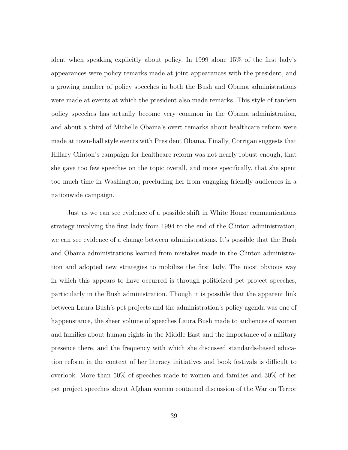ident when speaking explicitly about policy. In 1999 alone 15% of the first lady's appearances were policy remarks made at joint appearances with the president, and a growing number of policy speeches in both the Bush and Obama administrations were made at events at which the president also made remarks. This style of tandem policy speeches has actually become very common in the Obama administration, and about a third of Michelle Obama's overt remarks about healthcare reform were made at town-hall style events with President Obama. Finally, Corrigan suggests that Hillary Clinton's campaign for healthcare reform was not nearly robust enough, that she gave too few speeches on the topic overall, and more specifically, that she spent too much time in Washington, precluding her from engaging friendly audiences in a nationwide campaign.

Just as we can see evidence of a possible shift in White House communications strategy involving the first lady from 1994 to the end of the Clinton administration, we can see evidence of a change between administrations. It's possible that the Bush and Obama administrations learned from mistakes made in the Clinton administration and adopted new strategies to mobilize the first lady. The most obvious way in which this appears to have occurred is through politicized pet project speeches, particularly in the Bush administration. Though it is possible that the apparent link between Laura Bush's pet projects and the administration's policy agenda was one of happenstance, the sheer volume of speeches Laura Bush made to audiences of women and families about human rights in the Middle East and the importance of a military presence there, and the frequency with which she discussed standards-based education reform in the context of her literacy initiatives and book festivals is difficult to overlook. More than 50% of speeches made to women and families and 30% of her pet project speeches about Afghan women contained discussion of the War on Terror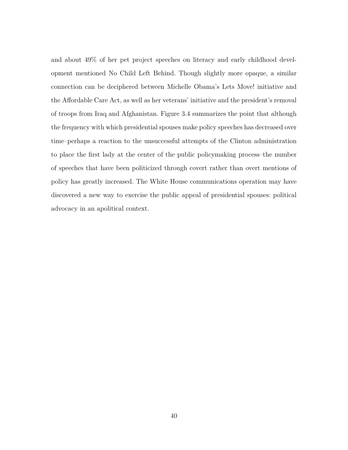and about 49% of her pet project speeches on literacy and early childhood development mentioned No Child Left Behind. Though slightly more opaque, a similar connection can be deciphered between Michelle Obama's Lets Move! initiative and the Affordable Care Act, as well as her veterans' initiative and the president's removal of troops from Iraq and Afghanistan. Figure 3.4 summarizes the point that although the frequency with which presidential spouses make policy speeches has decreased over time–perhaps a reaction to the unsuccessful attempts of the Clinton administration to place the first lady at the center of the public policymaking process–the number of speeches that have been politicized through covert rather than overt mentions of policy has greatly increased. The White House communications operation may have discovered a new way to exercise the public appeal of presidential spouses: political advocacy in an apolitical context.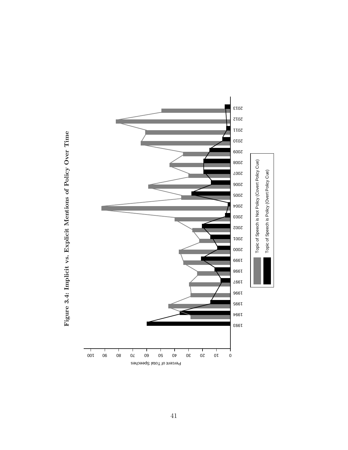

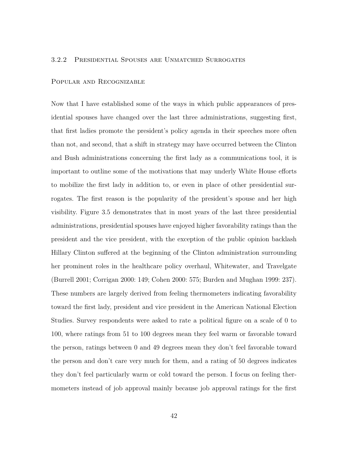#### 3.2.2 Presidential Spouses are Unmatched Surrogates

#### Popular and Recognizable

Now that I have established some of the ways in which public appearances of presidential spouses have changed over the last three administrations, suggesting first, that first ladies promote the president's policy agenda in their speeches more often than not, and second, that a shift in strategy may have occurred between the Clinton and Bush administrations concerning the first lady as a communications tool, it is important to outline some of the motivations that may underly White House efforts to mobilize the first lady in addition to, or even in place of other presidential surrogates. The first reason is the popularity of the president's spouse and her high visibility. Figure 3.5 demonstrates that in most years of the last three presidential administrations, presidential spouses have enjoyed higher favorability ratings than the president and the vice president, with the exception of the public opinion backlash Hillary Clinton suffered at the beginning of the Clinton administration surrounding her prominent roles in the healthcare policy overhaul, Whitewater, and Travelgate (Burrell 2001; Corrigan 2000: 149; Cohen 2000: 575; Burden and Mughan 1999: 237). These numbers are largely derived from feeling thermometers indicating favorability toward the first lady, president and vice president in the American National Election Studies. Survey respondents were asked to rate a political figure on a scale of 0 to 100, where ratings from 51 to 100 degrees mean they feel warm or favorable toward the person, ratings between 0 and 49 degrees mean they don't feel favorable toward the person and don't care very much for them, and a rating of 50 degrees indicates they don't feel particularly warm or cold toward the person. I focus on feeling thermometers instead of job approval mainly because job approval ratings for the first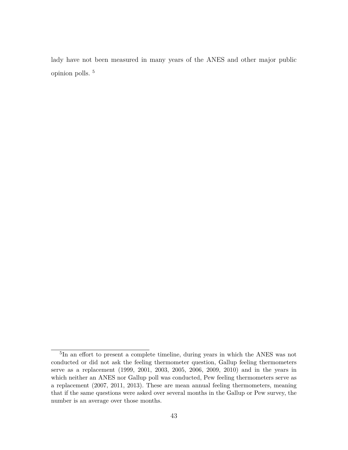lady have not been measured in many years of the ANES and other major public opinion polls. <sup>5</sup>

<sup>&</sup>lt;sup>5</sup>In an effort to present a complete timeline, during years in which the ANES was not conducted or did not ask the feeling thermometer question, Gallup feeling thermometers serve as a replacement (1999, 2001, 2003, 2005, 2006, 2009, 2010) and in the years in which neither an ANES nor Gallup poll was conducted, Pew feeling thermometers serve as a replacement (2007, 2011, 2013). These are mean annual feeling thermometers, meaning that if the same questions were asked over several months in the Gallup or Pew survey, the number is an average over those months.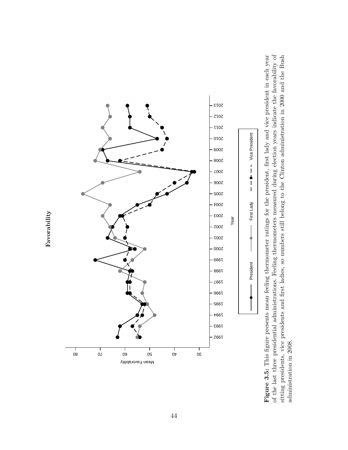

President First Lady Vice President **Figure 3.5:** This figure presents mean feeling thermometer ratings for the president, first lady and vice president in each year of the last three presidential administrations. Feeling thermometers measured during election years indicate the favorability of sitting presidents, vice presidents and first ladies, so numbers still belong to the Clinton administration in 2000 and the Bush administration in 2008.

**Favorability**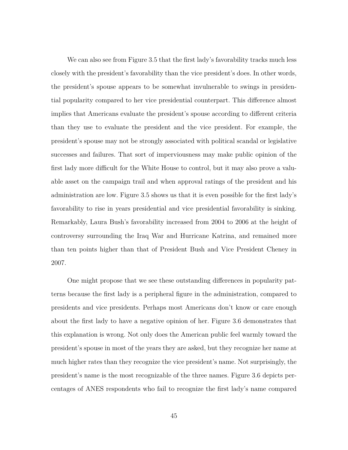We can also see from Figure 3.5 that the first lady's favorability tracks much less closely with the president's favorability than the vice president's does. In other words, the president's spouse appears to be somewhat invulnerable to swings in presidential popularity compared to her vice presidential counterpart. This difference almost implies that Americans evaluate the president's spouse according to different criteria than they use to evaluate the president and the vice president. For example, the president's spouse may not be strongly associated with political scandal or legislative successes and failures. That sort of imperviousness may make public opinion of the first lady more difficult for the White House to control, but it may also prove a valuable asset on the campaign trail and when approval ratings of the president and his administration are low. Figure 3.5 shows us that it is even possible for the first lady's favorability to rise in years presidential and vice presidential favorability is sinking. Remarkably, Laura Bush's favorability increased from 2004 to 2006 at the height of controversy surrounding the Iraq War and Hurricane Katrina, and remained more than ten points higher than that of President Bush and Vice President Cheney in 2007.

One might propose that we see these outstanding differences in popularity patterns because the first lady is a peripheral figure in the administration, compared to presidents and vice presidents. Perhaps most Americans don't know or care enough about the first lady to have a negative opinion of her. Figure 3.6 demonstrates that this explanation is wrong. Not only does the American public feel warmly toward the president's spouse in most of the years they are asked, but they recognize her name at much higher rates than they recognize the vice president's name. Not surprisingly, the president's name is the most recognizable of the three names. Figure 3.6 depicts percentages of ANES respondents who fail to recognize the first lady's name compared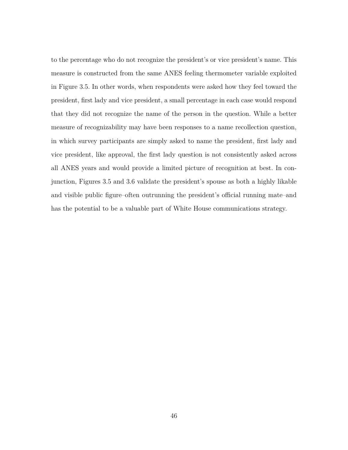to the percentage who do not recognize the president's or vice president's name. This measure is constructed from the same ANES feeling thermometer variable exploited in Figure 3.5. In other words, when respondents were asked how they feel toward the president, first lady and vice president, a small percentage in each case would respond that they did not recognize the name of the person in the question. While a better measure of recognizability may have been responses to a name recollection question, in which survey participants are simply asked to name the president, first lady and vice president, like approval, the first lady question is not consistently asked across all ANES years and would provide a limited picture of recognition at best. In conjunction, Figures 3.5 and 3.6 validate the president's spouse as both a highly likable and visible public figure–often outrunning the president's official running mate–and has the potential to be a valuable part of White House communications strategy.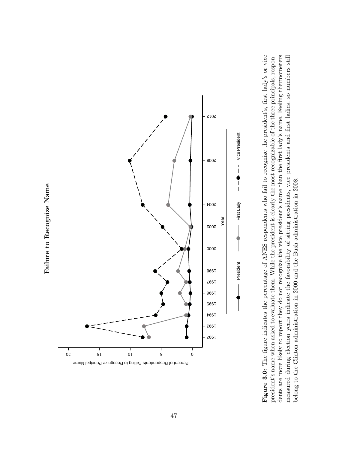



Year **President**  $\longrightarrow$  First Lady  $\longrightarrow$   $\longrightarrow$  First Lady  $\longrightarrow$  First Lady  $\longrightarrow$  Regree of ANES respondents who fail to recognize the progries the president is clearly the most recognizable of cognize the vice president's name than **Figure 3.6:** The figure indicates the percentage of ANES respondents who fail to recognize the president's, first lady's or vice president's name when asked to evaluate them. While the president is clearly the most recognizable of the three principals, respondents are more likely to report they do not recognize the vice president's name than the first lady's name. Feeling thermometers measured during election years indicate the favorability of sitting presidents, vice presidents and first ladies, so numbers still belong to the Clinton administration in 2000 and the Bush administration in 2008.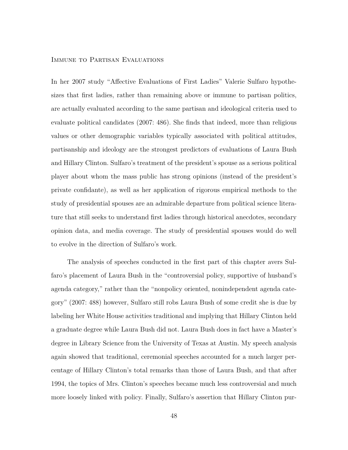## Immune to Partisan Evaluations

In her 2007 study "Affective Evaluations of First Ladies" Valerie Sulfaro hypothesizes that first ladies, rather than remaining above or immune to partisan politics, are actually evaluated according to the same partisan and ideological criteria used to evaluate political candidates (2007: 486). She finds that indeed, more than religious values or other demographic variables typically associated with political attitudes, partisanship and ideology are the strongest predictors of evaluations of Laura Bush and Hillary Clinton. Sulfaro's treatment of the president's spouse as a serious political player about whom the mass public has strong opinions (instead of the president's private confidante), as well as her application of rigorous empirical methods to the study of presidential spouses are an admirable departure from political science literature that still seeks to understand first ladies through historical anecdotes, secondary opinion data, and media coverage. The study of presidential spouses would do well to evolve in the direction of Sulfaro's work.

The analysis of speeches conducted in the first part of this chapter avers Sulfaro's placement of Laura Bush in the "controversial policy, supportive of husband's agenda category," rather than the "nonpolicy oriented, nonindependent agenda category" (2007: 488) however, Sulfaro still robs Laura Bush of some credit she is due by labeling her White House activities traditional and implying that Hillary Clinton held a graduate degree while Laura Bush did not. Laura Bush does in fact have a Master's degree in Library Science from the University of Texas at Austin. My speech analysis again showed that traditional, ceremonial speeches accounted for a much larger percentage of Hillary Clinton's total remarks than those of Laura Bush, and that after 1994, the topics of Mrs. Clinton's speeches became much less controversial and much more loosely linked with policy. Finally, Sulfaro's assertion that Hillary Clinton pur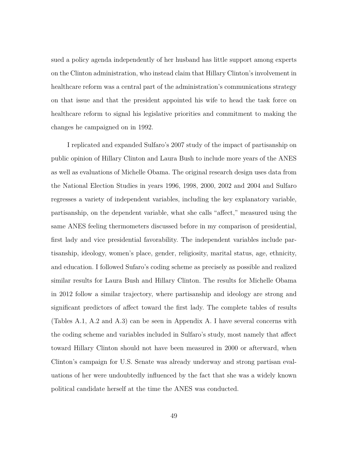sued a policy agenda independently of her husband has little support among experts on the Clinton administration, who instead claim that Hillary Clinton's involvement in healthcare reform was a central part of the administration's communications strategy on that issue and that the president appointed his wife to head the task force on healthcare reform to signal his legislative priorities and commitment to making the changes he campaigned on in 1992.

I replicated and expanded Sulfaro's 2007 study of the impact of partisanship on public opinion of Hillary Clinton and Laura Bush to include more years of the ANES as well as evaluations of Michelle Obama. The original research design uses data from the National Election Studies in years 1996, 1998, 2000, 2002 and 2004 and Sulfaro regresses a variety of independent variables, including the key explanatory variable, partisanship, on the dependent variable, what she calls "affect," measured using the same ANES feeling thermometers discussed before in my comparison of presidential, first lady and vice presidential favorability. The independent variables include partisanship, ideology, women's place, gender, religiosity, marital status, age, ethnicity, and education. I followed Sufaro's coding scheme as precisely as possible and realized similar results for Laura Bush and Hillary Clinton. The results for Michelle Obama in 2012 follow a similar trajectory, where partisanship and ideology are strong and significant predictors of affect toward the first lady. The complete tables of results (Tables A.1, A.2 and A.3) can be seen in Appendix A. I have several concerns with the coding scheme and variables included in Sulfaro's study, most namely that affect toward Hillary Clinton should not have been measured in 2000 or afterward, when Clinton's campaign for U.S. Senate was already underway and strong partisan evaluations of her were undoubtedly influenced by the fact that she was a widely known political candidate herself at the time the ANES was conducted.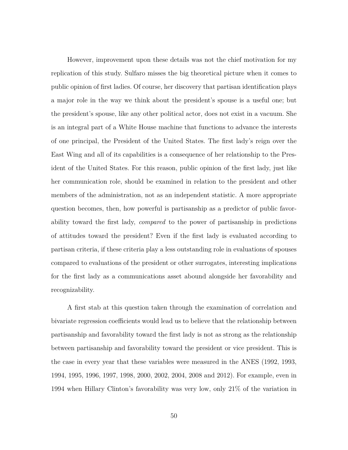However, improvement upon these details was not the chief motivation for my replication of this study. Sulfaro misses the big theoretical picture when it comes to public opinion of first ladies. Of course, her discovery that partisan identification plays a major role in the way we think about the president's spouse is a useful one; but the president's spouse, like any other political actor, does not exist in a vacuum. She is an integral part of a White House machine that functions to advance the interests of one principal, the President of the United States. The first lady's reign over the East Wing and all of its capabilities is a consequence of her relationship to the President of the United States. For this reason, public opinion of the first lady, just like her communication role, should be examined in relation to the president and other members of the administration, not as an independent statistic. A more appropriate question becomes, then, how powerful is partisanship as a predictor of public favorability toward the first lady, *compared* to the power of partisanship in predictions of attitudes toward the president? Even if the first lady is evaluated according to partisan criteria, if these criteria play a less outstanding role in evaluations of spouses compared to evaluations of the president or other surrogates, interesting implications for the first lady as a communications asset abound alongside her favorability and recognizability.

A first stab at this question taken through the examination of correlation and bivariate regression coefficients would lead us to believe that the relationship between partisanship and favorability toward the first lady is not as strong as the relationship between partisanship and favorability toward the president or vice president. This is the case in every year that these variables were measured in the ANES (1992, 1993, 1994, 1995, 1996, 1997, 1998, 2000, 2002, 2004, 2008 and 2012). For example, even in 1994 when Hillary Clinton's favorability was very low, only 21% of the variation in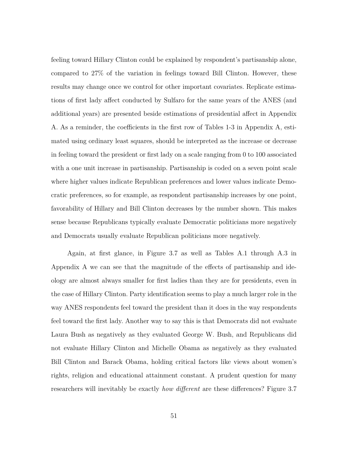feeling toward Hillary Clinton could be explained by respondent's partisanship alone, compared to 27% of the variation in feelings toward Bill Clinton. However, these results may change once we control for other important covariates. Replicate estimations of first lady affect conducted by Sulfaro for the same years of the ANES (and additional years) are presented beside estimations of presidential affect in Appendix A. As a reminder, the coefficients in the first row of Tables 1-3 in Appendix A, estimated using ordinary least squares, should be interpreted as the increase or decrease in feeling toward the president or first lady on a scale ranging from 0 to 100 associated with a one unit increase in partisanship. Partisanship is coded on a seven point scale where higher values indicate Republican preferences and lower values indicate Democratic preferences, so for example, as respondent partisanship increases by one point, favorability of Hillary and Bill Clinton decreases by the number shown. This makes sense because Republicans typically evaluate Democratic politicians more negatively and Democrats usually evaluate Republican politicians more negatively.

Again, at first glance, in Figure 3.7 as well as Tables A.1 through A.3 in Appendix A we can see that the magnitude of the effects of partisanship and ideology are almost always smaller for first ladies than they are for presidents, even in the case of Hillary Clinton. Party identification seems to play a much larger role in the way ANES respondents feel toward the president than it does in the way respondents feel toward the first lady. Another way to say this is that Democrats did not evaluate Laura Bush as negatively as they evaluated George W. Bush, and Republicans did not evaluate Hillary Clinton and Michelle Obama as negatively as they evaluated Bill Clinton and Barack Obama, holding critical factors like views about women's rights, religion and educational attainment constant. A prudent question for many researchers will inevitably be exactly *how different* are these differences? Figure 3.7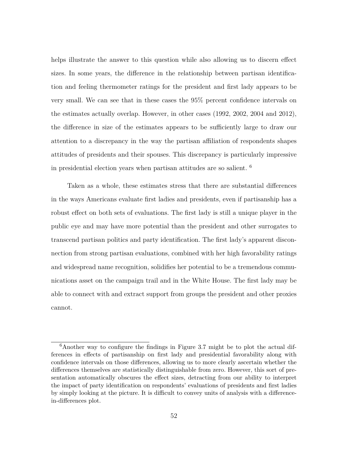helps illustrate the answer to this question while also allowing us to discern effect sizes. In some years, the difference in the relationship between partisan identification and feeling thermometer ratings for the president and first lady appears to be very small. We can see that in these cases the 95% percent confidence intervals on the estimates actually overlap. However, in other cases (1992, 2002, 2004 and 2012), the difference in size of the estimates appears to be sufficiently large to draw our attention to a discrepancy in the way the partisan affiliation of respondents shapes attitudes of presidents and their spouses. This discrepancy is particularly impressive in presidential election years when partisan attitudes are so salient. <sup>6</sup>

Taken as a whole, these estimates stress that there are substantial differences in the ways Americans evaluate first ladies and presidents, even if partisanship has a robust effect on both sets of evaluations. The first lady is still a unique player in the public eye and may have more potential than the president and other surrogates to transcend partisan politics and party identification. The first lady's apparent disconnection from strong partisan evaluations, combined with her high favorability ratings and widespread name recognition, solidifies her potential to be a tremendous communications asset on the campaign trail and in the White House. The first lady may be able to connect with and extract support from groups the president and other proxies cannot.

 $6$ Another way to configure the findings in Figure 3.7 might be to plot the actual differences in effects of partisanship on first lady and presidential favorability along with confidence intervals on those differences, allowing us to more clearly ascertain whether the differences themselves are statistically distinguishable from zero. However, this sort of presentation automatically obscures the effect sizes, detracting from our ability to interpret the impact of party identification on respondents' evaluations of presidents and first ladies by simply looking at the picture. It is difficult to convey units of analysis with a differencein-differences plot.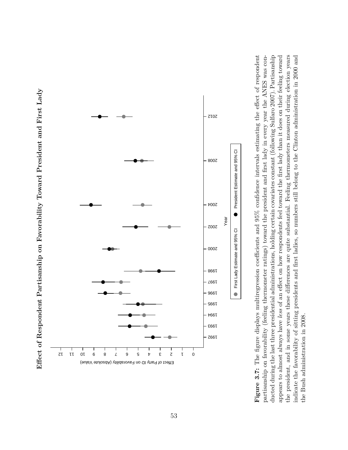



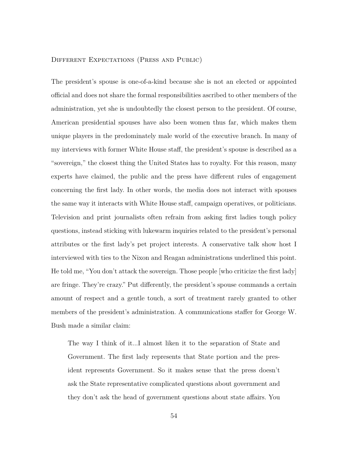#### Different Expectations (Press and Public)

The president's spouse is one-of-a-kind because she is not an elected or appointed official and does not share the formal responsibilities ascribed to other members of the administration, yet she is undoubtedly the closest person to the president. Of course, American presidential spouses have also been women thus far, which makes them unique players in the predominately male world of the executive branch. In many of my interviews with former White House staff, the president's spouse is described as a "sovereign," the closest thing the United States has to royalty. For this reason, many experts have claimed, the public and the press have different rules of engagement concerning the first lady. In other words, the media does not interact with spouses the same way it interacts with White House staff, campaign operatives, or politicians. Television and print journalists often refrain from asking first ladies tough policy questions, instead sticking with lukewarm inquiries related to the president's personal attributes or the first lady's pet project interests. A conservative talk show host I interviewed with ties to the Nixon and Reagan administrations underlined this point. He told me, "You don't attack the sovereign. Those people [who criticize the first lady] are fringe. They're crazy." Put differently, the president's spouse commands a certain amount of respect and a gentle touch, a sort of treatment rarely granted to other members of the president's administration. A communications staffer for George W. Bush made a similar claim:

The way I think of it...I almost liken it to the separation of State and Government. The first lady represents that State portion and the president represents Government. So it makes sense that the press doesn't ask the State representative complicated questions about government and they don't ask the head of government questions about state affairs. You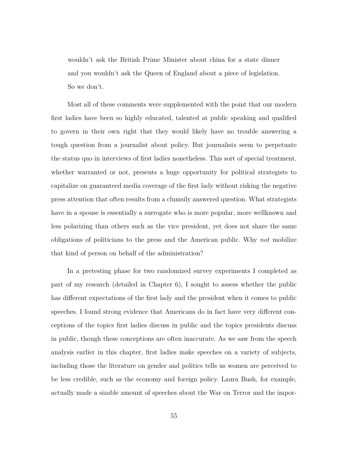wouldn't ask the British Prime Minister about china for a state dinner and you wouldn't ask the Queen of England about a piece of legislation. So we don't.

Most all of these comments were supplemented with the point that our modern first ladies have been so highly educated, talented at public speaking and qualified to govern in their own right that they would likely have no trouble answering a tough question from a journalist about policy. But journalists seem to perpetuate the status quo in interviews of first ladies nonetheless. This sort of special treatment, whether warranted or not, presents a huge opportunity for political strategists to capitalize on guaranteed media coverage of the first lady without risking the negative press attention that often results from a clumsily answered question. What strategists have in a spouse is essentially a surrogate who is more popular, more wellknown and less polarizing than others such as the vice president, yet does not share the same obligations of politicians to the press and the American public. Why *not* mobilize that kind of person on behalf of the administration?

In a pretesting phase for two randomized survey experiments I completed as part of my research (detailed in Chapter 6), I sought to assess whether the public has different expectations of the first lady and the president when it comes to public speeches. I found strong evidence that Americans do in fact have very different conceptions of the topics first ladies discuss in public and the topics presidents discuss in public, though these conceptions are often inaccurate. As we saw from the speech analysis earlier in this chapter, first ladies make speeches on a variety of subjects, including those the literature on gender and politics tells us women are perceived to be less credible, such as the economy and foreign policy. Laura Bush, for example, actually made a sizable amount of speeches about the War on Terror and the impor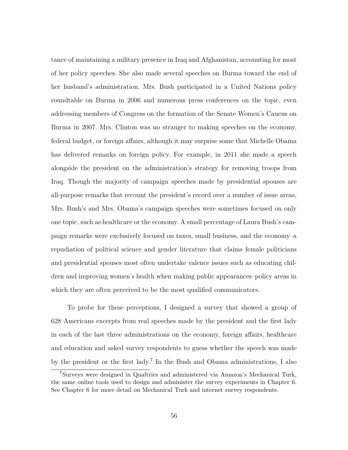tance of maintaining a military presence in Iraq and Afghanistan, accounting for most of her policy speeches. She also made several speeches on Burma toward the end of her husband's administration. Mrs. Bush participated in a United Nations policy roundtable on Burma in 2006 and numerous press conferences on the topic, even addressing members of Congress on the formation of the Senate Women's Caucus on Burma in 2007. Mrs. Clinton was no stranger to making speeches on the economy, federal budget, or foreign affairs, although it may surprise some that Michelle Obama has delivered remarks on foreign policy. For example, in 2011 she made a speech alongside the president on the administration's strategy for removing troops from Iraq. Though the majority of campaign speeches made by presidential spouses are all-purpose remarks that recount the president's record over a number of issue areas, Mrs. Bush's and Mrs. Obama's campaign speeches were sometimes focused on only one topic, such as healthcare or the economy. A small percentage of Laura Bush's campaign remarks were exclusively focused on taxes, small business, and the economy–a repudiation of political science and gender literature that claims female politicians and presidential spouses most often undertake valence issues such as educating children and improving women's health when making public appearances–policy areas in which they are often perceived to be the most qualified communicators.

To probe for these perceptions, I designed a survey that showed a group of 628 Americans excerpts from real speeches made by the president and the first lady in each of the last three administrations on the economy, foreign affairs, healthcare and education and asked survey respondents to guess whether the speech was made by the president or the first lady.<sup>7</sup> In the Bush and Obama administrations, I also

<sup>7</sup>Surveys were designed in Qualtrics and administered via Amazon's Mechanical Turk, the same online tools used to design and administer the survey experiments in Chapter 6. See Chapter 6 for more detail on Mechanical Turk and internet survey respondents.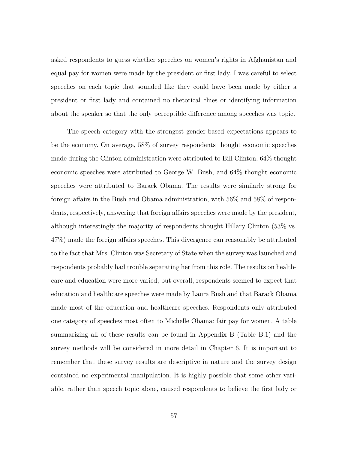asked respondents to guess whether speeches on women's rights in Afghanistan and equal pay for women were made by the president or first lady. I was careful to select speeches on each topic that sounded like they could have been made by either a president or first lady and contained no rhetorical clues or identifying information about the speaker so that the only perceptible difference among speeches was topic.

The speech category with the strongest gender-based expectations appears to be the economy. On average, 58% of survey respondents thought economic speeches made during the Clinton administration were attributed to Bill Clinton, 64% thought economic speeches were attributed to George W. Bush, and 64% thought economic speeches were attributed to Barack Obama. The results were similarly strong for foreign affairs in the Bush and Obama administration, with 56% and 58% of respondents, respectively, answering that foreign affairs speeches were made by the president, although interestingly the majority of respondents thought Hillary Clinton (53% vs. 47%) made the foreign affairs speeches. This divergence can reasonably be attributed to the fact that Mrs. Clinton was Secretary of State when the survey was launched and respondents probably had trouble separating her from this role. The results on healthcare and education were more varied, but overall, respondents seemed to expect that education and healthcare speeches were made by Laura Bush and that Barack Obama made most of the education and healthcare speeches. Respondents only attributed one category of speeches most often to Michelle Obama: fair pay for women. A table summarizing all of these results can be found in Appendix B (Table B.1) and the survey methods will be considered in more detail in Chapter 6. It is important to remember that these survey results are descriptive in nature and the survey design contained no experimental manipulation. It is highly possible that some other variable, rather than speech topic alone, caused respondents to believe the first lady or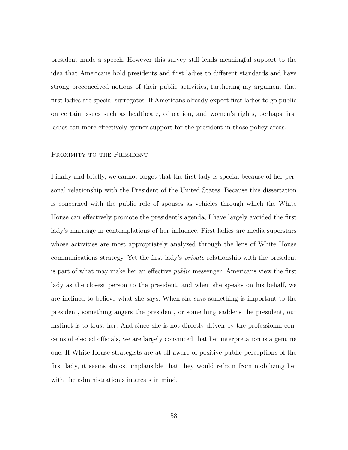president made a speech. However this survey still lends meaningful support to the idea that Americans hold presidents and first ladies to different standards and have strong preconceived notions of their public activities, furthering my argument that first ladies are special surrogates. If Americans already expect first ladies to go public on certain issues such as healthcare, education, and women's rights, perhaps first ladies can more effectively garner support for the president in those policy areas.

#### PROXIMITY TO THE PRESIDENT

Finally and briefly, we cannot forget that the first lady is special because of her personal relationship with the President of the United States. Because this dissertation is concerned with the public role of spouses as vehicles through which the White House can effectively promote the president's agenda, I have largely avoided the first lady's marriage in contemplations of her influence. First ladies are media superstars whose activities are most appropriately analyzed through the lens of White House communications strategy. Yet the first lady's *private* relationship with the president is part of what may make her an effective *public* messenger. Americans view the first lady as the closest person to the president, and when she speaks on his behalf, we are inclined to believe what she says. When she says something is important to the president, something angers the president, or something saddens the president, our instinct is to trust her. And since she is not directly driven by the professional concerns of elected officials, we are largely convinced that her interpretation is a genuine one. If White House strategists are at all aware of positive public perceptions of the first lady, it seems almost implausible that they would refrain from mobilizing her with the administration's interests in mind.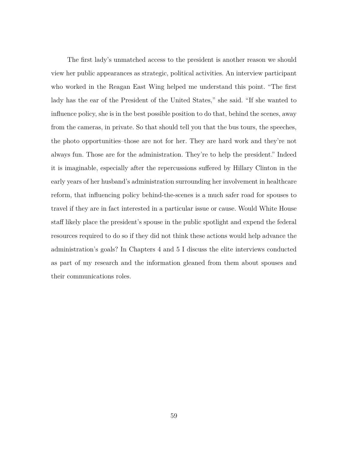The first lady's unmatched access to the president is another reason we should view her public appearances as strategic, political activities. An interview participant who worked in the Reagan East Wing helped me understand this point. "The first lady has the ear of the President of the United States," she said. "If she wanted to influence policy, she is in the best possible position to do that, behind the scenes, away from the cameras, in private. So that should tell you that the bus tours, the speeches, the photo opportunities–those are not for her. They are hard work and they're not always fun. Those are for the administration. They're to help the president." Indeed it is imaginable, especially after the repercussions suffered by Hillary Clinton in the early years of her husband's administration surrounding her involvement in healthcare reform, that influencing policy behind-the-scenes is a much safer road for spouses to travel if they are in fact interested in a particular issue or cause. Would White House staff likely place the president's spouse in the public spotlight and expend the federal resources required to do so if they did not think these actions would help advance the administration's goals? In Chapters 4 and 5 I discuss the elite interviews conducted as part of my research and the information gleaned from them about spouses and their communications roles.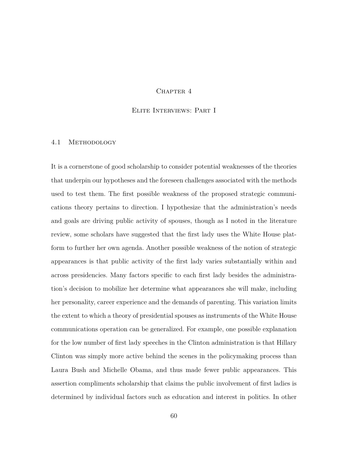### CHAPTER 4

## Elite Interviews: Part I

#### 4.1 Methodology

It is a cornerstone of good scholarship to consider potential weaknesses of the theories that underpin our hypotheses and the foreseen challenges associated with the methods used to test them. The first possible weakness of the proposed strategic communications theory pertains to direction. I hypothesize that the administration's needs and goals are driving public activity of spouses, though as I noted in the literature review, some scholars have suggested that the first lady uses the White House platform to further her own agenda. Another possible weakness of the notion of strategic appearances is that public activity of the first lady varies substantially within and across presidencies. Many factors specific to each first lady besides the administration's decision to mobilize her determine what appearances she will make, including her personality, career experience and the demands of parenting. This variation limits the extent to which a theory of presidential spouses as instruments of the White House communications operation can be generalized. For example, one possible explanation for the low number of first lady speeches in the Clinton administration is that Hillary Clinton was simply more active behind the scenes in the policymaking process than Laura Bush and Michelle Obama, and thus made fewer public appearances. This assertion compliments scholarship that claims the public involvement of first ladies is determined by individual factors such as education and interest in politics. In other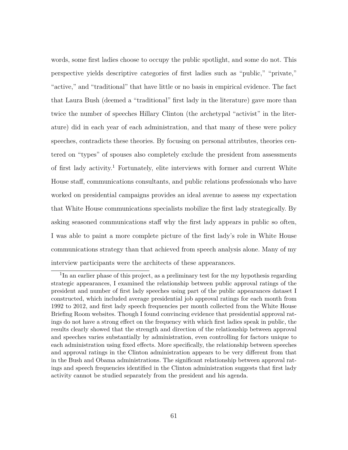words, some first ladies choose to occupy the public spotlight, and some do not. This perspective yields descriptive categories of first ladies such as "public," "private," "active," and "traditional" that have little or no basis in empirical evidence. The fact that Laura Bush (deemed a "traditional" first lady in the literature) gave more than twice the number of speeches Hillary Clinton (the archetypal "activist" in the literature) did in each year of each administration, and that many of these were policy speeches, contradicts these theories. By focusing on personal attributes, theories centered on "types" of spouses also completely exclude the president from assessments of first lady activity.<sup>1</sup> Fortunately, elite interviews with former and current White House staff, communications consultants, and public relations professionals who have worked on presidential campaigns provides an ideal avenue to assess my expectation that White House communications specialists mobilize the first lady strategically. By asking seasoned communications staff why the first lady appears in public so often, I was able to paint a more complete picture of the first lady's role in White House communications strategy than that achieved from speech analysis alone. Many of my interview participants were the architects of these appearances.

<sup>&</sup>lt;sup>1</sup>In an earlier phase of this project, as a preliminary test for the my hypothesis regarding strategic appearances, I examined the relationship between public approval ratings of the president and number of first lady speeches using part of the public appearances dataset I constructed, which included average presidential job approval ratings for each month from 1992 to 2012, and first lady speech frequencies per month collected from the White House Briefing Room websites. Though I found convincing evidence that presidential approval ratings do not have a strong effect on the frequency with which first ladies speak in public, the results clearly showed that the strength and direction of the relationship between approval and speeches varies substantially by administration, even controlling for factors unique to each administration using fixed effects. More specifically, the relationship between speeches and approval ratings in the Clinton administration appears to be very different from that in the Bush and Obama administrations. The significant relationship between approval ratings and speech frequencies identified in the Clinton administration suggests that first lady activity cannot be studied separately from the president and his agenda.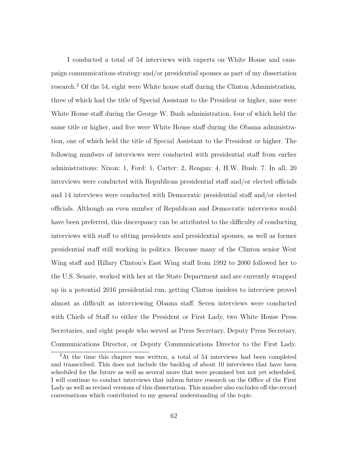I conducted a total of 54 interviews with experts on White House and campaign communications strategy and/or presidential spouses as part of my dissertation research.<sup>2</sup> Of the 54, eight were White house staff during the Clinton Administration, three of which had the title of Special Assistant to the President or higher, nine were White House staff during the George W. Bush administration, four of which held the same title or higher, and five were White House staff during the Obama administration, one of which held the title of Special Assistant to the President or higher. The following numbers of interviews were conducted with presidential staff from earlier administrations: Nixon: 1, Ford: 1, Carter: 2, Reagan: 4, H.W. Bush: 7. In all, 20 interviews were conducted with Republican presidential staff and/or elected officials and 14 interviews were conducted with Democratic presidential staff and/or elected officials. Although an even number of Republican and Democratic interviews would have been preferred, this discrepancy can be attributed to the difficulty of conducting interviews with staff to sitting presidents and presidential spouses, as well as former presidential staff still working in politics. Because many of the Clinton senior West Wing staff and Hillary Clinton's East Wing staff from 1992 to 2000 followed her to the U.S. Senate, worked with her at the State Department and are currently wrapped up in a potential 2016 presidential run, getting Clinton insiders to interview proved almost as difficult as interviewing Obama staff. Seven interviews were conducted with Chiefs of Staff to either the President or First Lady, two White House Press Secretaries, and eight people who served as Press Secretary, Deputy Press Secretary, Communications Director, or Deputy Communications Director to the First Lady.

<sup>2</sup>At the time this chapter was written, a total of 54 interviews had been completed and transcribed. This does not include the backlog of about 10 interviews that have been scheduled for the future as well as several more that were promised but not yet scheduled. I will continue to conduct interviews that inform future research on the Office of the First Lady as well as revised versions of this dissertation. This number also excludes off-the-record conversations which contributed to my general understanding of the topic.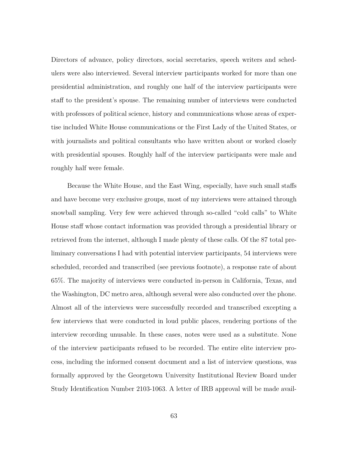Directors of advance, policy directors, social secretaries, speech writers and schedulers were also interviewed. Several interview participants worked for more than one presidential administration, and roughly one half of the interview participants were staff to the president's spouse. The remaining number of interviews were conducted with professors of political science, history and communications whose areas of expertise included White House communications or the First Lady of the United States, or with journalists and political consultants who have written about or worked closely with presidential spouses. Roughly half of the interview participants were male and roughly half were female.

Because the White House, and the East Wing, especially, have such small staffs and have become very exclusive groups, most of my interviews were attained through snowball sampling. Very few were achieved through so-called "cold calls" to White House staff whose contact information was provided through a presidential library or retrieved from the internet, although I made plenty of these calls. Of the 87 total preliminary conversations I had with potential interview participants, 54 interviews were scheduled, recorded and transcribed (see previous footnote), a response rate of about 65%. The majority of interviews were conducted in-person in California, Texas, and the Washington, DC metro area, although several were also conducted over the phone. Almost all of the interviews were successfully recorded and transcribed excepting a few interviews that were conducted in loud public places, rendering portions of the interview recording unusable. In these cases, notes were used as a substitute. None of the interview participants refused to be recorded. The entire elite interview process, including the informed consent document and a list of interview questions, was formally approved by the Georgetown University Institutional Review Board under Study Identification Number 2103-1063. A letter of IRB approval will be made avail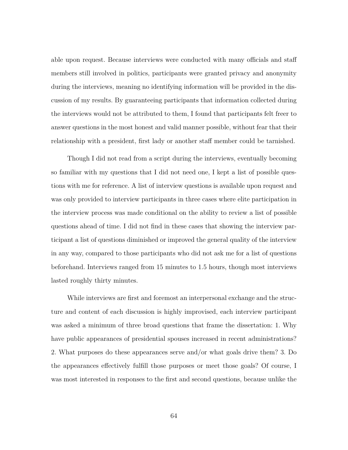able upon request. Because interviews were conducted with many officials and staff members still involved in politics, participants were granted privacy and anonymity during the interviews, meaning no identifying information will be provided in the discussion of my results. By guaranteeing participants that information collected during the interviews would not be attributed to them, I found that participants felt freer to answer questions in the most honest and valid manner possible, without fear that their relationship with a president, first lady or another staff member could be tarnished.

Though I did not read from a script during the interviews, eventually becoming so familiar with my questions that I did not need one, I kept a list of possible questions with me for reference. A list of interview questions is available upon request and was only provided to interview participants in three cases where elite participation in the interview process was made conditional on the ability to review a list of possible questions ahead of time. I did not find in these cases that showing the interview participant a list of questions diminished or improved the general quality of the interview in any way, compared to those participants who did not ask me for a list of questions beforehand. Interviews ranged from 15 minutes to 1.5 hours, though most interviews lasted roughly thirty minutes.

While interviews are first and foremost an interpersonal exchange and the structure and content of each discussion is highly improvised, each interview participant was asked a minimum of three broad questions that frame the dissertation: 1. Why have public appearances of presidential spouses increased in recent administrations? 2. What purposes do these appearances serve and/or what goals drive them? 3. Do the appearances effectively fulfill those purposes or meet those goals? Of course, I was most interested in responses to the first and second questions, because unlike the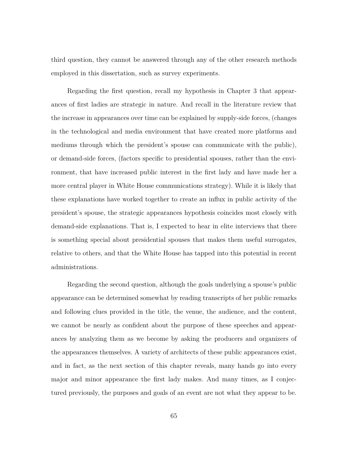third question, they cannot be answered through any of the other research methods employed in this dissertation, such as survey experiments.

Regarding the first question, recall my hypothesis in Chapter 3 that appearances of first ladies are strategic in nature. And recall in the literature review that the increase in appearances over time can be explained by supply-side forces, (changes in the technological and media environment that have created more platforms and mediums through which the president's spouse can communicate with the public), or demand-side forces, (factors specific to presidential spouses, rather than the environment, that have increased public interest in the first lady and have made her a more central player in White House communications strategy). While it is likely that these explanations have worked together to create an influx in public activity of the president's spouse, the strategic appearances hypothesis coincides most closely with demand-side explanations. That is, I expected to hear in elite interviews that there is something special about presidential spouses that makes them useful surrogates, relative to others, and that the White House has tapped into this potential in recent administrations.

Regarding the second question, although the goals underlying a spouse's public appearance can be determined somewhat by reading transcripts of her public remarks and following clues provided in the title, the venue, the audience, and the content, we cannot be nearly as confident about the purpose of these speeches and appearances by analyzing them as we become by asking the producers and organizers of the appearances themselves. A variety of architects of these public appearances exist, and in fact, as the next section of this chapter reveals, many hands go into every major and minor appearance the first lady makes. And many times, as I conjectured previously, the purposes and goals of an event are not what they appear to be.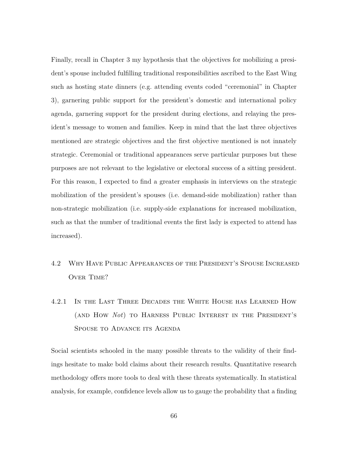Finally, recall in Chapter 3 my hypothesis that the objectives for mobilizing a president's spouse included fulfilling traditional responsibilities ascribed to the East Wing such as hosting state dinners (e.g. attending events coded "ceremonial" in Chapter 3), garnering public support for the president's domestic and international policy agenda, garnering support for the president during elections, and relaying the president's message to women and families. Keep in mind that the last three objectives mentioned are strategic objectives and the first objective mentioned is not innately strategic. Ceremonial or traditional appearances serve particular purposes but these purposes are not relevant to the legislative or electoral success of a sitting president. For this reason, I expected to find a greater emphasis in interviews on the strategic mobilization of the president's spouses (i.e. demand-side mobilization) rather than non-strategic mobilization (i.e. supply-side explanations for increased mobilization, such as that the number of traditional events the first lady is expected to attend has increased).

## 4.2 Why Have Public Appearances of the President's Spouse Increased Over Time?

# 4.2.1 In the Last Three Decades the White House has Learned How (and How *Not*) to Harness Public Interest in the President's SPOUSE TO ADVANCE ITS AGENDA

Social scientists schooled in the many possible threats to the validity of their findings hesitate to make bold claims about their research results. Quantitative research methodology offers more tools to deal with these threats systematically. In statistical analysis, for example, confidence levels allow us to gauge the probability that a finding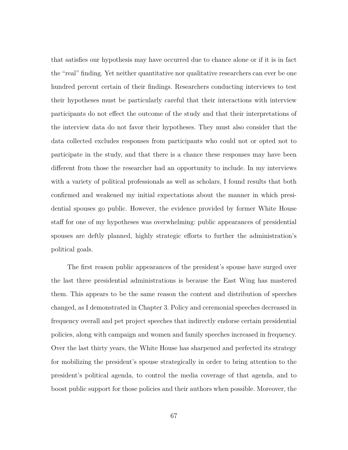that satisfies our hypothesis may have occurred due to chance alone or if it is in fact the "real" finding. Yet neither quantitative nor qualitative researchers can ever be one hundred percent certain of their findings. Researchers conducting interviews to test their hypotheses must be particularly careful that their interactions with interview participants do not effect the outcome of the study and that their interpretations of the interview data do not favor their hypotheses. They must also consider that the data collected excludes responses from participants who could not or opted not to participate in the study, and that there is a chance these responses may have been different from those the researcher had an opportunity to include. In my interviews with a variety of political professionals as well as scholars, I found results that both confirmed and weakened my initial expectations about the manner in which presidential spouses go public. However, the evidence provided by former White House staff for one of my hypotheses was overwhelming: public appearances of presidential spouses are deftly planned, highly strategic efforts to further the administration's political goals.

The first reason public appearances of the president's spouse have surged over the last three presidential administrations is because the East Wing has mastered them. This appears to be the same reason the content and distribution of speeches changed, as I demonstrated in Chapter 3. Policy and ceremonial speeches decreased in frequency overall and pet project speeches that indirectly endorse certain presidential policies, along with campaign and women and family speeches increased in frequency. Over the last thirty years, the White House has sharpened and perfected its strategy for mobilizing the president's spouse strategically in order to bring attention to the president's political agenda, to control the media coverage of that agenda, and to boost public support for those policies and their authors when possible. Moreover, the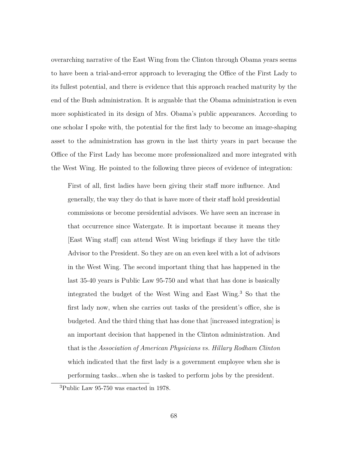overarching narrative of the East Wing from the Clinton through Obama years seems to have been a trial-and-error approach to leveraging the Office of the First Lady to its fullest potential, and there is evidence that this approach reached maturity by the end of the Bush administration. It is arguable that the Obama administration is even more sophisticated in its design of Mrs. Obama's public appearances. According to one scholar I spoke with, the potential for the first lady to become an image-shaping asset to the administration has grown in the last thirty years in part because the Office of the First Lady has become more professionalized and more integrated with the West Wing. He pointed to the following three pieces of evidence of integration:

First of all, first ladies have been giving their staff more influence. And generally, the way they do that is have more of their staff hold presidential commissions or become presidential advisors. We have seen an increase in that occurrence since Watergate. It is important because it means they [East Wing staff] can attend West Wing briefings if they have the title Advisor to the President. So they are on an even keel with a lot of advisors in the West Wing. The second important thing that has happened in the last 35-40 years is Public Law 95-750 and what that has done is basically integrated the budget of the West Wing and East Wing.<sup>3</sup> So that the first lady now, when she carries out tasks of the president's office, she is budgeted. And the third thing that has done that [increased integration] is an important decision that happened in the Clinton administration. And that is the *Association of American Physicians vs. Hillary Rodham Clinton* which indicated that the first lady is a government employee when she is performing tasks...when she is tasked to perform jobs by the president.

<sup>3</sup>Public Law 95-750 was enacted in 1978.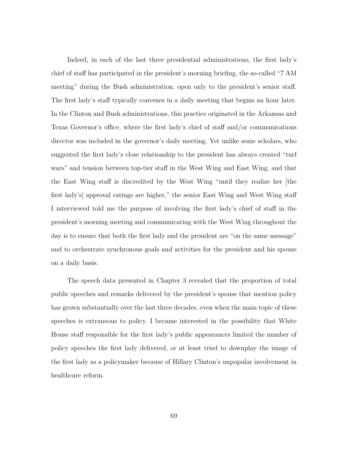Indeed, in each of the last three presidential administrations, the first lady's chief of staff has participated in the president's morning briefing, the so-called "7 AM meeting" during the Bush administration, open only to the president's senior staff. The first lady's staff typically convenes in a daily meeting that begins an hour later. In the Clinton and Bush administrations, this practice originated in the Arkansas and Texas Governor's office, where the first lady's chief of staff and/or communications director was included in the governor's daily meeting. Yet unlike some scholars, who suggested the first lady's close relationship to the president has always created "turf wars" and tension between top-tier staff in the West Wing and East Wing, and that the East Wing staff is discredited by the West Wing "until they realize her [the first lady's] approval ratings are higher," the senior East Wing and West Wing staff I interviewed told me the purpose of involving the first lady's chief of staff in the president's morning meeting and communicating with the West Wing throughout the day is to ensure that both the first lady and the president are "on the same message" and to orchestrate synchronous goals and activities for the president and his spouse on a daily basis.

The speech data presented in Chapter 3 revealed that the proportion of total public speeches and remarks delivered by the president's spouse that mention policy has grown substantially over the last three decades, even when the main topic of these speeches is extraneous to policy. I became interested in the possibility that White House staff responsible for the first lady's public appearances limited the number of policy speeches the first lady delivered, or at least tried to downplay the image of the first lady as a policymaker because of Hillary Clinton's unpopular involvement in healthcare reform.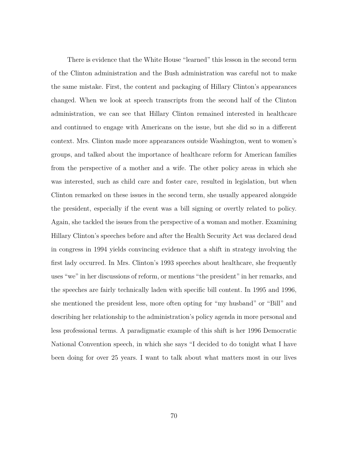There is evidence that the White House "learned" this lesson in the second term of the Clinton administration and the Bush administration was careful not to make the same mistake. First, the content and packaging of Hillary Clinton's appearances changed. When we look at speech transcripts from the second half of the Clinton administration, we can see that Hillary Clinton remained interested in healthcare and continued to engage with Americans on the issue, but she did so in a different context. Mrs. Clinton made more appearances outside Washington, went to women's groups, and talked about the importance of healthcare reform for American families from the perspective of a mother and a wife. The other policy areas in which she was interested, such as child care and foster care, resulted in legislation, but when Clinton remarked on these issues in the second term, she usually appeared alongside the president, especially if the event was a bill signing or overtly related to policy. Again, she tackled the issues from the perspective of a woman and mother. Examining Hillary Clinton's speeches before and after the Health Security Act was declared dead in congress in 1994 yields convincing evidence that a shift in strategy involving the first lady occurred. In Mrs. Clinton's 1993 speeches about healthcare, she frequently uses "we" in her discussions of reform, or mentions "the president" in her remarks, and the speeches are fairly technically laden with specific bill content. In 1995 and 1996, she mentioned the president less, more often opting for "my husband" or "Bill" and describing her relationship to the administration's policy agenda in more personal and less professional terms. A paradigmatic example of this shift is her 1996 Democratic National Convention speech, in which she says "I decided to do tonight what I have been doing for over 25 years. I want to talk about what matters most in our lives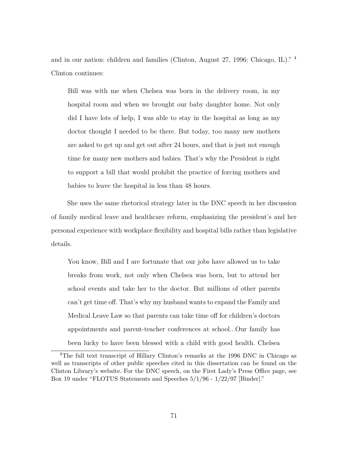and in our nation: children and families (Clinton, August 27, 1996: Chicago, IL)." <sup>4</sup> Clinton continues:

Bill was with me when Chelsea was born in the delivery room, in my hospital room and when we brought our baby daughter home. Not only did I have lots of help, I was able to stay in the hospital as long as my doctor thought I needed to be there. But today, too many new mothers are asked to get up and get out after 24 hours, and that is just not enough time for many new mothers and babies. That's why the President is right to support a bill that would prohibit the practice of forcing mothers and babies to leave the hospital in less than 48 hours.

She uses the same rhetorical strategy later in the DNC speech in her discussion of family medical leave and healthcare reform, emphasizing the president's and her personal experience with workplace flexibility and hospital bills rather than legislative details.

You know, Bill and I are fortunate that our jobs have allowed us to take breaks from work, not only when Chelsea was born, but to attend her school events and take her to the doctor. But millions of other parents can't get time off. That's why my husband wants to expand the Family and Medical Leave Law so that parents can take time off for children's doctors appointments and parent-teacher conferences at school...Our family has been lucky to have been blessed with a child with good health. Chelsea

<sup>4</sup>The full text transcript of Hillary Clinton's remarks at the 1996 DNC in Chicago as well as transcripts of other public speeches cited in this dissertation can be found on the Clinton Library's website. For the DNC speech, on the First Lady's Press Office page, see Box 19 under "FLOTUS Statements and Speeches 5/1/96 - 1/22/97 [Binder]."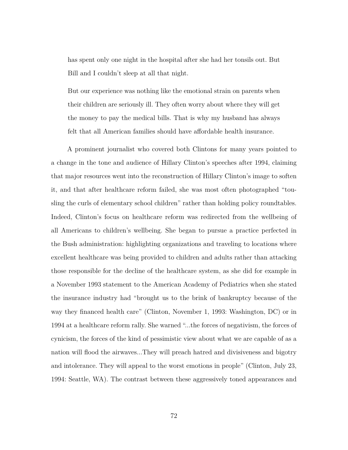has spent only one night in the hospital after she had her tonsils out. But Bill and I couldn't sleep at all that night.

But our experience was nothing like the emotional strain on parents when their children are seriously ill. They often worry about where they will get the money to pay the medical bills. That is why my husband has always felt that all American families should have affordable health insurance.

A prominent journalist who covered both Clintons for many years pointed to a change in the tone and audience of Hillary Clinton's speeches after 1994, claiming that major resources went into the reconstruction of Hillary Clinton's image to soften it, and that after healthcare reform failed, she was most often photographed "tousling the curls of elementary school children" rather than holding policy roundtables. Indeed, Clinton's focus on healthcare reform was redirected from the wellbeing of all Americans to children's wellbeing. She began to pursue a practice perfected in the Bush administration: highlighting organizations and traveling to locations where excellent healthcare was being provided to children and adults rather than attacking those responsible for the decline of the healthcare system, as she did for example in a November 1993 statement to the American Academy of Pediatrics when she stated the insurance industry had "brought us to the brink of bankruptcy because of the way they financed health care" (Clinton, November 1, 1993: Washington, DC) or in 1994 at a healthcare reform rally. She warned "...the forces of negativism, the forces of cynicism, the forces of the kind of pessimistic view about what we are capable of as a nation will flood the airwaves...They will preach hatred and divisiveness and bigotry and intolerance. They will appeal to the worst emotions in people" (Clinton, July 23, 1994: Seattle, WA). The contrast between these aggressively toned appearances and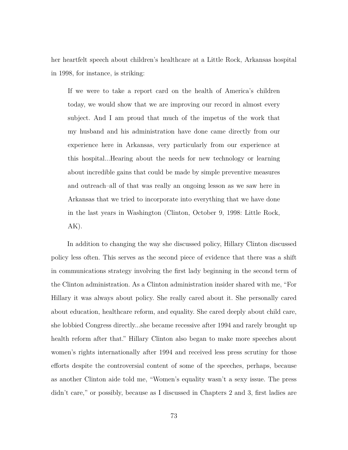her heartfelt speech about children's healthcare at a Little Rock, Arkansas hospital in 1998, for instance, is striking:

If we were to take a report card on the health of America's children today, we would show that we are improving our record in almost every subject. And I am proud that much of the impetus of the work that my husband and his administration have done came directly from our experience here in Arkansas, very particularly from our experience at this hospital...Hearing about the needs for new technology or learning about incredible gains that could be made by simple preventive measures and outreach–all of that was really an ongoing lesson as we saw here in Arkansas that we tried to incorporate into everything that we have done in the last years in Washington (Clinton, October 9, 1998: Little Rock, AK).

In addition to changing the way she discussed policy, Hillary Clinton discussed policy less often. This serves as the second piece of evidence that there was a shift in communications strategy involving the first lady beginning in the second term of the Clinton administration. As a Clinton administration insider shared with me, "For Hillary it was always about policy. She really cared about it. She personally cared about education, healthcare reform, and equality. She cared deeply about child care, she lobbied Congress directly...she became recessive after 1994 and rarely brought up health reform after that." Hillary Clinton also began to make more speeches about women's rights internationally after 1994 and received less press scrutiny for those efforts despite the controversial content of some of the speeches, perhaps, because as another Clinton aide told me, "Women's equality wasn't a sexy issue. The press didn't care," or possibly, because as I discussed in Chapters 2 and 3, first ladies are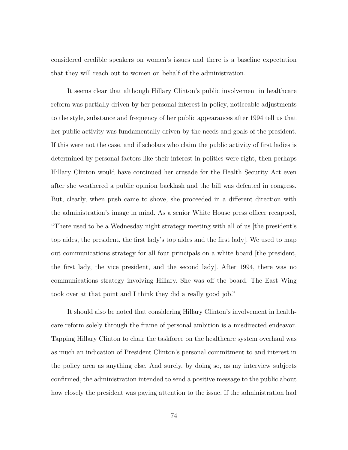considered credible speakers on women's issues and there is a baseline expectation that they will reach out to women on behalf of the administration.

It seems clear that although Hillary Clinton's public involvement in healthcare reform was partially driven by her personal interest in policy, noticeable adjustments to the style, substance and frequency of her public appearances after 1994 tell us that her public activity was fundamentally driven by the needs and goals of the president. If this were not the case, and if scholars who claim the public activity of first ladies is determined by personal factors like their interest in politics were right, then perhaps Hillary Clinton would have continued her crusade for the Health Security Act even after she weathered a public opinion backlash and the bill was defeated in congress. But, clearly, when push came to shove, she proceeded in a different direction with the administration's image in mind. As a senior White House press officer recapped, "There used to be a Wednesday night strategy meeting with all of us [the president's top aides, the president, the first lady's top aides and the first lady]. We used to map out communications strategy for all four principals on a white board [the president, the first lady, the vice president, and the second lady]. After 1994, there was no communications strategy involving Hillary. She was off the board. The East Wing took over at that point and I think they did a really good job."

It should also be noted that considering Hillary Clinton's involvement in healthcare reform solely through the frame of personal ambition is a misdirected endeavor. Tapping Hillary Clinton to chair the taskforce on the healthcare system overhaul was as much an indication of President Clinton's personal commitment to and interest in the policy area as anything else. And surely, by doing so, as my interview subjects confirmed, the administration intended to send a positive message to the public about how closely the president was paying attention to the issue. If the administration had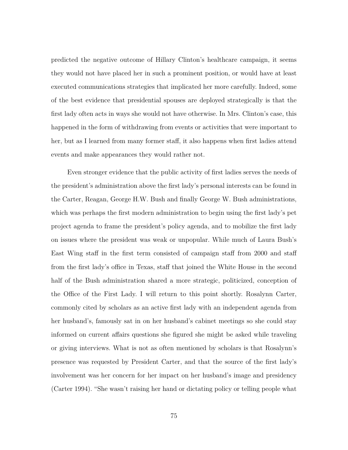predicted the negative outcome of Hillary Clinton's healthcare campaign, it seems they would not have placed her in such a prominent position, or would have at least executed communications strategies that implicated her more carefully. Indeed, some of the best evidence that presidential spouses are deployed strategically is that the first lady often acts in ways she would not have otherwise. In Mrs. Clinton's case, this happened in the form of withdrawing from events or activities that were important to her, but as I learned from many former staff, it also happens when first ladies attend events and make appearances they would rather not.

Even stronger evidence that the public activity of first ladies serves the needs of the president's administration above the first lady's personal interests can be found in the Carter, Reagan, George H.W. Bush and finally George W. Bush administrations, which was perhaps the first modern administration to begin using the first lady's pet project agenda to frame the president's policy agenda, and to mobilize the first lady on issues where the president was weak or unpopular. While much of Laura Bush's East Wing staff in the first term consisted of campaign staff from 2000 and staff from the first lady's office in Texas, staff that joined the White House in the second half of the Bush administration shared a more strategic, politicized, conception of the Office of the First Lady. I will return to this point shortly. Rosalynn Carter, commonly cited by scholars as an active first lady with an independent agenda from her husband's, famously sat in on her husband's cabinet meetings so she could stay informed on current affairs questions she figured she might be asked while traveling or giving interviews. What is not as often mentioned by scholars is that Rosalynn's presence was requested by President Carter, and that the source of the first lady's involvement was her concern for her impact on her husband's image and presidency (Carter 1994). "She wasn't raising her hand or dictating policy or telling people what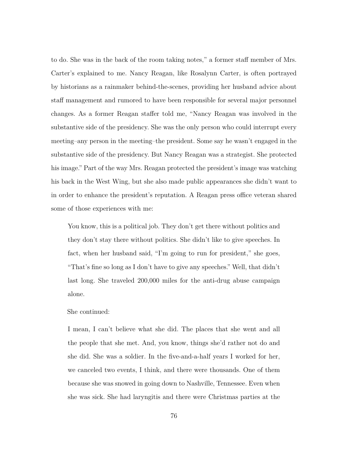to do. She was in the back of the room taking notes," a former staff member of Mrs. Carter's explained to me. Nancy Reagan, like Rosalynn Carter, is often portrayed by historians as a rainmaker behind-the-scenes, providing her husband advice about staff management and rumored to have been responsible for several major personnel changes. As a former Reagan staffer told me, "Nancy Reagan was involved in the substantive side of the presidency. She was the only person who could interrupt every meeting–any person in the meeting–the president. Some say he wasn't engaged in the substantive side of the presidency. But Nancy Reagan was a strategist. She protected his image." Part of the way Mrs. Reagan protected the president's image was watching his back in the West Wing, but she also made public appearances she didn't want to in order to enhance the president's reputation. A Reagan press office veteran shared some of those experiences with me:

You know, this is a political job. They don't get there without politics and they don't stay there without politics. She didn't like to give speeches. In fact, when her husband said, "I'm going to run for president," she goes, "That's fine so long as I don't have to give any speeches." Well, that didn't last long. She traveled 200,000 miles for the anti-drug abuse campaign alone.

### She continued:

I mean, I can't believe what she did. The places that she went and all the people that she met. And, you know, things she'd rather not do and she did. She was a soldier. In the five-and-a-half years I worked for her, we canceled two events, I think, and there were thousands. One of them because she was snowed in going down to Nashville, Tennessee. Even when she was sick. She had laryngitis and there were Christmas parties at the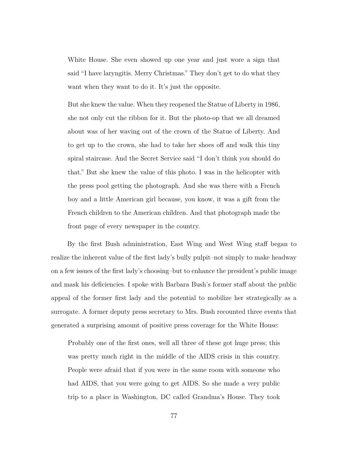White House. She even showed up one year and just wore a sign that said "I have laryngitis. Merry Christmas." They don't get to do what they want when they want to do it. It's just the opposite.

But she knew the value. When they reopened the Statue of Liberty in 1986, she not only cut the ribbon for it. But the photo-op that we all dreamed about was of her waving out of the crown of the Statue of Liberty. And to get up to the crown, she had to take her shoes off and walk this tiny spiral staircase. And the Secret Service said "I don't think you should do that." But she knew the value of this photo. I was in the helicopter with the press pool getting the photograph. And she was there with a French boy and a little American girl because, you know, it was a gift from the French children to the American children. And that photograph made the front page of every newspaper in the country.

By the first Bush administration, East Wing and West Wing staff began to realize the inherent value of the first lady's bully pulpit–not simply to make headway on a few issues of the first lady's choosing–but to enhance the president's public image and mask his deficiencies. I spoke with Barbara Bush's former staff about the public appeal of the former first lady and the potential to mobilize her strategically as a surrogate. A former deputy press secretary to Mrs. Bush recounted three events that generated a surprising amount of positive press coverage for the White House:

Probably one of the first ones, well all three of these got huge press; this was pretty much right in the middle of the AIDS crisis in this country. People were afraid that if you were in the same room with someone who had AIDS, that you were going to get AIDS. So she made a very public trip to a place in Washington, DC called Grandma's House. They took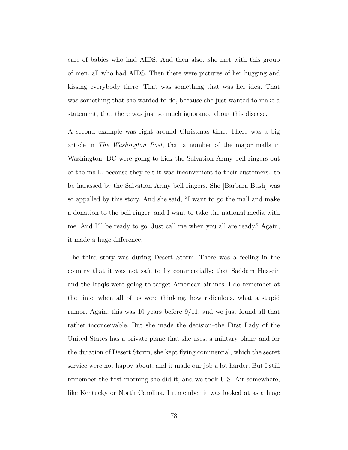care of babies who had AIDS. And then also...she met with this group of men, all who had AIDS. Then there were pictures of her hugging and kissing everybody there. That was something that was her idea. That was something that she wanted to do, because she just wanted to make a statement, that there was just so much ignorance about this disease.

A second example was right around Christmas time. There was a big article in *The Washington Post*, that a number of the major malls in Washington, DC were going to kick the Salvation Army bell ringers out of the mall...because they felt it was inconvenient to their customers...to be harassed by the Salvation Army bell ringers. She [Barbara Bush] was so appalled by this story. And she said, "I want to go the mall and make a donation to the bell ringer, and I want to take the national media with me. And I'll be ready to go. Just call me when you all are ready." Again, it made a huge difference.

The third story was during Desert Storm. There was a feeling in the country that it was not safe to fly commercially; that Saddam Hussein and the Iraqis were going to target American airlines. I do remember at the time, when all of us were thinking, how ridiculous, what a stupid rumor. Again, this was 10 years before 9/11, and we just found all that rather inconceivable. But she made the decision–the First Lady of the United States has a private plane that she uses, a military plane–and for the duration of Desert Storm, she kept flying commercial, which the secret service were not happy about, and it made our job a lot harder. But I still remember the first morning she did it, and we took U.S. Air somewhere, like Kentucky or North Carolina. I remember it was looked at as a huge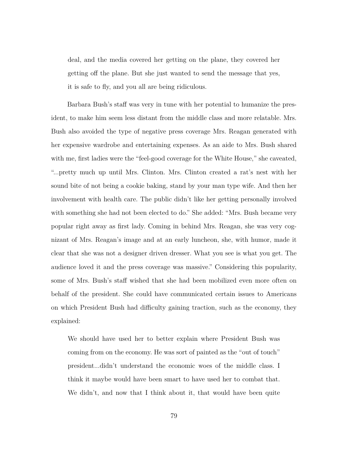deal, and the media covered her getting on the plane, they covered her getting off the plane. But she just wanted to send the message that yes, it is safe to fly, and you all are being ridiculous.

Barbara Bush's staff was very in tune with her potential to humanize the president, to make him seem less distant from the middle class and more relatable. Mrs. Bush also avoided the type of negative press coverage Mrs. Reagan generated with her expensive wardrobe and entertaining expenses. As an aide to Mrs. Bush shared with me, first ladies were the "feel-good coverage for the White House," she caveated, "...pretty much up until Mrs. Clinton. Mrs. Clinton created a rat's nest with her sound bite of not being a cookie baking, stand by your man type wife. And then her involvement with health care. The public didn't like her getting personally involved with something she had not been elected to do." She added: "Mrs. Bush became very popular right away as first lady. Coming in behind Mrs. Reagan, she was very cognizant of Mrs. Reagan's image and at an early luncheon, she, with humor, made it clear that she was not a designer driven dresser. What you see is what you get. The audience loved it and the press coverage was massive." Considering this popularity, some of Mrs. Bush's staff wished that she had been mobilized even more often on behalf of the president. She could have communicated certain issues to Americans on which President Bush had difficulty gaining traction, such as the economy, they explained:

We should have used her to better explain where President Bush was coming from on the economy. He was sort of painted as the "out of touch" president...didn't understand the economic woes of the middle class. I think it maybe would have been smart to have used her to combat that. We didn't, and now that I think about it, that would have been quite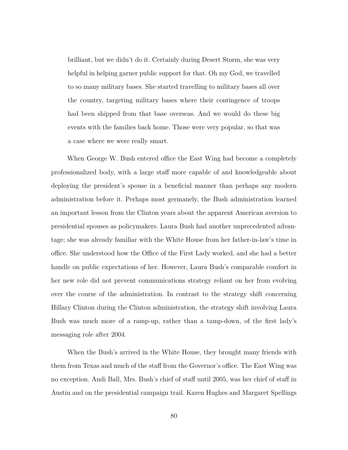brilliant, but we didn't do it. Certainly during Desert Storm, she was very helpful in helping garner public support for that. Oh my God, we travelled to so many military bases. She started travelling to military bases all over the country, targeting military bases where their contingence of troops had been shipped from that base overseas. And we would do these big events with the families back home. Those were very popular, so that was a case where we were really smart.

When George W. Bush entered office the East Wing had become a completely professionalized body, with a large staff more capable of and knowledgeable about deploying the president's spouse in a beneficial manner than perhaps any modern administration before it. Perhaps most germanely, the Bush administration learned an important lesson from the Clinton years about the apparent American aversion to presidential spouses as policymakers. Laura Bush had another unprecedented advantage; she was already familiar with the White House from her father-in-law's time in office. She understood how the Office of the First Lady worked, and she had a better handle on public expectations of her. However, Laura Bush's comparable comfort in her new role did not prevent communications strategy reliant on her from evolving over the course of the administration. In contrast to the strategy shift concerning Hillary Clinton during the Clinton administration, the strategy shift involving Laura Bush was much more of a ramp-up, rather than a tamp-down, of the first lady's messaging role after 2004.

When the Bush's arrived in the White House, they brought many friends with them from Texas and much of the staff from the Governor's office. The East Wing was no exception. Andi Ball, Mrs. Bush's chief of staff until 2005, was her chief of staff in Austin and on the presidential campaign trail. Karen Hughes and Margaret Spellings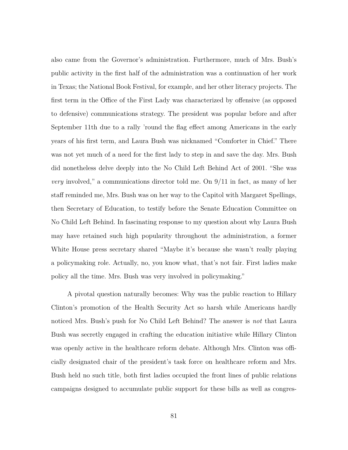also came from the Governor's administration. Furthermore, much of Mrs. Bush's public activity in the first half of the administration was a continuation of her work in Texas; the National Book Festival, for example, and her other literacy projects. The first term in the Office of the First Lady was characterized by offensive (as opposed to defensive) communications strategy. The president was popular before and after September 11th due to a rally 'round the flag effect among Americans in the early years of his first term, and Laura Bush was nicknamed "Comforter in Chief." There was not yet much of a need for the first lady to step in and save the day. Mrs. Bush did nonetheless delve deeply into the No Child Left Behind Act of 2001. "She was *very* involved," a communications director told me. On 9/11 in fact, as many of her staff reminded me, Mrs. Bush was on her way to the Capitol with Margaret Spellings, then Secretary of Education, to testify before the Senate Education Committee on No Child Left Behind. In fascinating response to my question about why Laura Bush may have retained such high popularity throughout the administration, a former White House press secretary shared "Maybe it's because she wasn't really playing a policymaking role. Actually, no, you know what, that's not fair. First ladies make policy all the time. Mrs. Bush was very involved in policymaking."

A pivotal question naturally becomes: Why was the public reaction to Hillary Clinton's promotion of the Health Security Act so harsh while Americans hardly noticed Mrs. Bush's push for No Child Left Behind? The answer is *not* that Laura Bush was secretly engaged in crafting the education initiative while Hillary Clinton was openly active in the healthcare reform debate. Although Mrs. Clinton was officially designated chair of the president's task force on healthcare reform and Mrs. Bush held no such title, both first ladies occupied the front lines of public relations campaigns designed to accumulate public support for these bills as well as congres-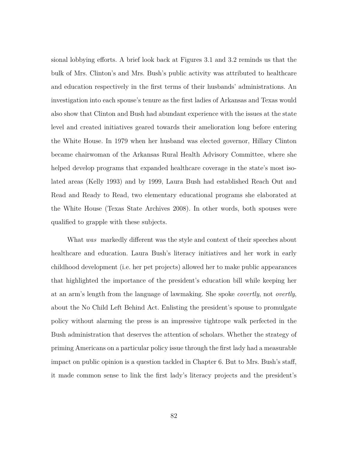sional lobbying efforts. A brief look back at Figures 3.1 and 3.2 reminds us that the bulk of Mrs. Clinton's and Mrs. Bush's public activity was attributed to healthcare and education respectively in the first terms of their husbands' administrations. An investigation into each spouse's tenure as the first ladies of Arkansas and Texas would also show that Clinton and Bush had abundant experience with the issues at the state level and created initiatives geared towards their amelioration long before entering the White House. In 1979 when her husband was elected governor, Hillary Clinton became chairwoman of the Arkansas Rural Health Advisory Committee, where she helped develop programs that expanded healthcare coverage in the state's most isolated areas (Kelly 1993) and by 1999, Laura Bush had established Reach Out and Read and Ready to Read, two elementary educational programs she elaborated at the White House (Texas State Archives 2008). In other words, both spouses were qualified to grapple with these subjects.

What *was* markedly different was the style and context of their speeches about healthcare and education. Laura Bush's literacy initiatives and her work in early childhood development (i.e. her pet projects) allowed her to make public appearances that highlighted the importance of the president's education bill while keeping her at an arm's length from the language of lawmaking. She spoke *covertly*, not *overtly*, about the No Child Left Behind Act. Enlisting the president's spouse to promulgate policy without alarming the press is an impressive tightrope walk perfected in the Bush administration that deserves the attention of scholars. Whether the strategy of priming Americans on a particular policy issue through the first lady had a measurable impact on public opinion is a question tackled in Chapter 6. But to Mrs. Bush's staff, it made common sense to link the first lady's literacy projects and the president's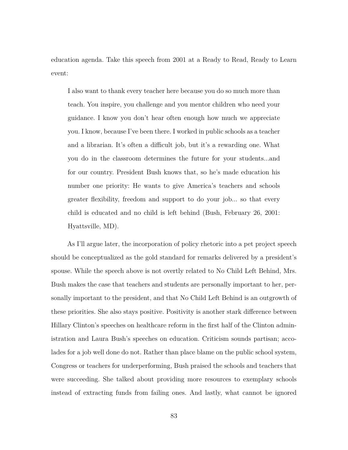education agenda. Take this speech from 2001 at a Ready to Read, Ready to Learn event:

I also want to thank every teacher here because you do so much more than teach. You inspire, you challenge and you mentor children who need your guidance. I know you don't hear often enough how much we appreciate you. I know, because I've been there. I worked in public schools as a teacher and a librarian. It's often a difficult job, but it's a rewarding one. What you do in the classroom determines the future for your students...and for our country. President Bush knows that, so he's made education his number one priority: He wants to give America's teachers and schools greater flexibility, freedom and support to do your job... so that every child is educated and no child is left behind (Bush, February 26, 2001: Hyattsville, MD).

As I'll argue later, the incorporation of policy rhetoric into a pet project speech should be conceptualized as the gold standard for remarks delivered by a president's spouse. While the speech above is not overtly related to No Child Left Behind, Mrs. Bush makes the case that teachers and students are personally important to her, personally important to the president, and that No Child Left Behind is an outgrowth of these priorities. She also stays positive. Positivity is another stark difference between Hillary Clinton's speeches on healthcare reform in the first half of the Clinton administration and Laura Bush's speeches on education. Criticism sounds partisan; accolades for a job well done do not. Rather than place blame on the public school system, Congress or teachers for underperforming, Bush praised the schools and teachers that were succeeding. She talked about providing more resources to exemplary schools instead of extracting funds from failing ones. And lastly, what cannot be ignored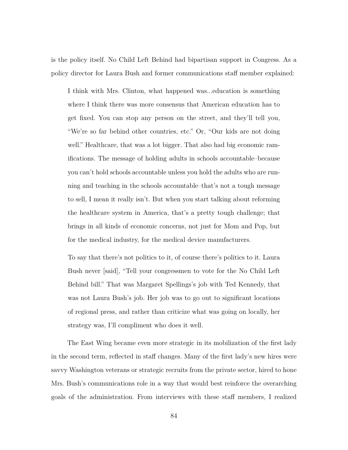is the policy itself. No Child Left Behind had bipartisan support in Congress. As a policy director for Laura Bush and former communications staff member explained:

I think with Mrs. Clinton, what happened was...education is something where I think there was more consensus that American education has to get fixed. You can stop any person on the street, and they'll tell you, "We're so far behind other countries, etc." Or, "Our kids are not doing well." Healthcare, that was a lot bigger. That also had big economic ramifications. The message of holding adults in schools accountable–because you can't hold schools accountable unless you hold the adults who are running and teaching in the schools accountable–that's not a tough message to sell, I mean it really isn't. But when you start talking about reforming the healthcare system in America, that's a pretty tough challenge; that brings in all kinds of economic concerns, not just for Mom and Pop, but for the medical industry, for the medical device manufacturers.

To say that there's not politics to it, of course there's politics to it. Laura Bush never [said], "Tell your congressmen to vote for the No Child Left Behind bill." That was Margaret Spellings's job with Ted Kennedy, that was not Laura Bush's job. Her job was to go out to significant locations of regional press, and rather than criticize what was going on locally, her strategy was, I'll compliment who does it well.

The East Wing became even more strategic in its mobilization of the first lady in the second term, reflected in staff changes. Many of the first lady's new hires were savvy Washington veterans or strategic recruits from the private sector, hired to hone Mrs. Bush's communications role in a way that would best reinforce the overarching goals of the administration. From interviews with these staff members, I realized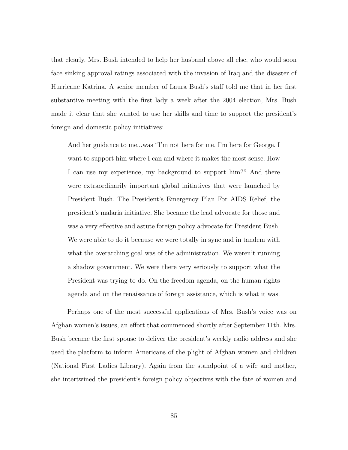that clearly, Mrs. Bush intended to help her husband above all else, who would soon face sinking approval ratings associated with the invasion of Iraq and the disaster of Hurricane Katrina. A senior member of Laura Bush's staff told me that in her first substantive meeting with the first lady a week after the 2004 election, Mrs. Bush made it clear that she wanted to use her skills and time to support the president's foreign and domestic policy initiatives:

And her guidance to me...was "I'm not here for me. I'm here for George. I want to support him where I can and where it makes the most sense. How I can use my experience, my background to support him?" And there were extraordinarily important global initiatives that were launched by President Bush. The President's Emergency Plan For AIDS Relief, the president's malaria initiative. She became the lead advocate for those and was a very effective and astute foreign policy advocate for President Bush. We were able to do it because we were totally in sync and in tandem with what the overarching goal was of the administration. We weren't running a shadow government. We were there very seriously to support what the President was trying to do. On the freedom agenda, on the human rights agenda and on the renaissance of foreign assistance, which is what it was.

Perhaps one of the most successful applications of Mrs. Bush's voice was on Afghan women's issues, an effort that commenced shortly after September 11th. Mrs. Bush became the first spouse to deliver the president's weekly radio address and she used the platform to inform Americans of the plight of Afghan women and children (National First Ladies Library). Again from the standpoint of a wife and mother, she intertwined the president's foreign policy objectives with the fate of women and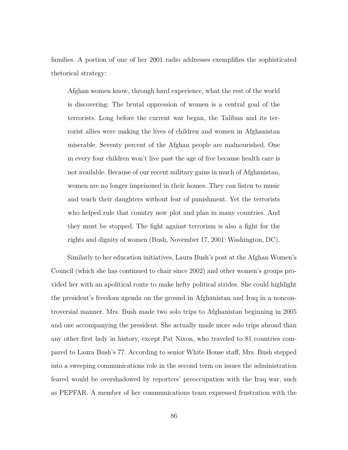families. A portion of one of her 2001 radio addresses exemplifies the sophisticated rhetorical strategy:

Afghan women know, through hard experience, what the rest of the world is discovering: The brutal oppression of women is a central goal of the terrorists. Long before the current war began, the Taliban and its terrorist allies were making the lives of children and women in Afghanistan miserable. Seventy percent of the Afghan people are malnourished. One in every four children won't live past the age of five because health care is not available. Because of our recent military gains in much of Afghanistan, women are no longer imprisoned in their homes. They can listen to music and teach their daughters without fear of punishment. Yet the terrorists who helped rule that country now plot and plan in many countries. And they must be stopped. The fight against terrorism is also a fight for the rights and dignity of women (Bush, November 17, 2001: Washington, DC).

Similarly to her education initiatives, Laura Bush's post at the Afghan Women's Council (which she has continued to chair since 2002) and other women's groups provided her with an apolitical route to make hefty political strides. She could highlight the president's freedom agenda on the ground in Afghanistan and Iraq in a noncontroversial manner. Mrs. Bush made two solo trips to Afghanistan beginning in 2005 and one accompanying the president. She actually made more solo trips abroad than any other first lady in history, except Pat Nixon, who traveled to 81 countries compared to Laura Bush's 77. According to senior White House staff, Mrs. Bush stepped into a sweeping communications role in the second term on issues the administration feared would be overshadowed by reporters' preoccupation with the Iraq war, such as PEPFAR. A member of her communications team expressed frustration with the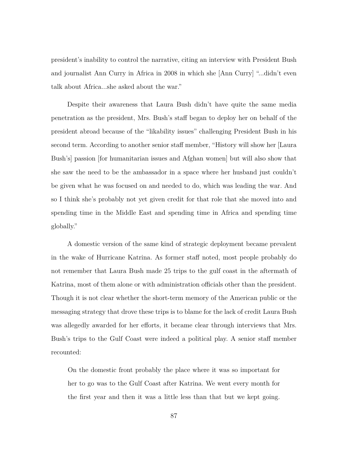president's inability to control the narrative, citing an interview with President Bush and journalist Ann Curry in Africa in 2008 in which she [Ann Curry] "...didn't even talk about Africa...she asked about the war."

Despite their awareness that Laura Bush didn't have quite the same media penetration as the president, Mrs. Bush's staff began to deploy her on behalf of the president abroad because of the "likability issues" challenging President Bush in his second term. According to another senior staff member, "History will show her [Laura Bush's] passion [for humanitarian issues and Afghan women] but will also show that she saw the need to be the ambassador in a space where her husband just couldn't be given what he was focused on and needed to do, which was leading the war. And so I think she's probably not yet given credit for that role that she moved into and spending time in the Middle East and spending time in Africa and spending time globally."

A domestic version of the same kind of strategic deployment became prevalent in the wake of Hurricane Katrina. As former staff noted, most people probably do not remember that Laura Bush made 25 trips to the gulf coast in the aftermath of Katrina, most of them alone or with administration officials other than the president. Though it is not clear whether the short-term memory of the American public or the messaging strategy that drove these trips is to blame for the lack of credit Laura Bush was allegedly awarded for her efforts, it became clear through interviews that Mrs. Bush's trips to the Gulf Coast were indeed a political play. A senior staff member recounted:

On the domestic front probably the place where it was so important for her to go was to the Gulf Coast after Katrina. We went every month for the first year and then it was a little less than that but we kept going.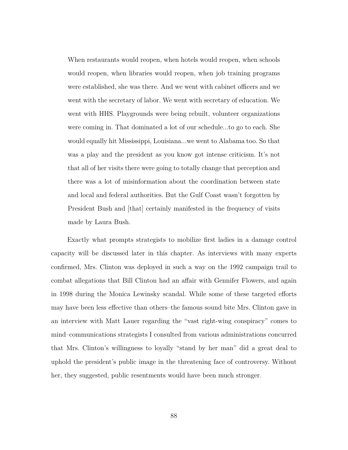When restaurants would reopen, when hotels would reopen, when schools would reopen, when libraries would reopen, when job training programs were established, she was there. And we went with cabinet officers and we went with the secretary of labor. We went with secretary of education. We went with HHS. Playgrounds were being rebuilt, volunteer organizations were coming in. That dominated a lot of our schedule...to go to each. She would equally hit Mississippi, Louisiana...we went to Alabama too. So that was a play and the president as you know got intense criticism. It's not that all of her visits there were going to totally change that perception and there was a lot of misinformation about the coordination between state and local and federal authorities. But the Gulf Coast wasn't forgotten by President Bush and [that] certainly manifested in the frequency of visits made by Laura Bush.

Exactly what prompts strategists to mobilize first ladies in a damage control capacity will be discussed later in this chapter. As interviews with many experts confirmed, Mrs. Clinton was deployed in such a way on the 1992 campaign trail to combat allegations that Bill Clinton had an affair with Gennifer Flowers, and again in 1998 during the Monica Lewinsky scandal. While some of these targeted efforts may have been less effective than others–the famous sound bite Mrs. Clinton gave in an interview with Matt Lauer regarding the "vast right-wing conspiracy" comes to mind–communications strategists I consulted from various administrations concurred that Mrs. Clinton's willingness to loyally "stand by her man" did a great deal to uphold the president's public image in the threatening face of controversy. Without her, they suggested, public resentments would have been much stronger.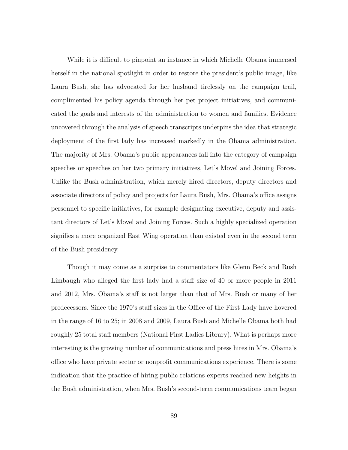While it is difficult to pinpoint an instance in which Michelle Obama immersed herself in the national spotlight in order to restore the president's public image, like Laura Bush, she has advocated for her husband tirelessly on the campaign trail, complimented his policy agenda through her pet project initiatives, and communicated the goals and interests of the administration to women and families. Evidence uncovered through the analysis of speech transcripts underpins the idea that strategic deployment of the first lady has increased markedly in the Obama administration. The majority of Mrs. Obama's public appearances fall into the category of campaign speeches or speeches on her two primary initiatives, Let's Move! and Joining Forces. Unlike the Bush administration, which merely hired directors, deputy directors and associate directors of policy and projects for Laura Bush, Mrs. Obama's office assigns personnel to specific initiatives, for example designating executive, deputy and assistant directors of Let's Move! and Joining Forces. Such a highly specialized operation signifies a more organized East Wing operation than existed even in the second term of the Bush presidency.

Though it may come as a surprise to commentators like Glenn Beck and Rush Limbaugh who alleged the first lady had a staff size of 40 or more people in 2011 and 2012, Mrs. Obama's staff is not larger than that of Mrs. Bush or many of her predecessors. Since the 1970's staff sizes in the Office of the First Lady have hovered in the range of 16 to 25; in 2008 and 2009, Laura Bush and Michelle Obama both had roughly 25 total staff members (National First Ladies Library). What is perhaps more interesting is the growing number of communications and press hires in Mrs. Obama's office who have private sector or nonprofit communications experience. There is some indication that the practice of hiring public relations experts reached new heights in the Bush administration, when Mrs. Bush's second-term communications team began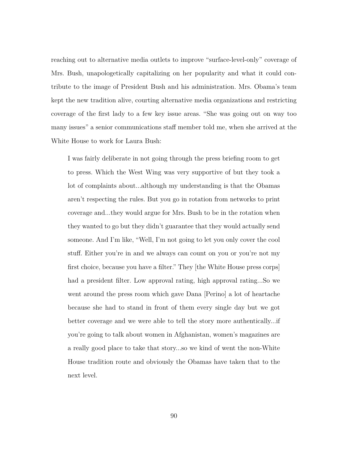reaching out to alternative media outlets to improve "surface-level-only" coverage of Mrs. Bush, unapologetically capitalizing on her popularity and what it could contribute to the image of President Bush and his administration. Mrs. Obama's team kept the new tradition alive, courting alternative media organizations and restricting coverage of the first lady to a few key issue areas. "She was going out on way too many issues" a senior communications staff member told me, when she arrived at the White House to work for Laura Bush:

I was fairly deliberate in not going through the press briefing room to get to press. Which the West Wing was very supportive of but they took a lot of complaints about...although my understanding is that the Obamas aren't respecting the rules. But you go in rotation from networks to print coverage and...they would argue for Mrs. Bush to be in the rotation when they wanted to go but they didn't guarantee that they would actually send someone. And I'm like, "Well, I'm not going to let you only cover the cool stuff. Either you're in and we always can count on you or you're not my first choice, because you have a filter." They [the White House press corps] had a president filter. Low approval rating, high approval rating...So we went around the press room which gave Dana [Perino] a lot of heartache because she had to stand in front of them every single day but we got better coverage and we were able to tell the story more authentically...if you're going to talk about women in Afghanistan, women's magazines are a really good place to take that story...so we kind of went the non-White House tradition route and obviously the Obamas have taken that to the next level.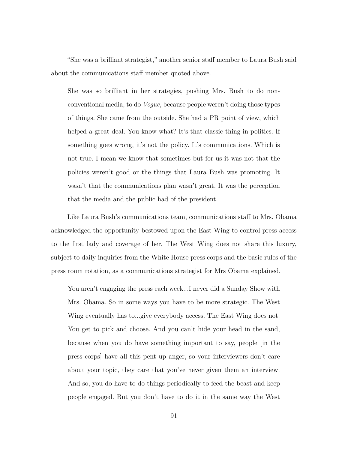"She was a brilliant strategist," another senior staff member to Laura Bush said about the communications staff member quoted above.

She was so brilliant in her strategies, pushing Mrs. Bush to do nonconventional media, to do *Vogue*, because people weren't doing those types of things. She came from the outside. She had a PR point of view, which helped a great deal. You know what? It's that classic thing in politics. If something goes wrong, it's not the policy. It's communications. Which is not true. I mean we know that sometimes but for us it was not that the policies weren't good or the things that Laura Bush was promoting. It wasn't that the communications plan wasn't great. It was the perception that the media and the public had of the president.

Like Laura Bush's communications team, communications staff to Mrs. Obama acknowledged the opportunity bestowed upon the East Wing to control press access to the first lady and coverage of her. The West Wing does not share this luxury, subject to daily inquiries from the White House press corps and the basic rules of the press room rotation, as a communications strategist for Mrs Obama explained.

You aren't engaging the press each week...I never did a Sunday Show with Mrs. Obama. So in some ways you have to be more strategic. The West Wing eventually has to...give everybody access. The East Wing does not. You get to pick and choose. And you can't hide your head in the sand, because when you do have something important to say, people [in the press corps] have all this pent up anger, so your interviewers don't care about your topic, they care that you've never given them an interview. And so, you do have to do things periodically to feed the beast and keep people engaged. But you don't have to do it in the same way the West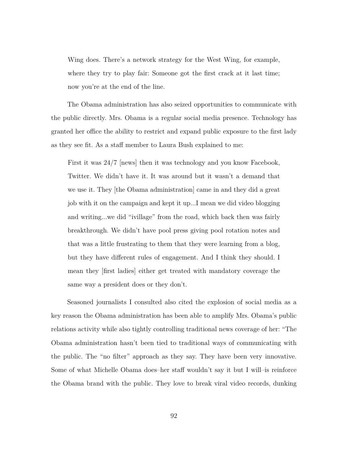Wing does. There's a network strategy for the West Wing, for example, where they try to play fair: Someone got the first crack at it last time; now you're at the end of the line.

The Obama administration has also seized opportunities to communicate with the public directly. Mrs. Obama is a regular social media presence. Technology has granted her office the ability to restrict and expand public exposure to the first lady as they see fit. As a staff member to Laura Bush explained to me:

First it was 24/7 [news] then it was technology and you know Facebook, Twitter. We didn't have it. It was around but it wasn't a demand that we use it. They [the Obama administration] came in and they did a great job with it on the campaign and kept it up...I mean we did video blogging and writing...we did "ivillage" from the road, which back then was fairly breakthrough. We didn't have pool press giving pool rotation notes and that was a little frustrating to them that they were learning from a blog, but they have different rules of engagement. And I think they should. I mean they [first ladies] either get treated with mandatory coverage the same way a president does or they don't.

Seasoned journalists I consulted also cited the explosion of social media as a key reason the Obama administration has been able to amplify Mrs. Obama's public relations activity while also tightly controlling traditional news coverage of her: "The Obama administration hasn't been tied to traditional ways of communicating with the public. The "no filter" approach as they say. They have been very innovative. Some of what Michelle Obama does–her staff wouldn't say it but I will–is reinforce the Obama brand with the public. They love to break viral video records, dunking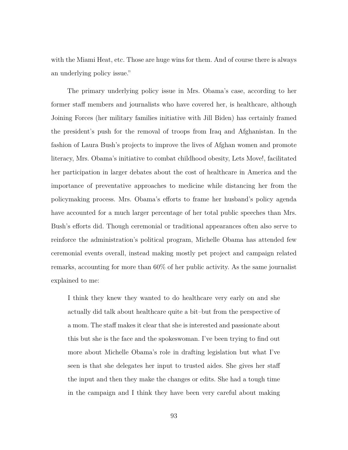with the Miami Heat, etc. Those are huge wins for them. And of course there is always an underlying policy issue."

The primary underlying policy issue in Mrs. Obama's case, according to her former staff members and journalists who have covered her, is healthcare, although Joining Forces (her military families initiative with Jill Biden) has certainly framed the president's push for the removal of troops from Iraq and Afghanistan. In the fashion of Laura Bush's projects to improve the lives of Afghan women and promote literacy, Mrs. Obama's initiative to combat childhood obesity, Lets Move!, facilitated her participation in larger debates about the cost of healthcare in America and the importance of preventative approaches to medicine while distancing her from the policymaking process. Mrs. Obama's efforts to frame her husband's policy agenda have accounted for a much larger percentage of her total public speeches than Mrs. Bush's efforts did. Though ceremonial or traditional appearances often also serve to reinforce the administration's political program, Michelle Obama has attended few ceremonial events overall, instead making mostly pet project and campaign related remarks, accounting for more than 60% of her public activity. As the same journalist explained to me:

I think they knew they wanted to do healthcare very early on and she actually did talk about healthcare quite a bit–but from the perspective of a mom. The staff makes it clear that she is interested and passionate about this but she is the face and the spokeswoman. I've been trying to find out more about Michelle Obama's role in drafting legislation but what I've seen is that she delegates her input to trusted aides. She gives her staff the input and then they make the changes or edits. She had a tough time in the campaign and I think they have been very careful about making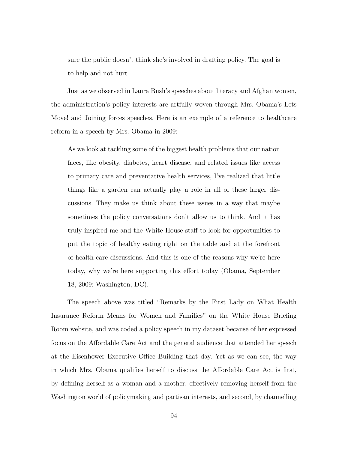sure the public doesn't think she's involved in drafting policy. The goal is to help and not hurt.

Just as we observed in Laura Bush's speeches about literacy and Afghan women, the administration's policy interests are artfully woven through Mrs. Obama's Lets Move! and Joining forces speeches. Here is an example of a reference to healthcare reform in a speech by Mrs. Obama in 2009:

As we look at tackling some of the biggest health problems that our nation faces, like obesity, diabetes, heart disease, and related issues like access to primary care and preventative health services, I've realized that little things like a garden can actually play a role in all of these larger discussions. They make us think about these issues in a way that maybe sometimes the policy conversations don't allow us to think. And it has truly inspired me and the White House staff to look for opportunities to put the topic of healthy eating right on the table and at the forefront of health care discussions. And this is one of the reasons why we're here today, why we're here supporting this effort today (Obama, September 18, 2009: Washington, DC).

The speech above was titled "Remarks by the First Lady on What Health Insurance Reform Means for Women and Families" on the White House Briefing Room website, and was coded a policy speech in my dataset because of her expressed focus on the Affordable Care Act and the general audience that attended her speech at the Eisenhower Executive Office Building that day. Yet as we can see, the way in which Mrs. Obama qualifies herself to discuss the Affordable Care Act is first, by defining herself as a woman and a mother, effectively removing herself from the Washington world of policymaking and partisan interests, and second, by channelling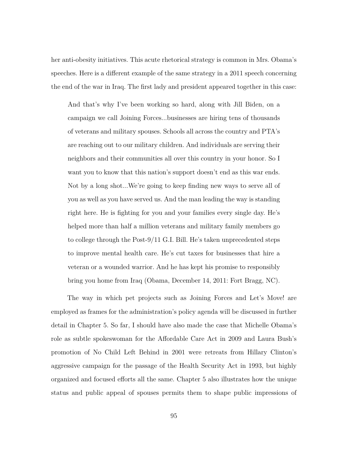her anti-obesity initiatives. This acute rhetorical strategy is common in Mrs. Obama's speeches. Here is a different example of the same strategy in a 2011 speech concerning the end of the war in Iraq. The first lady and president appeared together in this case:

And that's why I've been working so hard, along with Jill Biden, on a campaign we call Joining Forces...businesses are hiring tens of thousands of veterans and military spouses. Schools all across the country and PTA's are reaching out to our military children. And individuals are serving their neighbors and their communities all over this country in your honor. So I want you to know that this nation's support doesn't end as this war ends. Not by a long shot...We're going to keep finding new ways to serve all of you as well as you have served us. And the man leading the way is standing right here. He is fighting for you and your families every single day. He's helped more than half a million veterans and military family members go to college through the Post-9/11 G.I. Bill. He's taken unprecedented steps to improve mental health care. He's cut taxes for businesses that hire a veteran or a wounded warrior. And he has kept his promise to responsibly bring you home from Iraq (Obama, December 14, 2011: Fort Bragg, NC).

The way in which pet projects such as Joining Forces and Let's Move! are employed as frames for the administration's policy agenda will be discussed in further detail in Chapter 5. So far, I should have also made the case that Michelle Obama's role as subtle spokeswoman for the Affordable Care Act in 2009 and Laura Bush's promotion of No Child Left Behind in 2001 were retreats from Hillary Clinton's aggressive campaign for the passage of the Health Security Act in 1993, but highly organized and focused efforts all the same. Chapter 5 also illustrates how the unique status and public appeal of spouses permits them to shape public impressions of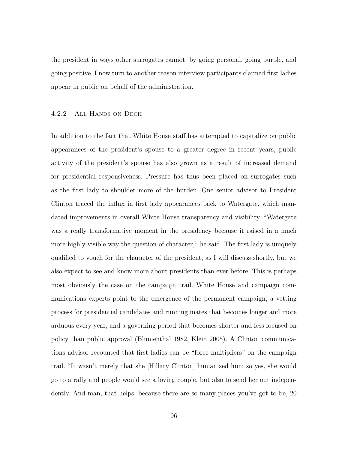the president in ways other surrogates cannot: by going personal, going purple, and going positive. I now turn to another reason interview participants claimed first ladies appear in public on behalf of the administration.

#### 4.2.2 All Hands on Deck

In addition to the fact that White House staff has attempted to capitalize on public appearances of the president's spouse to a greater degree in recent years, public activity of the president's spouse has also grown as a result of increased demand for presidential responsiveness. Pressure has thus been placed on surrogates such as the first lady to shoulder more of the burden. One senior advisor to President Clinton traced the influx in first lady appearances back to Watergate, which mandated improvements in overall White House transparency and visibility. "Watergate was a really transformative moment in the presidency because it raised in a much more highly visible way the question of character," he said. The first lady is uniquely qualified to vouch for the character of the president, as I will discuss shortly, but we also expect to see and know more about presidents than ever before. This is perhaps most obviously the case on the campaign trail. White House and campaign communications experts point to the emergence of the permanent campaign, a vetting process for presidential candidates and running mates that becomes longer and more arduous every year, and a governing period that becomes shorter and less focused on policy than public approval (Blumenthal 1982, Klein 2005). A Clinton communications advisor recounted that first ladies can be "force multipliers" on the campaign trail. "It wasn't merely that she [Hillary Clinton] humanized him; so yes, she would go to a rally and people would see a loving couple, but also to send her out independently. And man, that helps, because there are so many places you've got to be, 20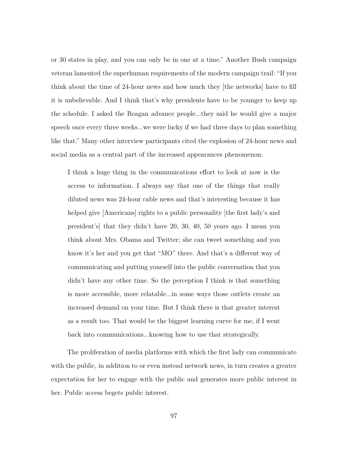or 30 states in play, and you can only be in one at a time." Another Bush campaign veteran lamented the superhuman requirements of the modern campaign trail: "If you think about the time of 24-hour news and how much they [the networks] have to fill it is unbelievable. And I think that's why presidents have to be younger to keep up the schedule. I asked the Reagan advance people...they said he would give a major speech once every three weeks...we were lucky if we had three days to plan something like that." Many other interview participants cited the explosion of 24-hour news and social media as a central part of the increased appearances phenomenon:

I think a huge thing in the communications effort to look at now is the access to information. I always say that one of the things that really diluted news was 24-hour cable news and that's interesting because it has helped give [Americans] rights to a public personality [the first lady's and president's] that they didn't have 20, 30, 40, 50 years ago. I mean you think about Mrs. Obama and Twitter; she can tweet something and you know it's her and you get that "MO" there. And that's a different way of communicating and putting yourself into the public conversation that you didn't have any other time. So the perception I think is that something is more accessible, more relatable...in some ways those outlets create an increased demand on your time. But I think there is that greater interest as a result too. That would be the biggest learning curve for me, if I went back into communications...knowing how to use that strategically.

The proliferation of media platforms with which the first lady can communicate with the public, in addition to or even instead network news, in turn creates a greater expectation for her to engage with the public and generates more public interest in her. Public access begets public interest.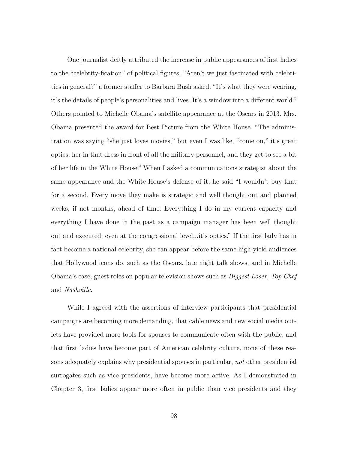One journalist deftly attributed the increase in public appearances of first ladies to the "celebrity-fication" of political figures. "Aren't we just fascinated with celebrities in general?" a former staffer to Barbara Bush asked. "It's what they were wearing, it's the details of people's personalities and lives. It's a window into a different world." Others pointed to Michelle Obama's satellite appearance at the Oscars in 2013. Mrs. Obama presented the award for Best Picture from the White House. "The administration was saying "she just loves movies," but even I was like, "come on," it's great optics, her in that dress in front of all the military personnel, and they get to see a bit of her life in the White House." When I asked a communications strategist about the same appearance and the White House's defense of it, he said "I wouldn't buy that for a second. Every move they make is strategic and well thought out and planned weeks, if not months, ahead of time. Everything I do in my current capacity and everything I have done in the past as a campaign manager has been well thought out and executed, even at the congressional level...it's optics." If the first lady has in fact become a national celebrity, she can appear before the same high-yield audiences that Hollywood icons do, such as the Oscars, late night talk shows, and in Michelle Obama's case, guest roles on popular television shows such as *Biggest Loser*, *Top Chef* and *Nashville*.

While I agreed with the assertions of interview participants that presidential campaigns are becoming more demanding, that cable news and new social media outlets have provided more tools for spouses to communicate often with the public, and that first ladies have become part of American celebrity culture, none of these reasons adequately explains why presidential spouses in particular, *not* other presidential surrogates such as vice presidents, have become more active. As I demonstrated in Chapter 3, first ladies appear more often in public than vice presidents and they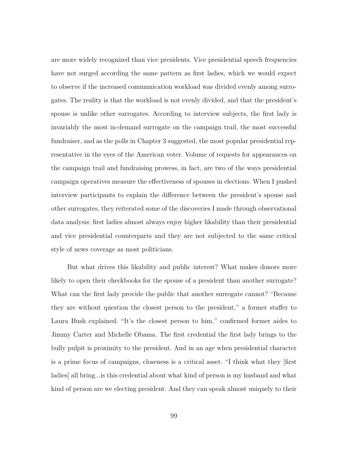are more widely recognized than vice presidents. Vice presidential speech frequencies have not surged according the same pattern as first ladies, which we would expect to observe if the increased communication workload was divided evenly among surrogates. The reality is that the workload is not evenly divided, and that the president's spouse is unlike other surrogates. According to interview subjects, the first lady is invariably the most in-demand surrogate on the campaign trail, the most successful fundraiser, and as the polls in Chapter 3 suggested, the most popular presidential representative in the eyes of the American voter. Volume of requests for appearances on the campaign trail and fundraising prowess, in fact, are two of the ways presidential campaign operatives measure the effectiveness of spouses in elections. When I pushed interview participants to explain the difference between the president's spouse and other surrogates, they reiterated some of the discoveries I made through observational data analysis; first ladies almost always enjoy higher likability than their presidential and vice presidential counterparts and they are not subjected to the same critical style of news coverage as most politicians.

But what drives this likability and public interest? What makes donors more likely to open their checkbooks for the spouse of a president than another surrogate? What can the first lady provide the public that another surrogate cannot? "Because they are without question the closest person to the president," a former staffer to Laura Bush explained. "It's the closest person to him," confirmed former aides to Jimmy Carter and Michelle Obama. The first credential the first lady brings to the bully pulpit is proximity to the president. And in an age when presidential character is a prime focus of campaigns, closeness is a critical asset. "I think what they [first ladies] all bring...is this credential about what kind of person is my husband and what kind of person are we electing president. And they can speak almost uniquely to their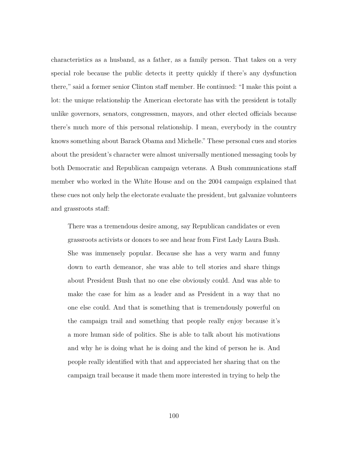characteristics as a husband, as a father, as a family person. That takes on a very special role because the public detects it pretty quickly if there's any dysfunction there," said a former senior Clinton staff member. He continued: "I make this point a lot: the unique relationship the American electorate has with the president is totally unlike governors, senators, congressmen, mayors, and other elected officials because there's much more of this personal relationship. I mean, everybody in the country knows something about Barack Obama and Michelle." These personal cues and stories about the president's character were almost universally mentioned messaging tools by both Democratic and Republican campaign veterans. A Bush communications staff member who worked in the White House and on the 2004 campaign explained that these cues not only help the electorate evaluate the president, but galvanize volunteers and grassroots staff:

There was a tremendous desire among, say Republican candidates or even grassroots activists or donors to see and hear from First Lady Laura Bush. She was immensely popular. Because she has a very warm and funny down to earth demeanor, she was able to tell stories and share things about President Bush that no one else obviously could. And was able to make the case for him as a leader and as President in a way that no one else could. And that is something that is tremendously powerful on the campaign trail and something that people really enjoy because it's a more human side of politics. She is able to talk about his motivations and why he is doing what he is doing and the kind of person he is. And people really identified with that and appreciated her sharing that on the campaign trail because it made them more interested in trying to help the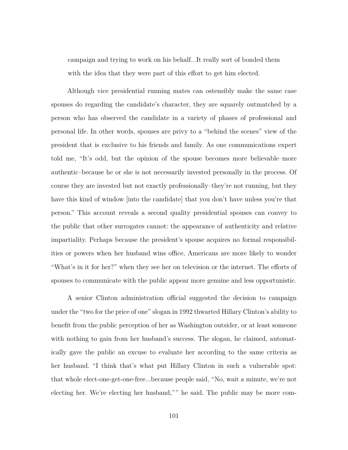campaign and trying to work on his behalf...It really sort of bonded them with the idea that they were part of this effort to get him elected.

Although vice presidential running mates can ostensibly make the same case spouses do regarding the candidate's character, they are squarely outmatched by a person who has observed the candidate in a variety of phases of professional and personal life. In other words, spouses are privy to a "behind the scenes" view of the president that is exclusive to his friends and family. As one communications expert told me, "It's odd, but the opinion of the spouse becomes more believable–more authentic–because he or she is not necessarily invested personally in the process. Of course they are invested but not exactly professionally–they're not running, but they have this kind of window [into the candidate] that you don't have unless you're that person." This account reveals a second quality presidential spouses can convey to the public that other surrogates cannot: the appearance of authenticity and relative impartiality. Perhaps because the president's spouse acquires no formal responsibilities or powers when her husband wins office, Americans are more likely to wonder "What's in it for her?" when they see her on television or the internet. The efforts of spouses to communicate with the public appear more genuine and less opportunistic.

A senior Clinton administration official suggested the decision to campaign under the "two for the price of one" slogan in 1992 thwarted Hillary Clinton's ability to benefit from the public perception of her as Washington outsider, or at least someone with nothing to gain from her husband's success. The slogan, he claimed, automatically gave the public an excuse to evaluate her according to the same criteria as her husband. "I think that's what put Hillary Clinton in such a vulnerable spot: that whole elect-one-get-one-free...because people said, "No, wait a minute, we're not electing her. We're electing her husband,"" he said. The public may be more com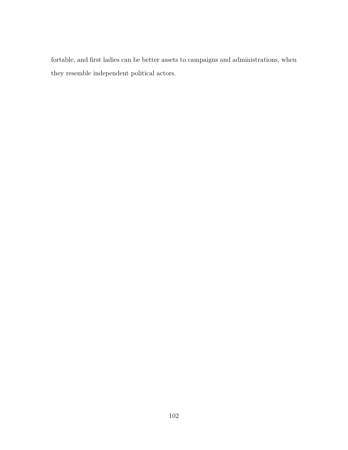fortable, and first ladies can be better assets to campaigns and administrations, when they resemble independent political actors.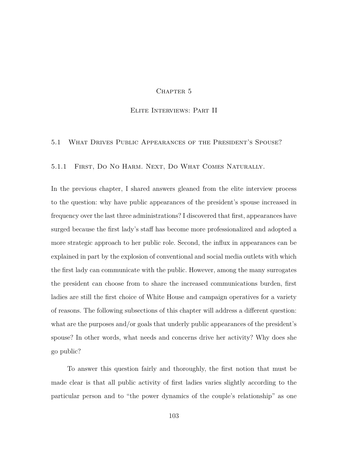## CHAPTER 5

## Elite Interviews: Part II

## 5.1 What Drives Public Appearances of the President's Spouse?

5.1.1 First, Do No Harm. Next, Do What Comes Naturally.

In the previous chapter, I shared answers gleaned from the elite interview process to the question: why have public appearances of the president's spouse increased in frequency over the last three administrations? I discovered that first, appearances have surged because the first lady's staff has become more professionalized and adopted a more strategic approach to her public role. Second, the influx in appearances can be explained in part by the explosion of conventional and social media outlets with which the first lady can communicate with the public. However, among the many surrogates the president can choose from to share the increased communications burden, first ladies are still the first choice of White House and campaign operatives for a variety of reasons. The following subsections of this chapter will address a different question: what are the purposes and/or goals that underly public appearances of the president's spouse? In other words, what needs and concerns drive her activity? Why does she go public?

To answer this question fairly and thoroughly, the first notion that must be made clear is that all public activity of first ladies varies slightly according to the particular person and to "the power dynamics of the couple's relationship" as one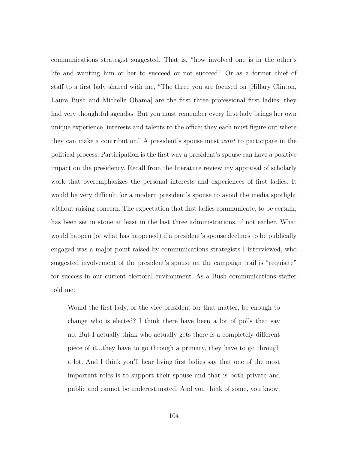communications strategist suggested. That is, "how involved one is in the other's life and wanting him or her to succeed or not succeed." Or as a former chief of staff to a first lady shared with me, "The three you are focused on [Hillary Clinton, Laura Bush and Michelle Obama] are the first three professional first ladies; they had very thoughtful agendas. But you must remember every first lady brings her own unique experience, interests and talents to the office; they each must figure out where they can make a contribution." A president's spouse must *want* to participate in the political process. Participation is the first way a president's spouse can have a positive impact on the presidency. Recall from the literature review my appraisal of scholarly work that overemphasizes the personal interests and experiences of first ladies. It would be very difficult for a modern president's spouse to avoid the media spotlight without raising concern. The expectation that first ladies communicate, to be certain, has been set in stone at least in the last three administrations, if not earlier. What would happen (or what has happened) if a president's spouse declines to be publically engaged was a major point raised by communications strategists I interviewed, who suggested involvement of the president's spouse on the campaign trail is "requisite" for success in our current electoral environment. As a Bush communications staffer told me:

Would the first lady, or the vice president for that matter, be enough to change who is elected? I think there have been a lot of polls that say no. But I actually think who actually gets there is a completely different piece of it...they have to go through a primary, they have to go through a lot. And I think you'll hear living first ladies say that one of the most important roles is to support their spouse and that is both private and public and cannot be underestimated. And you think of some, you know,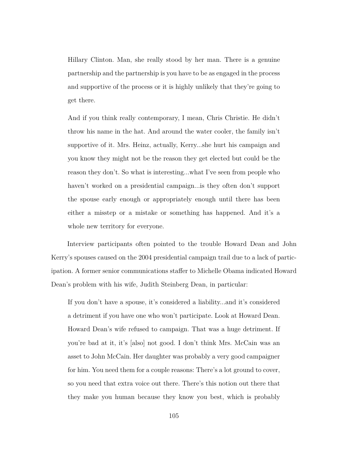Hillary Clinton. Man, she really stood by her man. There is a genuine partnership and the partnership is you have to be as engaged in the process and supportive of the process or it is highly unlikely that they're going to get there.

And if you think really contemporary, I mean, Chris Christie. He didn't throw his name in the hat. And around the water cooler, the family isn't supportive of it. Mrs. Heinz, actually, Kerry...she hurt his campaign and you know they might not be the reason they get elected but could be the reason they don't. So what is interesting...what I've seen from people who haven't worked on a presidential campaign...is they often don't support the spouse early enough or appropriately enough until there has been either a misstep or a mistake or something has happened. And it's a whole new territory for everyone.

Interview participants often pointed to the trouble Howard Dean and John Kerry's spouses caused on the 2004 presidential campaign trail due to a lack of participation. A former senior communications staffer to Michelle Obama indicated Howard Dean's problem with his wife, Judith Steinberg Dean, in particular:

If you don't have a spouse, it's considered a liability...and it's considered a detriment if you have one who won't participate. Look at Howard Dean. Howard Dean's wife refused to campaign. That was a huge detriment. If you're bad at it, it's [also] not good. I don't think Mrs. McCain was an asset to John McCain. Her daughter was probably a very good campaigner for him. You need them for a couple reasons: There's a lot ground to cover, so you need that extra voice out there. There's this notion out there that they make you human because they know you best, which is probably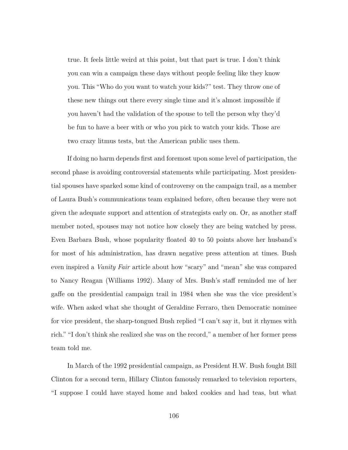true. It feels little weird at this point, but that part is true. I don't think you can win a campaign these days without people feeling like they know you. This "Who do you want to watch your kids?" test. They throw one of these new things out there every single time and it's almost impossible if you haven't had the validation of the spouse to tell the person why they'd be fun to have a beer with or who you pick to watch your kids. Those are two crazy litmus tests, but the American public uses them.

If doing no harm depends first and foremost upon some level of participation, the second phase is avoiding controversial statements while participating. Most presidential spouses have sparked some kind of controversy on the campaign trail, as a member of Laura Bush's communications team explained before, often because they were not given the adequate support and attention of strategists early on. Or, as another staff member noted, spouses may not notice how closely they are being watched by press. Even Barbara Bush, whose popularity floated 40 to 50 points above her husband's for most of his administration, has drawn negative press attention at times. Bush even inspired a *Vanity Fair* article about how "scary" and "mean" she was compared to Nancy Reagan (Williams 1992). Many of Mrs. Bush's staff reminded me of her gaffe on the presidential campaign trail in 1984 when she was the vice president's wife. When asked what she thought of Geraldine Ferraro, then Democratic nominee for vice president, the sharp-tongued Bush replied "I can't say it, but it rhymes with rich." "I don't think she realized she was on the record," a member of her former press team told me.

In March of the 1992 presidential campaign, as President H.W. Bush fought Bill Clinton for a second term, Hillary Clinton famously remarked to television reporters, "I suppose I could have stayed home and baked cookies and had teas, but what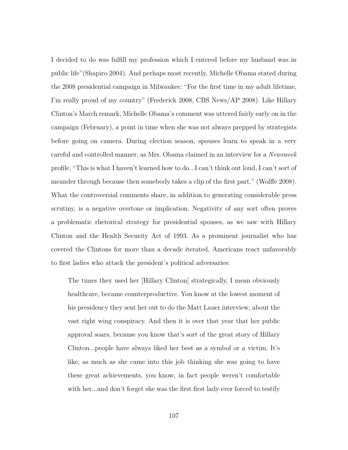I decided to do was fulfill my profession which I entered before my husband was in public life"(Shapiro 2004). And perhaps most recently, Michelle Obama stated during the 2008 presidential campaign in Milwaukee: "For the first time in my adult lifetime, I'm really proud of my country" (Frederick 2008, CBS News/AP 2008). Like Hillary Clinton's March remark, Michelle Obama's comment was uttered fairly early on in the campaign (February), a point in time when she was not always prepped by strategists before going on camera. During election season, spouses learn to speak in a very careful and controlled manner, as Mrs. Obama claimed in an interview for a *Newsweek* profile, "This is what I haven't learned how to do...I can't think out loud, I can't sort of meander through because then somebody takes a clip of the first part," (Wolffe 2008). What the controversial comments share, in addition to generating considerable press scrutiny, is a negative overtone or implication. Negativity of any sort often proves a problematic rhetorical strategy for presidential spouses, as we saw with Hillary Clinton and the Health Security Act of 1993. As a prominent journalist who has covered the Clintons for more than a decade iterated, Americans react unfavorably to first ladies who attack the president's political adversaries:

The times they used her [Hillary Clinton] strategically, I mean obviously healthcare, became counterproductive. You know at the lowest moment of his presidency they sent her out to do the Matt Lauer interview, about the vast right wing conspiracy. And then it is over that year that her public approval soars, because you know that's sort of the great story of Hillary Clinton...people have always liked her best as a symbol or a victim. It's like, as much as she came into this job thinking she was going to have these great achievements, you know, in fact people weren't comfortable with her...and don't forget she was the first first lady ever forced to testify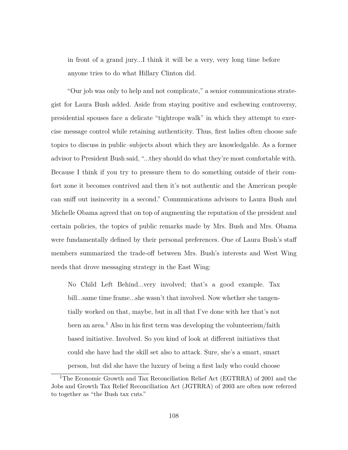in front of a grand jury...I think it will be a very, very long time before anyone tries to do what Hillary Clinton did.

"Our job was only to help and not complicate," a senior communications strategist for Laura Bush added. Aside from staying positive and eschewing controversy, presidential spouses face a delicate "tightrope walk" in which they attempt to exercise message control while retaining authenticity. Thus, first ladies often choose safe topics to discuss in public–subjects about which they are knowledgable. As a former advisor to President Bush said, "...they should do what they're most comfortable with. Because I think if you try to pressure them to do something outside of their comfort zone it becomes contrived and then it's not authentic and the American people can sniff out insincerity in a second." Communications advisors to Laura Bush and Michelle Obama agreed that on top of augmenting the reputation of the president and certain policies, the topics of public remarks made by Mrs. Bush and Mrs. Obama were fundamentally defined by their personal preferences. One of Laura Bush's staff members summarized the trade-off between Mrs. Bush's interests and West Wing needs that drove messaging strategy in the East Wing:

No Child Left Behind...very involved; that's a good example. Tax bill...same time frame...she wasn't that involved. Now whether she tangentially worked on that, maybe, but in all that I've done with her that's not been an area.<sup>1</sup> Also in his first term was developing the volunteerism/faith based initiative. Involved. So you kind of look at different initiatives that could she have had the skill set also to attack. Sure, she's a smart, smart person, but did she have the luxury of being a first lady who could choose

<sup>1</sup>The Economic Growth and Tax Reconciliation Relief Act (EGTRRA) of 2001 and the Jobs and Growth Tax Relief Reconciliation Act (JGTRRA) of 2003 are often now referred to together as "the Bush tax cuts."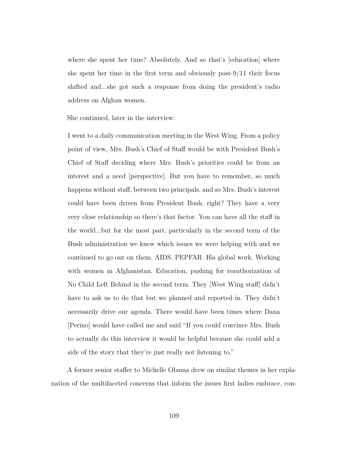where she spent her time? Absolutely. And so that's [education] where she spent her time in the first term and obviously post-9/11 their focus shifted and...she got such a response from doing the president's radio address on Afghan women.

She continued, later in the interview:

I went to a daily communication meeting in the West Wing. From a policy point of view, Mrs. Bush's Chief of Staff would be with President Bush's Chief of Staff deciding where Mrs. Bush's priorities could be from an interest and a need [perspective]. But you have to remember, so much happens without staff, between two principals, and so Mrs. Bush's interest could have been driven from President Bush, right? They have a very very close relationship so there's that factor. You can have all the staff in the world...but for the most part, particularly in the second term of the Bush administration we knew which issues we were helping with and we continued to go out on them. AIDS. PEPFAR. His global work. Working with women in Afghanistan. Education, pushing for reauthorization of No Child Left Behind in the second term. They [West Wing staff] didn't have to ask us to do that but we planned and reported in. They didn't necessarily drive our agenda. There would have been times where Dana [Perino] would have called me and said "If you could convince Mrs. Bush to actually do this interview it would be helpful because she could add a side of the story that they're just really not listening to."

A former senior staffer to Michelle Obama drew on similar themes in her explanation of the multifaceted concerns that inform the issues first ladies embrace, con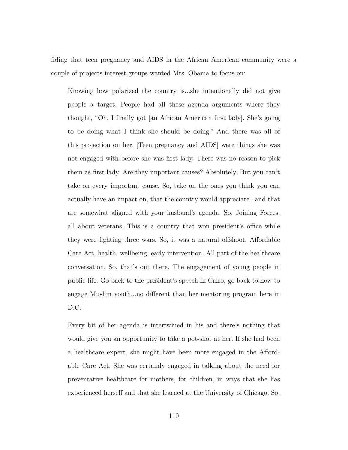fiding that teen pregnancy and AIDS in the African American community were a couple of projects interest groups wanted Mrs. Obama to focus on:

Knowing how polarized the country is...she intentionally did not give people a target. People had all these agenda arguments where they thought, "Oh, I finally got [an African American first lady]. She's going to be doing what I think she should be doing." And there was all of this projection on her. [Teen pregnancy and AIDS] were things she was not engaged with before she was first lady. There was no reason to pick them as first lady. Are they important causes? Absolutely. But you can't take on every important cause. So, take on the ones you think you can actually have an impact on, that the country would appreciate...and that are somewhat aligned with your husband's agenda. So, Joining Forces, all about veterans. This is a country that won president's office while they were fighting three wars. So, it was a natural offshoot. Affordable Care Act, health, wellbeing, early intervention. All part of the healthcare conversation. So, that's out there. The engagement of young people in public life. Go back to the president's speech in Cairo, go back to how to engage Muslim youth...no different than her mentoring program here in D.C.

Every bit of her agenda is intertwined in his and there's nothing that would give you an opportunity to take a pot-shot at her. If she had been a healthcare expert, she might have been more engaged in the Affordable Care Act. She was certainly engaged in talking about the need for preventative healthcare for mothers, for children, in ways that she has experienced herself and that she learned at the University of Chicago. So,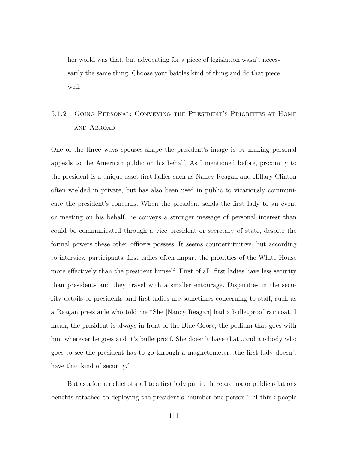her world was that, but advocating for a piece of legislation wasn't necessarily the same thing. Choose your battles kind of thing and do that piece well.

# 5.1.2 Going Personal: Conveying the President's Priorities at Home and Abroad

One of the three ways spouses shape the president's image is by making personal appeals to the American public on his behalf. As I mentioned before, proximity to the president is a unique asset first ladies such as Nancy Reagan and Hillary Clinton often wielded in private, but has also been used in public to vicariously communicate the president's concerns. When the president sends the first lady to an event or meeting on his behalf, he conveys a stronger message of personal interest than could be communicated through a vice president or secretary of state, despite the formal powers these other officers possess. It seems counterintuitive, but according to interview participants, first ladies often impart the priorities of the White House more effectively than the president himself. First of all, first ladies have less security than presidents and they travel with a smaller entourage. Disparities in the security details of presidents and first ladies are sometimes concerning to staff, such as a Reagan press aide who told me "She [Nancy Reagan] had a bulletproof raincoat. I mean, the president is always in front of the Blue Goose, the podium that goes with him wherever he goes and it's bullet proof. She doesn't have that...and anybody who goes to see the president has to go through a magnetometer...the first lady doesn't have that kind of security."

But as a former chief of staff to a first lady put it, there are major public relations benefits attached to deploying the president's "number one person": "I think people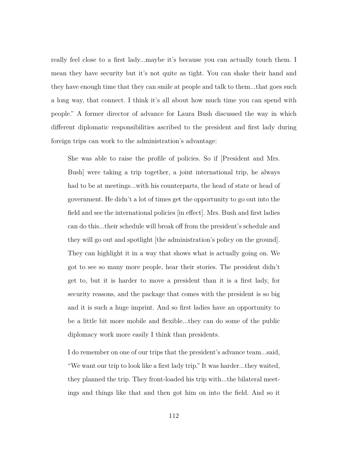really feel close to a first lady...maybe it's because you can actually touch them. I mean they have security but it's not quite as tight. You can shake their hand and they have enough time that they can smile at people and talk to them...that goes such a long way, that connect. I think it's all about how much time you can spend with people." A former director of advance for Laura Bush discussed the way in which different diplomatic responsibilities ascribed to the president and first lady during foreign trips can work to the administration's advantage:

She was able to raise the profile of policies. So if [President and Mrs. Bush] were taking a trip together, a joint international trip, he always had to be at meetings...with his counterparts, the head of state or head of government. He didn't a lot of times get the opportunity to go out into the field and see the international policies [in effect]. Mrs. Bush and first ladies can do this...their schedule will break off from the president's schedule and they will go out and spotlight [the administration's policy on the ground]. They can highlight it in a way that shows what is actually going on. We got to see so many more people, hear their stories. The president didn't get to, but it is harder to move a president than it is a first lady, for security reasons, and the package that comes with the president is so big and it is such a huge imprint. And so first ladies have an opportunity to be a little bit more mobile and flexible...they can do some of the public diplomacy work more easily I think than presidents.

I do remember on one of our trips that the president's advance team...said, "We want our trip to look like a first lady trip." It was harder...they waited, they planned the trip. They front-loaded his trip with...the bilateral meetings and things like that and then got him on into the field. And so it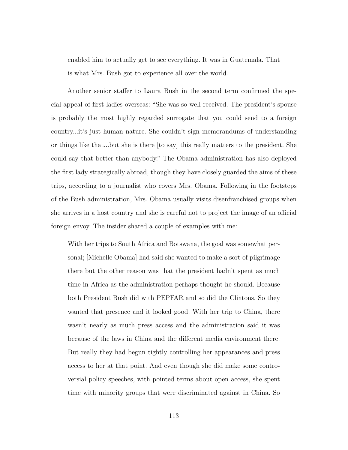enabled him to actually get to see everything. It was in Guatemala. That is what Mrs. Bush got to experience all over the world.

Another senior staffer to Laura Bush in the second term confirmed the special appeal of first ladies overseas: "She was so well received. The president's spouse is probably the most highly regarded surrogate that you could send to a foreign country...it's just human nature. She couldn't sign memorandums of understanding or things like that...but she is there [to say] this really matters to the president. She could say that better than anybody." The Obama administration has also deployed the first lady strategically abroad, though they have closely guarded the aims of these trips, according to a journalist who covers Mrs. Obama. Following in the footsteps of the Bush administration, Mrs. Obama usually visits disenfranchised groups when she arrives in a host country and she is careful not to project the image of an official foreign envoy. The insider shared a couple of examples with me:

With her trips to South Africa and Botswana, the goal was somewhat personal; [Michelle Obama] had said she wanted to make a sort of pilgrimage there but the other reason was that the president hadn't spent as much time in Africa as the administration perhaps thought he should. Because both President Bush did with PEPFAR and so did the Clintons. So they wanted that presence and it looked good. With her trip to China, there wasn't nearly as much press access and the administration said it was because of the laws in China and the different media environment there. But really they had begun tightly controlling her appearances and press access to her at that point. And even though she did make some controversial policy speeches, with pointed terms about open access, she spent time with minority groups that were discriminated against in China. So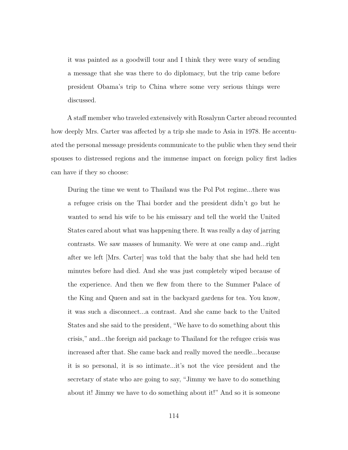it was painted as a goodwill tour and I think they were wary of sending a message that she was there to do diplomacy, but the trip came before president Obama's trip to China where some very serious things were discussed.

A staff member who traveled extensively with Rosalynn Carter abroad recounted how deeply Mrs. Carter was affected by a trip she made to Asia in 1978. He accentuated the personal message presidents communicate to the public when they send their spouses to distressed regions and the immense impact on foreign policy first ladies can have if they so choose:

During the time we went to Thailand was the Pol Pot regime...there was a refugee crisis on the Thai border and the president didn't go but he wanted to send his wife to be his emissary and tell the world the United States cared about what was happening there. It was really a day of jarring contrasts. We saw masses of humanity. We were at one camp and...right after we left [Mrs. Carter] was told that the baby that she had held ten minutes before had died. And she was just completely wiped because of the experience. And then we flew from there to the Summer Palace of the King and Queen and sat in the backyard gardens for tea. You know, it was such a disconnect...a contrast. And she came back to the United States and she said to the president, "We have to do something about this crisis," and...the foreign aid package to Thailand for the refugee crisis was increased after that. She came back and really moved the needle...because it is so personal, it is so intimate...it's not the vice president and the secretary of state who are going to say, "Jimmy we have to do something about it! Jimmy we have to do something about it!" And so it is someone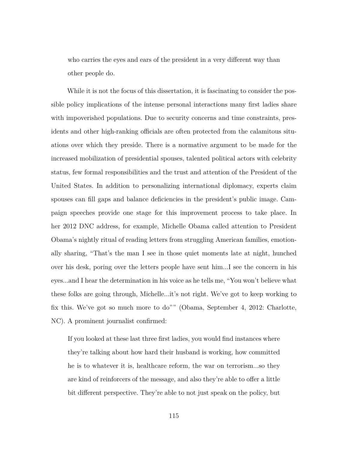who carries the eyes and ears of the president in a very different way than other people do.

While it is not the focus of this dissertation, it is fascinating to consider the possible policy implications of the intense personal interactions many first ladies share with impoverished populations. Due to security concerns and time constraints, presidents and other high-ranking officials are often protected from the calamitous situations over which they preside. There is a normative argument to be made for the increased mobilization of presidential spouses, talented political actors with celebrity status, few formal responsibilities and the trust and attention of the President of the United States. In addition to personalizing international diplomacy, experts claim spouses can fill gaps and balance deficiencies in the president's public image. Campaign speeches provide one stage for this improvement process to take place. In her 2012 DNC address, for example, Michelle Obama called attention to President Obama's nightly ritual of reading letters from struggling American families, emotionally sharing, "That's the man I see in those quiet moments late at night, hunched over his desk, poring over the letters people have sent him...I see the concern in his eyes...and I hear the determination in his voice as he tells me, "You won't believe what these folks are going through, Michelle...it's not right. We've got to keep working to fix this. We've got so much more to do"" (Obama, September 4, 2012: Charlotte, NC). A prominent journalist confirmed:

If you looked at these last three first ladies, you would find instances where they're talking about how hard their husband is working, how committed he is to whatever it is, healthcare reform, the war on terrorism...so they are kind of reinforcers of the message, and also they're able to offer a little bit different perspective. They're able to not just speak on the policy, but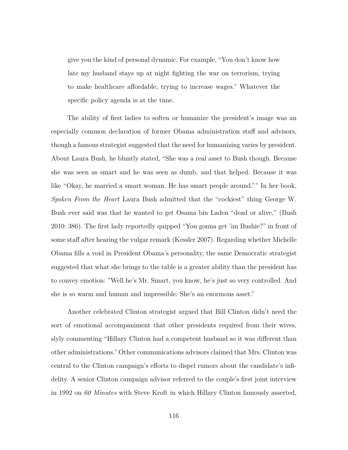give you the kind of personal dynamic. For example, "You don't know how late my husband stays up at night fighting the war on terrorism, trying to make healthcare affordable, trying to increase wages." Whatever the specific policy agenda is at the time.

The ability of first ladies to soften or humanize the president's image was an especially common declaration of former Obama administration staff and advisors, though a famous strategist suggested that the need for humanizing varies by president. About Laura Bush, he bluntly stated, "She was a real asset to Bush though. Because she was seen as smart and he was seen as dumb, and that helped. Because it was like "Okay, he married a smart woman. He has smart people around."" In her book, *Spoken From the Heart* Laura Bush admitted that the "cockiest" thing George W. Bush ever said was that he wanted to get Osama bin Laden "dead or alive," (Bush 2010: 386). The first lady reportedly quipped "You gonna get 'im Bushie?" in front of some staff after hearing the vulgar remark (Kessler 2007). Regarding whether Michelle Obama fills a void in President Obama's personality, the same Democratic strategist suggested that what she brings to the table is a greater ability than the president has to convey emotion: "Well he's Mr. Smart, you know, he's just so very controlled. And she is so warm and human and impressible. She's an enormous asset."

Another celebrated Clinton strategist argued that Bill Clinton didn't need the sort of emotional accompaniment that other presidents required from their wives, slyly commenting "Hillary Clinton had a competent husband so it was different than other administrations." Other communications advisors claimed that Mrs. Clinton was central to the Clinton campaign's efforts to dispel rumors about the candidate's infidelity. A senior Clinton campaign advisor referred to the couple's first joint interview in 1992 on *60 Minutes* with Steve Kroft in which Hillary Clinton famously asserted,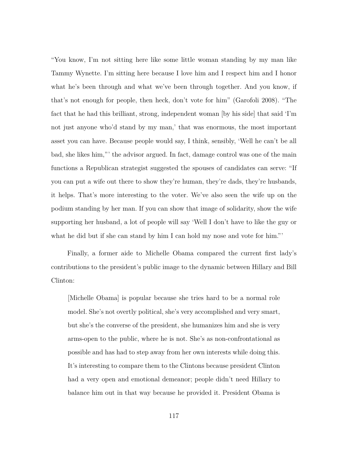"You know, I'm not sitting here like some little woman standing by my man like Tammy Wynette. I'm sitting here because I love him and I respect him and I honor what he's been through and what we've been through together. And you know, if that's not enough for people, then heck, don't vote for him" (Garofoli 2008). "The fact that he had this brilliant, strong, independent woman (by his side) that said 'I'm not just anyone who'd stand by my man,' that was enormous, the most important asset you can have. Because people would say, I think, sensibly, 'Well he can't be all bad, she likes him,"' the advisor argued. In fact, damage control was one of the main functions a Republican strategist suggested the spouses of candidates can serve: "If you can put a wife out there to show they're human, they're dads, they're husbands, it helps. That's more interesting to the voter. We've also seen the wife up on the podium standing by her man. If you can show that image of solidarity, show the wife supporting her husband, a lot of people will say 'Well I don't have to like the guy or what he did but if she can stand by him I can hold my nose and vote for him."

Finally, a former aide to Michelle Obama compared the current first lady's contributions to the president's public image to the dynamic between Hillary and Bill Clinton:

[Michelle Obama] is popular because she tries hard to be a normal role model. She's not overtly political, she's very accomplished and very smart, but she's the converse of the president, she humanizes him and she is very arms-open to the public, where he is not. She's as non-confrontational as possible and has had to step away from her own interests while doing this. It's interesting to compare them to the Clintons because president Clinton had a very open and emotional demeanor; people didn't need Hillary to balance him out in that way because he provided it. President Obama is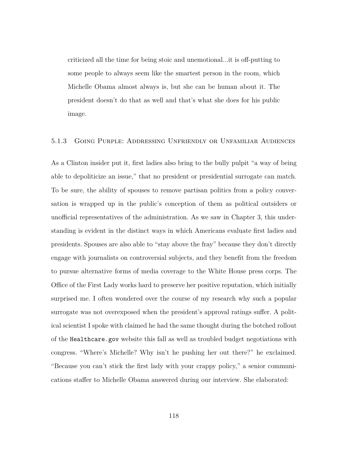criticized all the time for being stoic and unemotional...it is off-putting to some people to always seem like the smartest person in the room, which Michelle Obama almost always is, but she can be human about it. The president doesn't do that as well and that's what she does for his public image.

#### 5.1.3 Going Purple: Addressing Unfriendly or Unfamiliar Audiences

As a Clinton insider put it, first ladies also bring to the bully pulpit "a way of being able to depoliticize an issue," that no president or presidential surrogate can match. To be sure, the ability of spouses to remove partisan politics from a policy conversation is wrapped up in the public's conception of them as political outsiders or unofficial representatives of the administration. As we saw in Chapter 3, this understanding is evident in the distinct ways in which Americans evaluate first ladies and presidents. Spouses are also able to "stay above the fray" because they don't directly engage with journalists on controversial subjects, and they benefit from the freedom to pursue alternative forms of media coverage to the White House press corps. The Office of the First Lady works hard to preserve her positive reputation, which initially surprised me. I often wondered over the course of my research why such a popular surrogate was not overexposed when the president's approval ratings suffer. A political scientist I spoke with claimed he had the same thought during the botched rollout of the Healthcare.gov website this fall as well as troubled budget negotiations with congress. "Where's Michelle? Why isn't he pushing her out there?" he exclaimed. "Because you can't stick the first lady with your crappy policy," a senior communications staffer to Michelle Obama answered during our interview. She elaborated: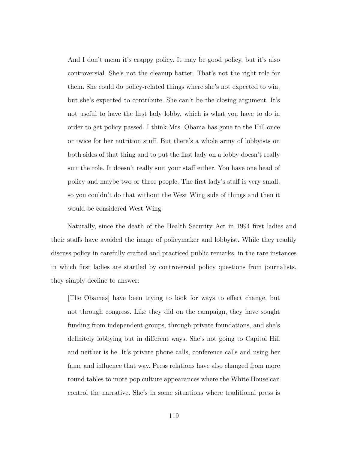And I don't mean it's crappy policy. It may be good policy, but it's also controversial. She's not the cleanup batter. That's not the right role for them. She could do policy-related things where she's not expected to win, but she's expected to contribute. She can't be the closing argument. It's not useful to have the first lady lobby, which is what you have to do in order to get policy passed. I think Mrs. Obama has gone to the Hill once or twice for her nutrition stuff. But there's a whole army of lobbyists on both sides of that thing and to put the first lady on a lobby doesn't really suit the role. It doesn't really suit your staff either. You have one head of policy and maybe two or three people. The first lady's staff is very small, so you couldn't do that without the West Wing side of things and then it would be considered West Wing.

Naturally, since the death of the Health Security Act in 1994 first ladies and their staffs have avoided the image of policymaker and lobbyist. While they readily discuss policy in carefully crafted and practiced public remarks, in the rare instances in which first ladies are startled by controversial policy questions from journalists, they simply decline to answer:

[The Obamas] have been trying to look for ways to effect change, but not through congress. Like they did on the campaign, they have sought funding from independent groups, through private foundations, and she's definitely lobbying but in different ways. She's not going to Capitol Hill and neither is he. It's private phone calls, conference calls and using her fame and influence that way. Press relations have also changed from more round tables to more pop culture appearances where the White House can control the narrative. She's in some situations where traditional press is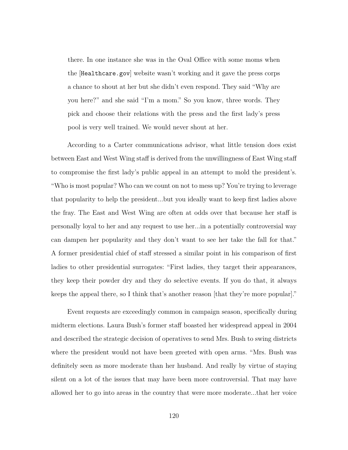there. In one instance she was in the Oval Office with some moms when the [Healthcare.gov] website wasn't working and it gave the press corps a chance to shout at her but she didn't even respond. They said "Why are you here?" and she said "I'm a mom." So you know, three words. They pick and choose their relations with the press and the first lady's press pool is very well trained. We would never shout at her.

According to a Carter communications advisor, what little tension does exist between East and West Wing staff is derived from the unwillingness of East Wing staff to compromise the first lady's public appeal in an attempt to mold the president's. "Who is most popular? Who can we count on not to mess up? You're trying to leverage that popularity to help the president...but you ideally want to keep first ladies above the fray. The East and West Wing are often at odds over that because her staff is personally loyal to her and any request to use her...in a potentially controversial way can dampen her popularity and they don't want to see her take the fall for that." A former presidential chief of staff stressed a similar point in his comparison of first ladies to other presidential surrogates: "First ladies, they target their appearances, they keep their powder dry and they do selective events. If you do that, it always keeps the appeal there, so I think that's another reason [that they're more popular]."

Event requests are exceedingly common in campaign season, specifically during midterm elections. Laura Bush's former staff boasted her widespread appeal in 2004 and described the strategic decision of operatives to send Mrs. Bush to swing districts where the president would not have been greeted with open arms. "Mrs. Bush was definitely seen as more moderate than her husband. And really by virtue of staying silent on a lot of the issues that may have been more controversial. That may have allowed her to go into areas in the country that were more moderate...that her voice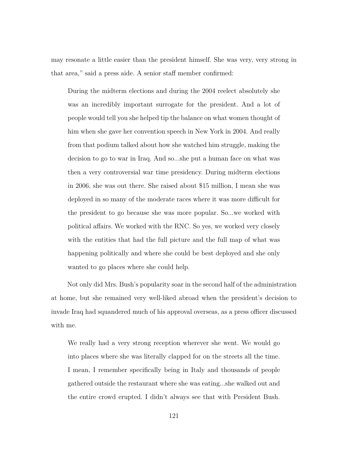may resonate a little easier than the president himself. She was very, very strong in that area," said a press aide. A senior staff member confirmed:

During the midterm elections and during the 2004 reelect absolutely she was an incredibly important surrogate for the president. And a lot of people would tell you she helped tip the balance on what women thought of him when she gave her convention speech in New York in 2004. And really from that podium talked about how she watched him struggle, making the decision to go to war in Iraq. And so...she put a human face on what was then a very controversial war time presidency. During midterm elections in 2006, she was out there. She raised about \$15 million, I mean she was deployed in so many of the moderate races where it was more difficult for the president to go because she was more popular. So...we worked with political affairs. We worked with the RNC. So yes, we worked very closely with the entities that had the full picture and the full map of what was happening politically and where she could be best deployed and she only wanted to go places where she could help.

Not only did Mrs. Bush's popularity soar in the second half of the administration at home, but she remained very well-liked abroad when the president's decision to invade Iraq had squandered much of his approval overseas, as a press officer discussed with me.

We really had a very strong reception wherever she went. We would go into places where she was literally clapped for on the streets all the time. I mean, I remember specifically being in Italy and thousands of people gathered outside the restaurant where she was eating...she walked out and the entire crowd erupted. I didn't always see that with President Bush.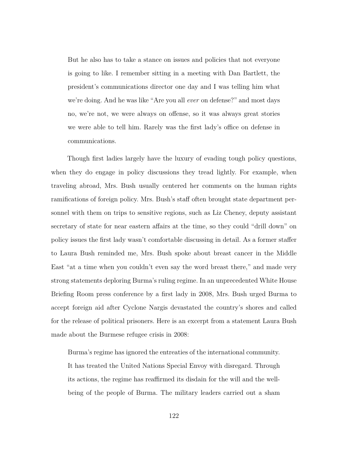But he also has to take a stance on issues and policies that not everyone is going to like. I remember sitting in a meeting with Dan Bartlett, the president's communications director one day and I was telling him what we're doing. And he was like "Are you all *ever* on defense?" and most days no, we're not, we were always on offense, so it was always great stories we were able to tell him. Rarely was the first lady's office on defense in communications.

Though first ladies largely have the luxury of evading tough policy questions, when they do engage in policy discussions they tread lightly. For example, when traveling abroad, Mrs. Bush usually centered her comments on the human rights ramifications of foreign policy. Mrs. Bush's staff often brought state department personnel with them on trips to sensitive regions, such as Liz Cheney, deputy assistant secretary of state for near eastern affairs at the time, so they could "drill down" on policy issues the first lady wasn't comfortable discussing in detail. As a former staffer to Laura Bush reminded me, Mrs. Bush spoke about breast cancer in the Middle East "at a time when you couldn't even say the word breast there," and made very strong statements deploring Burma's ruling regime. In an unprecedented White House Briefing Room press conference by a first lady in 2008, Mrs. Bush urged Burma to accept foreign aid after Cyclone Nargis devastated the country's shores and called for the release of political prisoners. Here is an excerpt from a statement Laura Bush made about the Burmese refugee crisis in 2008:

Burma's regime has ignored the entreaties of the international community. It has treated the United Nations Special Envoy with disregard. Through its actions, the regime has reaffirmed its disdain for the will and the wellbeing of the people of Burma. The military leaders carried out a sham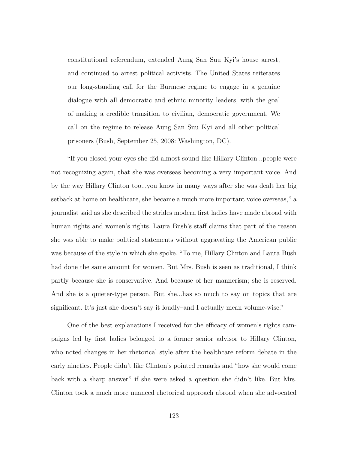constitutional referendum, extended Aung San Suu Kyi's house arrest, and continued to arrest political activists. The United States reiterates our long-standing call for the Burmese regime to engage in a genuine dialogue with all democratic and ethnic minority leaders, with the goal of making a credible transition to civilian, democratic government. We call on the regime to release Aung San Suu Kyi and all other political prisoners (Bush, September 25, 2008: Washington, DC).

"If you closed your eyes she did almost sound like Hillary Clinton...people were not recognizing again, that she was overseas becoming a very important voice. And by the way Hillary Clinton too...you know in many ways after she was dealt her big setback at home on healthcare, she became a much more important voice overseas," a journalist said as she described the strides modern first ladies have made abroad with human rights and women's rights. Laura Bush's staff claims that part of the reason she was able to make political statements without aggravating the American public was because of the style in which she spoke. "To me, Hillary Clinton and Laura Bush had done the same amount for women. But Mrs. Bush is seen as traditional, I think partly because she is conservative. And because of her mannerism; she is reserved. And she is a quieter-type person. But she...has so much to say on topics that are significant. It's just she doesn't say it loudly–and I actually mean volume-wise."

One of the best explanations I received for the efficacy of women's rights campaigns led by first ladies belonged to a former senior advisor to Hillary Clinton, who noted changes in her rhetorical style after the healthcare reform debate in the early nineties. People didn't like Clinton's pointed remarks and "how she would come back with a sharp answer" if she were asked a question she didn't like. But Mrs. Clinton took a much more nuanced rhetorical approach abroad when she advocated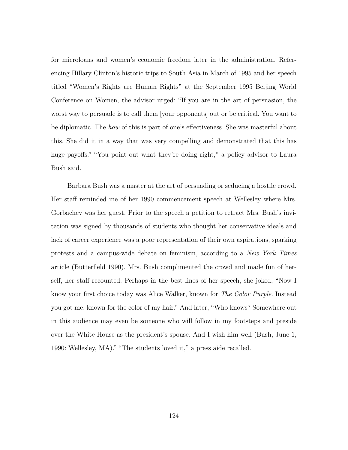for microloans and women's economic freedom later in the administration. Referencing Hillary Clinton's historic trips to South Asia in March of 1995 and her speech titled "Women's Rights are Human Rights" at the September 1995 Beijing World Conference on Women, the advisor urged: "If you are in the art of persuasion, the worst way to persuade is to call them [your opponents] out or be critical. You want to be diplomatic. The *how* of this is part of one's effectiveness. She was masterful about this. She did it in a way that was very compelling and demonstrated that this has huge payoffs." "You point out what they're doing right," a policy advisor to Laura Bush said.

Barbara Bush was a master at the art of persuading or seducing a hostile crowd. Her staff reminded me of her 1990 commencement speech at Wellesley where Mrs. Gorbachev was her guest. Prior to the speech a petition to retract Mrs. Bush's invitation was signed by thousands of students who thought her conservative ideals and lack of career experience was a poor representation of their own aspirations, sparking protests and a campus-wide debate on feminism, according to a *New York Times* article (Butterfield 1990). Mrs. Bush complimented the crowd and made fun of herself, her staff recounted. Perhaps in the best lines of her speech, she joked, "Now I know your first choice today was Alice Walker, known for *The Color Purple*. Instead you got me, known for the color of my hair." And later, "Who knows? Somewhere out in this audience may even be someone who will follow in my footsteps and preside over the White House as the president's spouse. And I wish him well (Bush, June 1, 1990: Wellesley, MA)." "The students loved it," a press aide recalled.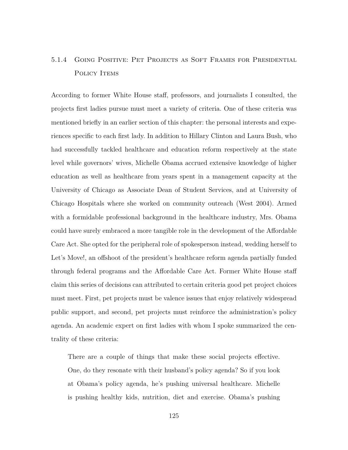# 5.1.4 Going Positive: Pet Projects as Soft Frames for Presidential POLICY ITEMS

According to former White House staff, professors, and journalists I consulted, the projects first ladies pursue must meet a variety of criteria. One of these criteria was mentioned briefly in an earlier section of this chapter: the personal interests and experiences specific to each first lady. In addition to Hillary Clinton and Laura Bush, who had successfully tackled healthcare and education reform respectively at the state level while governors' wives, Michelle Obama accrued extensive knowledge of higher education as well as healthcare from years spent in a management capacity at the University of Chicago as Associate Dean of Student Services, and at University of Chicago Hospitals where she worked on community outreach (West 2004). Armed with a formidable professional background in the healthcare industry, Mrs. Obama could have surely embraced a more tangible role in the development of the Affordable Care Act. She opted for the peripheral role of spokesperson instead, wedding herself to Let's Move!, an offshoot of the president's healthcare reform agenda partially funded through federal programs and the Affordable Care Act. Former White House staff claim this series of decisions can attributed to certain criteria good pet project choices must meet. First, pet projects must be valence issues that enjoy relatively widespread public support, and second, pet projects must reinforce the administration's policy agenda. An academic expert on first ladies with whom I spoke summarized the centrality of these criteria:

There are a couple of things that make these social projects effective. One, do they resonate with their husband's policy agenda? So if you look at Obama's policy agenda, he's pushing universal healthcare. Michelle is pushing healthy kids, nutrition, diet and exercise. Obama's pushing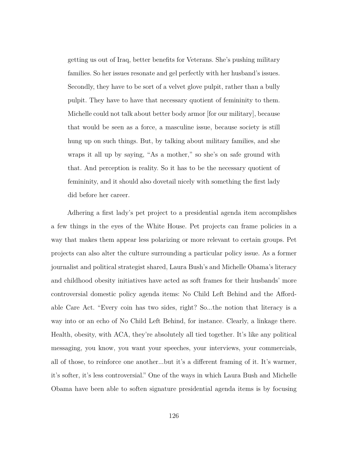getting us out of Iraq, better benefits for Veterans. She's pushing military families. So her issues resonate and gel perfectly with her husband's issues. Secondly, they have to be sort of a velvet glove pulpit, rather than a bully pulpit. They have to have that necessary quotient of femininity to them. Michelle could not talk about better body armor [for our military], because that would be seen as a force, a masculine issue, because society is still hung up on such things. But, by talking about military families, and she wraps it all up by saying, "As a mother," so she's on safe ground with that. And perception is reality. So it has to be the necessary quotient of femininity, and it should also dovetail nicely with something the first lady did before her career.

Adhering a first lady's pet project to a presidential agenda item accomplishes a few things in the eyes of the White House. Pet projects can frame policies in a way that makes them appear less polarizing or more relevant to certain groups. Pet projects can also alter the culture surrounding a particular policy issue. As a former journalist and political strategist shared, Laura Bush's and Michelle Obama's literacy and childhood obesity initiatives have acted as soft frames for their husbands' more controversial domestic policy agenda items: No Child Left Behind and the Affordable Care Act. "Every coin has two sides, right? So...the notion that literacy is a way into or an echo of No Child Left Behind, for instance. Clearly, a linkage there. Health, obesity, with ACA, they're absolutely all tied together. It's like any political messaging, you know, you want your speeches, your interviews, your commercials, all of those, to reinforce one another...but it's a different framing of it. It's warmer, it's softer, it's less controversial." One of the ways in which Laura Bush and Michelle Obama have been able to soften signature presidential agenda items is by focusing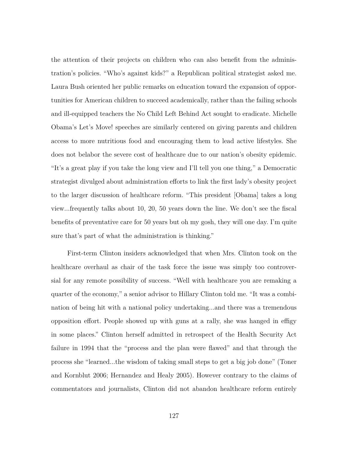the attention of their projects on children who can also benefit from the administration's policies. "Who's against kids?" a Republican political strategist asked me. Laura Bush oriented her public remarks on education toward the expansion of opportunities for American children to succeed academically, rather than the failing schools and ill-equipped teachers the No Child Left Behind Act sought to eradicate. Michelle Obama's Let's Move! speeches are similarly centered on giving parents and children access to more nutritious food and encouraging them to lead active lifestyles. She does not belabor the severe cost of healthcare due to our nation's obesity epidemic. "It's a great play if you take the long view and I'll tell you one thing," a Democratic strategist divulged about administration efforts to link the first lady's obesity project to the larger discussion of healthcare reform. "This president [Obama] takes a long view...frequently talks about 10, 20, 50 years down the line. We don't see the fiscal benefits of preventative care for 50 years but oh my gosh, they will one day. I'm quite sure that's part of what the administration is thinking."

First-term Clinton insiders acknowledged that when Mrs. Clinton took on the healthcare overhaul as chair of the task force the issue was simply too controversial for any remote possibility of success. "Well with healthcare you are remaking a quarter of the economy," a senior advisor to Hillary Clinton told me. "It was a combination of being hit with a national policy undertaking...and there was a tremendous opposition effort. People showed up with guns at a rally, she was hanged in effigy in some places." Clinton herself admitted in retrospect of the Health Security Act failure in 1994 that the "process and the plan were flawed" and that through the process she "learned...the wisdom of taking small steps to get a big job done" (Toner and Kornblut 2006; Hernandez and Healy 2005). However contrary to the claims of commentators and journalists, Clinton did not abandon healthcare reform entirely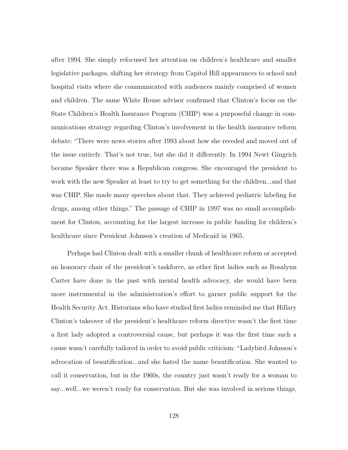after 1994. She simply refocused her attention on children's healthcare and smaller legislative packages, shifting her strategy from Capitol Hill appearances to school and hospital visits where she communicated with audiences mainly comprised of women and children. The same White House advisor confirmed that Clinton's focus on the State Children's Health Insurance Program (CHIP) was a purposeful change in communications strategy regarding Clinton's involvement in the health insurance reform debate: "There were news stories after 1993 about how she receded and moved out of the issue entirely. That's not true, but she did it differently. In 1994 Newt Gingrich became Speaker there was a Republican congress. She encouraged the president to work with the new Speaker at least to try to get something for the children...and that was CHIP. She made many speeches about that. They achieved pediatric labeling for drugs, among other things." The passage of CHIP in 1997 was no small accomplishment for Clinton, accounting for the largest increase in public funding for children's healthcare since President Johnson's creation of Medicaid in 1965.

Perhaps had Clinton dealt with a smaller chunk of healthcare reform or accepted an honorary chair of the president's taskforce, as other first ladies such as Rosalynn Carter have done in the past with mental health advocacy, she would have been more instrumental in the administration's effort to garner public support for the Health Security Act. Historians who have studied first ladies reminded me that Hillary Clinton's takeover of the president's healthcare reform directive wasn't the first time a first lady adopted a controversial cause, but perhaps it was the first time such a cause wasn't carefully tailored in order to avoid public criticism: "Ladybird Johnson's advocation of beautification...and she hated the name beautification. She wanted to call it conservation, but in the 1960s, the country just wasn't ready for a woman to say...well...we weren't ready for conservation. But she was involved in serious things,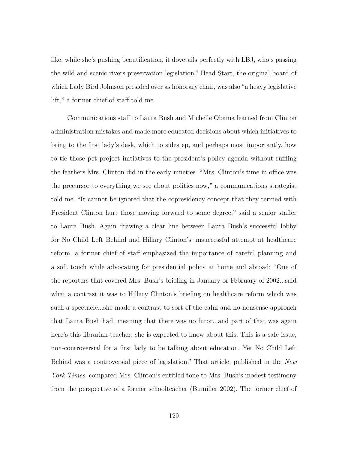like, while she's pushing beautification, it dovetails perfectly with LBJ, who's passing the wild and scenic rivers preservation legislation." Head Start, the original board of which Lady Bird Johnson presided over as honorary chair, was also "a heavy legislative lift," a former chief of staff told me.

Communications staff to Laura Bush and Michelle Obama learned from Clinton administration mistakes and made more educated decisions about which initiatives to bring to the first lady's desk, which to sidestep, and perhaps most importantly, how to tie those pet project initiatives to the president's policy agenda without ruffling the feathers Mrs. Clinton did in the early nineties. "Mrs. Clinton's time in office was the precursor to everything we see about politics now," a communications strategist told me. "It cannot be ignored that the copresidency concept that they termed with President Clinton hurt those moving forward to some degree," said a senior staffer to Laura Bush. Again drawing a clear line between Laura Bush's successful lobby for No Child Left Behind and Hillary Clinton's unsuccessful attempt at healthcare reform, a former chief of staff emphasized the importance of careful planning and a soft touch while advocating for presidential policy at home and abroad: "One of the reporters that covered Mrs. Bush's briefing in January or February of 2002...said what a contrast it was to Hillary Clinton's briefing on healthcare reform which was such a spectacle...she made a contrast to sort of the calm and no-nonsense approach that Laura Bush had, meaning that there was no furor...and part of that was again here's this librarian-teacher, she is expected to know about this. This is a safe issue, non-controversial for a first lady to be talking about education. Yet No Child Left Behind was a controversial piece of legislation." That article, published in the *New York Times*, compared Mrs. Clinton's entitled tone to Mrs. Bush's modest testimony from the perspective of a former schoolteacher (Bumiller 2002). The former chief of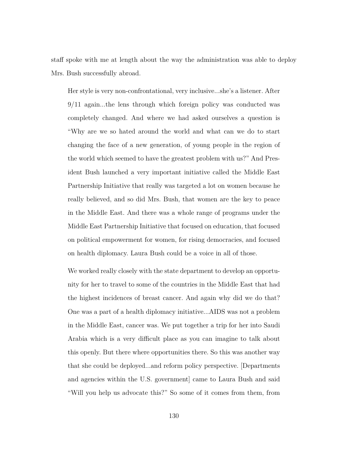staff spoke with me at length about the way the administration was able to deploy Mrs. Bush successfully abroad.

Her style is very non-confrontational, very inclusive...she's a listener. After 9/11 again...the lens through which foreign policy was conducted was completely changed. And where we had asked ourselves a question is "Why are we so hated around the world and what can we do to start changing the face of a new generation, of young people in the region of the world which seemed to have the greatest problem with us?" And President Bush launched a very important initiative called the Middle East Partnership Initiative that really was targeted a lot on women because he really believed, and so did Mrs. Bush, that women are the key to peace in the Middle East. And there was a whole range of programs under the Middle East Partnership Initiative that focused on education, that focused on political empowerment for women, for rising democracies, and focused on health diplomacy. Laura Bush could be a voice in all of those.

We worked really closely with the state department to develop an opportunity for her to travel to some of the countries in the Middle East that had the highest incidences of breast cancer. And again why did we do that? One was a part of a health diplomacy initiative...AIDS was not a problem in the Middle East, cancer was. We put together a trip for her into Saudi Arabia which is a very difficult place as you can imagine to talk about this openly. But there where opportunities there. So this was another way that she could be deployed...and reform policy perspective. [Departments and agencies within the U.S. government came to Laura Bush and said "Will you help us advocate this?" So some of it comes from them, from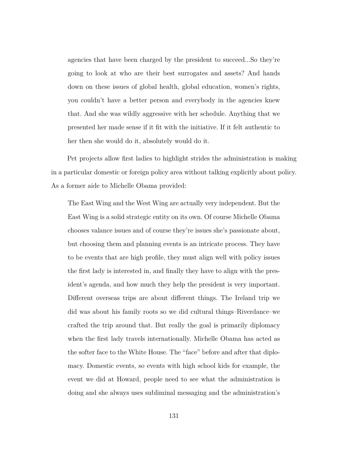agencies that have been charged by the president to succeed...So they're going to look at who are their best surrogates and assets? And hands down on these issues of global health, global education, women's rights, you couldn't have a better person and everybody in the agencies knew that. And she was wildly aggressive with her schedule. Anything that we presented her made sense if it fit with the initiative. If it felt authentic to her then she would do it, absolutely would do it.

Pet projects allow first ladies to highlight strides the administration is making in a particular domestic or foreign policy area without talking explicitly about policy. As a former aide to Michelle Obama provided:

The East Wing and the West Wing are actually very independent. But the East Wing is a solid strategic entity on its own. Of course Michelle Obama chooses valance issues and of course they're issues she's passionate about, but choosing them and planning events is an intricate process. They have to be events that are high profile, they must align well with policy issues the first lady is interested in, and finally they have to align with the president's agenda, and how much they help the president is very important. Different overseas trips are about different things. The Ireland trip we did was about his family roots so we did cultural things–Riverdance–we crafted the trip around that. But really the goal is primarily diplomacy when the first lady travels internationally. Michelle Obama has acted as the softer face to the White House. The "face" before and after that diplomacy. Domestic events, so events with high school kids for example, the event we did at Howard, people need to see what the administration is doing and she always uses subliminal messaging and the administration's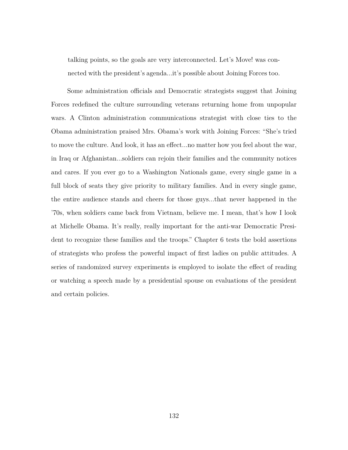talking points, so the goals are very interconnected. Let's Move! was connected with the president's agenda...it's possible about Joining Forces too.

Some administration officials and Democratic strategists suggest that Joining Forces redefined the culture surrounding veterans returning home from unpopular wars. A Clinton administration communications strategist with close ties to the Obama administration praised Mrs. Obama's work with Joining Forces: "She's tried to move the culture. And look, it has an effect...no matter how you feel about the war, in Iraq or Afghanistan...soldiers can rejoin their families and the community notices and cares. If you ever go to a Washington Nationals game, every single game in a full block of seats they give priority to military families. And in every single game, the entire audience stands and cheers for those guys...that never happened in the '70s, when soldiers came back from Vietnam, believe me. I mean, that's how I look at Michelle Obama. It's really, really important for the anti-war Democratic President to recognize these families and the troops." Chapter 6 tests the bold assertions of strategists who profess the powerful impact of first ladies on public attitudes. A series of randomized survey experiments is employed to isolate the effect of reading or watching a speech made by a presidential spouse on evaluations of the president and certain policies.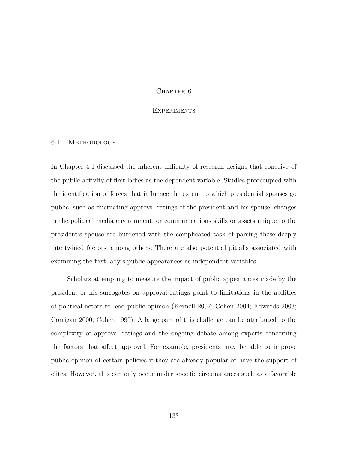## CHAPTER<sub>6</sub>

# **EXPERIMENTS**

#### 6.1 METHODOLOGY

In Chapter 4 I discussed the inherent difficulty of research designs that conceive of the public activity of first ladies as the dependent variable. Studies preoccupied with the identification of forces that influence the extent to which presidential spouses go public, such as fluctuating approval ratings of the president and his spouse, changes in the political media environment, or communications skills or assets unique to the president's spouse are burdened with the complicated task of parsing these deeply intertwined factors, among others. There are also potential pitfalls associated with examining the first lady's public appearances as independent variables.

Scholars attempting to measure the impact of public appearances made by the president or his surrogates on approval ratings point to limitations in the abilities of political actors to lead public opinion (Kernell 2007; Cohen 2004; Edwards 2003; Corrigan 2000; Cohen 1995). A large part of this challenge can be attributed to the complexity of approval ratings and the ongoing debate among experts concerning the factors that affect approval. For example, presidents may be able to improve public opinion of certain policies if they are already popular or have the support of elites. However, this can only occur under specific circumstances such as a favorable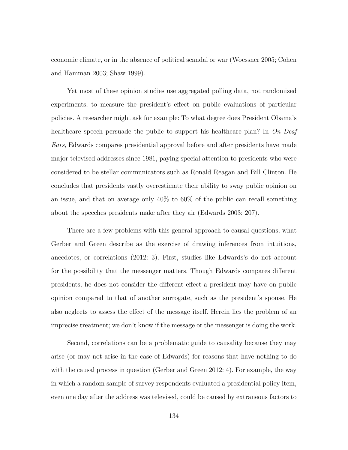economic climate, or in the absence of political scandal or war (Woessner 2005; Cohen and Hamman 2003; Shaw 1999).

Yet most of these opinion studies use aggregated polling data, not randomized experiments, to measure the president's effect on public evaluations of particular policies. A researcher might ask for example: To what degree does President Obama's healthcare speech persuade the public to support his healthcare plan? In *On Deaf Ears*, Edwards compares presidential approval before and after presidents have made major televised addresses since 1981, paying special attention to presidents who were considered to be stellar communicators such as Ronald Reagan and Bill Clinton. He concludes that presidents vastly overestimate their ability to sway public opinion on an issue, and that on average only 40% to 60% of the public can recall something about the speeches presidents make after they air (Edwards 2003: 207).

There are a few problems with this general approach to causal questions, what Gerber and Green describe as the exercise of drawing inferences from intuitions, anecdotes, or correlations (2012: 3). First, studies like Edwards's do not account for the possibility that the messenger matters. Though Edwards compares different presidents, he does not consider the different effect a president may have on public opinion compared to that of another surrogate, such as the president's spouse. He also neglects to assess the effect of the message itself. Herein lies the problem of an imprecise treatment; we don't know if the message or the messenger is doing the work.

Second, correlations can be a problematic guide to causality because they may arise (or may not arise in the case of Edwards) for reasons that have nothing to do with the causal process in question (Gerber and Green 2012: 4). For example, the way in which a random sample of survey respondents evaluated a presidential policy item, even one day after the address was televised, could be caused by extraneous factors to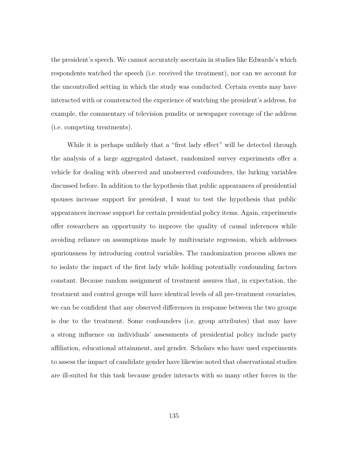the president's speech. We cannot accurately ascertain in studies like Edwards's which respondents watched the speech (i.e. received the treatment), nor can we account for the uncontrolled setting in which the study was conducted. Certain events may have interacted with or counteracted the experience of watching the president's address, for example, the commentary of television pundits or newspaper coverage of the address (i.e. competing treatments).

While it is perhaps unlikely that a "first lady effect" will be detected through the analysis of a large aggregated dataset, randomized survey experiments offer a vehicle for dealing with observed and unobserved confounders, the lurking variables discussed before. In addition to the hypothesis that public appearances of presidential spouses increase support for president, I want to test the hypothesis that public appearances increase support for certain presidential policy items. Again, experiments offer researchers an opportunity to improve the quality of causal inferences while avoiding reliance on assumptions made by multivariate regression, which addresses spuriousness by introducing control variables. The randomization process allows me to isolate the impact of the first lady while holding potentially confounding factors constant. Because random assignment of treatment assures that, in expectation, the treatment and control groups will have identical levels of all pre-treatment covariates, we can be confident that any observed differences in response between the two groups is due to the treatment. Some confounders (i.e. group attributes) that may have a strong influence on individuals' assessments of presidential policy include party affiliation, educational attainment, and gender. Scholars who have used experiments to assess the impact of candidate gender have likewise noted that observational studies are ill-suited for this task because gender interacts with so many other forces in the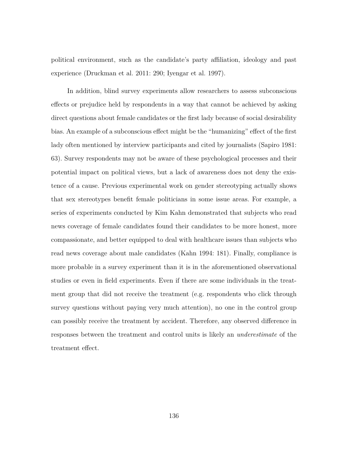political environment, such as the candidate's party affiliation, ideology and past experience (Druckman et al. 2011: 290; Iyengar et al. 1997).

In addition, blind survey experiments allow researchers to assess subconscious effects or prejudice held by respondents in a way that cannot be achieved by asking direct questions about female candidates or the first lady because of social desirability bias. An example of a subconscious effect might be the "humanizing" effect of the first lady often mentioned by interview participants and cited by journalists (Sapiro 1981: 63). Survey respondents may not be aware of these psychological processes and their potential impact on political views, but a lack of awareness does not deny the existence of a cause. Previous experimental work on gender stereotyping actually shows that sex stereotypes benefit female politicians in some issue areas. For example, a series of experiments conducted by Kim Kahn demonstrated that subjects who read news coverage of female candidates found their candidates to be more honest, more compassionate, and better equipped to deal with healthcare issues than subjects who read news coverage about male candidates (Kahn 1994: 181). Finally, compliance is more probable in a survey experiment than it is in the aforementioned observational studies or even in field experiments. Even if there are some individuals in the treatment group that did not receive the treatment (e.g. respondents who click through survey questions without paying very much attention), no one in the control group can possibly receive the treatment by accident. Therefore, any observed difference in responses between the treatment and control units is likely an *underestimate* of the treatment effect.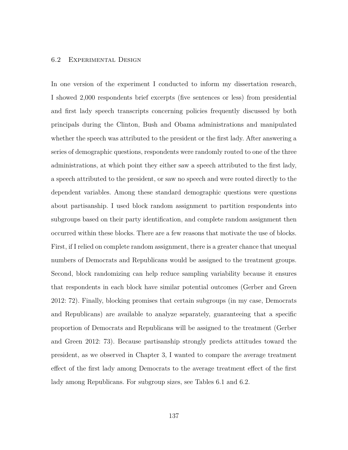## 6.2 Experimental Design

In one version of the experiment I conducted to inform my dissertation research, I showed 2,000 respondents brief excerpts (five sentences or less) from presidential and first lady speech transcripts concerning policies frequently discussed by both principals during the Clinton, Bush and Obama administrations and manipulated whether the speech was attributed to the president or the first lady. After answering a series of demographic questions, respondents were randomly routed to one of the three administrations, at which point they either saw a speech attributed to the first lady, a speech attributed to the president, or saw no speech and were routed directly to the dependent variables. Among these standard demographic questions were questions about partisanship. I used block random assignment to partition respondents into subgroups based on their party identification, and complete random assignment then occurred within these blocks. There are a few reasons that motivate the use of blocks. First, if I relied on complete random assignment, there is a greater chance that unequal numbers of Democrats and Republicans would be assigned to the treatment groups. Second, block randomizing can help reduce sampling variability because it ensures that respondents in each block have similar potential outcomes (Gerber and Green 2012: 72). Finally, blocking promises that certain subgroups (in my case, Democrats and Republicans) are available to analyze separately, guaranteeing that a specific proportion of Democrats and Republicans will be assigned to the treatment (Gerber and Green 2012: 73). Because partisanship strongly predicts attitudes toward the president, as we observed in Chapter 3, I wanted to compare the average treatment effect of the first lady among Democrats to the average treatment effect of the first lady among Republicans. For subgroup sizes, see Tables 6.1 and 6.2.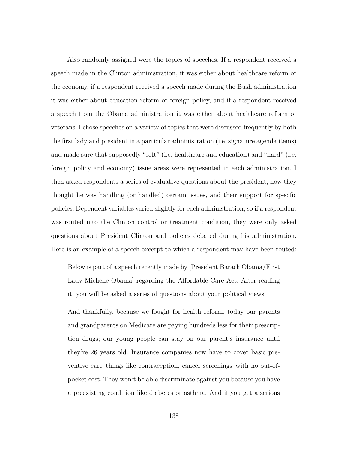Also randomly assigned were the topics of speeches. If a respondent received a speech made in the Clinton administration, it was either about healthcare reform or the economy, if a respondent received a speech made during the Bush administration it was either about education reform or foreign policy, and if a respondent received a speech from the Obama administration it was either about healthcare reform or veterans. I chose speeches on a variety of topics that were discussed frequently by both the first lady and president in a particular administration (i.e. signature agenda items) and made sure that supposedly "soft" (i.e. healthcare and education) and "hard" (i.e. foreign policy and economy) issue areas were represented in each administration. I then asked respondents a series of evaluative questions about the president, how they thought he was handling (or handled) certain issues, and their support for specific policies. Dependent variables varied slightly for each administration, so if a respondent was routed into the Clinton control or treatment condition, they were only asked questions about President Clinton and policies debated during his administration. Here is an example of a speech excerpt to which a respondent may have been routed:

Below is part of a speech recently made by [President Barack Obama/First Lady Michelle Obama] regarding the Affordable Care Act. After reading it, you will be asked a series of questions about your political views.

And thankfully, because we fought for health reform, today our parents and grandparents on Medicare are paying hundreds less for their prescription drugs; our young people can stay on our parent's insurance until they're 26 years old. Insurance companies now have to cover basic preventive care–things like contraception, cancer screenings–with no out-ofpocket cost. They won't be able discriminate against you because you have a preexisting condition like diabetes or asthma. And if you get a serious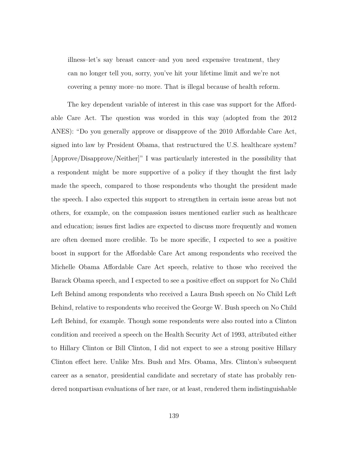illness–let's say breast cancer–and you need expensive treatment, they can no longer tell you, sorry, you've hit your lifetime limit and we're not covering a penny more–no more. That is illegal because of health reform.

The key dependent variable of interest in this case was support for the Affordable Care Act. The question was worded in this way (adopted from the 2012 ANES): "Do you generally approve or disapprove of the 2010 Affordable Care Act, signed into law by President Obama, that restructured the U.S. healthcare system? [Approve/Disapprove/Neither]" I was particularly interested in the possibility that a respondent might be more supportive of a policy if they thought the first lady made the speech, compared to those respondents who thought the president made the speech. I also expected this support to strengthen in certain issue areas but not others, for example, on the compassion issues mentioned earlier such as healthcare and education; issues first ladies are expected to discuss more frequently and women are often deemed more credible. To be more specific, I expected to see a positive boost in support for the Affordable Care Act among respondents who received the Michelle Obama Affordable Care Act speech, relative to those who received the Barack Obama speech, and I expected to see a positive effect on support for No Child Left Behind among respondents who received a Laura Bush speech on No Child Left Behind, relative to respondents who received the George W. Bush speech on No Child Left Behind, for example. Though some respondents were also routed into a Clinton condition and received a speech on the Health Security Act of 1993, attributed either to Hillary Clinton or Bill Clinton, I did not expect to see a strong positive Hillary Clinton effect here. Unlike Mrs. Bush and Mrs. Obama, Mrs. Clinton's subsequent career as a senator, presidential candidate and secretary of state has probably rendered nonpartisan evaluations of her rare, or at least, rendered them indistinguishable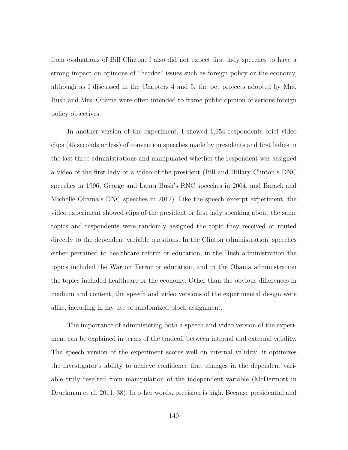from evaluations of Bill Clinton. I also did not expect first lady speeches to have a strong impact on opinions of "harder" issues such as foreign policy or the economy, although as I discussed in the Chapters 4 and 5, the pet projects adopted by Mrs. Bush and Mrs. Obama were often intended to frame public opinion of serious foreign policy objectives.

In another version of the experiment, I showed 1,954 respondents brief video clips (45 seconds or less) of convention speeches made by presidents and first ladies in the last three administrations and manipulated whether the respondent was assigned a video of the first lady or a video of the president (Bill and Hillary Clinton's DNC speeches in 1996, George and Laura Bush's RNC speeches in 2004, and Barack and Michelle Obama's DNC speeches in 2012). Like the speech excerpt experiment, the video experiment showed clips of the president or first lady speaking about the same topics and respondents were randomly assigned the topic they received or routed directly to the dependent variable questions. In the Clinton administration, speeches either pertained to healthcare reform or education, in the Bush administration the topics included the War on Terror or education, and in the Obama administration the topics included healthcare or the economy. Other than the obvious differences in medium and content, the speech and video versions of the experimental design were alike, including in my use of randomized block assignment.

The importance of administering both a speech and video version of the experiment can be explained in terms of the tradeoff between internal and external validity. The speech version of the experiment scores well on internal validity; it optimizes the investigator's ability to achieve confidence that changes in the dependent variable truly resulted from manipulation of the independent variable (McDermott in Druckman et al. 2011: 38). In other words, precision is high. Because presidential and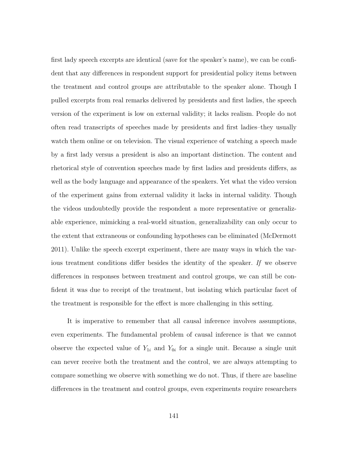first lady speech excerpts are identical (save for the speaker's name), we can be confident that any differences in respondent support for presidential policy items between the treatment and control groups are attributable to the speaker alone. Though I pulled excerpts from real remarks delivered by presidents and first ladies, the speech version of the experiment is low on external validity; it lacks realism. People do not often read transcripts of speeches made by presidents and first ladies–they usually watch them online or on television. The visual experience of watching a speech made by a first lady versus a president is also an important distinction. The content and rhetorical style of convention speeches made by first ladies and presidents differs, as well as the body language and appearance of the speakers. Yet what the video version of the experiment gains from external validity it lacks in internal validity. Though the videos undoubtedly provide the respondent a more representative or generalizable experience, mimicking a real-world situation, generalizability can only occur to the extent that extraneous or confounding hypotheses can be eliminated (McDermott 2011). Unlike the speech excerpt experiment, there are many ways in which the various treatment conditions differ besides the identity of the speaker. *If* we observe differences in responses between treatment and control groups, we can still be confident it was due to receipt of the treatment, but isolating which particular facet of the treatment is responsible for the effect is more challenging in this setting.

It is imperative to remember that all causal inference involves assumptions, even experiments. The fundamental problem of causal inference is that we cannot observe the expected value of  $Y_{1i}$  and  $Y_{0i}$  for a single unit. Because a single unit can never receive both the treatment and the control, we are always attempting to compare something we observe with something we do not. Thus, if there are baseline differences in the treatment and control groups, even experiments require researchers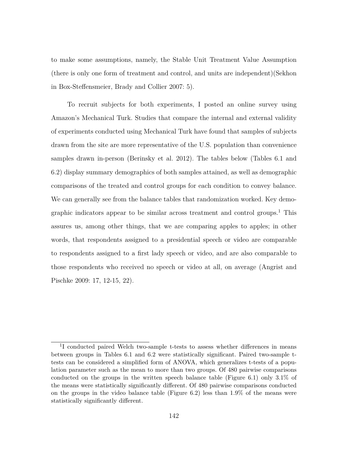to make some assumptions, namely, the Stable Unit Treatment Value Assumption (there is only one form of treatment and control, and units are independent)(Sekhon in Box-Steffensmeier, Brady and Collier 2007: 5).

To recruit subjects for both experiments, I posted an online survey using Amazon's Mechanical Turk. Studies that compare the internal and external validity of experiments conducted using Mechanical Turk have found that samples of subjects drawn from the site are more representative of the U.S. population than convenience samples drawn in-person (Berinsky et al. 2012). The tables below (Tables 6.1 and 6.2) display summary demographics of both samples attained, as well as demographic comparisons of the treated and control groups for each condition to convey balance. We can generally see from the balance tables that randomization worked. Key demographic indicators appear to be similar across treatment and control groups.<sup>1</sup> This assures us, among other things, that we are comparing apples to apples; in other words, that respondents assigned to a presidential speech or video are comparable to respondents assigned to a first lady speech or video, and are also comparable to those respondents who received no speech or video at all, on average (Angrist and Pischke 2009: 17, 12-15, 22).

<sup>&</sup>lt;sup>1</sup>I conducted paired Welch two-sample t-tests to assess whether differences in means between groups in Tables 6.1 and 6.2 were statistically significant. Paired two-sample ttests can be considered a simplified form of ANOVA, which generalizes t-tests of a population parameter such as the mean to more than two groups. Of 480 pairwise comparisons conducted on the groups in the written speech balance table (Figure 6.1) only 3.1% of the means were statistically significantly different. Of 480 pairwise comparisons conducted on the groups in the video balance table (Figure 6.2) less than 1.9% of the means were statistically significantly different.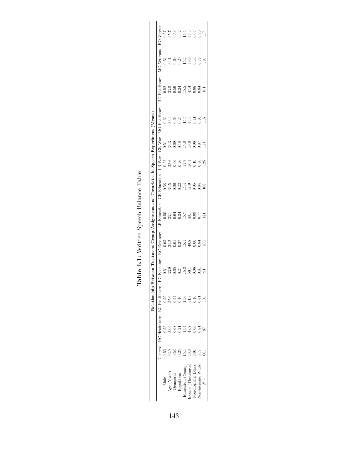|                           |                                             | Control HC Healthcare | <b>BC</b> Healthcare                        | <b>HC</b> Economy                           | <b>BC</b> Economy          | <b>LB</b> Education        | <b>GB</b> Education    | LB War           | GB War                               | MO Healthcare    | <b>BO</b> Healthcare | MO Veterans                | BO Veterans      |
|---------------------------|---------------------------------------------|-----------------------|---------------------------------------------|---------------------------------------------|----------------------------|----------------------------|------------------------|------------------|--------------------------------------|------------------|----------------------|----------------------------|------------------|
| Male                      | 0.56                                        | 0.55                  | 55                                          | 0.51                                        | 0.63                       | 0.50                       | 0.58                   | 0.52             | 0.51                                 |                  | 0.52                 | 0.52                       | 750              |
| Age (Years)               |                                             | 33.9                  | 35.6                                        | 33.9                                        | $34.2$<br>$0.37$<br>$0.27$ |                            | $33.5$<br>0.66<br>0.22 | 33.6             | 33.3<br>0.69<br>0.18                 | $0.62$<br>33.4   | 33.5                 | $34.1$<br>$0.80$<br>$0.20$ | 35.7             |
| <b>Jemocrat</b>           | $\begin{array}{c} 33.9 \\ 0.53 \end{array}$ | $0.68\,$              | 0.54                                        | $0.65\,$                                    |                            | $33.1$<br>$0.34$<br>$0.24$ |                        |                  |                                      | 0.63             | 0.59                 |                            |                  |
| depublican                | 0.25                                        | 0.21                  | $+1$                                        | 0.21                                        |                            |                            |                        | $0.66$<br>$0.26$ |                                      | 0.24             | 0.24                 |                            | $0.53$<br>$0.32$ |
| Education (Years)         | 54                                          | 15.4                  | 15.6                                        | 15.3                                        | $15.1$<br>48.8             | $\frac{15.7}{48.1}$        | 15.4                   | 15.7             |                                      | $15.5$<br>$45.9$ | 15.5                 | 15.4                       |                  |
| (ncome (Thousands)        | 48.8                                        | 48.7                  |                                             |                                             |                            |                            | $47.9$<br>0.05         | 50.3             | $15.8$<br>$49.8$<br>$0.06$<br>$0.87$ |                  | $47.4$<br>0.08       | 49.8                       |                  |
| <b>Jon-hispanic Black</b> | 0.07                                        | 0.06                  | $\begin{array}{c} 51.8 \\ 0.10 \end{array}$ | $\begin{array}{c} 50.1 \\ 0.06 \end{array}$ | 0.06                       | 0.09                       |                        | 0.10             |                                      | 0.11             |                      | 0.14                       |                  |
| Jon-hispanic White        | 77                                          | 0.81                  | 0.81                                        | 0.81                                        | 0.84                       | 0.77                       | 0.84                   | 0.80             |                                      | 0.80             | 0.84                 | 0.78                       |                  |
| $\geq$                    | ç                                           |                       |                                             |                                             | 103                        | $\overline{21}$            | 108                    | 125              | $\Xi$                                | 115              | $\Xi$                | $\frac{10}{2}$             | ΠT <sub>1</sub>  |

Table 6.1: Written Speech Balance Table **Table 6.1:** Written Speech Balance Table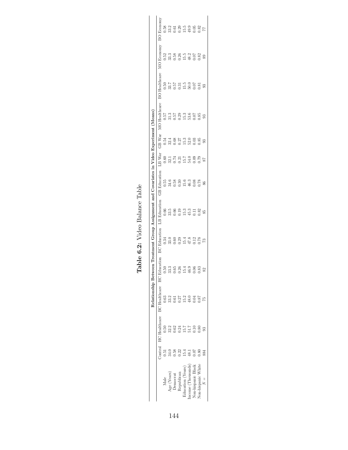| 0.58<br>33.2<br>0.61<br>0.29<br>$15.9$<br>$9.95$<br>$0.82$<br>$\overline{7}$<br>$\begin{array}{c} 15.5 \\ 4.8.2 \\ 0.07 \\ 0.82 \end{array}$<br>$33.38$<br>0.58<br>0.52<br>89<br>$33.7$<br>$0.57$<br>$15.5$<br>$50.0$<br>$0.07$<br>0.50<br>0.31<br>.81<br>93<br>$\begin{array}{c} 31.3 \\ 0.57 \\ 0.29 \\ 15.3 \\ 33.6 \\ 0.07 \\ 0.85 \\ \end{array}$<br>0.57<br>33<br>$32.3$<br>$0.68$<br>$0.27$<br>$0.3$<br>$0.3$<br>$0.3$<br>$0.3$<br>$0.8$<br>0.54<br>ශී<br>$0.50$<br>$0.74$<br>$0.51$<br>$0.54$<br>$0.8$<br>$0.57$<br>$0.57$<br>0.55<br>15.6<br>46.3<br>0.78<br>$34.6$<br>0.58<br>0.30<br>86 |                                                                                                                                                                                                                  |  |  |        |  | 33.5<br>0.60 0.13<br>0.145.3<br>0.80<br>85 | 15.4<br>47.8<br>0.78<br>33.08.29<br>0.33.09<br>73 | 3.3<br>.26<br>$\odot$<br>0.65<br>5.4<br>6.9<br>0.50<br>0.83 | 33.2<br>0.63<br>5.2<br>18.0<br>94<br>.87<br>0.61 | 32.2<br>0.62<br>$7.1\overline{6}$<br>$\widetilde{0.50}$<br>15.7<br>0.10<br>0.80<br>0.24 | $34.0$<br>$0.58$<br>0.51<br>0.07<br>0.22<br>15.4<br>$\overline{8}$ .<br>0.80<br>884 |
|----------------------------------------------------------------------------------------------------------------------------------------------------------------------------------------------------------------------------------------------------------------------------------------------------------------------------------------------------------------------------------------------------------------------------------------------------------------------------------------------------------------------------------------------------------------------------------------------------|------------------------------------------------------------------------------------------------------------------------------------------------------------------------------------------------------------------|--|--|--------|--|--------------------------------------------|---------------------------------------------------|-------------------------------------------------------------|--------------------------------------------------|-----------------------------------------------------------------------------------------|-------------------------------------------------------------------------------------|
| 0.66                                                                                                                                                                                                                                                                                                                                                                                                                                                                                                                                                                                               | <b>BO</b> Economy<br>Economy<br>Š<br><b>BO</b> Healthcare<br>MO Healthcare<br>LB War<br><b>GB</b> Education<br>LB Education<br><b>BC</b> Education<br><b>HC</b> Education<br>Control HC Healthcare BC Healthcare |  |  | GB War |  |                                            |                                                   |                                                             |                                                  |                                                                                         | Male                                                                                |

| Table              |
|--------------------|
| Bala <sub>nc</sub> |
| ideo               |
| 6.3                |
| $_{\rm Tabk}$      |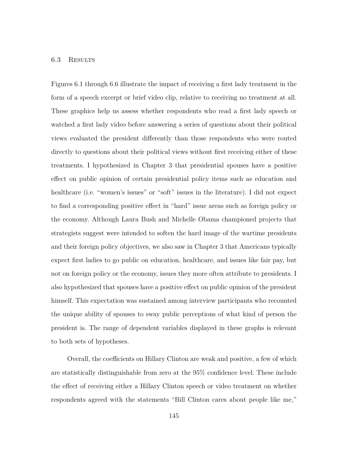## 6.3 Results

Figures 6.1 through 6.6 illustrate the impact of receiving a first lady treatment in the form of a speech excerpt or brief video clip, relative to receiving no treatment at all. These graphics help us assess whether respondents who read a first lady speech or watched a first lady video before answering a series of questions about their political views evaluated the president differently than those respondents who were routed directly to questions about their political views without first receiving either of these treatments. I hypothesized in Chapter 3 that presidential spouses have a positive effect on public opinion of certain presidential policy items such as education and healthcare (i.e. "women's issues" or "soft" issues in the literature). I did not expect to find a corresponding positive effect in "hard" issue areas such as foreign policy or the economy. Although Laura Bush and Michelle Obama championed projects that strategists suggest were intended to soften the hard image of the wartime presidents and their foreign policy objectives, we also saw in Chapter 3 that Americans typically expect first ladies to go public on education, healthcare, and issues like fair pay, but not on foreign policy or the economy, issues they more often attribute to presidents. I also hypothesized that spouses have a positive effect on public opinion of the president himself. This expectation was sustained among interview participants who recounted the unique ability of spouses to sway public perceptions of what kind of person the president is. The range of dependent variables displayed in these graphs is relevant to both sets of hypotheses.

Overall, the coefficients on Hillary Clinton are weak and positive, a few of which are statistically distinguishable from zero at the 95% confidence level. These include the effect of receiving either a Hillary Clinton speech or video treatment on whether respondents agreed with the statements "Bill Clinton cares about people like me,"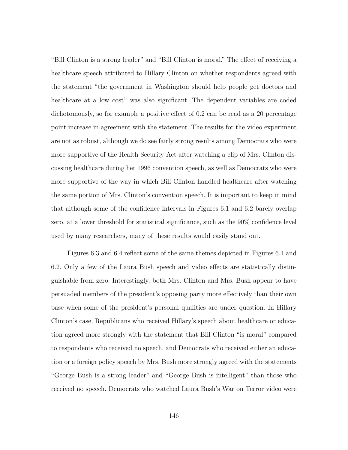"Bill Clinton is a strong leader" and "Bill Clinton is moral." The effect of receiving a healthcare speech attributed to Hillary Clinton on whether respondents agreed with the statement "the government in Washington should help people get doctors and healthcare at a low cost" was also significant. The dependent variables are coded dichotomously, so for example a positive effect of 0.2 can be read as a 20 percentage point increase in agreement with the statement. The results for the video experiment are not as robust, although we do see fairly strong results among Democrats who were more supportive of the Health Security Act after watching a clip of Mrs. Clinton discussing healthcare during her 1996 convention speech, as well as Democrats who were more supportive of the way in which Bill Clinton handled healthcare after watching the same portion of Mrs. Clinton's convention speech. It is important to keep in mind that although some of the confidence intervals in Figures 6.1 and 6.2 barely overlap zero, at a lower threshold for statistical significance, such as the 90% confidence level used by many researchers, many of these results would easily stand out.

Figures 6.3 and 6.4 reflect some of the same themes depicted in Figures 6.1 and 6.2. Only a few of the Laura Bush speech and video effects are statistically distinguishable from zero. Interestingly, both Mrs. Clinton and Mrs. Bush appear to have persuaded members of the president's opposing party more effectively than their own base when some of the president's personal qualities are under question. In Hillary Clinton's case, Republicans who received Hillary's speech about healthcare or education agreed more strongly with the statement that Bill Clinton "is moral" compared to respondents who received no speech, and Democrats who received either an education or a foreign policy speech by Mrs. Bush more strongly agreed with the statements "George Bush is a strong leader" and "George Bush is intelligent" than those who received no speech. Democrats who watched Laura Bush's War on Terror video were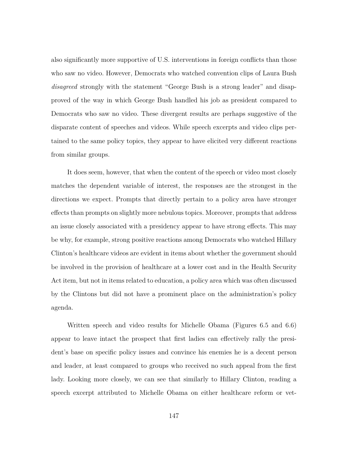also significantly more supportive of U.S. interventions in foreign conflicts than those who saw no video. However, Democrats who watched convention clips of Laura Bush *disagreed* strongly with the statement "George Bush is a strong leader" and disapproved of the way in which George Bush handled his job as president compared to Democrats who saw no video. These divergent results are perhaps suggestive of the disparate content of speeches and videos. While speech excerpts and video clips pertained to the same policy topics, they appear to have elicited very different reactions from similar groups.

It does seem, however, that when the content of the speech or video most closely matches the dependent variable of interest, the responses are the strongest in the directions we expect. Prompts that directly pertain to a policy area have stronger effects than prompts on slightly more nebulous topics. Moreover, prompts that address an issue closely associated with a presidency appear to have strong effects. This may be why, for example, strong positive reactions among Democrats who watched Hillary Clinton's healthcare videos are evident in items about whether the government should be involved in the provision of healthcare at a lower cost and in the Health Security Act item, but not in items related to education, a policy area which was often discussed by the Clintons but did not have a prominent place on the administration's policy agenda.

Written speech and video results for Michelle Obama (Figures 6.5 and 6.6) appear to leave intact the prospect that first ladies can effectively rally the president's base on specific policy issues and convince his enemies he is a decent person and leader, at least compared to groups who received no such appeal from the first lady. Looking more closely, we can see that similarly to Hillary Clinton, reading a speech excerpt attributed to Michelle Obama on either healthcare reform or vet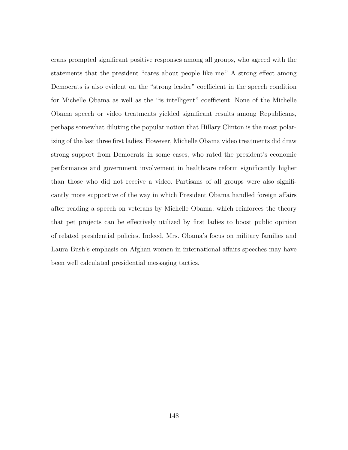erans prompted significant positive responses among all groups, who agreed with the statements that the president "cares about people like me." A strong effect among Democrats is also evident on the "strong leader" coefficient in the speech condition for Michelle Obama as well as the "is intelligent" coefficient. None of the Michelle Obama speech or video treatments yielded significant results among Republicans, perhaps somewhat diluting the popular notion that Hillary Clinton is the most polarizing of the last three first ladies. However, Michelle Obama video treatments did draw strong support from Democrats in some cases, who rated the president's economic performance and government involvement in healthcare reform significantly higher than those who did not receive a video. Partisans of all groups were also significantly more supportive of the way in which President Obama handled foreign affairs after reading a speech on veterans by Michelle Obama, which reinforces the theory that pet projects can be effectively utilized by first ladies to boost public opinion of related presidential policies. Indeed, Mrs. Obama's focus on military families and Laura Bush's emphasis on Afghan women in international affairs speeches may have been well calculated presidential messaging tactics.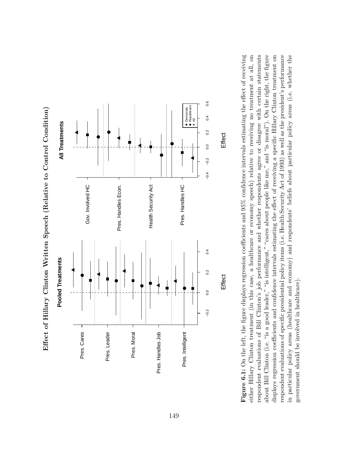



Figure 6.1: On the left, the figure displays regression coefficients and  $95\%$  confidence intervals estimating the effect of receiving either Hillary Clinton treatment (in this case, a healthcare or economy speech) relative to receiving no treatment at all, on respondent evaluations of Bill Clinton's job performance and whether respondents agree or disagree with certain statements about Bill Clinton (i.e. "is a good leader," "is intelligent," "cares about people like me," and "is moral"). On the right, the figure respondent evaluations of specific presidential policy items (i.e. Health Security Act of 1993) as well as the president's performance in particular policy areas (healthcare and economy) and respondents' beliefs about particular policy areas (i.e. whether the displays regression coefficients and confidence intervals estimating the effect of receiving a specific Hillary Clinton treatment on **Figure 6.1:** On the left, the figure displays regression coefficients and 95% confidence intervals estimating the effect of receiving either Hillary Clinton treatment (in this case, a healthcare or economy speech) relative to receiving no treatment at all, on respondent evaluations of Bill Clinton's job performance and whether respondents agree or disagree with certain statements about Bill Clinton (i.e. "is a good leader," "is intelligent," "cares about people like me," and "is moral"). On the right, the figure displays regression coefficients and confidence intervals estimating the effect of receiving a specific Hillary Clinton treatment on respondent evaluations of specific presidential policy items (i.e. Health Security Act of 1993) as well as the president's performance in particular policy areas (healthcare and economy) and respondents' beliefs about particular policy areas (i.e. whether the government should be involved in healthcare). government should be involved in healthcare).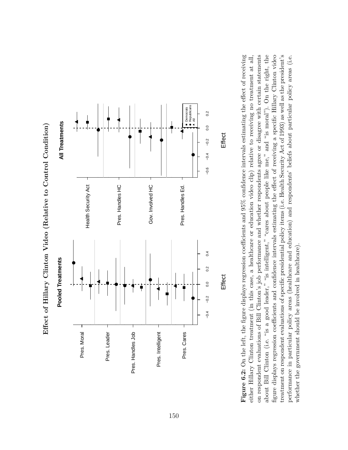



Figure 6.2: On the left, the figure displays regression coefficients and  $95\%$  confidence intervals estimating the effect of receiving on respondent evaluations of Bill Clinton's job performance and whether respondents agree or disagree with certain statements about Bill Clinton (i.e. "is a good leader," "is intelligent," "cares about people like me," and "is moral"). On the right, the figure displays regression coefficients and confidence intervals estimating the effect of receiving a specific Hillary Clinton video treatment on respondent evaluations of specific presidential policy items (i.e. Health Security Act of 1993) as well as the president's either Hillary Clinton treatment (in this case, a healthcare or education video clip) relative to receiving no treatment at all, **Figure 6.2:** On the left, the figure displays regression coefficients and 95% confidence intervals estimating the effect of receiving on respondent evaluations of Bill Clinton's job performance and whether respondents agree or disagree with certain statements about Bill Clinton (i.e. "is a good leader," "is intelligent," "cares about people like me," and "is moral"). On the right, the figure displays regression coefficients and confidence intervals estimating the effect of receiving a specific Hillary Clinton video treatment on respondent evaluations of specific presidential policy items (i.e. Health Security Act of 1993) as well as the president's performance in particular policy areas (healthcare and education) and respondents' beliefs about particular policy areas (i.e. either Hillary Clinton treatment (in this case, a healthcare or education video clip) relative to receiving no treatment at all, performance in particular policy areas (healthcare and education) and respondents' beliefs about particular policy areas (i.e. whether the government should be involved in healthcare). whether the government should be involved in healthcare).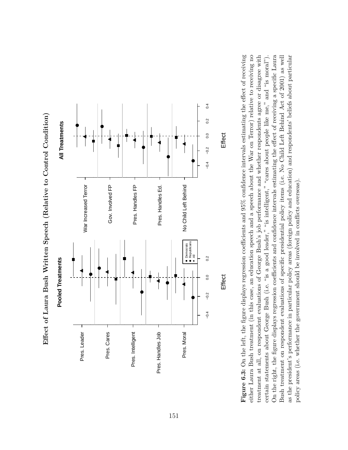



**Figure 6.3:** On the left, the figure displays regression coefficients and  $95\%$  confidence intervals estimating the effect of receiving either Laura Bush treatment (in this case, an education speech and a speech about the War on Terror) relative to receiving no treatment at all, on respondent evaluations of George Bush's job performance and whether respondents agree or disagree with certain statements about George Bush (i.e. "is a good leader," "is intelligent," "cares about people like me," and "is moral"). On the right, the figure displays regression coefficients and confidence intervals estimating the effect of receiving a specific Laura Bush treatment on respondent evaluations of specific presidential policy items (i.e. No Child Left Behind Act of 2001) as well **Figure 6.3:** On the left, the figure displays regression coefficients and 95% confidence intervals estimating the effect of receiving either Laura Bush treatment (in this case, an education speech and a speech about the War on Terror) relative to receiving no treatment at all, on respondent evaluations of George Bush's job performance and whether respondents agree or disagree with On the right, the figure displays regression coefficients and confidence intervals estimating the effect of receiving a specific Laura Bush treatment on respondent evaluations of specific presidential policy items (i.e. No Child Left Behind Act of 2001) as well as the president's performance in particular policy areas (foreign policy and education) and respondents' beliefs about particular as the president's performance in particular policy areas (foreign policy and education) and respondents' beliefs about particular certain statements about George Bush (i.e. "is a good leader," "is intelligent," "cares about people like me," and "is moral"). policy areas (i.e. whether the government should be involved in conflicts overseas). policy areas (i.e. whether the government should be involved in conflicts overseas).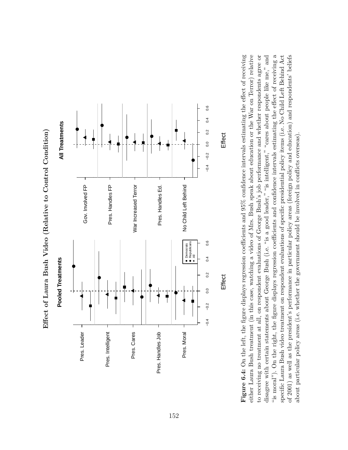

Effect of Laura Bush Video (Relative to Control Condition) **Effect of Laura Bush Video (Relative to Control Condition)** Figure 6.4: On the left, the figure displays regression coefficients and  $95\%$  confidence intervals estimating the effect of receiving either Laura Bush treatment (in this case, watching a video of Mrs. Bush speak about education or the War on Terror) relative "is moral"). On the right, the figure displays regression coefficients and confidence intervals estimating the effect of receiving a "is moral"). On the right, the figure displays regression coefficients and confidence intervals estimating the effect of receiving a to receiving no treatment at all, on respondent evaluations of George Bush's job performance and whether respondents agree or disagree with certain statements about George Bush (i.e. "is a good leader," "is intelligent," "cares about people like me," and specific Laura Bush video treatment on respondent evaluations of specific presidential policy items (i.e. No Child Left Behind Act of 2001) as well as the president's performance in particular policy areas (foreign policy and education) and respondents' beliefs **Figure 6.4:** On the left, the figure displays regression coefficients and 95% confidence intervals estimating the effect of receiving either Laura Bush treatment (in this case, watching a video of Mrs. Bush speak about education or the War on Terror) relative to receiving no treatment at all, on respondent evaluations of George Bush's job performance and whether respondents agree or disagree with certain statements about George Bush (i.e. "is a good leader," "is intelligent," "cares about people like me," and of 2001) as well as the president's performance in particular policy areas (foreign policy and education) and respondents' beliefs specific Laura Bush video treatment on respondent evaluations of specific presidential policy items (i.e. No Child Left Behind Act about particular policy areas (i.e. whether the government should be involved in conflicts overseas). about particular policy areas (i.e. whether the government should be involved in conflicts overseas).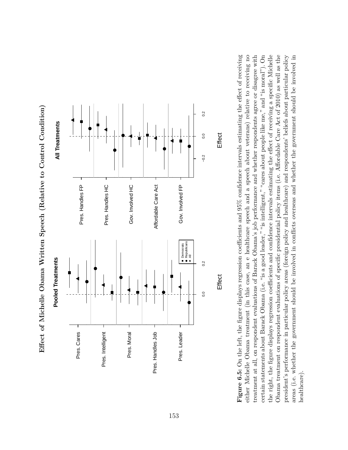$0.2$ −0.2 0.0 0.2 0.2 **All Treatments All Treatments** ● $0.0$ ●●●● $-0.2$ Pres. Handles FP Pres. Handles HC Gov. Involved HC Affordable Care Act Gov. Involved FP Pres. Handles FP Pres. Handles HC Gov. Involved HC Affordable Care Act Gov. Involved FP Republicans Democrats ৺<br>● ৰ **Pooled Treatments Pooled Treatments**  $0.2$ 0.0 0.2 ●●● $0.0$ ●●Pres. Cares Pres. Intelligent Pres. Leader Pres. Moral Pres. Handles Job Pres. Leader Pres. Cares Pres. Intelligent Pres. Moral Pres. Handles Job

Effect of Michelle Obama Written Speech (Relative to Control Condition) **Effect of Michelle Obama Written Speech (Relative to Control Condition)**

either Michelle Obama treatment (in this case, an e healthcare speech and a speech about veterans) relative to receiving no Obama treatment on respondent evaluations of specific presidential policy items (i.e. Affordable Care Act of 2010) as well as the Figure 6.5: On the left, the figure displays regression coefficients and 95% confidence intervals estimating the effect of receiving treatment at all, on respondent evaluations of Barack Obama's job performance and whether respondents agree or disagree with certain statements about Barack Obama (i.e. "is a good leader," "is intelligent," "cares about people like me," and "is moral"). On the right, the figure displays regression coefficients and confidence intervals estimating the effect of receiving a specific Michelle president's performance in particular policy areas (foreign policy and healthcare) and respondents' beliefs about particular policy areas (i.e. whether the government should be involved in conflicts overseas and whether the government should be involved in **Figure 6.5:** On the left, the figure displays regression coefficients and 95% confidence intervals estimating the effect of receiving either Michelle Obama treatment (in this case, an e healthcare speech and a speech about veterans) relative to receiving no treatment at all, on respondent evaluations of Barack Obama's job performance and whether respondents agree or disagree with certain statements about Barack Obama (i.e. "is a good leader," "is intelligent," "cares about people like me," and "is moral"). On the right, the figure displays regression coefficients and confidence intervals estimating the effect of receiving a specific Michelle Obama treatment on respondent evaluations of specific presidential policy items (i.e. Affordable Care Act of 2010) as well as the president's performance in particular policy areas (foreign policy and healthcare) and respondents' beliefs about particular policy areas (i.e. whether the government should be involved in conflicts overseas and whether the government should be involved in healthcare).

Effect

**Effect**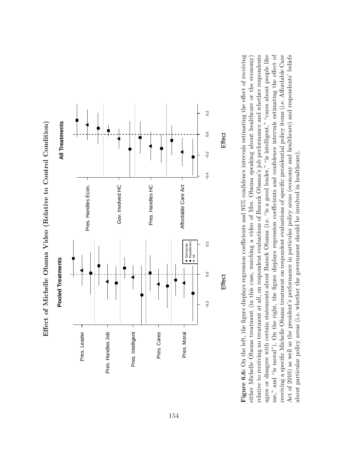



**Figure 6.6:** On the left, the figure displays regression coefficients and  $95\%$  confidence intervals estimating the effect of receiving relative to receiving no treatment at all, on respondent evaluations of Barack Obama's job performance and whether respondents agree or disagree with certain statements about Barack Obama (i.e. "is a good leader," "is intelligent," "cares about people like me," and "is moral"). On the right, the figure displays regression coefficients and confidence intervals estimating the effect of receiving a specific Michelle Obama treatment on respondent evaluations of specific presidential policy items (i.e. Affordable Care Act of 2010) as well as the president's performance in particular policy areas (economy and healthcare) and respondents' beliefs **Figure 6.6:** On the left, the figure displays regression coefficients and 95% confidence intervals estimating the effect of receiving relative to receiving no treatment at all, on respondent evaluations of Barack Obama's job performance and whether respondents agree or disagree with certain statements about Barack Obama (i.e. "is a good leader," "is intelligent," "cares about people like me," and "is moral"). On the right, the figure displays regression coefficients and confidence intervals estimating the effect of receiving a specific Michelle Obama treatment on respondent evaluations of specific presidential policy items (i.e. Affordable Care Act of 2010) as well as the president's performance in particular policy areas (economy and healthcare) and respondents' beliefs either Michelle Obama treatment (in this case, watching a video of Mrs. Obama speaking about healthcare or the economy) either Michelle Obama treatment (in this case, watching a video of Mrs. Obama speaking about healthcare or the economy) about particular policy areas (i.e. whether the government should be involved in healthcare). about particular policy areas (i.e. whether the government should be involved in healthcare)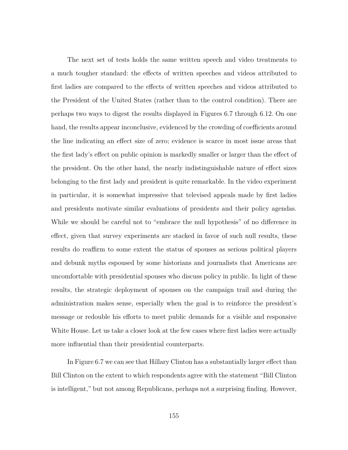The next set of tests holds the same written speech and video treatments to a much tougher standard: the effects of written speeches and videos attributed to first ladies are compared to the effects of written speeches and videos attributed to the President of the United States (rather than to the control condition). There are perhaps two ways to digest the results displayed in Figures 6.7 through 6.12. On one hand, the results appear inconclusive, evidenced by the crowding of coefficients around the line indicating an effect size of zero; evidence is scarce in most issue areas that the first lady's effect on public opinion is markedly smaller or larger than the effect of the president. On the other hand, the nearly indistinguishable nature of effect sizes belonging to the first lady and president is quite remarkable. In the video experiment in particular, it is somewhat impressive that televised appeals made by first ladies and presidents motivate similar evaluations of presidents and their policy agendas. While we should be careful not to "embrace the null hypothesis" of no difference in effect, given that survey experiments are stacked in favor of such null results, these results do reaffirm to some extent the status of spouses as serious political players and debunk myths espoused by some historians and journalists that Americans are uncomfortable with presidential spouses who discuss policy in public. In light of these results, the strategic deployment of spouses on the campaign trail and during the administration makes sense, especially when the goal is to reinforce the president's message or redouble his efforts to meet public demands for a visible and responsive White House. Let us take a closer look at the few cases where first ladies were actually more influential than their presidential counterparts.

In Figure 6.7 we can see that Hillary Clinton has a substantially larger effect than Bill Clinton on the extent to which respondents agree with the statement "Bill Clinton is intelligent," but not among Republicans, perhaps not a surprising finding. However,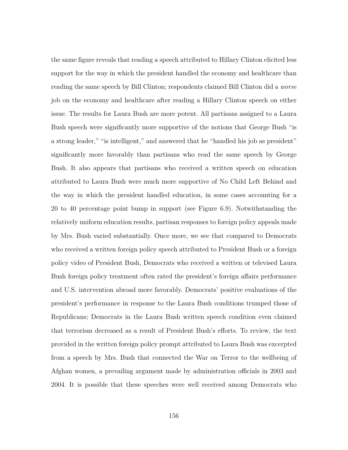the same figure reveals that reading a speech attributed to Hillary Clinton elicited less support for the way in which the president handled the economy and healthcare than reading the same speech by Bill Clinton; respondents claimed Bill Clinton did a *worse* job on the economy and healthcare after reading a Hillary Clinton speech on either issue. The results for Laura Bush are more potent. All partisans assigned to a Laura Bush speech were significantly more supportive of the notions that George Bush "is a strong leader," "is intelligent," and answered that he "handled his job as president" significantly more favorably than partisans who read the same speech by George Bush. It also appears that partisans who received a written speech on education attributed to Laura Bush were much more supportive of No Child Left Behind and the way in which the president handled education, in some cases accounting for a 20 to 40 percentage point bump in support (see Figure 6.9). Notwithstanding the relatively uniform education results, partisan responses to foreign policy appeals made by Mrs. Bush varied substantially. Once more, we see that compared to Democrats who received a written foreign policy speech attributed to President Bush or a foreign policy video of President Bush, Democrats who received a written or televised Laura Bush foreign policy treatment often rated the president's foreign affairs performance and U.S. intervention abroad more favorably. Democrats' positive evaluations of the president's performance in response to the Laura Bush conditions trumped those of Republicans; Democrats in the Laura Bush written speech condition even claimed that terrorism decreased as a result of President Bush's efforts. To review, the text provided in the written foreign policy prompt attributed to Laura Bush was excerpted from a speech by Mrs. Bush that connected the War on Terror to the wellbeing of Afghan women, a prevailing argument made by administration officials in 2003 and 2004. It is possible that these speeches were well received among Democrats who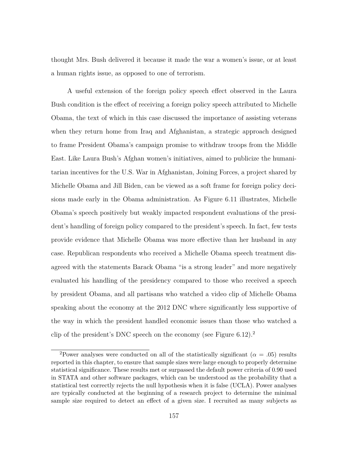thought Mrs. Bush delivered it because it made the war a women's issue, or at least a human rights issue, as opposed to one of terrorism.

A useful extension of the foreign policy speech effect observed in the Laura Bush condition is the effect of receiving a foreign policy speech attributed to Michelle Obama, the text of which in this case discussed the importance of assisting veterans when they return home from Iraq and Afghanistan, a strategic approach designed to frame President Obama's campaign promise to withdraw troops from the Middle East. Like Laura Bush's Afghan women's initiatives, aimed to publicize the humanitarian incentives for the U.S. War in Afghanistan, Joining Forces, a project shared by Michelle Obama and Jill Biden, can be viewed as a soft frame for foreign policy decisions made early in the Obama administration. As Figure 6.11 illustrates, Michelle Obama's speech positively but weakly impacted respondent evaluations of the president's handling of foreign policy compared to the president's speech. In fact, few tests provide evidence that Michelle Obama was more effective than her husband in any case. Republican respondents who received a Michelle Obama speech treatment disagreed with the statements Barack Obama "is a strong leader" and more negatively evaluated his handling of the presidency compared to those who received a speech by president Obama, and all partisans who watched a video clip of Michelle Obama speaking about the economy at the 2012 DNC where significantly less supportive of the way in which the president handled economic issues than those who watched a clip of the president's DNC speech on the economy (see Figure  $6.12$ ).<sup>2</sup>

<sup>&</sup>lt;sup>2</sup>Power analyses were conducted on all of the statistically significant ( $\alpha = .05$ ) results reported in this chapter, to ensure that sample sizes were large enough to properly determine statistical significance. These results met or surpassed the default power criteria of 0.90 used in STATA and other software packages, which can be understood as the probability that a statistical test correctly rejects the null hypothesis when it is false (UCLA). Power analyses are typically conducted at the beginning of a research project to determine the minimal sample size required to detect an effect of a given size. I recruited as many subjects as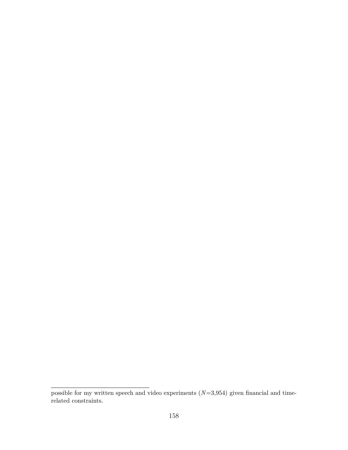possible for my written speech and video experiments (*N*=3,954) given financial and timerelated constraints.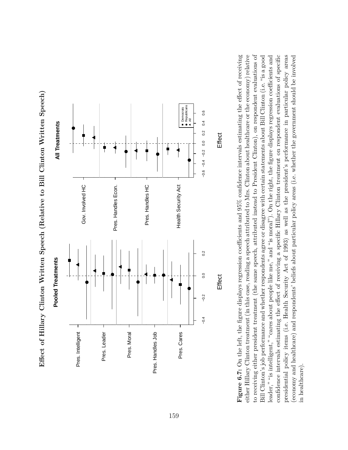



**Figure 6.7:** On the left, the figure displays regression coefficients and  $95\%$  confidence intervals estimating the effect of receiving confidence intervals estimating the effect of receiving a specific Hillary Clinton treatment on respondent evaluations of specific either Hillary Clinton treatment (in this case, reading a speech attributed to Mrs. Clinton about healthcare or the economy) relative to receiving either president treatment (the same speech, attributed instead to President Clinton), on respondent evaluations of Bill Clinton's job performance and whether respondents agree or disagree with certain statements about Bill Clinton (i.e. "is a good leader," "is intelligent," "cares about people like me," and "is moral"). On the right, the figure displays regression coefficients and presidential policy items (i.e. Health Security Act of 1993) as well as the president's performance in particular policy areas (economy and healthcare) and respondents' beliefs about particular policy areas (i.e. whether the government should be involved **Figure 6.7:** On the left, the figure displays regression coefficients and 95% confidence intervals estimating the effect of receiving either Hillary Clinton treatment (in this case, reading a speech attributed to Mrs. Clinton about healthcare or the economy) relative to receiving either president treatment (the same speech, attributed instead to President Clinton), on respondent evaluations of Bill Clinton's job performance and whether respondents agree or disagree with certain statements about Bill Clinton (i.e. "is a good leader," "is intelligent," "cares about people like me," and "is moral"). On the right, the figure displays regression coefficients and confidence intervals estimating the effect of receiving a specific Hillary Clinton treatment on respondent evaluations of specific presidential policy items (i.e. Health Security Act of 1993) as well as the president's performance in particular policy areas (economy and healthcare) and respondents' beliefs about particular policy areas (i.e. whether the government should be involved in healthcare). in healthcare).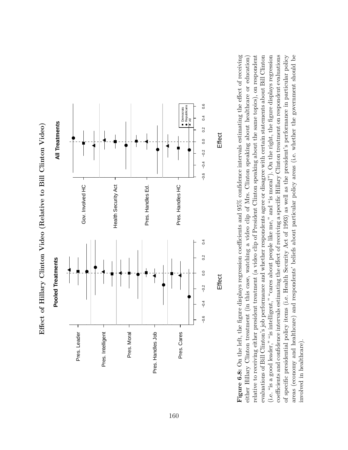



**Figure 6.8:** On the left, the figure displays regression coefficients and  $95\%$  confidence intervals estimating the effect of receiving relative to receiving either president treatment (a video clip of President Clinton speaking about the same topics), on respondent evaluations of Bill Clinton's job performance and whether respondents agree or disagree with certain statements about Bill Clinton (i.e. "is a good leader," "is intelligent," "cares about people like me," and "is moral"). On the right, the figure displays regression coefficients and confidence intervals estimating the effect of receiving a specific Hillary Clinton treatment on respondent evaluations of specific presidential policy items (i.e. Health Security Act of 1993) as well as the president's performance in particular policy areas (economy and healthcare) and respondents' beliefs about particular policy areas (i.e. whether the government should be **Figure 6.8:** On the left, the figure displays regression coefficients and 95% confidence intervals estimating the effect of receiving evaluations of Bill Clinton's job performance and whether respondents agree or disagree with certain statements about Bill Clinton (i.e. "is a good leader," "is intelligent," "cares about people like me," and "is moral"). On the right, the figure displays regression coefficients and confidence intervals estimating the effect of receiving a specific Hillary Clinton treatment on respondent evaluations of specific presidential policy items (i.e. Health Security Act of 1993) as well as the president's performance in particular policy areas (economy and healthcare) and respondents' beliefs about particular policy areas (i.e. whether the government should be either Hillary Clinton treatment (in this case, watching a video clip of Mrs. Clinton speaking about healthcare or education) either Hillary Clinton treatment (in this case, watching a video clip of Mrs. Clinton speaking about healthcare or education) relative to receiving either president treatment (a video clip of President Clinton speaking about the same topics), on respondent involved in healthcare). involved in healthcare).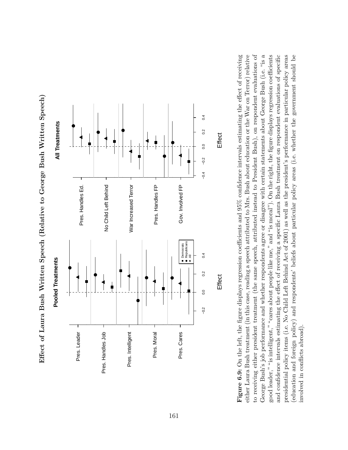



**Figure 6.9:** On the left, the figure displays regression coefficients and  $95\%$  confidence intervals estimating the effect of receiving either Laura Bush treatment (in this case, reading a speech attributed to Mrs. Bush about education or the War on Terror) relative George Bush's job performance and whether respondents agree or disagree with certain statements about George Bush (i.e. "is a George Bush's job performance and whether respondents agree or disagree with certain statements about George Bush (i.e. "is a good leader," "is intelligent," "cares about people like me," and "is moral"). On the right, the figure displays regression coefficients and confidence intervals estimating the effect of receiving a specific Laura Bush treatment on respondent evaluations of specific presidential policy items (i.e. No Child Left Behind Act of 2001) as well as the president's performance in particular policy areas to receiving either president treatment (the same speech, attributed instead to President Bush), on respondent evaluations of (education and foreign policy) and respondents' beliefs about particular policy areas (i.e. whether the government should be **Figure 6.9:** On the left, the figure displays regression coefficients and 95% confidence intervals estimating the effect of receiving either Laura Bush treatment (in this case, reading a speech attributed to Mrs. Bush about education or the War on Terror) relative to receiving either president treatment (the same speech, attributed instead to President Bush), on respondent evaluations of good leader," "is intelligent," "cares about people like me," and "is moral"). On the right, the figure displays regression coefficients and confidence intervals estimating the effect of receiving a specific Laura Bush treatment on respondent evaluations of specific presidential policy items (i.e. No Child Left Behind Act of 2001) as well as the president's performance in particular policy areas (education and foreign policy) and respondents' beliefs about particular policy areas (i.e. whether the government should be involved in conflicts abroad). involved in conflicts abroad).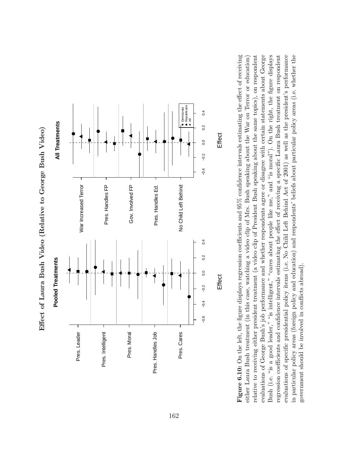

Effect of Laura Bush Video (Relative to George Bush Video) **Effect of Laura Bush Video (Relative to George Bush Video)**

Bush (i.e. "is a good leader," "is intelligent," "cares about people like me," and "is moral"). On the right, the figure displays evaluations of specific presidential policy items (i.e. No Child Left Behind Act of 2001) as well as the president's performance **Figure 6.10:** On the left, the figure displays regression coefficients and  $95\%$  confidence intervals estimating the effect of receiving relative to receiving either president treatment (a video clip of President Bush speaking about the same topics), on respondent evaluations of George Bush's job performance and whether respondents agree or disagree with certain statements about George regression coefficients and confidence intervals estimating the effect of receiving a specific Laura Bush treatment on respondent in particular policy areas (foreign policy and education) and respondents' beliefs about particular policy areas (i.e. whether the **Figure 6.10:** On the left, the figure displays regression coefficients and 95% confidence intervals estimating the effect of receiving evaluations of George Bush's job performance and whether respondents agree or disagree with certain statements about George Bush (i.e. "is a good leader," "is intelligent," "cares about people like me," and "is moral"). On the right, the figure displays regression coefficients and confidence intervals estimating the effect of receiving a specific Laura Bush treatment on respondent evaluations of specific presidential policy items (i.e. No Child Left Behind Act of 2001) as well as the president's performance in particular policy areas (foreign policy and education) and respondents' beliefs about particular policy areas (i.e. whether the either Laura Bush treatment (in this case, watching a video clip of Mrs. Bush speaking about the War on Terror or education) either Laura Bush treatment (in this case, watching a video clip of Mrs. Bush speaking about the War on Terror or education) relative to receiving either president treatment (a video clip of President Bush speaking about the same topics), on respondent government should be involved in conflicts abroad). government should be involved in conflicts abroad).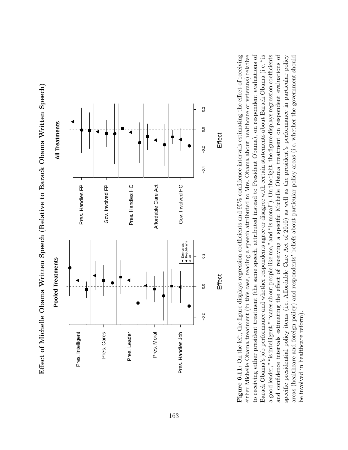Effect of Michelle Obama Written Speech (Relative to Barack Obama Written Speech) Effect of Michelle Obama Written Speech (Relative to Barack Obama Written Speech)



Figure 6.11: On the left, the figure displays regression coefficients and  $95\%$  confidence intervals estimating the effect of receiving Barack Obama's job performance and whether respondents agree or disagree with certain statements about Barack Obama (i.e. "is a good leader," "is intelligent," "cares about people like me," and "is moral"). On the right, the figure displays regression coefficients and confidence intervals estimating the effect of receiving a specific Michelle Obama treatment on respondent evaluations of either Michelle Obama treatment (in this case, reading a speech attributed to Mrs. Obama about healthcare or veterans) relative to receiving either president treatment (the same speech, attributed instead to President Obama), on respondent evaluations of specific presidential policy items (i.e. Affordable Care Act of 2010) as well as the president's performance in particular policy areas (healthcare and foreign policy) and respondents' beliefs about particular policy areas (i.e. whether the government should **Figure 6.11:** On the left, the figure displays regression coefficients and 95% confidence intervals estimating the effect of receiving either Michelle Obama treatment (in this case, reading a speech attributed to Mrs. Obama about healthcare or veterans) relative to receiving either president treatment (the same speech, attributed instead to President Obama), on respondent evaluations of Barack Obama's job performance and whether respondents agree or disagree with certain statements about Barack Obama (i.e. "is a good leader," "is intelligent," "cares about people like me," and "is moral"). On the right, the figure displays regression coefficients and confidence intervals estimating the effect of receiving a specific Michelle Obama treatment on respondent evaluations of specific presidential policy items (i.e. Affordable Care Act of 2010) as well as the president's performance in particular policy areas (healthcare and foreign policy) and respondents' beliefs about particular policy areas (i.e. whether the government should be involved in healthcare reform). be involved in healthcare reform).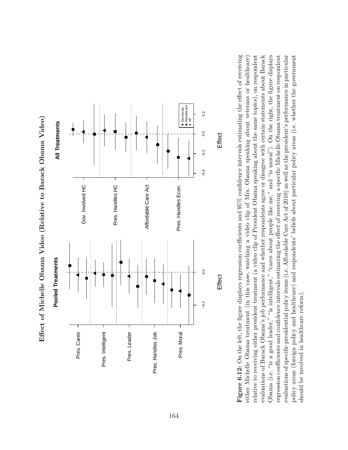

Effect of Michelle Obama Video (Relative to Barack Obama Video) **Effect of Michelle Obama Video (Relative to Barack Obama Video)**

Obama (i.e. "is a good leader," "is intelligent," "cares about people like me," and "is moral"). On the right, the figure displays **Figure 6.12:** On the left, the figure displays regression coefficients and 95% confidence intervals estimating the effect of receiving relative to receiving either president treatment (a video clip of President Obama speaking about the same topics), on respondent evaluations of Barack Obama's job performance and whether respondents agree or disagree with certain statements about Barack regression coefficients and confidence intervals estimating the effect of receiving a specific Michelle Obama treatment on respondent evaluations of specific presidential policy items (i.e. Affordable Care Act of 2010) as well as the president's performance in particular **Figure 6.12:** On the left, the figure displays regression coefficients and 95% confidence intervals estimating the effect of receiving evaluations of Barack Obama's job performance and whether respondents agree or disagree with certain statements about Barack Obama (i.e. "is a good leader," "is intelligent," "cares about people like me," and "is moral"). On the right, the figure displays evaluations of specific presidential policy items (i.e. Affordable Care Act of 2010) as well as the president's performance in particular policy areas (foreign policy and healthcare) and respondents' beliefs about particular policy areas (i.e. whether the government either Michelle Obama treatment (in this case, watching a video clip of Mrs. Obama speaking about veterans or healthcare) either Michelle Obama treatment (in this case, watching a video clip of Mrs. Obama speaking about veterans or healthcare) relative to receiving either president treatment (a video clip of President Obama speaking about the same topics), on respondent regression coefficients and confidence intervals estimating the effect of receiving a specific Michelle Obama treatment on respondent policy areas (foreign policy and healthcare) and respondents' beliefs about particular policy areas (i.e. whether the government should be involved in healthcare reform). should be involved in healthcare reform).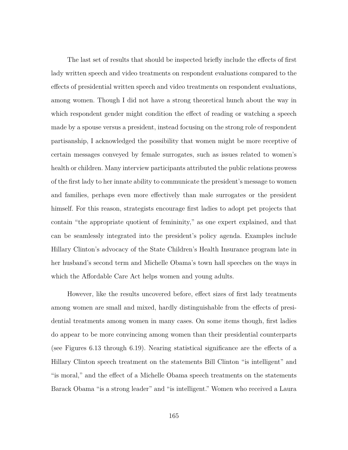The last set of results that should be inspected briefly include the effects of first lady written speech and video treatments on respondent evaluations compared to the effects of presidential written speech and video treatments on respondent evaluations, among women. Though I did not have a strong theoretical hunch about the way in which respondent gender might condition the effect of reading or watching a speech made by a spouse versus a president, instead focusing on the strong role of respondent partisanship, I acknowledged the possibility that women might be more receptive of certain messages conveyed by female surrogates, such as issues related to women's health or children. Many interview participants attributed the public relations prowess of the first lady to her innate ability to communicate the president's message to women and families, perhaps even more effectively than male surrogates or the president himself. For this reason, strategists encourage first ladies to adopt pet projects that contain "the appropriate quotient of femininity," as one expert explained, and that can be seamlessly integrated into the president's policy agenda. Examples include Hillary Clinton's advocacy of the State Children's Health Insurance program late in her husband's second term and Michelle Obama's town hall speeches on the ways in which the Affordable Care Act helps women and young adults.

However, like the results uncovered before, effect sizes of first lady treatments among women are small and mixed, hardly distinguishable from the effects of presidential treatments among women in many cases. On some items though, first ladies do appear to be more convincing among women than their presidential counterparts (see Figures 6.13 through 6.19). Nearing statistical significance are the effects of a Hillary Clinton speech treatment on the statements Bill Clinton "is intelligent" and "is moral," and the effect of a Michelle Obama speech treatments on the statements Barack Obama "is a strong leader" and "is intelligent." Women who received a Laura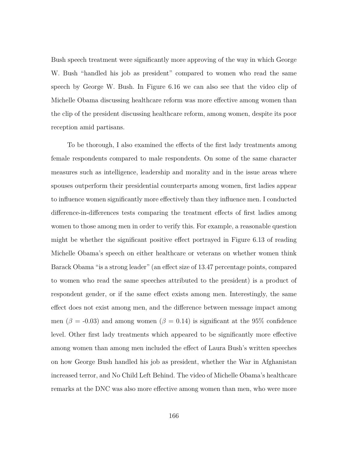Bush speech treatment were significantly more approving of the way in which George W. Bush "handled his job as president" compared to women who read the same speech by George W. Bush. In Figure 6.16 we can also see that the video clip of Michelle Obama discussing healthcare reform was more effective among women than the clip of the president discussing healthcare reform, among women, despite its poor reception amid partisans.

To be thorough, I also examined the effects of the first lady treatments among female respondents compared to male respondents. On some of the same character measures such as intelligence, leadership and morality and in the issue areas where spouses outperform their presidential counterparts among women, first ladies appear to influence women significantly more effectively than they influence men. I conducted difference-in-differences tests comparing the treatment effects of first ladies among women to those among men in order to verify this. For example, a reasonable question might be whether the significant positive effect portrayed in Figure 6.13 of reading Michelle Obama's speech on either healthcare or veterans on whether women think Barack Obama "is a strong leader" (an effect size of 13.47 percentage points, compared to women who read the same speeches attributed to the president) is a product of respondent gender, or if the same effect exists among men. Interestingly, the same effect does not exist among men, and the difference between message impact among men ( $\beta$  = -0.03) and among women ( $\beta$  = 0.14) is significant at the 95% confidence level. Other first lady treatments which appeared to be significantly more effective among women than among men included the effect of Laura Bush's written speeches on how George Bush handled his job as president, whether the War in Afghanistan increased terror, and No Child Left Behind. The video of Michelle Obama's healthcare remarks at the DNC was also more effective among women than men, who were more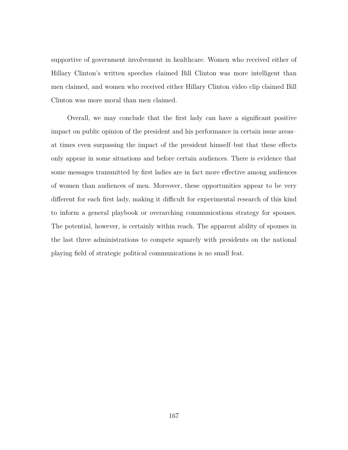supportive of government involvement in healthcare. Women who received either of Hillary Clinton's written speeches claimed Bill Clinton was more intelligent than men claimed, and women who received either Hillary Clinton video clip claimed Bill Clinton was more moral than men claimed.

Overall, we may conclude that the first lady can have a significant positive impact on public opinion of the president and his performance in certain issue areas– at times even surpassing the impact of the president himself–but that these effects only appear in some situations and before certain audiences. There is evidence that some messages transmitted by first ladies are in fact more effective among audiences of women than audiences of men. Moreover, these opportunities appear to be very different for each first lady, making it difficult for experimental research of this kind to inform a general playbook or overarching communications strategy for spouses. The potential, however, is certainly within reach. The apparent ability of spouses in the last three administrations to compete squarely with presidents on the national playing field of strategic political communications is no small feat.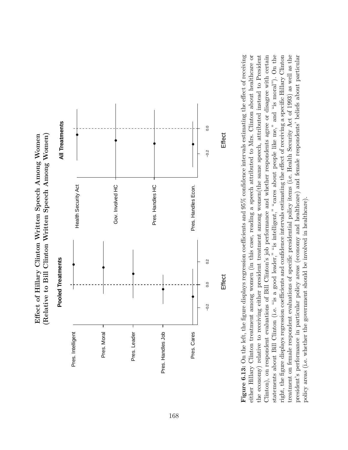(Relative to Bill Clinton Written Speech Among Women) Effect of Hillary Clinton Written Speech Among Women **(Relative to Bill Clinton Written Speech Among Women) Effect of Hillary Clinton Written Speech Among Women**



Figure 6.13: On the left, the figure displays regression coefficients and  $95\%$  confidence intervals estimating the effect of receiving statements about Bill Clinton (i.e. "is a good leader," "is intelligent," "cares about people like me," and "is moral"). On the right, the figure displays regression coefficients and confidence intervals estimating the effect of receiving a specific Hillary Clinton treatment on female respondent evaluations of specific presidential policy items (i.e. Health Security Act of 1993) as well as the either Hillary Clinton treatment among women (in this case, reading a speech attributed to Mrs. Clinton about healthcare or the economy) relative to receiving either president treatment among women(the same speech, attributed instead to President Clinton), on respondent evaluations of Bill Clinton's job performance and whether respondents agree or disagree with certain president's performance in particular policy areas (economy and healthcare) and female respondents' beliefs about particular **Figure 6.13:** On the left, the figure displays regression coefficients and 95% confidence intervals estimating the effect of receiving either Hillary Clinton treatment among women (in this case, reading a speech attributed to Mrs. Clinton about healthcare or Clinton), on respondent evaluations of Bill Clinton's job performance and whether respondents agree or disagree with certain statements about Bill Clinton (i.e. "is a good leader," "is intelligent," "cares about people like me," and "is moral"). On the right, the figure displays regression coefficients and confidence intervals estimating the effect of receiving a specific Hillary Clinton treatment on female respondent evaluations of specific presidential policy items (i.e. Health Security Act of 1993) as well as the president's performance in particular policy areas (economy and healthcare) and female respondents' beliefs about particular the economy) relative to receiving either president treatment among women(the same speech, attributed instead to President policy areas (i.e. whether the government should be involved in healthcare). policy areas (i.e. whether the government should be involved in healthcare).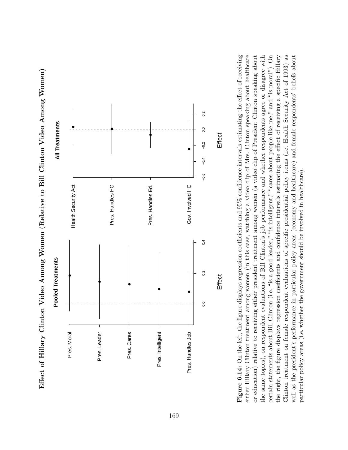

Effect of Hillary Clinton Video Among Women (Relative to Bill Clinton Video Among Women) Effect of Hillary Clinton Video Among Women (Relative to Bill Clinton Video Among Women)

either Hillary Clinton treatment among women (in this case, watching a video clip of Mrs. Clinton speaking about healthcare **Figure 6.14:** On the left, the figure displays regression coefficients and  $95\%$  confidence intervals estimating the effect of receiving or education) relative to receiving either president treatment among women (a video clip of President Clinton speaking about the same topics), on respondent evaluations of Bill Clinton's job performance and whether respondents agree or disagree with certain statements about Bill Clinton (i.e. "is a good leader," "is intelligent," "cares about people like me," and "is moral"). On the right, the figure displays regression coefficients and confidence intervals estimating the effect of receiving a specific Hillary Clinton treatment on female respondent evaluations of specific presidential policy items (i.e. Health Security Act of 1993) as well as the president's performance in particular policy areas (economy and healthcare) and female respondents' beliefs about **Figure 6.14:** On the left, the figure displays regression coefficients and 95% confidence intervals estimating the effect of receiving either Hillary Clinton treatment among women (in this case, watching a video clip of Mrs. Clinton speaking about healthcare or education) relative to receiving either president treatment among women (a video clip of President Clinton speaking about the same topics), on respondent evaluations of Bill Clinton's job performance and whether respondents agree or disagree with certain statements about Bill Clinton (i.e. "is a good leader," "is intelligent," "cares about people like me," and "is moral"). On the right, the figure displays regression coefficients and confidence intervals estimating the effect of receiving a specific Hillary Clinton treatment on female respondent evaluations of specific presidential policy items (i.e. Health Security Act of 1993) as well as the president's performance in particular policy areas (economy and healthcare) and female respondents' beliefs about particular policy areas (i.e. whether the government should be involved in healthcare). particular policy areas (i.e. whether the government should be involved in healthcare).

**Effect** 

**Effect**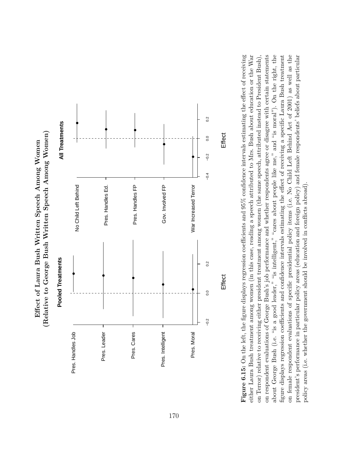(Relative to George Bush Written Speech Among Women) **(Relative to George Bush Written Speech Among Women)** Effect of Laura Bush Written Speech Among Women **Effect of Laura Bush Written Speech Among Women**



Figure 6.15: On the left, the figure displays regression coefficients and 95% confidence intervals estimating the effect of receiving either Laura Bush treatment among women (in this case, reading a speech attributed to Mrs. Bush about education or the War about George Bush (i.e. "is a good leader," "is intelligent," "cares about people like me," and "is moral"). On the right, the on female respondent evaluations of specific presidential policy items (i.e. No Child Left Behind Act of 2001) as well as the on respondent evaluations of George Bush's job performance and whether respondents agree or disagree with certain statements figure displays regression coefficients and confidence intervals estimating the effect of receiving a specific Laura Bush treatment president's performance in particular policy areas (education and foreign policy) and female respondents' beliefs about particular **Figure 6.15:** On the left, the figure displays regression coefficients and 95% confidence intervals estimating the effect of receiving either Laura Bush treatment among women (in this case, reading a speech attributed to Mrs. Bush about education or the War on respondent evaluations of George Bush's job performance and whether respondents agree or disagree with certain statements about George Bush (i.e. "is a good leader," "is intelligent," "cares about people like me," and "is moral"). On the right, the figure displays regression coefficients and confidence intervals estimating the effect of receiving a specific Laura Bush treatment on female respondent evaluations of specific presidential policy items (i.e. No Child Left Behind Act of 2001) as well as the president's performance in particular policy areas (education and foreign policy) and female respondents' beliefs about particular on Terror) relative to receiving either president treatment among women (the same speech, attributed instead to President Bush), on Terror) relative to receiving either president treatment among women (the same speech, attributed instead to President Bush), policy areas (i.e. whether the government should be involved in conflicts abroad). policy areas (i.e. whether the government should be involved in conflicts abroad).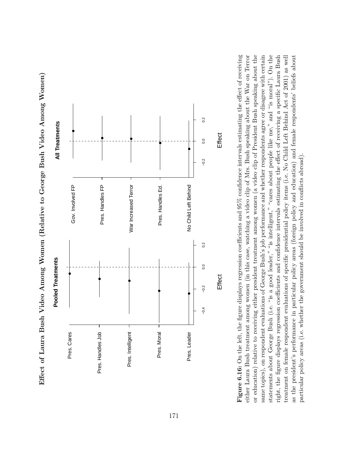



or education) relative to receiving either president treatment among women (a video clip of President Bush speaking about the statements about George Bush (i.e. "is a good leader," "is intelligent," "cares about people like me," and "is moral"). On the **Figure 6.16:** On the left, the figure displays regression coefficients and  $95\%$  confidence intervals estimating the effect of receiving either Laura Bush treatment among women (in this case, watching a video clip of Mrs. Bush speaking about the War on Terror same topics), on respondent evaluations of George Bush's job performance and whether respondents agree or disagree with certain right, the figure displays regression coefficients and confidence intervals estimating the effect of receiving a specific Laura Bush treatment on female respondent evaluations of specific presidential policy items (i.e. No Child Left Behind Act of 2001) as well as the president's performance in particular policy areas (foreign policy and education) and female respondents' beliefs about **Figure 6.16:** On the left, the figure displays regression coefficients and 95% confidence intervals estimating the effect of receiving either Laura Bush treatment among women (in this case, watching a video clip of Mrs. Bush speaking about the War on Terror or education) relative to receiving either president treatment among women (a video clip of President Bush speaking about the same topics), on respondent evaluations of George Bush's job performance and whether respondents agree or disagree with certain statements about George Bush (i.e. "is a good leader," "is intelligent," "cares about people like me," and "is moral"). On the right, the figure displays regression coefficients and confidence intervals estimating the effect of receiving a specific Laura Bush treatment on female respondent evaluations of specific presidential policy items (i.e. No Child Left Behind Act of 2001) as well as the president's performance in particular policy areas (foreign policy and education) and female respondents' beliefs about particular policy areas (i.e. whether the government should be involved in conflicts abroad). particular policy areas (i.e. whether the government should be involved in conflicts abroad).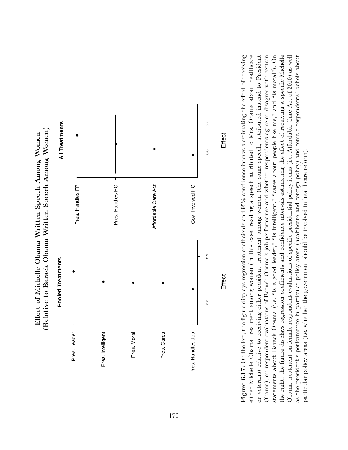



Figure 6.17: On the left, the figure displays regression coefficients and 95% confidence intervals estimating the effect of receiving either Michelle Obama treatment among women (in this case, reading a speech attributed to Mrs. Obama about healthcare or veterans) relative to receiving either president treatment among women (the same speech, attributed instead to President Obama), on respondent evaluations of Barack Obama's job performance and whether respondents agree or disagree with certain statements about Barack Obama (i.e. "is a good leader," "is intelligent," "cares about people like me," and "is moral"). On the right, the figure displays regression coefficients and confidence intervals estimating the effect of receiving a specific Michelle Obama treatment on female respondent evaluations of specific presidential policy items (i.e. Affordable Care Act of 2010) as well as the president's performance in particular policy areas (healthcare and foreign policy) and female respondents' beliefs about **Figure 6.17:** On the left, the figure displays regression coefficients and 95% confidence intervals estimating the effect of receiving either Michelle Obama treatment among women (in this case, reading a speech attributed to Mrs. Obama about healthcare Obama), on respondent evaluations of Barack Obama's job performance and whether respondents agree or disagree with certain statements about Barack Obama (i.e. "is a good leader," "is intelligent," "cares about people like me," and "is moral"). On the right, the figure displays regression coefficients and confidence intervals estimating the effect of receiving a specific Michelle Obama treatment on female respondent evaluations of specific presidential policy items (i.e. Affordable Care Act of 2010) as well or veterans) relative to receiving either president treatment among women (the same speech, attributed instead to President as the president's performance in particular policy areas (healthcare and foreign policy) and female respondents' beliefs about particular policy areas (i.e. whether the government should be involved in healthcare reform). particular policy areas (i.e. whether the government should be involved in healthcare reform).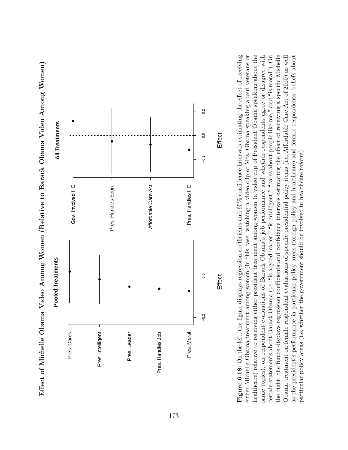

Effect of Michelle Obama Video Among Women (Relative to Barack Obama Video Among Women) Effect of Michelle Obama Video Among Women (Relative to Barack Obama Video Among Women)

healthcare) relative to receiving either president treatment among women (a video clip of President Obama speaking about the **Figure 6.18:** On the left, the figure displays regression coefficients and  $95\%$  confidence intervals estimating the effect of receiving either Michelle Obama treatment among women (in this case, watching a video clip of Mrs. Obama speaking about veterans or same topics), on respondent evaluations of Barack Obama's job performance and whether respondents agree or disagree with certain statements about Barack Obama (i.e. "is a good leader," "is intelligent," "cares about people like me," and "is moral"). On the right, the figure displays regression coefficients and confidence intervals estimating the effect of receiving a specific Michelle Obama treatment on female respondent evaluations of specific presidential policy items (i.e. Affordable Care Act of 2010) as well as the president's performance in particular policy areas (foreign policy and healthcare) and female respondents' beliefs about **Figure 6.18:** On the left, the figure displays regression coefficients and 95% confidence intervals estimating the effect of receiving either Michelle Obama treatment among women (in this case, watching a video clip of Mrs. Obama speaking about veterans or healthcare) relative to receiving either president treatment among women (a video clip of President Obama speaking about the same topics), on respondent evaluations of Barack Obama's job performance and whether respondents agree or disagree with certain statements about Barack Obama (i.e. "is a good leader," "is intelligent," "cares about people like me," and "is moral"). On the right, the figure displays regression coefficients and confidence intervals estimating the effect of receiving a specific Michelle Obama treatment on female respondent evaluations of specific presidential policy items (i.e. Affordable Care Act of 2010) as well as the president's performance in particular policy areas (foreign policy and healthcare) and female respondents' beliefs about particular policy areas (i.e. whether the government should be involved in healthcare reform). particular policy areas (i.e. whether the government should be involved in healthcare reform).

**Effect** 

**Effect**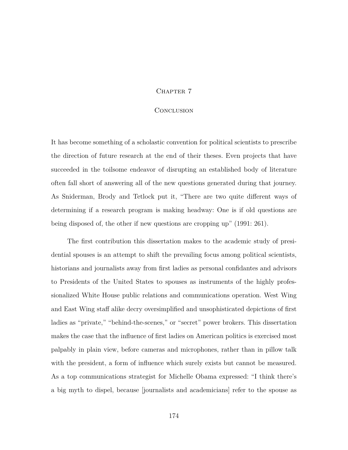## CHAPTER 7

## **CONCLUSION**

It has become something of a scholastic convention for political scientists to prescribe the direction of future research at the end of their theses. Even projects that have succeeded in the toilsome endeavor of disrupting an established body of literature often fall short of answering all of the new questions generated during that journey. As Sniderman, Brody and Tetlock put it, "There are two quite different ways of determining if a research program is making headway: One is if old questions are being disposed of, the other if new questions are cropping up" (1991: 261).

The first contribution this dissertation makes to the academic study of presidential spouses is an attempt to shift the prevailing focus among political scientists, historians and journalists away from first ladies as personal confidantes and advisors to Presidents of the United States to spouses as instruments of the highly professionalized White House public relations and communications operation. West Wing and East Wing staff alike decry oversimplified and unsophisticated depictions of first ladies as "private," "behind-the-scenes," or "secret" power brokers. This dissertation makes the case that the influence of first ladies on American politics is exercised most palpably in plain view, before cameras and microphones, rather than in pillow talk with the president, a form of influence which surely exists but cannot be measured. As a top communications strategist for Michelle Obama expressed: "I think there's a big myth to dispel, because [journalists and academicians] refer to the spouse as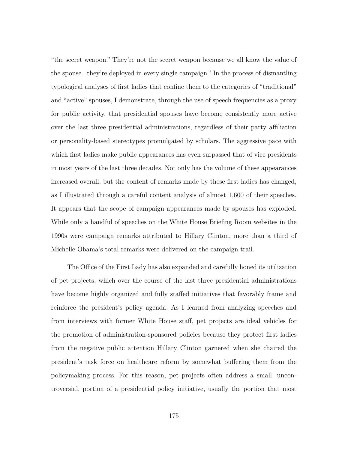"the secret weapon." They're not the secret weapon because we all know the value of the spouse...they're deployed in every single campaign." In the process of dismantling typological analyses of first ladies that confine them to the categories of "traditional" and "active" spouses, I demonstrate, through the use of speech frequencies as a proxy for public activity, that presidential spouses have become consistently more active over the last three presidential administrations, regardless of their party affiliation or personality-based stereotypes promulgated by scholars. The aggressive pace with which first ladies make public appearances has even surpassed that of vice presidents in most years of the last three decades. Not only has the volume of these appearances increased overall, but the content of remarks made by these first ladies has changed, as I illustrated through a careful content analysis of almost 1,600 of their speeches. It appears that the scope of campaign appearances made by spouses has exploded. While only a handful of speeches on the White House Briefing Room websites in the 1990s were campaign remarks attributed to Hillary Clinton, more than a third of Michelle Obama's total remarks were delivered on the campaign trail.

The Office of the First Lady has also expanded and carefully honed its utilization of pet projects, which over the course of the last three presidential administrations have become highly organized and fully staffed initiatives that favorably frame and reinforce the president's policy agenda. As I learned from analyzing speeches and from interviews with former White House staff, pet projects are ideal vehicles for the promotion of administration-sponsored policies because they protect first ladies from the negative public attention Hillary Clinton garnered when she chaired the president's task force on healthcare reform by somewhat buffering them from the policymaking process. For this reason, pet projects often address a small, uncontroversial, portion of a presidential policy initiative, usually the portion that most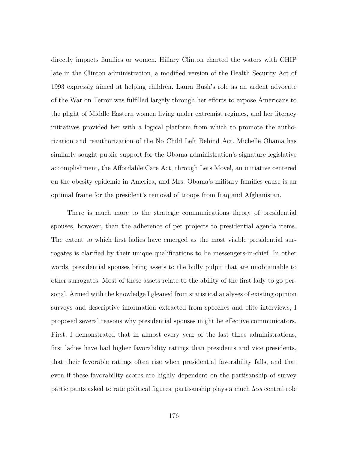directly impacts families or women. Hillary Clinton charted the waters with CHIP late in the Clinton administration, a modified version of the Health Security Act of 1993 expressly aimed at helping children. Laura Bush's role as an ardent advocate of the War on Terror was fulfilled largely through her efforts to expose Americans to the plight of Middle Eastern women living under extremist regimes, and her literacy initiatives provided her with a logical platform from which to promote the authorization and reauthorization of the No Child Left Behind Act. Michelle Obama has similarly sought public support for the Obama administration's signature legislative accomplishment, the Affordable Care Act, through Lets Move!, an initiative centered on the obesity epidemic in America, and Mrs. Obama's military families cause is an optimal frame for the president's removal of troops from Iraq and Afghanistan.

There is much more to the strategic communications theory of presidential spouses, however, than the adherence of pet projects to presidential agenda items. The extent to which first ladies have emerged as the most visible presidential surrogates is clarified by their unique qualifications to be messengers-in-chief. In other words, presidential spouses bring assets to the bully pulpit that are unobtainable to other surrogates. Most of these assets relate to the ability of the first lady to go personal. Armed with the knowledge I gleaned from statistical analyses of existing opinion surveys and descriptive information extracted from speeches and elite interviews, I proposed several reasons why presidential spouses might be effective communicators. First, I demonstrated that in almost every year of the last three administrations, first ladies have had higher favorability ratings than presidents and vice presidents, that their favorable ratings often rise when presidential favorability falls, and that even if these favorability scores are highly dependent on the partisanship of survey participants asked to rate political figures, partisanship plays a much *less* central role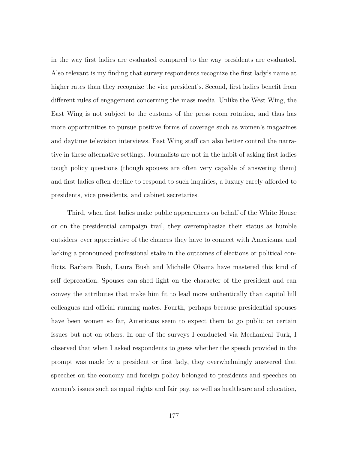in the way first ladies are evaluated compared to the way presidents are evaluated. Also relevant is my finding that survey respondents recognize the first lady's name at higher rates than they recognize the vice president's. Second, first ladies benefit from different rules of engagement concerning the mass media. Unlike the West Wing, the East Wing is not subject to the customs of the press room rotation, and thus has more opportunities to pursue positive forms of coverage such as women's magazines and daytime television interviews. East Wing staff can also better control the narrative in these alternative settings. Journalists are not in the habit of asking first ladies tough policy questions (though spouses are often very capable of answering them) and first ladies often decline to respond to such inquiries, a luxury rarely afforded to presidents, vice presidents, and cabinet secretaries.

Third, when first ladies make public appearances on behalf of the White House or on the presidential campaign trail, they overemphasize their status as humble outsiders–ever appreciative of the chances they have to connect with Americans, and lacking a pronounced professional stake in the outcomes of elections or political conflicts. Barbara Bush, Laura Bush and Michelle Obama have mastered this kind of self deprecation. Spouses can shed light on the character of the president and can convey the attributes that make him fit to lead more authentically than capitol hill colleagues and official running mates. Fourth, perhaps because presidential spouses have been women so far, Americans seem to expect them to go public on certain issues but not on others. In one of the surveys I conducted via Mechanical Turk, I observed that when I asked respondents to guess whether the speech provided in the prompt was made by a president or first lady, they overwhelmingly answered that speeches on the economy and foreign policy belonged to presidents and speeches on women's issues such as equal rights and fair pay, as well as healthcare and education,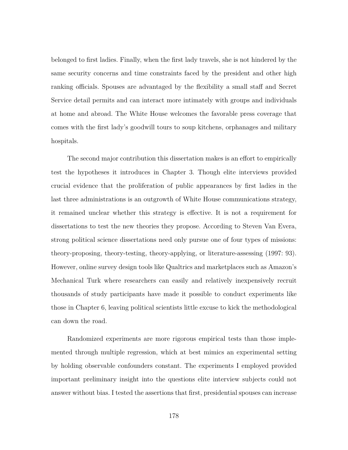belonged to first ladies. Finally, when the first lady travels, she is not hindered by the same security concerns and time constraints faced by the president and other high ranking officials. Spouses are advantaged by the flexibility a small staff and Secret Service detail permits and can interact more intimately with groups and individuals at home and abroad. The White House welcomes the favorable press coverage that comes with the first lady's goodwill tours to soup kitchens, orphanages and military hospitals.

The second major contribution this dissertation makes is an effort to empirically test the hypotheses it introduces in Chapter 3. Though elite interviews provided crucial evidence that the proliferation of public appearances by first ladies in the last three administrations is an outgrowth of White House communications strategy, it remained unclear whether this strategy is effective. It is not a requirement for dissertations to test the new theories they propose. According to Steven Van Evera, strong political science dissertations need only pursue one of four types of missions: theory-proposing, theory-testing, theory-applying, or literature-assessing (1997: 93). However, online survey design tools like Qualtrics and marketplaces such as Amazon's Mechanical Turk where researchers can easily and relatively inexpensively recruit thousands of study participants have made it possible to conduct experiments like those in Chapter 6, leaving political scientists little excuse to kick the methodological can down the road.

Randomized experiments are more rigorous empirical tests than those implemented through multiple regression, which at best mimics an experimental setting by holding observable confounders constant. The experiments I employed provided important preliminary insight into the questions elite interview subjects could not answer without bias. I tested the assertions that first, presidential spouses can increase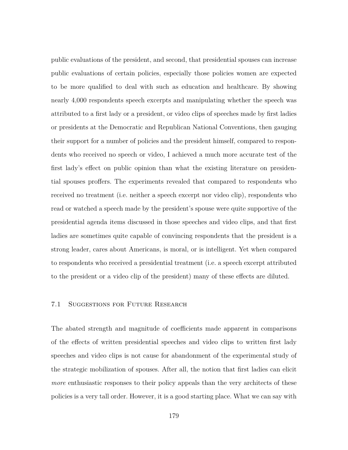public evaluations of the president, and second, that presidential spouses can increase public evaluations of certain policies, especially those policies women are expected to be more qualified to deal with such as education and healthcare. By showing nearly 4,000 respondents speech excerpts and manipulating whether the speech was attributed to a first lady or a president, or video clips of speeches made by first ladies or presidents at the Democratic and Republican National Conventions, then gauging their support for a number of policies and the president himself, compared to respondents who received no speech or video, I achieved a much more accurate test of the first lady's effect on public opinion than what the existing literature on presidential spouses proffers. The experiments revealed that compared to respondents who received no treatment (i.e. neither a speech excerpt nor video clip), respondents who read or watched a speech made by the president's spouse were quite supportive of the presidential agenda items discussed in those speeches and video clips, and that first ladies are sometimes quite capable of convincing respondents that the president is a strong leader, cares about Americans, is moral, or is intelligent. Yet when compared to respondents who received a presidential treatment (i.e. a speech excerpt attributed to the president or a video clip of the president) many of these effects are diluted.

## 7.1 Suggestions for Future Research

The abated strength and magnitude of coefficients made apparent in comparisons of the effects of written presidential speeches and video clips to written first lady speeches and video clips is not cause for abandonment of the experimental study of the strategic mobilization of spouses. After all, the notion that first ladies can elicit *more* enthus instituted responses to their policy appeals than the very architects of these policies is a very tall order. However, it is a good starting place. What we can say with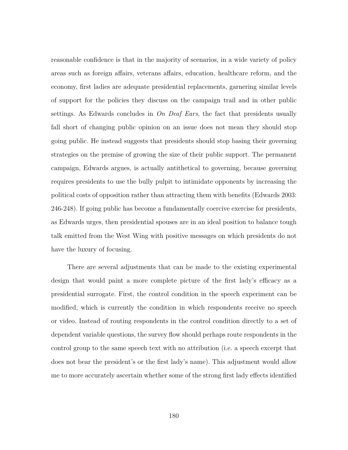reasonable confidence is that in the majority of scenarios, in a wide variety of policy areas such as foreign affairs, veterans affairs, education, healthcare reform, and the economy, first ladies are adequate presidential replacements, garnering similar levels of support for the policies they discuss on the campaign trail and in other public settings. As Edwards concludes in *On Deaf Ears*, the fact that presidents usually fall short of changing public opinion on an issue does not mean they should stop going public. He instead suggests that presidents should stop basing their governing strategies on the premise of growing the size of their public support. The permanent campaign, Edwards argues, is actually antithetical to governing, because governing requires presidents to use the bully pulpit to intimidate opponents by increasing the political costs of opposition rather than attracting them with benefits (Edwards 2003: 246-248). If going public has become a fundamentally coercive exercise for presidents, as Edwards urges, then presidential spouses are in an ideal position to balance tough talk emitted from the West Wing with positive messages on which presidents do not have the luxury of focusing.

There are several adjustments that can be made to the existing experimental design that would paint a more complete picture of the first lady's efficacy as a presidential surrogate. First, the control condition in the speech experiment can be modified, which is currently the condition in which respondents receive no speech or video. Instead of routing respondents in the control condition directly to a set of dependent variable questions, the survey flow should perhaps route respondents in the control group to the same speech text with no attribution (i.e. a speech excerpt that does not bear the president's or the first lady's name). This adjustment would allow me to more accurately ascertain whether some of the strong first lady effects identified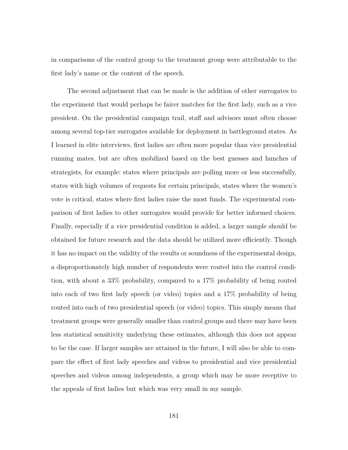in comparisons of the control group to the treatment group were attributable to the first lady's name or the content of the speech.

The second adjustment that can be made is the addition of other surrogates to the experiment that would perhaps be fairer matches for the first lady, such as a vice president. On the presidential campaign trail, staff and advisors must often choose among several top-tier surrogates available for deployment in battleground states. As I learned in elite interviews, first ladies are often more popular than vice presidential running mates, but are often mobilized based on the best guesses and hunches of strategists, for example: states where principals are polling more or less successfully, states with high volumes of requests for certain principals, states where the women's vote is critical, states where first ladies raise the most funds. The experimental comparison of first ladies to other surrogates would provide for better informed choices. Finally, especially if a vice presidential condition is added, a larger sample should be obtained for future research and the data should be utilized more efficiently. Though it has no impact on the validity of the results or soundness of the experimental design, a disproportionately high number of respondents were routed into the control condition, with about a 33% probability, compared to a 17% probability of being routed into each of two first lady speech (or video) topics and a 17% probability of being routed into each of two presidential speech (or video) topics. This simply means that treatment groups were generally smaller than control groups and there may have been less statistical sensitivity underlying these estimates, although this does not appear to be the case. If larger samples are attained in the future, I will also be able to compare the effect of first lady speeches and videos to presidential and vice presidential speeches and videos among independents, a group which may be more receptive to the appeals of first ladies but which was very small in my sample.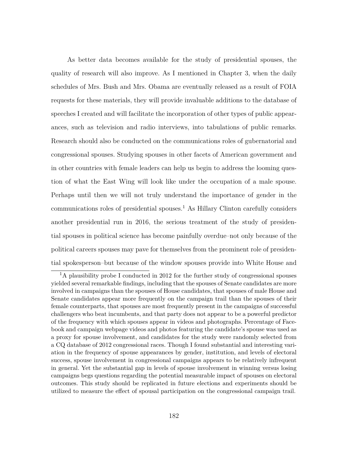As better data becomes available for the study of presidential spouses, the quality of research will also improve. As I mentioned in Chapter 3, when the daily schedules of Mrs. Bush and Mrs. Obama are eventually released as a result of FOIA requests for these materials, they will provide invaluable additions to the database of speeches I created and will facilitate the incorporation of other types of public appearances, such as television and radio interviews, into tabulations of public remarks. Research should also be conducted on the communications roles of gubernatorial and congressional spouses. Studying spouses in other facets of American government and in other countries with female leaders can help us begin to address the looming question of what the East Wing will look like under the occupation of a male spouse. Perhaps until then we will not truly understand the importance of gender in the communications roles of presidential spouses.<sup>1</sup> As Hillary Clinton carefully considers another presidential run in 2016, the serious treatment of the study of presidential spouses in political science has become painfully overdue–not only because of the political careers spouses may pave for themselves from the prominent role of presidential spokesperson–but because of the window spouses provide into White House and

<sup>&</sup>lt;sup>1</sup>A plausibility probe I conducted in 2012 for the further study of congressional spouses yielded several remarkable findings, including that the spouses of Senate candidates are more involved in campaigns than the spouses of House candidates, that spouses of male House and Senate candidates appear more frequently on the campaign trail than the spouses of their female counterparts, that spouses are most frequently present in the campaigns of successful challengers who beat incumbents, and that party does not appear to be a powerful predictor of the frequency with which spouses appear in videos and photographs. Percentage of Facebook and campaign webpage videos and photos featuring the candidate's spouse was used as a proxy for spouse involvement, and candidates for the study were randomly selected from a CQ database of 2012 congressional races. Though I found substantial and interesting variation in the frequency of spouse appearances by gender, institution, and levels of electoral success, spouse involvement in congressional campaigns appears to be relatively infrequent in general. Yet the substantial gap in levels of spouse involvement in winning versus losing campaigns begs questions regarding the potential measurable impact of spouses on electoral outcomes. This study should be replicated in future elections and experiments should be utilized to measure the effect of spousal participation on the congressional campaign trail.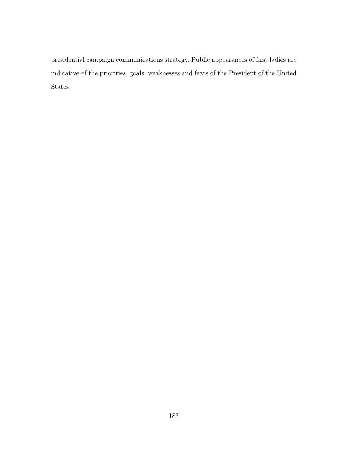presidential campaign communications strategy. Public appearances of first ladies are indicative of the priorities, goals, weaknesses and fears of the President of the United States.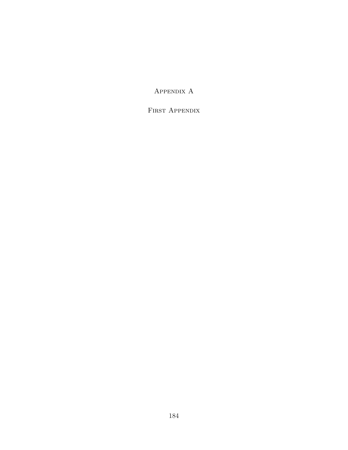Appendix A

FIRST APPENDIX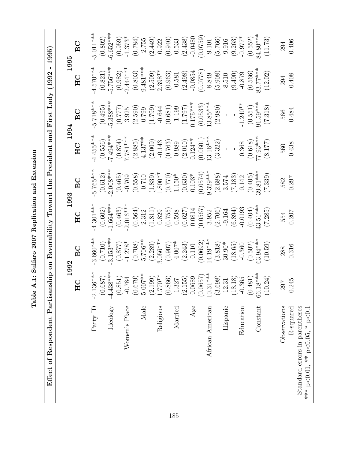Table A.1: Sulfaro 2007 Replication and Extension **Table A.1: Sulfaro 2007 Replication and Extension** Effect of Respondent Partisanship on Favorability Toward the President and First Lady (1992 - 1995) Effect of Respondent Partisanship on Favorability Toward the President and First Lady (1992 - 1995)

|                                                                  | 1992                                                                                                                                                                                                                                                                                                |                                                                                                                                                                                                                                                                                                                          | 1993                                                                                                                                                                                                                                                                                                                     |                                                                                                                                                                                                                                                                                                                            | 1994                                                                                                                                                                                                                                                                                                                      |                                                                                                                                                                                                                          | 1995                                                                                                                                                                                                                                                                                                                   |                                                                                                                                                                                                                                                                                          |
|------------------------------------------------------------------|-----------------------------------------------------------------------------------------------------------------------------------------------------------------------------------------------------------------------------------------------------------------------------------------------------|--------------------------------------------------------------------------------------------------------------------------------------------------------------------------------------------------------------------------------------------------------------------------------------------------------------------------|--------------------------------------------------------------------------------------------------------------------------------------------------------------------------------------------------------------------------------------------------------------------------------------------------------------------------|----------------------------------------------------------------------------------------------------------------------------------------------------------------------------------------------------------------------------------------------------------------------------------------------------------------------------|---------------------------------------------------------------------------------------------------------------------------------------------------------------------------------------------------------------------------------------------------------------------------------------------------------------------------|--------------------------------------------------------------------------------------------------------------------------------------------------------------------------------------------------------------------------|------------------------------------------------------------------------------------------------------------------------------------------------------------------------------------------------------------------------------------------------------------------------------------------------------------------------|------------------------------------------------------------------------------------------------------------------------------------------------------------------------------------------------------------------------------------------------------------------------------------------|
|                                                                  | 耳                                                                                                                                                                                                                                                                                                   | BC                                                                                                                                                                                                                                                                                                                       | $\rm H{\rm C}$                                                                                                                                                                                                                                                                                                           | BC                                                                                                                                                                                                                                                                                                                         | $_{\rm HC}$                                                                                                                                                                                                                                                                                                               | BC                                                                                                                                                                                                                       | H <sub>C</sub>                                                                                                                                                                                                                                                                                                         | BC                                                                                                                                                                                                                                                                                       |
| Party ID                                                         | $-2.136***$                                                                                                                                                                                                                                                                                         | $3.660***$                                                                                                                                                                                                                                                                                                               | $4.301***$                                                                                                                                                                                                                                                                                                               | 5.765***                                                                                                                                                                                                                                                                                                                   | $4.455***$                                                                                                                                                                                                                                                                                                                | $5.718***$                                                                                                                                                                                                               | $4.570***$                                                                                                                                                                                                                                                                                                             | $5.011***$                                                                                                                                                                                                                                                                               |
|                                                                  |                                                                                                                                                                                                                                                                                                     |                                                                                                                                                                                                                                                                                                                          |                                                                                                                                                                                                                                                                                                                          |                                                                                                                                                                                                                                                                                                                            |                                                                                                                                                                                                                                                                                                                           |                                                                                                                                                                                                                          |                                                                                                                                                                                                                                                                                                                        | $(0.802)$<br>$-6.652***$                                                                                                                                                                                                                                                                 |
| Ideology                                                         |                                                                                                                                                                                                                                                                                                     |                                                                                                                                                                                                                                                                                                                          |                                                                                                                                                                                                                                                                                                                          |                                                                                                                                                                                                                                                                                                                            |                                                                                                                                                                                                                                                                                                                           |                                                                                                                                                                                                                          | $(0.821)$<br>-5.756***                                                                                                                                                                                                                                                                                                 |                                                                                                                                                                                                                                                                                          |
|                                                                  |                                                                                                                                                                                                                                                                                                     |                                                                                                                                                                                                                                                                                                                          |                                                                                                                                                                                                                                                                                                                          |                                                                                                                                                                                                                                                                                                                            |                                                                                                                                                                                                                                                                                                                           |                                                                                                                                                                                                                          |                                                                                                                                                                                                                                                                                                                        |                                                                                                                                                                                                                                                                                          |
| Women's Place                                                    |                                                                                                                                                                                                                                                                                                     |                                                                                                                                                                                                                                                                                                                          |                                                                                                                                                                                                                                                                                                                          |                                                                                                                                                                                                                                                                                                                            |                                                                                                                                                                                                                                                                                                                           |                                                                                                                                                                                                                          |                                                                                                                                                                                                                                                                                                                        |                                                                                                                                                                                                                                                                                          |
|                                                                  |                                                                                                                                                                                                                                                                                                     |                                                                                                                                                                                                                                                                                                                          |                                                                                                                                                                                                                                                                                                                          |                                                                                                                                                                                                                                                                                                                            |                                                                                                                                                                                                                                                                                                                           |                                                                                                                                                                                                                          |                                                                                                                                                                                                                                                                                                                        |                                                                                                                                                                                                                                                                                          |
| Male                                                             |                                                                                                                                                                                                                                                                                                     |                                                                                                                                                                                                                                                                                                                          |                                                                                                                                                                                                                                                                                                                          |                                                                                                                                                                                                                                                                                                                            |                                                                                                                                                                                                                                                                                                                           |                                                                                                                                                                                                                          |                                                                                                                                                                                                                                                                                                                        |                                                                                                                                                                                                                                                                                          |
|                                                                  |                                                                                                                                                                                                                                                                                                     |                                                                                                                                                                                                                                                                                                                          |                                                                                                                                                                                                                                                                                                                          |                                                                                                                                                                                                                                                                                                                            |                                                                                                                                                                                                                                                                                                                           |                                                                                                                                                                                                                          |                                                                                                                                                                                                                                                                                                                        |                                                                                                                                                                                                                                                                                          |
| Religious                                                        |                                                                                                                                                                                                                                                                                                     |                                                                                                                                                                                                                                                                                                                          |                                                                                                                                                                                                                                                                                                                          |                                                                                                                                                                                                                                                                                                                            |                                                                                                                                                                                                                                                                                                                           |                                                                                                                                                                                                                          |                                                                                                                                                                                                                                                                                                                        |                                                                                                                                                                                                                                                                                          |
|                                                                  |                                                                                                                                                                                                                                                                                                     |                                                                                                                                                                                                                                                                                                                          |                                                                                                                                                                                                                                                                                                                          |                                                                                                                                                                                                                                                                                                                            |                                                                                                                                                                                                                                                                                                                           |                                                                                                                                                                                                                          |                                                                                                                                                                                                                                                                                                                        |                                                                                                                                                                                                                                                                                          |
| Married                                                          |                                                                                                                                                                                                                                                                                                     |                                                                                                                                                                                                                                                                                                                          |                                                                                                                                                                                                                                                                                                                          |                                                                                                                                                                                                                                                                                                                            |                                                                                                                                                                                                                                                                                                                           |                                                                                                                                                                                                                          |                                                                                                                                                                                                                                                                                                                        |                                                                                                                                                                                                                                                                                          |
|                                                                  |                                                                                                                                                                                                                                                                                                     |                                                                                                                                                                                                                                                                                                                          |                                                                                                                                                                                                                                                                                                                          |                                                                                                                                                                                                                                                                                                                            |                                                                                                                                                                                                                                                                                                                           |                                                                                                                                                                                                                          |                                                                                                                                                                                                                                                                                                                        |                                                                                                                                                                                                                                                                                          |
| Age                                                              |                                                                                                                                                                                                                                                                                                     |                                                                                                                                                                                                                                                                                                                          |                                                                                                                                                                                                                                                                                                                          |                                                                                                                                                                                                                                                                                                                            |                                                                                                                                                                                                                                                                                                                           |                                                                                                                                                                                                                          |                                                                                                                                                                                                                                                                                                                        |                                                                                                                                                                                                                                                                                          |
|                                                                  |                                                                                                                                                                                                                                                                                                     |                                                                                                                                                                                                                                                                                                                          |                                                                                                                                                                                                                                                                                                                          |                                                                                                                                                                                                                                                                                                                            |                                                                                                                                                                                                                                                                                                                           |                                                                                                                                                                                                                          |                                                                                                                                                                                                                                                                                                                        |                                                                                                                                                                                                                                                                                          |
| African American                                                 |                                                                                                                                                                                                                                                                                                     |                                                                                                                                                                                                                                                                                                                          |                                                                                                                                                                                                                                                                                                                          |                                                                                                                                                                                                                                                                                                                            |                                                                                                                                                                                                                                                                                                                           |                                                                                                                                                                                                                          |                                                                                                                                                                                                                                                                                                                        |                                                                                                                                                                                                                                                                                          |
|                                                                  |                                                                                                                                                                                                                                                                                                     |                                                                                                                                                                                                                                                                                                                          |                                                                                                                                                                                                                                                                                                                          |                                                                                                                                                                                                                                                                                                                            |                                                                                                                                                                                                                                                                                                                           |                                                                                                                                                                                                                          |                                                                                                                                                                                                                                                                                                                        |                                                                                                                                                                                                                                                                                          |
| Hispanic                                                         |                                                                                                                                                                                                                                                                                                     |                                                                                                                                                                                                                                                                                                                          |                                                                                                                                                                                                                                                                                                                          |                                                                                                                                                                                                                                                                                                                            |                                                                                                                                                                                                                                                                                                                           |                                                                                                                                                                                                                          |                                                                                                                                                                                                                                                                                                                        |                                                                                                                                                                                                                                                                                          |
|                                                                  |                                                                                                                                                                                                                                                                                                     |                                                                                                                                                                                                                                                                                                                          |                                                                                                                                                                                                                                                                                                                          |                                                                                                                                                                                                                                                                                                                            |                                                                                                                                                                                                                                                                                                                           |                                                                                                                                                                                                                          |                                                                                                                                                                                                                                                                                                                        |                                                                                                                                                                                                                                                                                          |
| Education                                                        |                                                                                                                                                                                                                                                                                                     |                                                                                                                                                                                                                                                                                                                          |                                                                                                                                                                                                                                                                                                                          |                                                                                                                                                                                                                                                                                                                            |                                                                                                                                                                                                                                                                                                                           |                                                                                                                                                                                                                          |                                                                                                                                                                                                                                                                                                                        |                                                                                                                                                                                                                                                                                          |
|                                                                  |                                                                                                                                                                                                                                                                                                     |                                                                                                                                                                                                                                                                                                                          |                                                                                                                                                                                                                                                                                                                          |                                                                                                                                                                                                                                                                                                                            |                                                                                                                                                                                                                                                                                                                           |                                                                                                                                                                                                                          |                                                                                                                                                                                                                                                                                                                        |                                                                                                                                                                                                                                                                                          |
| Constant                                                         |                                                                                                                                                                                                                                                                                                     |                                                                                                                                                                                                                                                                                                                          |                                                                                                                                                                                                                                                                                                                          |                                                                                                                                                                                                                                                                                                                            |                                                                                                                                                                                                                                                                                                                           |                                                                                                                                                                                                                          |                                                                                                                                                                                                                                                                                                                        |                                                                                                                                                                                                                                                                                          |
|                                                                  | $(0.687) \\ (0.851) \\ (0.851) \\ (0.679) \\ (0.679) \\ (0.679) \\ (1.70** \\ 1.70** \\ (0.866) \\ (0.0657) \\ (0.0689) \\ (0.0657) \\ (0.0657) \\ (0.0680) \\ (0.0657) \\ (0.063) \\ (0.0657) \\ (0.063) \\ (0.0657) \\ (0.063) \\ (0.065) \\ (0.065) \\ (0.065) \\ (0.065) \\ (0.065) \\ (0.065)$ | $\begin{array}{c} (0.710) \\ -3.153^{***} \\ (0.877) \\ (0.708) \\ -1.278^{**} \\ (0.708) \\ (0.708) \\ (0.907) \\ (0.907) \\ (0.0692) \\ (0.0692) \\ (0.0692) \\ (0.0692) \\ (0.0693) \\ (0.0694) \\ (0.0692) \\ (0.0693) \\ (0.504) \\ (0.502) \\ (0.503) \\ (0.504) \\ (0.505) \\ (0.503) \\ (0.504) \\ (0.505) \\ ($ | $\begin{array}{c} (0.602) \\ -1.664*** \\ (0.463) \\ (0.564) \\ (0.564) \\ (0.564) \\ (0.593) \\ (0.627) \\ (0.627) \\ (0.6312) \\ (0.627) \\ (0.634) \\ (0.634) \\ (0.634) \\ (0.634) \\ (0.404) \\ (0.404) \\ (0.404) \\ (0.404) \\ (0.404) \\ (0.404) \\ (0.404) \\ (0.404) \\ (0.404) \\ (0.404) \\ (0.405) \\ (0.4$ | $\begin{array}{l} (0.612) \\ (0.465) \\ (0.465) \\ (0.558) \\ (1.839) \\ (1.800^{**} \\ (1.630) \\ (1.150^{**} \\ (0.630) \\ (0.630) \\ (0.630) \\ (0.630) \\ (0.630) \\ (0.630) \\ (0.630) \\ (0.630) \\ (0.630) \\ (0.630) \\ (0.630) \\ (0.630) \\ (0.630) \\ (0.630) \\ (0.630) \\ (0.630) \\ (0.630) \\ (0.630) \\ ($ | $\begin{array}{l} (0.556) \\ -7.494^{***} \\ (0.874) \\ (2.885) \\ (2.137^{**} \\ (1.137^{**} \\ (0.009) \\ (0.763) \\ (0.001) \\ (0.0001) \\ (0.001) \\ (0.0001) \\ (0.0001) \\ (0.0001) \\ (0.0001) \\ (0.0001) \\ (0.0008) \\ (0.008) \\ (0.008) \\ (0.008) \\ (0.008) \\ (0.008) \\ (0.008) \\ (0.008) \\ (0.008) \\$ | $(0.495) \n 5.388*** \n (0.777) \n 3.925 \n 0.799 \n 0.641 \n 0.1797 \n 1.1907 \n 1.240** \n (0.551) \n (0.551) \n (0.551) \n (0.551) \n (0.51) \n (0.51) \n 0.1797 \n 1.240** \n (0.51) \n 0.1797 \n 1.240** \n (0.51)$ | $\begin{array}{c} (0.982) \\ -2.444**\\ (0.803) \\ -9.481**\\ (0.963) \\ (0.963) \\ (0.963) \\ (0.963) \\ (0.963) \\ (0.963) \\ (0.0778) \\ (0.9654) \\ (0.966) \\ (0.966) \\ (0.966) \\ (0.97) \\ (0.97) \\ (0.908) \\ (0.908) \\ (0.908) \\ (0.908) \\ (0.908) \\ (0.908) \\ (0.908) \\ (0.908) \\ (0.908) \\ (0.90$ | $(0.959) \\ (0.784) \\ (0.784) \\ (0.754) \\ (0.949) \\ (0.943) \\ (0.943) \\ (0.0759) \\ (0.0759) \\ (0.0759) \\ (0.0759) \\ (0.0759) \\ (0.0752) \\ (0.0752) \\ (0.073) \\ (0.073) \\ (0.073) \\ (0.073) \\ (0.073) \\ (0.073) \\ (0.073) \\ (0.073) \\ (0.073) \\ (0.073) \\ (0.073)$ |
| Observations                                                     | $297$<br>$0.245$                                                                                                                                                                                                                                                                                    | 288                                                                                                                                                                                                                                                                                                                      | 554                                                                                                                                                                                                                                                                                                                      | 582                                                                                                                                                                                                                                                                                                                        | 560                                                                                                                                                                                                                                                                                                                       | 566                                                                                                                                                                                                                      | 294                                                                                                                                                                                                                                                                                                                    | 294                                                                                                                                                                                                                                                                                      |
| $R$ -squared                                                     |                                                                                                                                                                                                                                                                                                     | 0.316                                                                                                                                                                                                                                                                                                                    | 0.207                                                                                                                                                                                                                                                                                                                    | 0.297                                                                                                                                                                                                                                                                                                                      | 0.438                                                                                                                                                                                                                                                                                                                     | 0.484                                                                                                                                                                                                                    | 0.408                                                                                                                                                                                                                                                                                                                  | 0.406                                                                                                                                                                                                                                                                                    |
| Standard errors in parentheses<br>*** p<0.01, ** p<0.05, * p<0.1 |                                                                                                                                                                                                                                                                                                     |                                                                                                                                                                                                                                                                                                                          |                                                                                                                                                                                                                                                                                                                          |                                                                                                                                                                                                                                                                                                                            |                                                                                                                                                                                                                                                                                                                           |                                                                                                                                                                                                                          |                                                                                                                                                                                                                                                                                                                        |                                                                                                                                                                                                                                                                                          |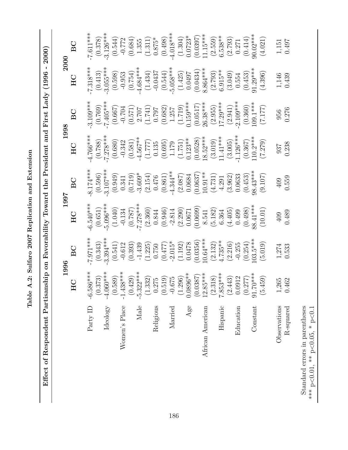| ֕<br>l<br>ſ                                                |   |
|------------------------------------------------------------|---|
| į                                                          |   |
| $H$ on lighting none<br>ı                                  | İ |
| ドレくく                                                       |   |
| ī<br>$\frac{1}{2}$<br>Ĭ                                    |   |
| $\ddot{\phantom{0}}$                                       |   |
| ֖֪֪ׅ֧֧֪֪֪֦֖֚֚֚֚֚֚֚֚֚֚֚֚֚֚֚֚֚֚֚֚֚֚֚֚֚֚֚֬֝֝֝֟֓֝֟֓֝<br>1<br>֦ |   |
|                                                            |   |

Effect of Respondent Partisanship on Favorability Toward the President and First Lady (1996 - 2000) Effect of Respondent Partisanship on Favorability Toward the President and First Lady (1996 - 2000)

|                                                                          |                                                                      | 1996        | 1997                  |             |                       | 1998        | 2000                   |             |
|--------------------------------------------------------------------------|----------------------------------------------------------------------|-------------|-----------------------|-------------|-----------------------|-------------|------------------------|-------------|
|                                                                          | HC                                                                   | BC          | $_{\rm HC}$           | BC          | H <sub>C</sub>        | BC          | HC                     | BC          |
| Party ID                                                                 | $-6.586***$                                                          | $-7.971***$ | $-6.540***$           | $-8.174***$ | $-4.766***$           | $-3.109***$ | $-7.318***$            | $-7.611***$ |
|                                                                          | (0.373)                                                              | (0.343)     | (0.651)               | (0.596)     | (0.788)               | (0.769)     | (0.413)                | (0.378)     |
| Ideology                                                                 | $-4.060***$                                                          | $-3.394***$ | $-5.096***$           | $-3.107***$ | $-7.278***$           | $-7.405***$ | $-3.055***$            | $-3.126***$ |
|                                                                          | (0.589)                                                              | (0.541)     | (1.040)               | (0.949)     | (0.680)               | (0.667)     | (0.598)                | (0.544)     |
| Women's Place                                                            | $-1.438***$                                                          | $-0.612$    | $-0.134$              | 0.341       | $-0.342$              | $-0.704$    | $-0.953$               | $-0.772$    |
|                                                                          | (0.429)                                                              | (0.393)     | $(0.787)$<br>$(787)$  | (0.719)     | (0.581)               | (0.571)     | (0.754)                | (0.684)     |
| Male                                                                     | $-5.322***$                                                          | $-1.439$    |                       | $-3.609*$   | $-4.567***$           | 2.707       | $-4.684***$            | 1.355       |
|                                                                          | $\begin{array}{c} (1.332) \\ 0.275 \\ (0.519) \\ -0.675 \end{array}$ | (1.225)     | (2.360)               | (2.154)     | (1.777)               | (1.741)     | (1.434)                | (1.311)     |
| Religious                                                                |                                                                      | 0.750       | 0.844                 | 0.476       | 0.135                 | 0.797       | $-0.0437$              | $0.875*$    |
|                                                                          |                                                                      | (0.477)     | (0.946)               | (0.861)     | (0.695)               | (0.682)     | (0.544)                | (0.498)     |
| Married                                                                  |                                                                      | $-2.015*$   |                       | $-4.344***$ | 1.179                 | 1.257       | $-5.058***$            | $-4.018***$ |
|                                                                          | (1.296)                                                              | (1.192)     | $-2.814$<br>(2.290)   | (2.087)     | (1.751)               | (1.719)     | (1.425)                | (1.304)     |
| Age                                                                      | $0.0896**$                                                           | 0.0478      | 0.0671                | 0.0684      | $0.123**$             | $0.159***$  | 0.0497                 | $0.0723*$   |
|                                                                          | (0.0387)                                                             | (0.0356)    | (0.0699)              | (0.0637)    | (0.0528)              | (0.0517)    | (0.0434)               | (0.0397)    |
| African American                                                         | $12.85***$                                                           | $10.64***$  | 8.541                 | $10.91**$   | $18.52***$            | $26.38***$  | $8.864***$             | $11.15***$  |
|                                                                          | $(2.318)$<br>7.853***                                                | (2.132)     | (5.182)               | (4.731)     | $(3.019)$<br>11.41*** | (2.955)     | $(2.793)$<br>$6.915**$ | (2.559)     |
| Hispanic                                                                 |                                                                      | $4.735**$   | 6.364                 | 4.291       |                       | $17.29***$  |                        | $6.538**$   |
|                                                                          | (2.443)                                                              | (2.216)     | (4.405)               | (3.962)     | (3.005)               | (2.941)     | (3.049)                | (2.793)     |
| Education                                                                | 0.0912                                                               | $-0.255$    | 0.499                 | 0.0633      | $-1.126***$           | $-2.109***$ | 0.554                  | 0.271       |
|                                                                          | $(0.277)$<br>91.70***                                                | (0.254)     | $(0.498)$<br>88.41*** | (0.453)     | (0.367)               | (0.360)     | (0.453)                | (0.414)     |
| Constant                                                                 |                                                                      | $103.5***$  |                       | $98.43***$  | $110.2***$            | $109.1***$  | $91.29***$             | $90.02***$  |
|                                                                          | (5.459)                                                              | (5.019)     | (10.01)               | (9.107)     | (7.279)               | (7.177)     | (4.396)                | (4.021)     |
| Observations                                                             | $1,265$                                                              | $1,\!274$   | 409                   | 409         | 937                   | 956         | $1,146$                | $1,\!151$   |
| R-squared                                                                | 0.462                                                                | 0.533       | 0.489                 | 0.559       | 0.238                 | 0.276       | 0.439                  | 0.497       |
| Standard errors in parentheses<br>*** $p<0.01$ , ** $p<0.05$ , * $p<0.1$ |                                                                      |             |                       |             |                       |             |                        |             |

Standard errors in parentheses \*\*\* p<0.01, \*\* p<0.05, \* p<0.1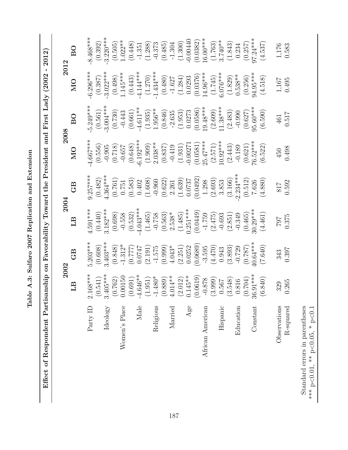| i<br>i<br>֧֧֧֧֧֧֧֧֦֧֧֧֧֧֧֦֧֧֧֧֧֧֧֧֧֧֧֧֧֧֧֧֚֚֚֚֚֚֚֚֚֚֚֚֚֚֓֓֝֓֓֓֓֓֓֝֓֝֬֓֓֝֬֓֓֓֓֓֓֝֬֝֬֝֬֝֬֝֬֝֬֝֬֝֬֝֬֝֬֝֬֝<br>l |
|-------------------------------------------------------------------------------------------------------------|
| ואים באים<br>į                                                                                              |
| $-10$<br>Ï<br>ı                                                                                             |
| $\sim$ 007 $\Gamma$ or                                                                                      |
| ļ                                                                                                           |
|                                                                                                             |
| )<br>)                                                                                                      |

Effect of Respondent Partisanship on Favorability Toward the President and First Lady (2002 - 2012) Effect of Respondent Partisanship on Favorability Toward the President and First Lady (2002 - 2012)

|                              |                                                                    | 2002                                         | 2004                                 |                                                            | 2008                  |                        | 2012                              |                      |
|------------------------------|--------------------------------------------------------------------|----------------------------------------------|--------------------------------------|------------------------------------------------------------|-----------------------|------------------------|-----------------------------------|----------------------|
|                              | LB                                                                 | GB                                           | LB                                   | GB                                                         | M <sub>O</sub>        | BO                     | M <sub>O</sub>                    | $\overline{B}$       |
| Party ID                     | $168***$                                                           | $5.203***$                                   | $4.591***$                           | $9.257***$                                                 | $4.667***$            | $5.249***$             | $6.296***$                        | $8.468***$           |
|                              | $2.168***$<br>(0.541)<br>3.405***<br>(0.762)                       | $(0.608)$<br>3.403***                        | $(0.440)$<br>3.182***                | $(0.482)$<br>4.364***                                      | (0.556)               | (0.561)                | (0.387)                           | (0.392)              |
| Ideology                     |                                                                    |                                              |                                      |                                                            |                       | $-3.004***$            | $-3.022***$                       | $-3.220***$          |
|                              |                                                                    | $(0.848)$<br>-1.312*                         | (0.698)                              |                                                            | $-0.905$<br>(0.718)   | (0.730)                | $(0.498)$<br>1.145***             | (0.505)              |
| Women's Place                | .00150                                                             |                                              | $-0.558$<br>$(0.532)$<br>$-4.043***$ | $\begin{array}{c} (0.761) \\ 0.751 \\ 0.583) \end{array}$  | $-0.657$              | $-0.443$               |                                   | $1.022**$            |
|                              | 0.691)                                                             | (777)                                        |                                      |                                                            | (0.648)               | (0.661)                | (0.443)                           | (0.448)              |
| Male                         | $.646**$                                                           | 0.0747                                       |                                      |                                                            | $-6.192***$           | $-4.611**$             | $-4.144***$                       | $-1.351$             |
|                              | $1.951$ )<br>$1.480*$                                              | (2.191)                                      | (1.465)                              | (1.608)                                                    | (1.909)               | (1.935)                | $(1.270)$<br>-1.434***            | (1.288)              |
| Religious                    |                                                                    |                                              |                                      |                                                            | $2.038**$             | 1.956 **               |                                   | $-0.373$             |
|                              | $(0.889)$<br>4.014**                                               | $-1.575$<br>(0.999)                          | $-0.758$<br>(0.563)                  | $-0.960$<br>(0.622)                                        | (0.837)               | (0.846)                | (0.480)                           | (0.485)              |
| Married                      |                                                                    | $4.043*$                                     | $2.538*$                             | 2.261                                                      | $-0.419$              | $-2.635$               | $-1.627$                          | $-1.304$             |
|                              | $(2.012)$<br>0.145**                                               | (2.251)                                      | $(1.485)$<br>0.251***                | (1.639)                                                    | (1.931)               | (1.953)                | (1.284)                           | (1.300)              |
| $\rm{Age}$                   |                                                                    | 0.0252                                       |                                      | 0.0737                                                     | $-0.00271$            | 0.0273                 | 0.0293                            | $-0.00440$           |
|                              | $\begin{array}{c} (0.0619) \\ -0.878 \\ \hline 3.999) \end{array}$ | (0.0689)                                     | (0.0449)                             | (0.0492)                                                   | (0.0581)              | $(0.0586)$<br>19.48*** | $(0.0376)$<br>14.96***            | (0.0382)             |
| African American             |                                                                    | $-3.595$                                     | $-1.759$                             | 1.298                                                      | $25.47***$            |                        |                                   | $16.00***$           |
|                              |                                                                    | $\left(4.470\right)$ $\left($ $0.943\right)$ | (2.475)                              |                                                            | $(2.571)$<br>10.92*** | $(2.609)$<br>11.38***  | (1.745)                           | $(1.763)$<br>3.740** |
| Hispanic                     | 0.567                                                              |                                              |                                      |                                                            |                       |                        |                                   |                      |
|                              | (3.548)                                                            | (3.893)                                      | $-0.693$<br>(2.851)                  | $(2.693)$<br>3.853<br>$(3.166)$<br>-2.234***               | (2.443)               | (2.483)                | $6.076***$<br>(1.829)<br>(1.538** | (1.843)              |
| Education                    | 0.816                                                              | $-0.729$                                     | $-0.349$                             |                                                            | $-0.189$              | $-0.990$               |                                   | 0.234                |
|                              | $0.704$<br>$.91***$                                                | $(0.787)$<br>40.64***                        | $(0.465)$<br>30.29***                |                                                            | $(0.621)$<br>76.52*** | $(0.627)$<br>95.60***  | (0.256)                           | (0.257)              |
| $\mathop{\mathrm{Constant}}$ | 36.                                                                |                                              |                                      |                                                            |                       |                        | 94.95***                          | $97.24***$           |
|                              | <b>840)</b>                                                        | (7.640)                                      | (4.461)                              | $\begin{array}{c} (0.512) \\ 7.626 \\ (4.880) \end{array}$ | (6.522)               | (6.590)                | (4.518)                           | (4.537)              |
| Observations                 | 329                                                                | 343                                          | 707                                  | 817                                                        | 450                   | 461                    |                                   |                      |
| R-squared                    | 1.265                                                              | 0.397                                        | 0.375                                | 0.592                                                      | 0.498                 | 0.517                  | $1,167$<br>$0.495$                | $1,176$<br>$0.583$   |
|                              |                                                                    |                                              |                                      |                                                            |                       |                        |                                   |                      |

Standard errors in parentheses \*\*\* p<0.01, \*\* p<0.05, \* p<0.1

Standard errors in parentheses \*\*\* p<0.01, \*\* p<0.05, \* p<0.1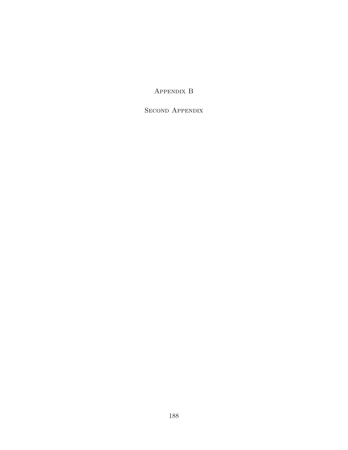Appendix B

SECOND APPENDIX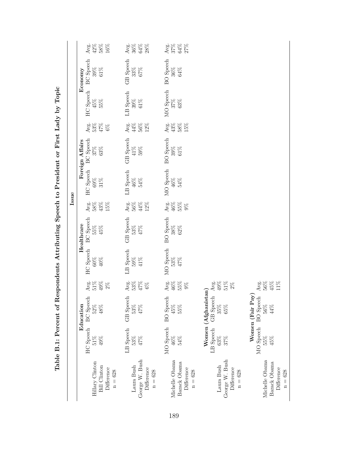|                                                                   |                                      |                                                      |                                          |                                   |                                                    |                                               | Issue                                |                                                      |                                                        |                                |                                                                            |                                               |
|-------------------------------------------------------------------|--------------------------------------|------------------------------------------------------|------------------------------------------|-----------------------------------|----------------------------------------------------|-----------------------------------------------|--------------------------------------|------------------------------------------------------|--------------------------------------------------------|--------------------------------|----------------------------------------------------------------------------|-----------------------------------------------|
| Hillary Clinton<br><b>Bill Clinton</b><br>Difference<br>$n = 628$ | <b>HC</b> Speech<br>$49\%$<br>$51\%$ | <b>BC</b> Speech<br>Education<br>$52\%$<br>$48\%$    | $_{51\%}^{\rm{Avg.}}$<br>$49\%$<br>$2\%$ | <b>HC</b> Speech<br>$60\%$<br>40% | <b>BC</b> Speech<br>Healthcare<br>$55\%$<br>$45\%$ | $\frac{\text{Avg}}{58\%}$<br>$43\%$ 15 $\%$   | <b>HC</b> Speech<br>$69\%$<br>$31\%$ | <b>BC</b> Speech<br>Foreign Affairs<br>$37\%$ $63\%$ | Avg.<br>53%<br>47%<br>$6\%$                            | <b>HC</b> Speech<br>45%<br>55% | <b>BC</b> Speech<br>$\begin{array}{l} 39\% \\ 61\% \end{array}$<br>Economy | Arg.<br>42%<br>58%                            |
| George W. Bush<br>Laura Bush<br>Difference<br>$n = 628$           | LB Speech<br>53%<br>47%              | GB Speech<br>53%<br>47%                              | $_{53\%}^{\rm{Avg.}}$<br>$47\%$<br>$6\%$ | LB Speech<br>$59%$<br>41%         | <b>GB</b> Speech<br>53%<br>47%                     | $\frac{\text{Avg}}{56\%}$<br>$44\%$<br>$12\%$ | LB Speech<br>$46\%$<br>54%           | <b>GB</b> Speech<br>$41\%$<br>$59\%$                 | $\mathop{\mathrm{Avg}}\limits_{44\%}$<br>$56\%$<br>12% | LB Speech<br>$39\%$<br>$61\%$  | GB Speech $33\%$<br>$67\%$                                                 | $\frac{\text{Avg}}{36\%}$<br>$64\%$<br>$28\%$ |
| Michelle Obama<br>Barack Obama<br>Difference<br>$n = 628$         | MO Speech<br>46%<br>54%              | <b>BO</b> Speech<br>45%<br>55%                       | Avg.<br>$46\%$ 55%<br>$9\%$              | MO Speech<br>$53%$<br>$47%$       | <b>BO</b> Speech<br>$38%$<br>62%                   | Arg.<br>46%<br>9%                             | MO Speech<br>$46\%$<br>$54\%$        | <b>BO</b> Speech<br>$39%$<br>61%                     | Avg.<br>43%<br>58%<br>15%                              | MO Speech<br>$37\%$ $63\%$     | <b>BO</b> Speech<br>$36\%$<br>64%                                          | 27%<br>27%<br>27%                             |
| George W. Bush<br>Laura Bush<br>Difference<br>$n = 628$           | LB Speech<br>$63\%$<br>$37\%$        | Women (Afghanistan)<br>GB Speech<br>$65\%$<br>$35\%$ | Avg.<br>49%<br>$51\%$<br>$2\%$           |                                   |                                                    |                                               |                                      |                                                      |                                                        |                                |                                                                            |                                               |
| Michelle Obama<br>Barack Obama<br>Difference<br>$n = 628$         | MO Speech<br>55%<br>45%              | Women (Fair Pay)<br>BO Speech<br>56%<br>44%          | ${\rm Avg.}$ 56%<br>$45\%$<br>11%        |                                   |                                                    |                                               |                                      |                                                      |                                                        |                                |                                                                            |                                               |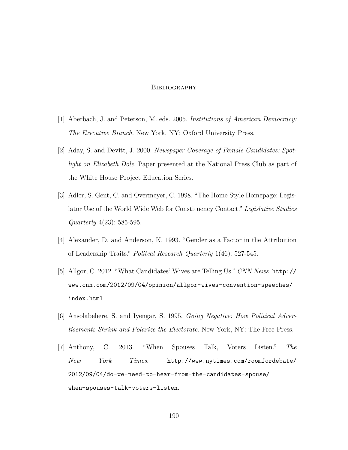## **BIBLIOGRAPHY**

- [1] Aberbach, J. and Peterson, M. eds. 2005. *Institutions of American Democracy: The Executive Branch*. New York, NY: Oxford University Press.
- [2] Aday, S. and Devitt, J. 2000. *Newspaper Coverage of Female Candidates: Spotlight on Elizabeth Dole*. Paper presented at the National Press Club as part of the White House Project Education Series.
- [3] Adler, S. Gent, C. and Overmeyer, C. 1998. "The Home Style Homepage: Legislator Use of the World Wide Web for Constituency Contact." *Legislative Studies Quarterly* 4(23): 585-595.
- [4] Alexander, D. and Anderson, K. 1993. "Gender as a Factor in the Attribution of Leadership Traits." *Politcal Research Quarterly* 1(46): 527-545.
- [5] Allgor, C. 2012. "What Candidates' Wives are Telling Us." *CNN News*. http:// www.cnn.com/2012/09/04/opinion/allgor-wives-convention-speeches/ index.html.
- [6] Ansolabehere, S. and Iyengar, S. 1995. *Going Negative: How Political Advertisements Shrink and Polarize the Electorate*. New York, NY: The Free Press.
- [7] Anthony, C. 2013. "When Spouses Talk, Voters Listen." *The New York Times*. http://www.nytimes.com/roomfordebate/ 2012/09/04/do-we-need-to-hear-from-the-candidates-spouse/ when-spouses-talk-voters-listen.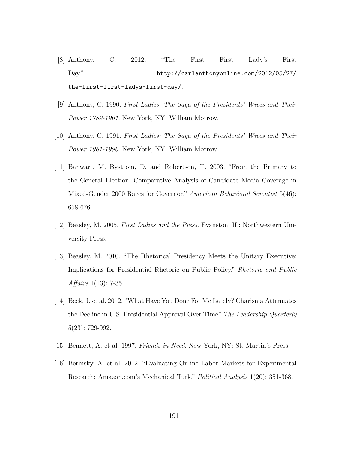- [8] Anthony, C. 2012. "The First First Lady's First Day." http://carlanthonyonline.com/2012/05/27/ the-first-first-ladys-first-day/.
- [9] Anthony, C. 1990. *First Ladies: The Saga of the Presidents' Wives and Their Power 1789-1961*. New York, NY: William Morrow.
- [10] Anthony, C. 1991. *First Ladies: The Saga of the Presidents' Wives and Their Power 1961-1990*. New York, NY: William Morrow.
- [11] Banwart, M. Bystrom, D. and Robertson, T. 2003. "From the Primary to the General Election: Comparative Analysis of Candidate Media Coverage in Mixed-Gender 2000 Races for Governor." *American Behavioral Scientist* 5(46): 658-676.
- [12] Beasley, M. 2005. *First Ladies and the Press*. Evanston, IL: Northwestern University Press.
- [13] Beasley, M. 2010. "The Rhetorical Presidency Meets the Unitary Executive: Implications for Presidential Rhetoric on Public Policy." *Rhetoric and Public Affairs* 1(13): 7-35.
- [14] Beck, J. et al. 2012. "What Have You Done For Me Lately? Charisma Attenuates the Decline in U.S. Presidential Approval Over Time" *The Leadership Quarterly* 5(23): 729-992.
- [15] Bennett, A. et al. 1997. *Friends in Need*. New York, NY: St. Martin's Press.
- [16] Berinsky, A. et al. 2012. "Evaluating Online Labor Markets for Experimental Research: Amazon.com's Mechanical Turk." *Political Analysis* 1(20): 351-368.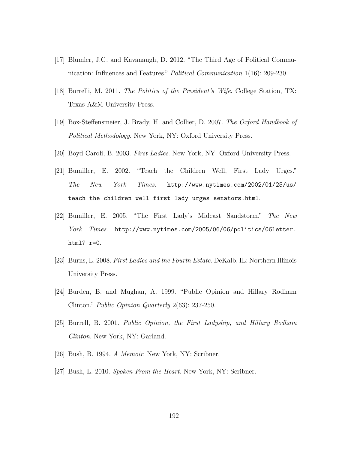- [17] Blumler, J.G. and Kavanaugh, D. 2012. "The Third Age of Political Communication: Influences and Features." *Political Communication* 1(16): 209-230.
- [18] Borrelli, M. 2011. *The Politics of the President's Wife*. College Station, TX: Texas A&M University Press.
- [19] Box-Steffensmeier, J. Brady, H. and Collier, D. 2007. *The Oxford Handbook of Political Methodology*. New York, NY: Oxford University Press.
- [20] Boyd Caroli, B. 2003. *First Ladies*. New York, NY: Oxford University Press.
- [21] Bumiller, E. 2002. "Teach the Children Well, First Lady Urges." *The New York Times*. http://www.nytimes.com/2002/01/25/us/ teach-the-children-well-first-lady-urges-senators.html.
- [22] Bumiller, E. 2005. "The First Lady's Mideast Sandstorm." *The New York Times*. http://www.nytimes.com/2005/06/06/politics/06letter. html?\_r=0.
- [23] Burns, L. 2008. *First Ladies and the Fourth Estate*. DeKalb, IL: Northern Illinois University Press.
- [24] Burden, B. and Mughan, A. 1999. "Public Opinion and Hillary Rodham Clinton." *Public Opinion Quarterly* 2(63): 237-250.
- [25] Burrell, B. 2001. *Public Opinion, the First Ladyship, and Hillary Rodham Clinton*. New York, NY: Garland.
- [26] Bush, B. 1994. *A Memoir*. New York, NY: Scribner.
- [27] Bush, L. 2010. *Spoken From the Heart*. New York, NY: Scribner.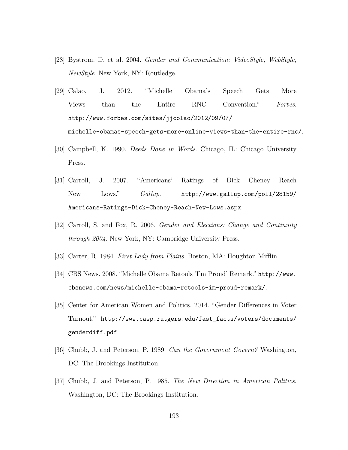- [28] Bystrom, D. et al. 2004. *Gender and Communication: VideoStyle, WebStyle, NewStyle*. New York, NY: Routledge.
- [29] Calao, J. 2012. "Michelle Obama's Speech Gets More Views than the Entire RNC Convention." *Forbes*. http://www.forbes.com/sites/jjcolao/2012/09/07/ michelle-obamas-speech-gets-more-online-views-than-the-entire-rnc/.
- [30] Campbell, K. 1990. *Deeds Done in Words*. Chicago, IL: Chicago University Press.
- [31] Carroll, J. 2007. "Americans' Ratings of Dick Cheney Reach New Lows." *Gallup*. http://www.gallup.com/poll/28159/ Americans-Ratings-Dick-Cheney-Reach-New-Lows.aspx.
- [32] Carroll, S. and Fox, R. 2006. *Gender and Elections: Change and Continuity through 2004*. New York, NY: Cambridge University Press.
- [33] Carter, R. 1984. *First Lady from Plains*. Boston, MA: Houghton Mifflin.
- [34] CBS News. 2008. "Michelle Obama Retools 'I'm Proud' Remark." http://www. cbsnews.com/news/michelle-obama-retools-im-proud-remark/.
- [35] Center for American Women and Politics. 2014. "Gender Differences in Voter Turnout." http://www.cawp.rutgers.edu/fast\_facts/voters/documents/ genderdiff.pdf
- [36] Chubb, J. and Peterson, P. 1989. *Can the Government Govern?* Washington, DC: The Brookings Institution.
- [37] Chubb, J. and Peterson, P. 1985. *The New Direction in American Politics*. Washington, DC: The Brookings Institution.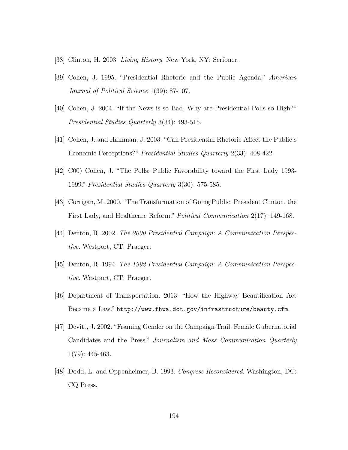- [38] Clinton, H. 2003. *Living History*. New York, NY: Scribner.
- [39] Cohen, J. 1995. "Presidential Rhetoric and the Public Agenda." *American Journal of Political Science* 1(39): 87-107.
- [40] Cohen, J. 2004. "If the News is so Bad, Why are Presidential Polls so High?" *Presidential Studies Quarterly* 3(34): 493-515.
- [41] Cohen, J. and Hamman, J. 2003. "Can Presidential Rhetoric Affect the Public's Economic Perceptions?" *Presidential Studies Quarterly* 2(33): 408-422.
- [42] C00) Cohen, J. "The Polls: Public Favorability toward the First Lady 1993- 1999." *Presidential Studies Quarterly* 3(30): 575-585.
- [43] Corrigan, M. 2000. "The Transformation of Going Public: President Clinton, the First Lady, and Healthcare Reform." *Political Communication* 2(17): 149-168.
- [44] Denton, R. 2002. *The 2000 Presidential Campaign: A Communication Perspective*. Westport, CT: Praeger.
- [45] Denton, R. 1994. *The 1992 Presidential Campaign: A Communication Perspective*. Westport, CT: Praeger.
- [46] Department of Transportation. 2013. "How the Highway Beautification Act Became a Law." http://www.fhwa.dot.gov/infrastructure/beauty.cfm.
- [47] Devitt, J. 2002. "Framing Gender on the Campaign Trail: Female Gubernatorial Candidates and the Press." *Journalism and Mass Communication Quarterly* 1(79): 445-463.
- [48] Dodd, L. and Oppenheimer, B. 1993. *Congress Reconsidered*. Washington, DC: CQ Press.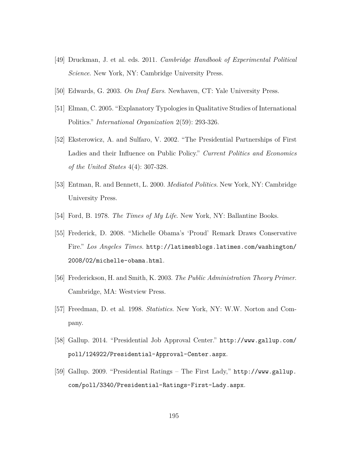- [49] Druckman, J. et al. eds. 2011. *Cambridge Handbook of Experimental Political Science*. New York, NY: Cambridge University Press.
- [50] Edwards, G. 2003. *On Deaf Ears*. Newhaven, CT: Yale University Press.
- [51] Elman, C. 2005. "Explanatory Typologies in Qualitative Studies of International Politics." *International Organization* 2(59): 293-326.
- [52] Eksterowicz, A. and Sulfaro, V. 2002. "The Presidential Partnerships of First Ladies and their Influence on Public Policy." *Current Politics and Economics of the United States* 4(4): 307-328.
- [53] Entman, R. and Bennett, L. 2000. *Mediated Politics*. New York, NY: Cambridge University Press.
- [54] Ford, B. 1978. *The Times of My Life*. New York, NY: Ballantine Books.
- [55] Frederick, D. 2008. "Michelle Obama's 'Proud' Remark Draws Conservative Fire." *Los Angeles Times*. http://latimesblogs.latimes.com/washington/ 2008/02/michelle-obama.html.
- [56] Frederickson, H. and Smith, K. 2003. *The Public Administration Theory Primer*. Cambridge, MA: Westview Press.
- [57] Freedman, D. et al. 1998. *Statistics*. New York, NY: W.W. Norton and Company.
- [58] Gallup. 2014. "Presidential Job Approval Center." http://www.gallup.com/ poll/124922/Presidential-Approval-Center.aspx.
- [59] Gallup. 2009. "Presidential Ratings The First Lady," http://www.gallup. com/poll/3340/Presidential-Ratings-First-Lady.aspx.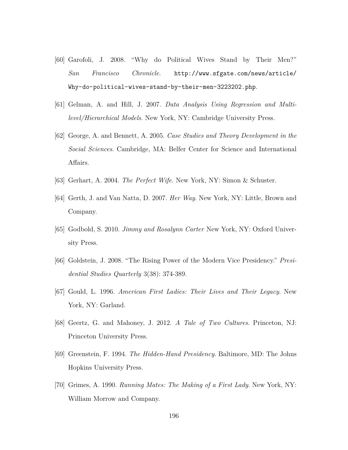- [60] Garofoli, J. 2008. "Why do Political Wives Stand by Their Men?" *San Francisco Chronicle*. http://www.sfgate.com/news/article/ Why-do-political-wives-stand-by-their-men-3223202.php.
- [61] Gelman, A. and Hill, J. 2007. *Data Analysis Using Regression and Multilevel/Hierarchical Models*. New York, NY: Cambridge University Press.
- [62] George, A. and Bennett, A. 2005. *Case Studies and Theory Development in the Social Sciences*. Cambridge, MA: Belfer Center for Science and International Affairs.
- [63] Gerhart, A. 2004. *The Perfect Wife*. New York, NY: Simon & Schuster.
- [64] Gerth, J. and Van Natta, D. 2007. *Her Way*. New York, NY: Little, Brown and Company.
- [65] Godbold, S. 2010. *Jimmy and Rosalynn Carter* New York, NY: Oxford University Press.
- [66] Goldstein, J. 2008. "The Rising Power of the Modern Vice Presidency." *Presidential Studies Quarterly* 3(38): 374-389.
- [67] Gould, L. 1996. *American First Ladies: Their Lives and Their Legacy*. New York, NY: Garland.
- [68] Geertz, G. and Mahoney, J. 2012. *A Tale of Two Cultures*. Princeton, NJ: Princeton University Press.
- [69] Greenstein, F. 1994. *The Hidden-Hand Presidency*. Baltimore, MD: The Johns Hopkins University Press.
- [70] Grimes, A. 1990. *Running Mates: The Making of a First Lady*. New York, NY: William Morrow and Company.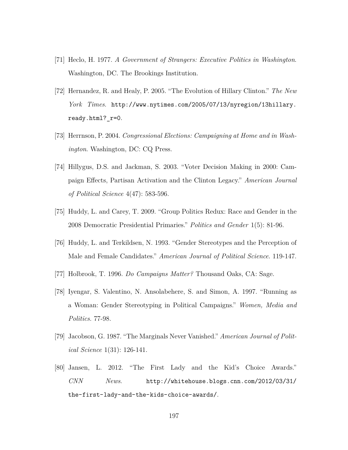- [71] Heclo, H. 1977. *A Government of Strangers: Executive Politics in Washington*. Washington, DC. The Brookings Institution.
- [72] Hernandez, R. and Healy, P. 2005. "The Evolution of Hillary Clinton." *The New York Times*. http://www.nytimes.com/2005/07/13/nyregion/13hillary. ready.html? r=0.
- [73] Herrnson, P. 2004. *Congressional Elections: Campaigning at Home and in Washington*. Washington, DC: CQ Press.
- [74] Hillygus, D.S. and Jackman, S. 2003. "Voter Decision Making in 2000: Campaign Effects, Partisan Activation and the Clinton Legacy." *American Journal of Political Science* 4(47): 583-596.
- [75] Huddy, L. and Carey, T. 2009. "Group Politics Redux: Race and Gender in the 2008 Democratic Presidential Primaries." *Politics and Gender* 1(5): 81-96.
- [76] Huddy, L. and Terkildsen, N. 1993. "Gender Stereotypes and the Perception of Male and Female Candidates." *American Journal of Political Science*. 119-147.
- [77] Holbrook, T. 1996. *Do Campaigns Matter?* Thousand Oaks, CA: Sage.
- [78] Iyengar, S. Valentino, N. Ansolabehere, S. and Simon, A. 1997. "Running as a Woman: Gender Stereotyping in Political Campaigns." *Women, Media and Politics*. 77-98.
- [79] Jacobson, G. 1987. "The Marginals Never Vanished." *American Journal of Political Science* 1(31): 126-141.
- [80] Jansen, L. 2012. "The First Lady and the Kid's Choice Awards." *CNN News*. http://whitehouse.blogs.cnn.com/2012/03/31/ the-first-lady-and-the-kids-choice-awards/.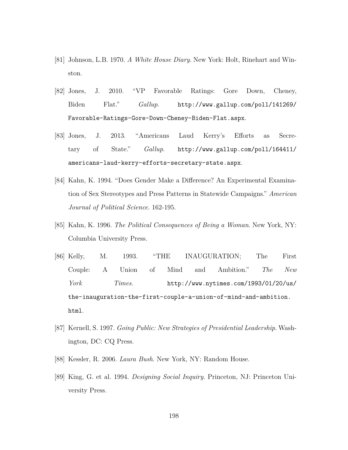- [81] Johnson, L.B. 1970. *A White House Diary*. New York: Holt, Rinehart and Winston.
- [82] Jones, J. 2010. "VP Favorable Ratings: Gore Down, Cheney, Biden Flat." *Gallup*. http://www.gallup.com/poll/141269/ Favorable-Ratings-Gore-Down-Cheney-Biden-Flat.aspx.
- [83] Jones, J. 2013. "Americans Laud Kerry's Efforts as Secretary of State." *Gallup*. http://www.gallup.com/poll/164411/ americans-laud-kerry-efforts-secretary-state.aspx.
- [84] Kahn, K. 1994. "Does Gender Make a Difference? An Experimental Examination of Sex Stereotypes and Press Patterns in Statewide Campaigns." *American Journal of Political Science*. 162-195.
- [85] Kahn, K. 1996. *The Political Consequences of Being a Woman*. New York, NY: Columbia University Press.
- [86] Kelly, M. 1993. "THE INAUGURATION; The First Couple: A Union of Mind and Ambition." *The New York Times*. http://www.nytimes.com/1993/01/20/us/ the-inauguration-the-first-couple-a-union-of-mind-and-ambition. html.
- [87] Kernell, S. 1997. *Going Public: New Strategies of Presidential Leadership*. Washington, DC: CQ Press.
- [88] Kessler, R. 2006. *Laura Bush*. New York, NY: Random House.
- [89] King, G. et al. 1994. *Designing Social Inquiry*. Princeton, NJ: Princeton University Press.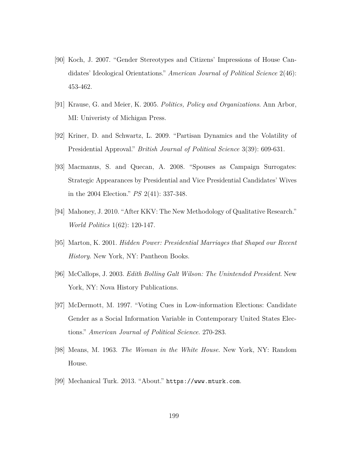- [90] Koch, J. 2007. "Gender Stereotypes and Citizens' Impressions of House Candidates' Ideological Orientations." *American Journal of Political Science* 2(46): 453-462.
- [91] Krause, G. and Meier, K. 2005. *Politics, Policy and Organizations*. Ann Arbor, MI: Univeristy of Michigan Press.
- [92] Kriner, D. and Schwartz, L. 2009. "Partisan Dynamics and the Volatility of Presidential Approval." *British Journal of Political Science* 3(39): 609-631.
- [93] Macmanus, S. and Quecan, A. 2008. "Spouses as Campaign Surrogates: Strategic Appearances by Presidential and Vice Presidential Candidates' Wives in the 2004 Election." *PS* 2(41): 337-348.
- [94] Mahoney, J. 2010. "After KKV: The New Methodology of Qualitative Research." *World Politics* 1(62): 120-147.
- [95] Marton, K. 2001. *Hidden Power: Presidential Marriages that Shaped our Recent History*. New York, NY: Pantheon Books.
- [96] McCallops, J. 2003. *Edith Bolling Galt Wilson: The Unintended President*. New York, NY: Nova History Publications.
- [97] McDermott, M. 1997. "Voting Cues in Low-information Elections: Candidate Gender as a Social Information Variable in Contemporary United States Elections." *American Journal of Political Science*. 270-283.
- [98] Means, M. 1963. *The Woman in the White House*. New York, NY: Random House.
- [99] Mechanical Turk. 2013. "About." https://www.mturk.com.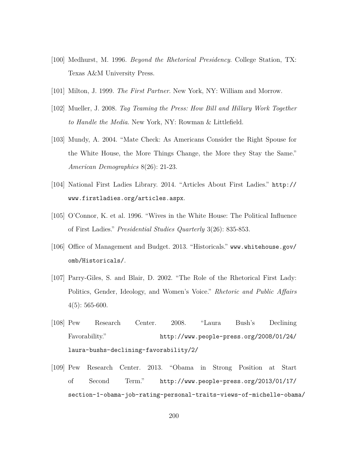- [100] Medhurst, M. 1996. *Beyond the Rhetorical Presidency*. College Station, TX: Texas A&M University Press.
- [101] Milton, J. 1999. *The First Partner*. New York, NY: William and Morrow.
- [102] Mueller, J. 2008. *Tag Teaming the Press: How Bill and Hillary Work Together to Handle the Media*. New York, NY: Rowman & Littlefield.
- [103] Mundy, A. 2004. "Mate Check: As Americans Consider the Right Spouse for the White House, the More Things Change, the More they Stay the Same." *American Demographics* 8(26): 21-23.
- [104] National First Ladies Library. 2014. "Articles About First Ladies." http:// www.firstladies.org/articles.aspx.
- [105] O'Connor, K. et al. 1996. "Wives in the White House: The Political Influence of First Ladies." *Presidential Studies Quarterly* 3(26): 835-853.
- [106] Office of Management and Budget. 2013. "Historicals." www.whitehouse.gov/ omb/Historicals/.
- [107] Parry-Giles, S. and Blair, D. 2002. "The Role of the Rhetorical First Lady: Politics, Gender, Ideology, and Women's Voice." *Rhetoric and Public Affairs*  $4(5): 565-600.$
- [108] Pew Research Center. 2008. "Laura Bush's Declining Favorability." http://www.people-press.org/2008/01/24/ laura-bushs-declining-favorability/2/
- [109] Pew Research Center. 2013. "Obama in Strong Position at Start of Second Term." http://www.people-press.org/2013/01/17/ section-1-obama-job-rating-personal-traits-views-of-michelle-obama/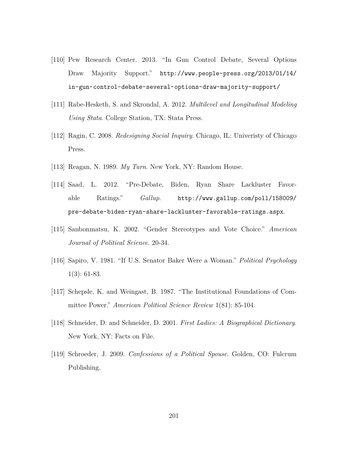- [110] Pew Research Center. 2013. "In Gun Control Debate, Several Options Draw Majority Support." http://www.people-press.org/2013/01/14/ in-gun-control-debate-several-options-draw-majority-support/
- [111] Rabe-Hesketh, S. and Skrondal, A. 2012. *Multilevel and Longitudinal Modeling Using Stata*. College Station, TX: Stata Press.
- [112] Ragin, C. 2008. *Redesigning Social Inquiry*. Chicago, IL: Univeristy of Chicago Press.
- [113] Reagan, N. 1989. *My Turn*. New York, NY: Random House.
- [114] Saad, L. 2012. "Pre-Debate, Biden, Ryan Share Lackluster Favorable Ratings." *Gallup*. http://www.gallup.com/poll/158009/ pre-debate-biden-ryan-share-lackluster-favorable-ratings.aspx.
- [115] Sanbonmatsu, K. 2002. "Gender Stereotypes and Vote Choice." *American Journal of Political Science*. 20-34.
- [116] Sapiro, V. 1981. "If U.S. Senator Baker Were a Woman." *Political Psychology* 1(3): 61-83.
- [117] Schepsle, K. and Weingast, B. 1987. "The Institutional Foundations of Committee Power." *American Political Science Review* 1(81): 85-104.
- [118] Schneider, D. and Schneider, D. 2001. *First Ladies: A Biographical Dictionary*. New York, NY: Facts on File.
- [119] Schroeder, J. 2009. *Confessions of a Political Spouse*. Golden, CO: Fulcrum Publishing.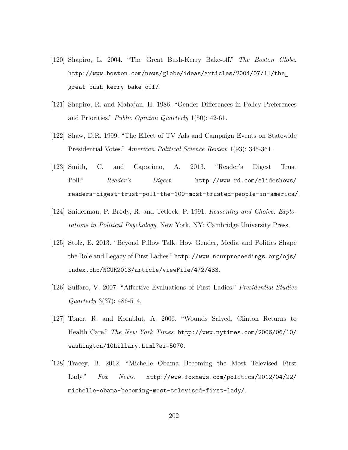- [120] Shapiro, L. 2004. "The Great Bush-Kerry Bake-off." *The Boston Globe*. http://www.boston.com/news/globe/ideas/articles/2004/07/11/the\_ great\_bush\_kerry\_bake\_off/.
- [121] Shapiro, R. and Mahajan, H. 1986. "Gender Differences in Policy Preferences and Priorities." *Public Opinion Quarterly* 1(50): 42-61.
- [122] Shaw, D.R. 1999. "The Effect of TV Ads and Campaign Events on Statewide Presidential Votes." *American Political Science Review* 1(93): 345-361.
- [123] Smith, C. and Caporimo, A. 2013. "Reader's Digest Trust Poll." *Reader's Digest*. http://www.rd.com/slideshows/ readers-digest-trust-poll-the-100-most-trusted-people-in-america/.
- [124] Sniderman, P. Brody, R. and Tetlock, P. 1991. *Reasoning and Choice: Explorations in Political Psychology*. New York, NY: Cambridge University Press.
- [125] Stolz, E. 2013. "Beyond Pillow Talk: How Gender, Media and Politics Shape the Role and Legacy of First Ladies." http://www.ncurproceedings.org/ojs/ index.php/NCUR2013/article/viewFile/472/433.
- [126] Sulfaro, V. 2007. "Affective Evaluations of First Ladies." *Presidential Studies Quarterly* 3(37): 486-514.
- [127] Toner, R. and Kornblut, A. 2006. "Wounds Salved, Clinton Returns to Health Care." *The New York Times*. http://www.nytimes.com/2006/06/10/ washington/10hillary.html?ei=5070.
- [128] Tracey, B. 2012. "Michelle Obama Becoming the Most Televised First Lady." *Fox News*. http://www.foxnews.com/politics/2012/04/22/ michelle-obama-becoming-most-televised-first-lady/.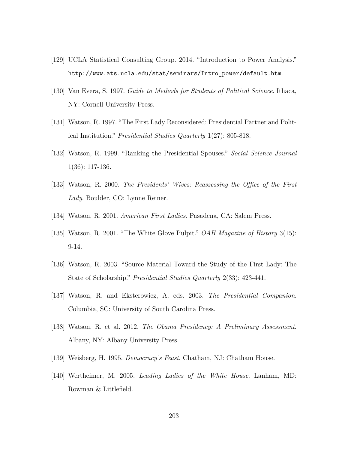- [129] UCLA Statistical Consulting Group. 2014. "Introduction to Power Analysis." http://www.ats.ucla.edu/stat/seminars/Intro\_power/default.htm.
- [130] Van Evera, S. 1997. *Guide to Methods for Students of Political Science*. Ithaca, NY: Cornell University Press.
- [131] Watson, R. 1997. "The First Lady Reconsidered: Presidential Partner and Political Institution." *Presidential Studies Quarterly* 1(27): 805-818.
- [132] Watson, R. 1999. "Ranking the Presidential Spouses." *Social Science Journal* 1(36): 117-136.
- [133] Watson, R. 2000. *The Presidents' Wives: Reassessing the Office of the First Lady*. Boulder, CO: Lynne Reiner.
- [134] Watson, R. 2001. *American First Ladies*. Pasadena, CA: Salem Press.
- [135] Watson, R. 2001. "The White Glove Pulpit." *OAH Magazine of History* 3(15): 9-14.
- [136] Watson, R. 2003. "Source Material Toward the Study of the First Lady: The State of Scholarship." *Presidential Studies Quarterly* 2(33): 423-441.
- [137] Watson, R. and Eksterowicz, A. eds. 2003. *The Presidential Companion*. Columbia, SC: University of South Carolina Press.
- [138] Watson, R. et al. 2012. *The Obama Presidency: A Preliminary Assessment*. Albany, NY: Albany University Press.
- [139] Weisberg, H. 1995. *Democracy's Feast*. Chatham, NJ: Chatham House.
- [140] Wertheimer, M. 2005. *Leading Ladies of the White House*. Lanham, MD: Rowman & Littlefield.